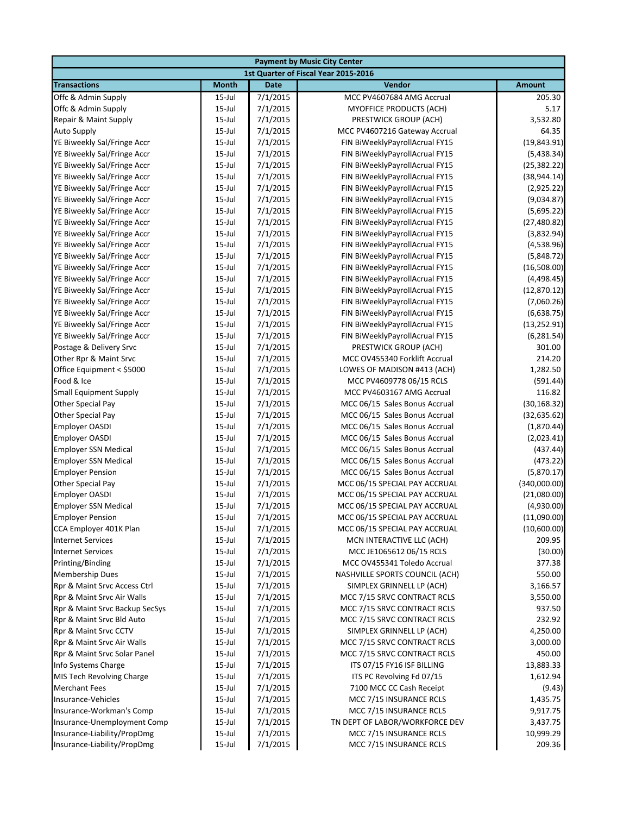|                                  | <b>Payment by Music City Center</b> |                      |                                                                |                          |  |  |  |
|----------------------------------|-------------------------------------|----------------------|----------------------------------------------------------------|--------------------------|--|--|--|
|                                  |                                     |                      | 1st Quarter of Fiscal Year 2015-2016                           |                          |  |  |  |
| <b>Transactions</b>              | <b>Month</b>                        | <b>Date</b>          | <b>Vendor</b>                                                  | <b>Amount</b>            |  |  |  |
| Offc & Admin Supply              | $15$ -Jul                           | 7/1/2015             | MCC PV4607684 AMG Accrual                                      | 205.30                   |  |  |  |
| Offc & Admin Supply              | $15$ -Jul                           | 7/1/2015             | <b>MYOFFICE PRODUCTS (ACH)</b>                                 | 5.17                     |  |  |  |
| Repair & Maint Supply            | $15$ -Jul                           | 7/1/2015             | PRESTWICK GROUP (ACH)                                          | 3,532.80                 |  |  |  |
| Auto Supply                      | $15$ -Jul                           | 7/1/2015             | MCC PV4607216 Gateway Accrual                                  | 64.35                    |  |  |  |
| YE Biweekly Sal/Fringe Accr      | $15$ -Jul                           | 7/1/2015             | FIN BiWeeklyPayrollAcrual FY15                                 | (19, 843.91)             |  |  |  |
| YE Biweekly Sal/Fringe Accr      | $15$ -Jul                           | 7/1/2015             | FIN BiWeeklyPayrollAcrual FY15                                 | (5,438.34)               |  |  |  |
| YE Biweekly Sal/Fringe Accr      | $15$ -Jul                           | 7/1/2015             | FIN BiWeeklyPayrollAcrual FY15                                 | (25, 382.22)             |  |  |  |
| YE Biweekly Sal/Fringe Accr      | $15$ -Jul                           | 7/1/2015             | FIN BiWeeklyPayrollAcrual FY15                                 | (38, 944.14)             |  |  |  |
| YE Biweekly Sal/Fringe Accr      | $15$ -Jul                           | 7/1/2015             | FIN BiWeeklyPayrollAcrual FY15                                 | (2,925.22)               |  |  |  |
| YE Biweekly Sal/Fringe Accr      | $15$ -Jul                           | 7/1/2015             | FIN BiWeeklyPayrollAcrual FY15                                 | (9,034.87)               |  |  |  |
| YE Biweekly Sal/Fringe Accr      | $15$ -Jul                           | 7/1/2015             | FIN BiWeeklyPayrollAcrual FY15                                 | (5,695.22)               |  |  |  |
| YE Biweekly Sal/Fringe Accr      | $15$ -Jul                           | 7/1/2015             | FIN BiWeeklyPayrollAcrual FY15                                 | (27, 480.82)             |  |  |  |
| YE Biweekly Sal/Fringe Accr      | $15$ -Jul                           | 7/1/2015             | FIN BiWeeklyPayrollAcrual FY15                                 | (3,832.94)               |  |  |  |
| YE Biweekly Sal/Fringe Accr      | $15$ -Jul                           | 7/1/2015             | FIN BiWeeklyPayrollAcrual FY15                                 | (4,538.96)               |  |  |  |
| YE Biweekly Sal/Fringe Accr      | $15$ -Jul                           | 7/1/2015             | FIN BiWeeklyPayrollAcrual FY15                                 | (5,848.72)               |  |  |  |
| YE Biweekly Sal/Fringe Accr      | $15$ -Jul                           | 7/1/2015             | FIN BiWeeklyPayrollAcrual FY15                                 | (16,508.00)              |  |  |  |
| YE Biweekly Sal/Fringe Accr      | $15$ -Jul                           | 7/1/2015             | FIN BiWeeklyPayrollAcrual FY15                                 | (4,498.45)               |  |  |  |
| YE Biweekly Sal/Fringe Accr      | $15$ -Jul                           | 7/1/2015             | FIN BiWeeklyPayrollAcrual FY15                                 | (12,870.12)              |  |  |  |
| YE Biweekly Sal/Fringe Accr      | $15$ -Jul                           | 7/1/2015             | FIN BiWeeklyPayrollAcrual FY15                                 | (7,060.26)               |  |  |  |
| YE Biweekly Sal/Fringe Accr      | $15$ -Jul                           | 7/1/2015             | FIN BiWeeklyPayrollAcrual FY15                                 | (6,638.75)               |  |  |  |
| YE Biweekly Sal/Fringe Accr      | $15$ -Jul                           | 7/1/2015             | FIN BiWeeklyPayrollAcrual FY15                                 | (13, 252.91)             |  |  |  |
| YE Biweekly Sal/Fringe Accr      | $15$ -Jul                           | 7/1/2015             | FIN BiWeeklyPayrollAcrual FY15                                 | (6, 281.54)              |  |  |  |
| Postage & Delivery Srvc          | $15$ -Jul                           | 7/1/2015             | PRESTWICK GROUP (ACH)                                          | 301.00                   |  |  |  |
| Other Rpr & Maint Srvc           | $15$ -Jul                           | 7/1/2015             | MCC OV455340 Forklift Accrual                                  | 214.20                   |  |  |  |
| Office Equipment < \$5000        | $15$ -Jul                           | 7/1/2015             | LOWES OF MADISON #413 (ACH)                                    | 1,282.50                 |  |  |  |
| Food & Ice                       | $15$ -Jul                           | 7/1/2015             | MCC PV4609778 06/15 RCLS                                       | (591.44)                 |  |  |  |
| <b>Small Equipment Supply</b>    | $15$ -Jul                           | 7/1/2015             | MCC PV4603167 AMG Accrual                                      | 116.82                   |  |  |  |
| Other Special Pay                | $15$ -Jul                           | 7/1/2015             | MCC 06/15 Sales Bonus Accrual                                  | (30, 168.32)             |  |  |  |
| Other Special Pay                | $15$ -Jul                           | 7/1/2015             | MCC 06/15 Sales Bonus Accrual<br>MCC 06/15 Sales Bonus Accrual | (32, 635.62)             |  |  |  |
| Employer OASDI<br>Employer OASDI | $15$ -Jul<br>$15$ -Jul              | 7/1/2015<br>7/1/2015 | MCC 06/15 Sales Bonus Accrual                                  | (1,870.44)<br>(2,023.41) |  |  |  |
| <b>Employer SSN Medical</b>      | $15$ -Jul                           | 7/1/2015             | MCC 06/15 Sales Bonus Accrual                                  | (437.44)                 |  |  |  |
| <b>Employer SSN Medical</b>      | $15$ -Jul                           | 7/1/2015             | MCC 06/15 Sales Bonus Accrual                                  | (473.22)                 |  |  |  |
| <b>Employer Pension</b>          | $15$ -Jul                           | 7/1/2015             | MCC 06/15 Sales Bonus Accrual                                  | (5,870.17)               |  |  |  |
| Other Special Pay                | $15$ -Jul                           | 7/1/2015             | MCC 06/15 SPECIAL PAY ACCRUAL                                  | (340,000.00)             |  |  |  |
| Employer OASDI                   | $15$ -Jul                           | 7/1/2015             | MCC 06/15 SPECIAL PAY ACCRUAL                                  | (21,080.00)              |  |  |  |
| <b>Employer SSN Medical</b>      | $15$ -Jul                           | 7/1/2015             | MCC 06/15 SPECIAL PAY ACCRUAL                                  | (4,930.00)               |  |  |  |
| <b>Employer Pension</b>          | 15-Jul                              | 7/1/2015             | MCC 06/15 SPECIAL PAY ACCRUAL                                  | (11,090.00)              |  |  |  |
| CCA Employer 401K Plan           | $15$ -Jul                           | 7/1/2015             | MCC 06/15 SPECIAL PAY ACCRUAL                                  | (10,600.00)              |  |  |  |
| <b>Internet Services</b>         | $15$ -Jul                           | 7/1/2015             | MCN INTERACTIVE LLC (ACH)                                      | 209.95                   |  |  |  |
| <b>Internet Services</b>         | $15$ -Jul                           | 7/1/2015             | MCC JE1065612 06/15 RCLS                                       | (30.00)                  |  |  |  |
| Printing/Binding                 | 15-Jul                              | 7/1/2015             | MCC OV455341 Toledo Accrual                                    | 377.38                   |  |  |  |
| Membership Dues                  | $15$ -Jul                           | 7/1/2015             | NASHVILLE SPORTS COUNCIL (ACH)                                 | 550.00                   |  |  |  |
| Rpr & Maint Srvc Access Ctrl     | $15$ -Jul                           | 7/1/2015             | SIMPLEX GRINNELL LP (ACH)                                      | 3,166.57                 |  |  |  |
| Rpr & Maint Srvc Air Walls       | $15$ -Jul                           | 7/1/2015             | MCC 7/15 SRVC CONTRACT RCLS                                    | 3,550.00                 |  |  |  |
| Rpr & Maint Srvc Backup SecSys   | $15$ -Jul                           | 7/1/2015             | MCC 7/15 SRVC CONTRACT RCLS                                    | 937.50                   |  |  |  |
| Rpr & Maint Srvc Bld Auto        | $15$ -Jul                           | 7/1/2015             | MCC 7/15 SRVC CONTRACT RCLS                                    | 232.92                   |  |  |  |
| Rpr & Maint Srvc CCTV            | $15$ -Jul                           | 7/1/2015             | SIMPLEX GRINNELL LP (ACH)                                      | 4,250.00                 |  |  |  |
| Rpr & Maint Srvc Air Walls       | $15$ -Jul                           | 7/1/2015             | MCC 7/15 SRVC CONTRACT RCLS                                    | 3,000.00                 |  |  |  |
| Rpr & Maint Srvc Solar Panel     | $15$ -Jul                           | 7/1/2015             | MCC 7/15 SRVC CONTRACT RCLS                                    | 450.00                   |  |  |  |
| Info Systems Charge              | $15$ -Jul                           | 7/1/2015             | ITS 07/15 FY16 ISF BILLING                                     | 13,883.33                |  |  |  |
| MIS Tech Revolving Charge        | $15$ -Jul                           | 7/1/2015             | ITS PC Revolving Fd 07/15                                      | 1,612.94                 |  |  |  |
| <b>Merchant Fees</b>             | $15$ -Jul                           | 7/1/2015             | 7100 MCC CC Cash Receipt                                       | (9.43)                   |  |  |  |
| Insurance-Vehicles               | $15$ -Jul                           | 7/1/2015             | MCC 7/15 INSURANCE RCLS                                        | 1,435.75                 |  |  |  |
| Insurance-Workman's Comp         | $15$ -Jul                           | 7/1/2015             | MCC 7/15 INSURANCE RCLS                                        | 9,917.75                 |  |  |  |
| Insurance-Unemployment Comp      | $15$ -Jul                           | 7/1/2015             | TN DEPT OF LABOR/WORKFORCE DEV                                 | 3,437.75                 |  |  |  |
| Insurance-Liability/PropDmg      | $15$ -Jul                           | 7/1/2015             | MCC 7/15 INSURANCE RCLS                                        | 10,999.29                |  |  |  |
| Insurance-Liability/PropDmg      | $15 -$ Jul                          | 7/1/2015             | MCC 7/15 INSURANCE RCLS                                        | 209.36                   |  |  |  |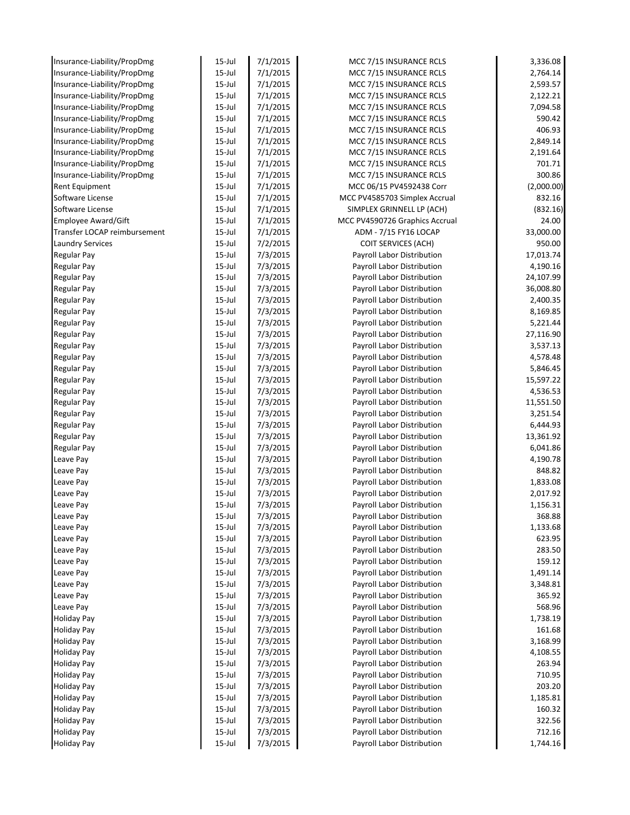| Insurance-Liability/PropDmg  | $15$ -Jul              | 7/1/2015             | MCC 7/15 INSURANCE RCLS                                  | 3,336.08             |
|------------------------------|------------------------|----------------------|----------------------------------------------------------|----------------------|
| Insurance-Liability/PropDmg  | $15$ -Jul              | 7/1/2015             | MCC 7/15 INSURANCE RCLS                                  | 2,764.14             |
| Insurance-Liability/PropDmg  | $15$ -Jul              | 7/1/2015             | MCC 7/15 INSURANCE RCLS                                  | 2,593.57             |
| Insurance-Liability/PropDmg  | $15$ -Jul              | 7/1/2015             | MCC 7/15 INSURANCE RCLS                                  | 2,122.21             |
| Insurance-Liability/PropDmg  | $15$ -Jul              | 7/1/2015             | MCC 7/15 INSURANCE RCLS                                  | 7,094.58             |
| Insurance-Liability/PropDmg  | $15 -$ Jul             | 7/1/2015             | MCC 7/15 INSURANCE RCLS                                  | 590.42               |
| Insurance-Liability/PropDmg  | $15$ -Jul              | 7/1/2015             | MCC 7/15 INSURANCE RCLS                                  | 406.93               |
| Insurance-Liability/PropDmg  | $15$ -Jul              | 7/1/2015             | MCC 7/15 INSURANCE RCLS                                  | 2,849.14             |
| Insurance-Liability/PropDmg  | $15$ -Jul              | 7/1/2015             | MCC 7/15 INSURANCE RCLS                                  | 2,191.64             |
| Insurance-Liability/PropDmg  | $15$ -Jul              | 7/1/2015             | MCC 7/15 INSURANCE RCLS                                  | 701.71               |
| Insurance-Liability/PropDmg  | $15$ -Jul              | 7/1/2015             | MCC 7/15 INSURANCE RCLS                                  | 300.86               |
| Rent Equipment               | $15$ -Jul              | 7/1/2015             | MCC 06/15 PV4592438 Corr                                 | (2,000.00)           |
| Software License             | $15$ -Jul              | 7/1/2015             | MCC PV4585703 Simplex Accrual                            | 832.16               |
| Software License             | $15$ -Jul              | 7/1/2015             | SIMPLEX GRINNELL LP (ACH)                                | (832.16)             |
| Employee Award/Gift          | $15$ -Jul              | 7/1/2015             | MCC PV4590726 Graphics Accrual                           | 24.00                |
| Transfer LOCAP reimbursement | $15$ -Jul              | 7/1/2015             | ADM - 7/15 FY16 LOCAP                                    | 33,000.00            |
| <b>Laundry Services</b>      | $15$ -Jul              | 7/2/2015             | <b>COIT SERVICES (ACH)</b>                               | 950.00               |
| <b>Regular Pay</b>           | $15$ -Jul              | 7/3/2015             | Payroll Labor Distribution                               | 17,013.74            |
| <b>Regular Pay</b>           | 15-Jul                 | 7/3/2015             | Payroll Labor Distribution                               | 4,190.16             |
| Regular Pay                  | $15$ -Jul              | 7/3/2015             | Payroll Labor Distribution                               | 24,107.99            |
| Regular Pay                  | $15$ -Jul              | 7/3/2015             | Payroll Labor Distribution                               | 36,008.80            |
| <b>Regular Pay</b>           | $15$ -Jul              | 7/3/2015             | Payroll Labor Distribution                               | 2,400.35             |
| Regular Pay                  | $15$ -Jul              | 7/3/2015             | Payroll Labor Distribution                               | 8,169.85             |
| Regular Pay                  | $15 -$ Jul             | 7/3/2015             | Payroll Labor Distribution                               | 5,221.44             |
| Regular Pay                  | 15-Jul                 | 7/3/2015             | Payroll Labor Distribution                               | 27,116.90            |
| Regular Pay                  | $15$ -Jul              | 7/3/2015             | Payroll Labor Distribution                               | 3,537.13             |
| Regular Pay                  | $15$ -Jul              | 7/3/2015             | Payroll Labor Distribution                               | 4,578.48             |
| <b>Regular Pay</b>           | $15$ -Jul              | 7/3/2015             | Payroll Labor Distribution                               | 5,846.45             |
| Regular Pay                  | $15$ -Jul              | 7/3/2015             | Payroll Labor Distribution                               | 15,597.22            |
| Regular Pay                  | $15$ -Jul              | 7/3/2015             | Payroll Labor Distribution                               | 4,536.53             |
| Regular Pay                  | 15-Jul                 | 7/3/2015             | Payroll Labor Distribution                               | 11,551.50            |
| Regular Pay                  | $15$ -Jul              | 7/3/2015             | Payroll Labor Distribution                               | 3,251.54             |
| <b>Regular Pay</b>           | $15$ -Jul              | 7/3/2015             | Payroll Labor Distribution                               | 6,444.93             |
| <b>Regular Pay</b>           | $15$ -Jul              | 7/3/2015             | Payroll Labor Distribution                               | 13,361.92            |
| <b>Regular Pay</b>           | $15$ -Jul<br>$15$ -Jul | 7/3/2015             | Payroll Labor Distribution                               | 6,041.86<br>4,190.78 |
| Leave Pay                    |                        | 7/3/2015             | Payroll Labor Distribution                               |                      |
| Leave Pay                    | $15$ -Jul<br>$15$ -Jul | 7/3/2015             | Payroll Labor Distribution<br>Payroll Labor Distribution | 848.82               |
| Leave Pay<br>Leave Pay       | $15$ -Jul              | 7/3/2015<br>7/3/2015 | Payroll Labor Distribution                               | 1,833.08<br>2,017.92 |
| Leave Pay                    | $15$ -Jul              | 7/3/2015             | Payroll Labor Distribution                               | 1,156.31             |
| Leave Pay                    | $15$ -Jul              | 7/3/2015             | Payroll Labor Distribution                               | 368.88               |
| Leave Pay                    | $15$ -Jul              | 7/3/2015             | Payroll Labor Distribution                               | 1,133.68             |
| Leave Pay                    | $15$ -Jul              | 7/3/2015             | Payroll Labor Distribution                               | 623.95               |
| Leave Pay                    | $15$ -Jul              | 7/3/2015             | Payroll Labor Distribution                               | 283.50               |
| Leave Pay                    | $15$ -Jul              | 7/3/2015             | Payroll Labor Distribution                               | 159.12               |
| Leave Pay                    | $15$ -Jul              | 7/3/2015             | Payroll Labor Distribution                               | 1,491.14             |
| Leave Pay                    | $15$ -Jul              | 7/3/2015             | Payroll Labor Distribution                               | 3,348.81             |
| Leave Pay                    | $15$ -Jul              | 7/3/2015             | Payroll Labor Distribution                               | 365.92               |
| Leave Pay                    | $15$ -Jul              | 7/3/2015             | Payroll Labor Distribution                               | 568.96               |
| <b>Holiday Pay</b>           | $15$ -Jul              | 7/3/2015             | Payroll Labor Distribution                               | 1,738.19             |
| <b>Holiday Pay</b>           | $15$ -Jul              | 7/3/2015             | Payroll Labor Distribution                               | 161.68               |
| <b>Holiday Pay</b>           | $15$ -Jul              | 7/3/2015             | Payroll Labor Distribution                               | 3,168.99             |
| <b>Holiday Pay</b>           | $15$ -Jul              | 7/3/2015             | Payroll Labor Distribution                               | 4,108.55             |
| <b>Holiday Pay</b>           | $15$ -Jul              | 7/3/2015             | Payroll Labor Distribution                               | 263.94               |
| <b>Holiday Pay</b>           | $15$ -Jul              | 7/3/2015             | Payroll Labor Distribution                               | 710.95               |
| <b>Holiday Pay</b>           | 15-Jul                 | 7/3/2015             | Payroll Labor Distribution                               | 203.20               |
| <b>Holiday Pay</b>           | 15-Jul                 | 7/3/2015             | Payroll Labor Distribution                               | 1,185.81             |
| <b>Holiday Pay</b>           | $15$ -Jul              | 7/3/2015             | Payroll Labor Distribution                               | 160.32               |
| <b>Holiday Pay</b>           | $15$ -Jul              | 7/3/2015             | Payroll Labor Distribution                               | 322.56               |
| <b>Holiday Pay</b>           | $15$ -Jul              | 7/3/2015             | Payroll Labor Distribution                               | 712.16               |
| <b>Holiday Pay</b>           | $15$ -Jul              | 7/3/2015             | Payroll Labor Distribution                               | 1,744.16             |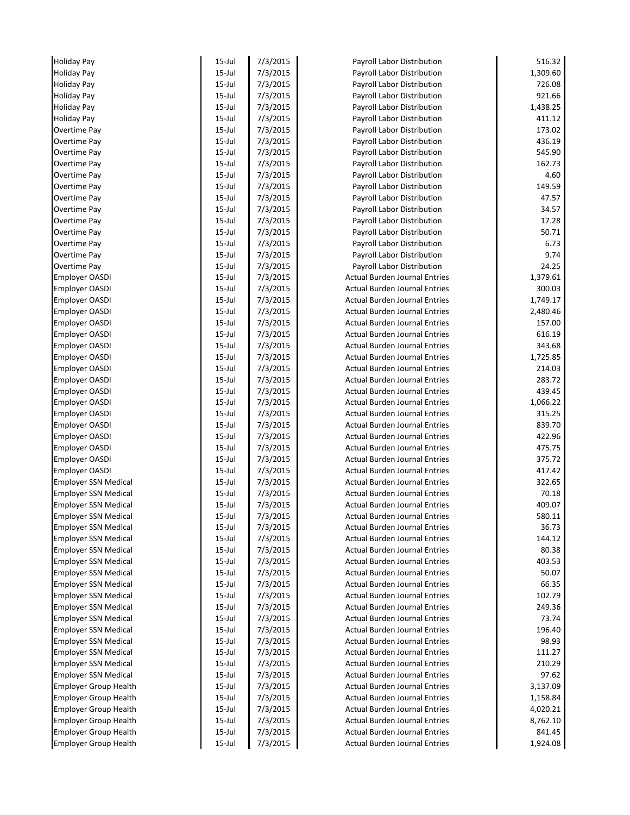| <b>Holiday Pay</b>           | $15$ -Jul  | 7/3/2015 | Payroll Labor Distribution           | 516.32   |
|------------------------------|------------|----------|--------------------------------------|----------|
| <b>Holiday Pay</b>           | $15$ -Jul  | 7/3/2015 | Payroll Labor Distribution           | 1,309.60 |
| <b>Holiday Pay</b>           | $15$ -Jul  | 7/3/2015 | Payroll Labor Distribution           | 726.08   |
| <b>Holiday Pay</b>           | $15$ -Jul  | 7/3/2015 | Payroll Labor Distribution           | 921.66   |
| <b>Holiday Pay</b>           | $15$ -Jul  | 7/3/2015 | Payroll Labor Distribution           | 1,438.25 |
| <b>Holiday Pay</b>           | $15$ -Jul  | 7/3/2015 | Payroll Labor Distribution           | 411.12   |
| Overtime Pay                 | $15$ -Jul  | 7/3/2015 | Payroll Labor Distribution           | 173.02   |
| Overtime Pay                 | $15$ -Jul  | 7/3/2015 | Payroll Labor Distribution           | 436.19   |
| Overtime Pay                 | $15$ -Jul  | 7/3/2015 | Payroll Labor Distribution           | 545.90   |
| Overtime Pay                 | $15$ -Jul  | 7/3/2015 | Payroll Labor Distribution           | 162.73   |
| Overtime Pay                 | $15$ -Jul  | 7/3/2015 | Payroll Labor Distribution           | 4.60     |
| Overtime Pay                 | $15$ -Jul  | 7/3/2015 | Payroll Labor Distribution           | 149.59   |
| Overtime Pay                 | $15$ -Jul  | 7/3/2015 | Payroll Labor Distribution           | 47.57    |
| Overtime Pay                 | $15$ -Jul  | 7/3/2015 | Payroll Labor Distribution           | 34.57    |
| Overtime Pay                 | $15$ -Jul  | 7/3/2015 | Payroll Labor Distribution           | 17.28    |
| Overtime Pay                 | $15$ -Jul  | 7/3/2015 | Payroll Labor Distribution           | 50.71    |
| Overtime Pay                 | $15$ -Jul  | 7/3/2015 | Payroll Labor Distribution           | 6.73     |
| Overtime Pay                 | $15$ -Jul  | 7/3/2015 | Payroll Labor Distribution           | 9.74     |
| Overtime Pay                 | $15$ -Jul  | 7/3/2015 | Payroll Labor Distribution           | 24.25    |
| <b>Employer OASDI</b>        | $15$ -Jul  | 7/3/2015 | <b>Actual Burden Journal Entries</b> | 1,379.61 |
| <b>Employer OASDI</b>        | $15$ -Jul  | 7/3/2015 | <b>Actual Burden Journal Entries</b> | 300.03   |
| <b>Employer OASDI</b>        | $15$ -Jul  | 7/3/2015 | <b>Actual Burden Journal Entries</b> | 1,749.17 |
| <b>Employer OASDI</b>        | $15$ -Jul  | 7/3/2015 | <b>Actual Burden Journal Entries</b> | 2,480.46 |
| <b>Employer OASDI</b>        | $15$ -Jul  | 7/3/2015 | <b>Actual Burden Journal Entries</b> | 157.00   |
| <b>Employer OASDI</b>        | $15$ -Jul  | 7/3/2015 | <b>Actual Burden Journal Entries</b> | 616.19   |
| <b>Employer OASDI</b>        | $15$ -Jul  | 7/3/2015 | <b>Actual Burden Journal Entries</b> | 343.68   |
| <b>Employer OASDI</b>        | $15$ -Jul  | 7/3/2015 | <b>Actual Burden Journal Entries</b> | 1,725.85 |
| <b>Employer OASDI</b>        | $15$ -Jul  | 7/3/2015 | <b>Actual Burden Journal Entries</b> | 214.03   |
| <b>Employer OASDI</b>        | $15$ -Jul  | 7/3/2015 | <b>Actual Burden Journal Entries</b> | 283.72   |
| <b>Employer OASDI</b>        | $15$ -Jul  | 7/3/2015 | <b>Actual Burden Journal Entries</b> | 439.45   |
| <b>Employer OASDI</b>        | $15$ -Jul  | 7/3/2015 | <b>Actual Burden Journal Entries</b> | 1,066.22 |
| <b>Employer OASDI</b>        | $15$ -Jul  | 7/3/2015 | <b>Actual Burden Journal Entries</b> | 315.25   |
| <b>Employer OASDI</b>        | $15$ -Jul  | 7/3/2015 | <b>Actual Burden Journal Entries</b> | 839.70   |
| <b>Employer OASDI</b>        | $15$ -Jul  | 7/3/2015 | <b>Actual Burden Journal Entries</b> | 422.96   |
| <b>Employer OASDI</b>        | $15$ -Jul  | 7/3/2015 | <b>Actual Burden Journal Entries</b> | 475.75   |
| <b>Employer OASDI</b>        | $15$ -Jul  | 7/3/2015 | <b>Actual Burden Journal Entries</b> | 375.72   |
| <b>Employer OASDI</b>        | $15$ -Jul  | 7/3/2015 | <b>Actual Burden Journal Entries</b> | 417.42   |
| <b>Employer SSN Medical</b>  | $15$ -Jul  | 7/3/2015 | <b>Actual Burden Journal Entries</b> | 322.65   |
| <b>Employer SSN Medical</b>  | $15$ -Jul  | 7/3/2015 | <b>Actual Burden Journal Entries</b> | 70.18    |
| <b>Employer SSN Medical</b>  | $15 -$ Jul | 7/3/2015 | Actual Burden Journal Entries        | 409.07   |
| <b>Employer SSN Medical</b>  | $15$ -Jul  | 7/3/2015 | <b>Actual Burden Journal Entries</b> | 580.11   |
| <b>Employer SSN Medical</b>  | $15$ -Jul  | 7/3/2015 | <b>Actual Burden Journal Entries</b> | 36.73    |
| <b>Employer SSN Medical</b>  | $15$ -Jul  | 7/3/2015 | <b>Actual Burden Journal Entries</b> | 144.12   |
| <b>Employer SSN Medical</b>  | $15$ -Jul  | 7/3/2015 | <b>Actual Burden Journal Entries</b> | 80.38    |
| <b>Employer SSN Medical</b>  | $15$ -Jul  | 7/3/2015 | <b>Actual Burden Journal Entries</b> | 403.53   |
| <b>Employer SSN Medical</b>  | $15$ -Jul  | 7/3/2015 | <b>Actual Burden Journal Entries</b> | 50.07    |
| <b>Employer SSN Medical</b>  | $15$ -Jul  | 7/3/2015 | <b>Actual Burden Journal Entries</b> | 66.35    |
| <b>Employer SSN Medical</b>  | $15$ -Jul  | 7/3/2015 | <b>Actual Burden Journal Entries</b> | 102.79   |
| <b>Employer SSN Medical</b>  | 15-Jul     | 7/3/2015 | <b>Actual Burden Journal Entries</b> | 249.36   |
| <b>Employer SSN Medical</b>  | $15$ -Jul  | 7/3/2015 | <b>Actual Burden Journal Entries</b> | 73.74    |
| <b>Employer SSN Medical</b>  | $15$ -Jul  | 7/3/2015 | <b>Actual Burden Journal Entries</b> | 196.40   |
| <b>Employer SSN Medical</b>  | $15$ -Jul  | 7/3/2015 | <b>Actual Burden Journal Entries</b> | 98.93    |
| <b>Employer SSN Medical</b>  | $15$ -Jul  | 7/3/2015 | <b>Actual Burden Journal Entries</b> | 111.27   |
| <b>Employer SSN Medical</b>  | $15$ -Jul  | 7/3/2015 | <b>Actual Burden Journal Entries</b> | 210.29   |
| <b>Employer SSN Medical</b>  | $15$ -Jul  | 7/3/2015 | <b>Actual Burden Journal Entries</b> | 97.62    |
| <b>Employer Group Health</b> | $15$ -Jul  | 7/3/2015 | <b>Actual Burden Journal Entries</b> | 3,137.09 |
| <b>Employer Group Health</b> | $15$ -Jul  | 7/3/2015 | <b>Actual Burden Journal Entries</b> | 1,158.84 |
| <b>Employer Group Health</b> | $15$ -Jul  | 7/3/2015 | <b>Actual Burden Journal Entries</b> | 4,020.21 |
| <b>Employer Group Health</b> | 15-Jul     | 7/3/2015 | <b>Actual Burden Journal Entries</b> | 8,762.10 |
| <b>Employer Group Health</b> | $15$ -Jul  | 7/3/2015 | <b>Actual Burden Journal Entries</b> | 841.45   |
| <b>Employer Group Health</b> | $15$ -Jul  | 7/3/2015 | <b>Actual Burden Journal Entries</b> | 1,924.08 |
|                              |            |          |                                      |          |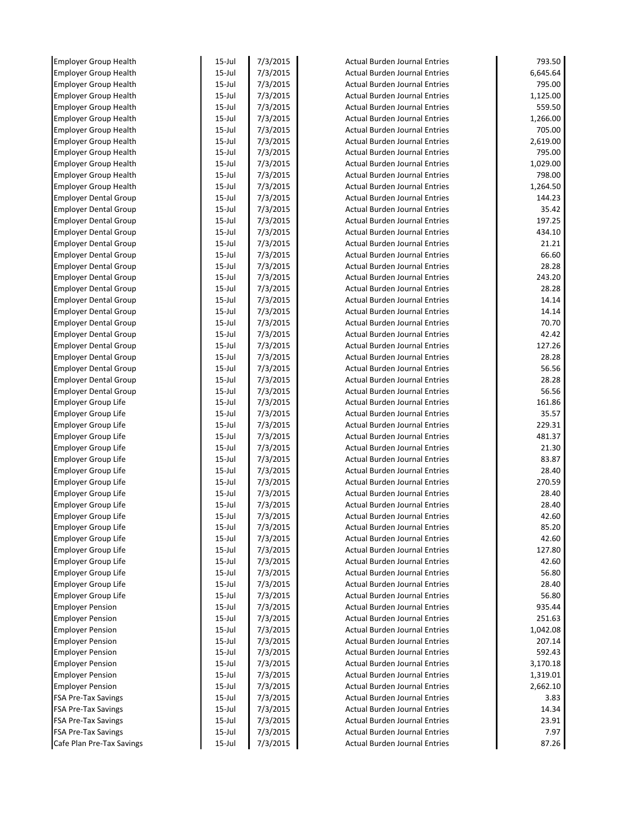| <b>Employer Group Health</b>                          | $15$ -Jul            | 7/3/2015             | <b>Actual Burden Journal Entries</b>                                         | 793.50           |
|-------------------------------------------------------|----------------------|----------------------|------------------------------------------------------------------------------|------------------|
| <b>Employer Group Health</b>                          | $15$ -Jul            | 7/3/2015             | <b>Actual Burden Journal Entries</b>                                         | 6,645.64         |
| <b>Employer Group Health</b>                          | $15$ -Jul            | 7/3/2015             | <b>Actual Burden Journal Entries</b>                                         | 795.00           |
| <b>Employer Group Health</b>                          | $15$ -Jul            | 7/3/2015             | <b>Actual Burden Journal Entries</b>                                         | 1,125.00         |
| <b>Employer Group Health</b>                          | $15$ -Jul            | 7/3/2015             | <b>Actual Burden Journal Entries</b>                                         | 559.50           |
| <b>Employer Group Health</b>                          | $15$ -Jul            | 7/3/2015             | <b>Actual Burden Journal Entries</b>                                         | 1,266.00         |
| <b>Employer Group Health</b>                          | $15$ -Jul            | 7/3/2015             | <b>Actual Burden Journal Entries</b>                                         | 705.00           |
| <b>Employer Group Health</b>                          | $15$ -Jul            | 7/3/2015             | <b>Actual Burden Journal Entries</b>                                         | 2,619.00         |
| <b>Employer Group Health</b>                          | $15$ -Jul            | 7/3/2015             | <b>Actual Burden Journal Entries</b>                                         | 795.00           |
| <b>Employer Group Health</b>                          | $15$ -Jul            | 7/3/2015             | Actual Burden Journal Entries                                                | 1,029.00         |
| <b>Employer Group Health</b>                          | $15$ -Jul            | 7/3/2015             | <b>Actual Burden Journal Entries</b>                                         | 798.00           |
| <b>Employer Group Health</b>                          | $15$ -Jul            | 7/3/2015             | <b>Actual Burden Journal Entries</b>                                         | 1,264.50         |
| <b>Employer Dental Group</b>                          | $15$ -Jul            | 7/3/2015             | <b>Actual Burden Journal Entries</b>                                         | 144.23           |
| <b>Employer Dental Group</b>                          | $15$ -Jul            | 7/3/2015             | <b>Actual Burden Journal Entries</b>                                         | 35.42            |
| <b>Employer Dental Group</b>                          | $15$ -Jul            | 7/3/2015             | <b>Actual Burden Journal Entries</b>                                         | 197.25           |
| <b>Employer Dental Group</b>                          | $15$ -Jul            | 7/3/2015             | <b>Actual Burden Journal Entries</b>                                         | 434.10           |
| <b>Employer Dental Group</b>                          | $15$ -Jul            | 7/3/2015             | <b>Actual Burden Journal Entries</b>                                         | 21.21            |
| <b>Employer Dental Group</b>                          | $15$ -Jul            | 7/3/2015             | <b>Actual Burden Journal Entries</b>                                         | 66.60            |
| <b>Employer Dental Group</b>                          | $15$ -Jul            | 7/3/2015             | <b>Actual Burden Journal Entries</b>                                         | 28.28            |
| <b>Employer Dental Group</b>                          | $15$ -Jul            | 7/3/2015             | <b>Actual Burden Journal Entries</b>                                         | 243.20           |
| <b>Employer Dental Group</b>                          | $15$ -Jul            | 7/3/2015             | <b>Actual Burden Journal Entries</b>                                         | 28.28            |
| <b>Employer Dental Group</b>                          | $15$ -Jul            | 7/3/2015             | <b>Actual Burden Journal Entries</b>                                         | 14.14            |
| <b>Employer Dental Group</b>                          | $15$ -Jul            | 7/3/2015             | <b>Actual Burden Journal Entries</b>                                         | 14.14            |
| <b>Employer Dental Group</b>                          | $15$ -Jul            | 7/3/2015             | <b>Actual Burden Journal Entries</b>                                         | 70.70            |
| <b>Employer Dental Group</b>                          | $15$ -Jul            | 7/3/2015             | <b>Actual Burden Journal Entries</b>                                         | 42.42            |
| <b>Employer Dental Group</b>                          | $15$ -Jul            | 7/3/2015             | <b>Actual Burden Journal Entries</b>                                         | 127.26           |
| <b>Employer Dental Group</b>                          | $15$ -Jul            | 7/3/2015             | <b>Actual Burden Journal Entries</b>                                         | 28.28            |
| <b>Employer Dental Group</b>                          | $15$ -Jul            | 7/3/2015             | <b>Actual Burden Journal Entries</b>                                         | 56.56            |
| <b>Employer Dental Group</b>                          | $15$ -Jul            | 7/3/2015             | <b>Actual Burden Journal Entries</b>                                         | 28.28            |
| <b>Employer Dental Group</b>                          | $15$ -Jul            | 7/3/2015             | <b>Actual Burden Journal Entries</b>                                         | 56.56            |
| Employer Group Life                                   | $15$ -Jul            | 7/3/2015             | Actual Burden Journal Entries                                                | 161.86           |
| <b>Employer Group Life</b>                            | $15$ -Jul            | 7/3/2015             | <b>Actual Burden Journal Entries</b>                                         | 35.57            |
| <b>Employer Group Life</b>                            | $15$ -Jul            | 7/3/2015             | <b>Actual Burden Journal Entries</b>                                         | 229.31           |
| <b>Employer Group Life</b>                            | $15$ -Jul            | 7/3/2015             | <b>Actual Burden Journal Entries</b>                                         | 481.37           |
| <b>Employer Group Life</b>                            | $15$ -Jul            | 7/3/2015             | <b>Actual Burden Journal Entries</b>                                         | 21.30            |
| Employer Group Life                                   | $15$ -Jul            | 7/3/2015             | <b>Actual Burden Journal Entries</b>                                         | 83.87            |
| <b>Employer Group Life</b>                            | $15$ -Jul            | 7/3/2015             | <b>Actual Burden Journal Entries</b>                                         | 28.40            |
| Employer Group Life                                   | $15$ -Jul            | 7/3/2015             | <b>Actual Burden Journal Entries</b>                                         | 270.59           |
| <b>Employer Group Life</b>                            | $15$ -Jul            | 7/3/2015             | <b>Actual Burden Journal Entries</b>                                         | 28.40            |
| <b>Employer Group Life</b>                            | $15$ -Jul            | 7/3/2015             | <b>Actual Burden Journal Entries</b>                                         | 28.40            |
| <b>Employer Group Life</b>                            | $15$ -Jul            | 7/3/2015             | <b>Actual Burden Journal Entries</b>                                         | 42.60            |
| Employer Group Life                                   | $15$ -Jul            | 7/3/2015             | <b>Actual Burden Journal Entries</b>                                         | 85.20            |
| Employer Group Life                                   | $15 -$ Jul           | 7/3/2015             | <b>Actual Burden Journal Entries</b>                                         | 42.60            |
| <b>Employer Group Life</b>                            | $15 -$ Jul           | 7/3/2015             | <b>Actual Burden Journal Entries</b>                                         | 127.80           |
| <b>Employer Group Life</b>                            | $15$ -Jul            | 7/3/2015             | <b>Actual Burden Journal Entries</b>                                         | 42.60            |
| <b>Employer Group Life</b>                            | $15$ -Jul            | 7/3/2015             | <b>Actual Burden Journal Entries</b>                                         | 56.80            |
| <b>Employer Group Life</b>                            | $15$ -Jul            | 7/3/2015             | <b>Actual Burden Journal Entries</b>                                         | 28.40            |
| <b>Employer Group Life</b>                            | $15$ -Jul            | 7/3/2015             | <b>Actual Burden Journal Entries</b>                                         | 56.80            |
| <b>Employer Pension</b>                               | $15 -$ Jul           | 7/3/2015             | <b>Actual Burden Journal Entries</b>                                         | 935.44           |
| <b>Employer Pension</b>                               | $15 -$ Jul           | 7/3/2015             | Actual Burden Journal Entries                                                | 251.63           |
| <b>Employer Pension</b>                               | $15 -$ Jul           | 7/3/2015             | <b>Actual Burden Journal Entries</b>                                         | 1,042.08         |
| <b>Employer Pension</b>                               | $15 -$ Jul           | 7/3/2015             | <b>Actual Burden Journal Entries</b>                                         | 207.14           |
| <b>Employer Pension</b>                               | 15-Jul<br>15-Jul     | 7/3/2015             | <b>Actual Burden Journal Entries</b>                                         | 592.43           |
| <b>Employer Pension</b>                               | $15$ -Jul            | 7/3/2015             | <b>Actual Burden Journal Entries</b>                                         | 3,170.18         |
| <b>Employer Pension</b>                               |                      | 7/3/2015             | <b>Actual Burden Journal Entries</b><br><b>Actual Burden Journal Entries</b> | 1,319.01         |
| <b>Employer Pension</b><br><b>FSA Pre-Tax Savings</b> | $15 -$ Jul           | 7/3/2015             | <b>Actual Burden Journal Entries</b>                                         | 2,662.10<br>3.83 |
| <b>FSA Pre-Tax Savings</b>                            | $15 -$ Jul<br>15-Jul | 7/3/2015<br>7/3/2015 | <b>Actual Burden Journal Entries</b>                                         | 14.34            |
| <b>FSA Pre-Tax Savings</b>                            | 15-Jul               | 7/3/2015             | <b>Actual Burden Journal Entries</b>                                         | 23.91            |
| <b>FSA Pre-Tax Savings</b>                            | 15-Jul               | 7/3/2015             | <b>Actual Burden Journal Entries</b>                                         | 7.97             |
| Cafe Plan Pre-Tax Savings                             | 15-Jul               | 7/3/2015             | <b>Actual Burden Journal Entries</b>                                         | 87.26            |
|                                                       |                      |                      |                                                                              |                  |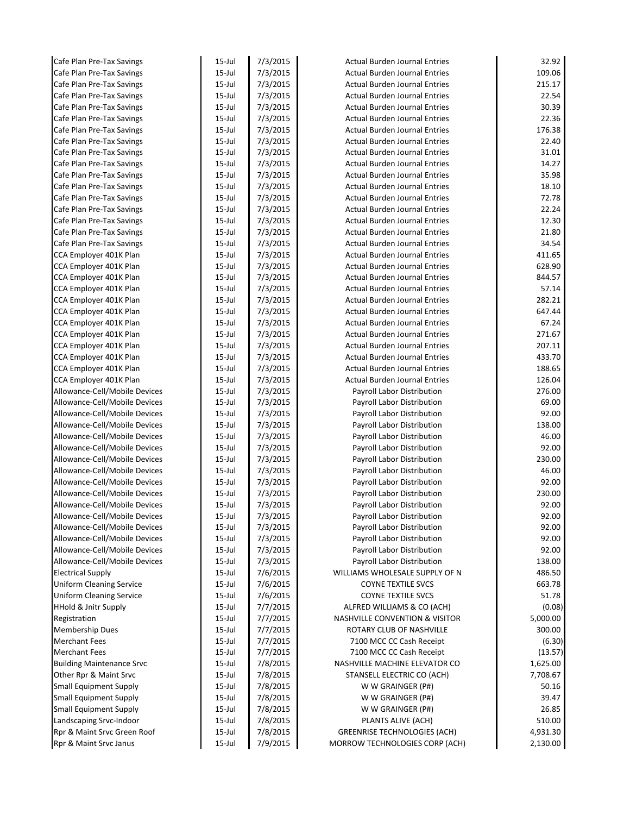| Cafe Plan Pre-Tax Savings                        | $15$ -Jul              | 7/3/2015             | <b>Actual Burden Journal Entries</b>                                         | 32.92            |
|--------------------------------------------------|------------------------|----------------------|------------------------------------------------------------------------------|------------------|
| Cafe Plan Pre-Tax Savings                        | $15$ -Jul              | 7/3/2015             | <b>Actual Burden Journal Entries</b>                                         | 109.06           |
| Cafe Plan Pre-Tax Savings                        | $15$ -Jul              | 7/3/2015             | <b>Actual Burden Journal Entries</b>                                         | 215.17           |
| Cafe Plan Pre-Tax Savings                        | $15$ -Jul              | 7/3/2015             | <b>Actual Burden Journal Entries</b>                                         | 22.54            |
| Cafe Plan Pre-Tax Savings                        | $15$ -Jul              | 7/3/2015             | <b>Actual Burden Journal Entries</b>                                         | 30.39            |
| Cafe Plan Pre-Tax Savings                        | $15$ -Jul              | 7/3/2015             | <b>Actual Burden Journal Entries</b>                                         | 22.36            |
| Cafe Plan Pre-Tax Savings                        | $15$ -Jul              | 7/3/2015             | <b>Actual Burden Journal Entries</b>                                         | 176.38           |
| Cafe Plan Pre-Tax Savings                        | $15$ -Jul              | 7/3/2015             | <b>Actual Burden Journal Entries</b>                                         | 22.40            |
| Cafe Plan Pre-Tax Savings                        | $15$ -Jul              | 7/3/2015             | <b>Actual Burden Journal Entries</b>                                         | 31.01            |
| Cafe Plan Pre-Tax Savings                        | $15$ -Jul              | 7/3/2015             | <b>Actual Burden Journal Entries</b>                                         | 14.27            |
| Cafe Plan Pre-Tax Savings                        | $15$ -Jul              | 7/3/2015             | <b>Actual Burden Journal Entries</b>                                         | 35.98            |
| Cafe Plan Pre-Tax Savings                        | $15$ -Jul              | 7/3/2015             | <b>Actual Burden Journal Entries</b>                                         | 18.10            |
| Cafe Plan Pre-Tax Savings                        | $15$ -Jul              | 7/3/2015             | <b>Actual Burden Journal Entries</b>                                         | 72.78            |
| Cafe Plan Pre-Tax Savings                        | $15$ -Jul              | 7/3/2015             | <b>Actual Burden Journal Entries</b>                                         | 22.24            |
| Cafe Plan Pre-Tax Savings                        | $15$ -Jul              | 7/3/2015             | <b>Actual Burden Journal Entries</b>                                         | 12.30            |
| Cafe Plan Pre-Tax Savings                        | $15$ -Jul              | 7/3/2015             | <b>Actual Burden Journal Entries</b>                                         | 21.80            |
| Cafe Plan Pre-Tax Savings                        | $15$ -Jul              | 7/3/2015             | <b>Actual Burden Journal Entries</b>                                         | 34.54            |
| CCA Employer 401K Plan                           | $15$ -Jul              | 7/3/2015             | <b>Actual Burden Journal Entries</b>                                         | 411.65           |
| CCA Employer 401K Plan                           | $15$ -Jul              | 7/3/2015             | <b>Actual Burden Journal Entries</b>                                         | 628.90<br>844.57 |
| CCA Employer 401K Plan                           | $15$ -Jul              | 7/3/2015<br>7/3/2015 | <b>Actual Burden Journal Entries</b>                                         | 57.14            |
| CCA Employer 401K Plan                           | $15$ -Jul<br>$15$ -Jul | 7/3/2015             | <b>Actual Burden Journal Entries</b>                                         | 282.21           |
| CCA Employer 401K Plan                           |                        |                      | <b>Actual Burden Journal Entries</b>                                         | 647.44           |
| CCA Employer 401K Plan                           | $15$ -Jul<br>$15$ -Jul | 7/3/2015             | <b>Actual Burden Journal Entries</b><br><b>Actual Burden Journal Entries</b> | 67.24            |
| CCA Employer 401K Plan<br>CCA Employer 401K Plan | $15$ -Jul              | 7/3/2015<br>7/3/2015 | <b>Actual Burden Journal Entries</b>                                         | 271.67           |
| CCA Employer 401K Plan                           | $15$ -Jul              | 7/3/2015             | <b>Actual Burden Journal Entries</b>                                         | 207.11           |
| CCA Employer 401K Plan                           | $15$ -Jul              | 7/3/2015             | <b>Actual Burden Journal Entries</b>                                         | 433.70           |
| CCA Employer 401K Plan                           | $15$ -Jul              | 7/3/2015             | <b>Actual Burden Journal Entries</b>                                         | 188.65           |
| CCA Employer 401K Plan                           | $15$ -Jul              | 7/3/2015             | <b>Actual Burden Journal Entries</b>                                         | 126.04           |
| Allowance-Cell/Mobile Devices                    | $15$ -Jul              | 7/3/2015             | Payroll Labor Distribution                                                   | 276.00           |
| Allowance-Cell/Mobile Devices                    | $15$ -Jul              | 7/3/2015             | Payroll Labor Distribution                                                   | 69.00            |
| Allowance-Cell/Mobile Devices                    | $15$ -Jul              | 7/3/2015             | Payroll Labor Distribution                                                   | 92.00            |
| Allowance-Cell/Mobile Devices                    | $15$ -Jul              | 7/3/2015             | Payroll Labor Distribution                                                   | 138.00           |
| Allowance-Cell/Mobile Devices                    | $15$ -Jul              | 7/3/2015             | Payroll Labor Distribution                                                   | 46.00            |
| Allowance-Cell/Mobile Devices                    | $15$ -Jul              | 7/3/2015             | Payroll Labor Distribution                                                   | 92.00            |
| Allowance-Cell/Mobile Devices                    | $15$ -Jul              | 7/3/2015             | Payroll Labor Distribution                                                   | 230.00           |
| Allowance-Cell/Mobile Devices                    | $15$ -Jul              | 7/3/2015             | Payroll Labor Distribution                                                   | 46.00            |
| Allowance-Cell/Mobile Devices                    | $15$ -Jul              | 7/3/2015             | Payroll Labor Distribution                                                   | 92.00            |
| Allowance-Cell/Mobile Devices                    | $15$ -Jul              | 7/3/2015             | Payroll Labor Distribution                                                   | 230.00           |
| Allowance-Cell/Mobile Devices                    | $15$ -Jul              | 7/3/2015             | Payroll Labor Distribution                                                   | 92.00            |
| Allowance-Cell/Mobile Devices                    | $15$ -Jul              | 7/3/2015             | <b>Payroll Labor Distribution</b>                                            | 92.00            |
| Allowance-Cell/Mobile Devices                    | $15$ -Jul              | 7/3/2015             | Payroll Labor Distribution                                                   | 92.00            |
| Allowance-Cell/Mobile Devices                    | $15$ -Jul              | 7/3/2015             | Payroll Labor Distribution                                                   | 92.00            |
| Allowance-Cell/Mobile Devices                    | $15$ -Jul              | 7/3/2015             | Payroll Labor Distribution                                                   | 92.00            |
| Allowance-Cell/Mobile Devices                    | $15$ -Jul              | 7/3/2015             | Payroll Labor Distribution                                                   | 138.00           |
| <b>Electrical Supply</b>                         | $15$ -Jul              | 7/6/2015             | WILLIAMS WHOLESALE SUPPLY OF N                                               | 486.50           |
| <b>Uniform Cleaning Service</b>                  | $15$ -Jul              | 7/6/2015             | <b>COYNE TEXTILE SVCS</b>                                                    | 663.78           |
| <b>Uniform Cleaning Service</b>                  | $15$ -Jul              | 7/6/2015             | COYNE TEXTILE SVCS                                                           | 51.78            |
| HHold & Jnitr Supply                             | $15$ -Jul              | 7/7/2015             | ALFRED WILLIAMS & CO (ACH)                                                   | (0.08)           |
| Registration                                     | $15$ -Jul              | 7/7/2015             | <b>NASHVILLE CONVENTION &amp; VISITOR</b>                                    | 5,000.00         |
| <b>Membership Dues</b>                           | $15$ -Jul              | 7/7/2015             | ROTARY CLUB OF NASHVILLE                                                     | 300.00           |
| <b>Merchant Fees</b>                             | $15$ -Jul              | 7/7/2015             | 7100 MCC CC Cash Receipt                                                     | (6.30)           |
| <b>Merchant Fees</b>                             | $15$ -Jul              | 7/7/2015             | 7100 MCC CC Cash Receipt                                                     | (13.57)          |
| <b>Building Maintenance Srvc</b>                 | $15$ -Jul              | 7/8/2015             | NASHVILLE MACHINE ELEVATOR CO                                                | 1,625.00         |
| Other Rpr & Maint Srvc                           | $15$ -Jul              | 7/8/2015             | STANSELL ELECTRIC CO (ACH)                                                   | 7,708.67         |
| <b>Small Equipment Supply</b>                    | $15$ -Jul              | 7/8/2015             | W W GRAINGER (P#)                                                            | 50.16            |
| <b>Small Equipment Supply</b>                    | $15$ -Jul              | 7/8/2015             | W W GRAINGER (P#)                                                            | 39.47            |
| <b>Small Equipment Supply</b>                    | $15$ -Jul              | 7/8/2015             | W W GRAINGER (P#)                                                            | 26.85            |
| Landscaping Srvc-Indoor                          | $15$ -Jul              | 7/8/2015             | PLANTS ALIVE (ACH)                                                           | 510.00           |
| Rpr & Maint Srvc Green Roof                      | $15$ -Jul              | 7/8/2015             | <b>GREENRISE TECHNOLOGIES (ACH)</b>                                          | 4,931.30         |
| Rpr & Maint Srvc Janus                           | $15$ -Jul              | 7/9/2015             | MORROW TECHNOLOGIES CORP (ACH)                                               | 2,130.00         |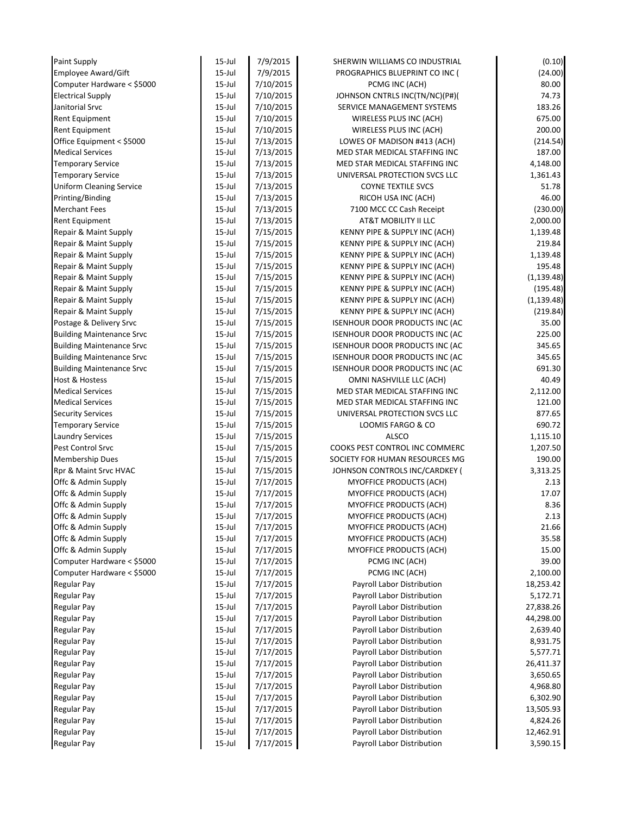| Paint Supply                     | $15$ -Jul  | 7/9/2015  | SHERWIN WILLIAMS CO INDUSTRIAL        | (0.10)      |
|----------------------------------|------------|-----------|---------------------------------------|-------------|
| Employee Award/Gift              | $15$ -Jul  | 7/9/2015  | PROGRAPHICS BLUEPRINT CO INC (        | (24.00)     |
| Computer Hardware < \$5000       | $15$ -Jul  | 7/10/2015 | PCMG INC (ACH)                        | 80.00       |
| <b>Electrical Supply</b>         | $15$ -Jul  | 7/10/2015 | JOHNSON CNTRLS INC(TN/NC)(P#)(        | 74.73       |
| Janitorial Srvc                  | $15$ -Jul  | 7/10/2015 | SERVICE MANAGEMENT SYSTEMS            | 183.26      |
| Rent Equipment                   | $15$ -Jul  | 7/10/2015 | WIRELESS PLUS INC (ACH)               | 675.00      |
| Rent Equipment                   | $15$ -Jul  | 7/10/2015 | WIRELESS PLUS INC (ACH)               | 200.00      |
| Office Equipment < \$5000        | $15$ -Jul  | 7/13/2015 | LOWES OF MADISON #413 (ACH)           | (214.54)    |
| <b>Medical Services</b>          | $15$ -Jul  | 7/13/2015 | MED STAR MEDICAL STAFFING INC         | 187.00      |
| <b>Temporary Service</b>         | $15$ -Jul  | 7/13/2015 | MED STAR MEDICAL STAFFING INC         | 4,148.00    |
| <b>Temporary Service</b>         | $15$ -Jul  | 7/13/2015 | UNIVERSAL PROTECTION SVCS LLC         | 1,361.43    |
| <b>Uniform Cleaning Service</b>  | $15$ -Jul  | 7/13/2015 | <b>COYNE TEXTILE SVCS</b>             | 51.78       |
| Printing/Binding                 | $15$ -Jul  | 7/13/2015 | RICOH USA INC (ACH)                   | 46.00       |
| <b>Merchant Fees</b>             | $15$ -Jul  | 7/13/2015 | 7100 MCC CC Cash Receipt              | (230.00)    |
| <b>Rent Equipment</b>            | $15$ -Jul  | 7/13/2015 | AT&T MOBILITY II LLC                  | 2,000.00    |
| Repair & Maint Supply            | $15$ -Jul  | 7/15/2015 | KENNY PIPE & SUPPLY INC (ACH)         | 1,139.48    |
| Repair & Maint Supply            | $15$ -Jul  | 7/15/2015 | KENNY PIPE & SUPPLY INC (ACH)         | 219.84      |
| Repair & Maint Supply            | $15$ -Jul  | 7/15/2015 | KENNY PIPE & SUPPLY INC (ACH)         | 1,139.48    |
| Repair & Maint Supply            | $15$ -Jul  | 7/15/2015 | KENNY PIPE & SUPPLY INC (ACH)         | 195.48      |
| Repair & Maint Supply            | $15$ -Jul  | 7/15/2015 | KENNY PIPE & SUPPLY INC (ACH)         | (1, 139.48) |
| Repair & Maint Supply            | $15$ -Jul  | 7/15/2015 | KENNY PIPE & SUPPLY INC (ACH)         | (195.48)    |
| Repair & Maint Supply            | $15$ -Jul  | 7/15/2015 | KENNY PIPE & SUPPLY INC (ACH)         | (1, 139.48) |
| Repair & Maint Supply            | $15$ -Jul  | 7/15/2015 | KENNY PIPE & SUPPLY INC (ACH)         | (219.84)    |
| Postage & Delivery Srvc          | $15$ -Jul  | 7/15/2015 | <b>ISENHOUR DOOR PRODUCTS INC (AC</b> | 35.00       |
| <b>Building Maintenance Srvc</b> | $15$ -Jul  | 7/15/2015 | <b>ISENHOUR DOOR PRODUCTS INC (AC</b> | 225.00      |
| <b>Building Maintenance Srvc</b> | $15$ -Jul  | 7/15/2015 | <b>ISENHOUR DOOR PRODUCTS INC (AC</b> | 345.65      |
| <b>Building Maintenance Srvc</b> | $15$ -Jul  | 7/15/2015 | <b>ISENHOUR DOOR PRODUCTS INC (AC</b> | 345.65      |
| <b>Building Maintenance Srvc</b> | $15$ -Jul  | 7/15/2015 | ISENHOUR DOOR PRODUCTS INC (AC        | 691.30      |
| <b>Host &amp; Hostess</b>        | $15$ -Jul  | 7/15/2015 | OMNI NASHVILLE LLC (ACH)              | 40.49       |
| <b>Medical Services</b>          | $15$ -Jul  | 7/15/2015 | MED STAR MEDICAL STAFFING INC         | 2,112.00    |
| <b>Medical Services</b>          | $15$ -Jul  | 7/15/2015 | MED STAR MEDICAL STAFFING INC         | 121.00      |
| <b>Security Services</b>         | $15$ -Jul  | 7/15/2015 | UNIVERSAL PROTECTION SVCS LLC         | 877.65      |
| <b>Temporary Service</b>         | $15$ -Jul  | 7/15/2015 | LOOMIS FARGO & CO                     | 690.72      |
| <b>Laundry Services</b>          | $15$ -Jul  | 7/15/2015 | <b>ALSCO</b>                          | 1,115.10    |
| Pest Control Srvc                | $15$ -Jul  | 7/15/2015 | COOKS PEST CONTROL INC COMMERC        | 1,207.50    |
| <b>Membership Dues</b>           | $15$ -Jul  | 7/15/2015 | SOCIETY FOR HUMAN RESOURCES MG        | 190.00      |
| Rpr & Maint Srvc HVAC            | $15$ -Jul  | 7/15/2015 | JOHNSON CONTROLS INC/CARDKEY (        | 3,313.25    |
| Offc & Admin Supply              | $15$ -Jul  | 7/17/2015 | MYOFFICE PRODUCTS (ACH)               | 2.13        |
| Offc & Admin Supply              | $15$ -Jul  | 7/17/2015 | MYOFFICE PRODUCTS (ACH)               | 17.07       |
| Offc & Admin Supply              | $15$ -Jul  | 7/17/2015 | MYOFFICE PRODUCTS (ACH)               | 8.36        |
| Offc & Admin Supply              | $15$ -Jul  | 7/17/2015 | MYOFFICE PRODUCTS (ACH)               | 2.13        |
| Offc & Admin Supply              | $15$ -Jul  | 7/17/2015 | MYOFFICE PRODUCTS (ACH)               | 21.66       |
| Offc & Admin Supply              | $15$ -Jul  | 7/17/2015 | MYOFFICE PRODUCTS (ACH)               | 35.58       |
| Offc & Admin Supply              | $15$ -Jul  | 7/17/2015 | <b>MYOFFICE PRODUCTS (ACH)</b>        | 15.00       |
| Computer Hardware < \$5000       | $15$ -Jul  | 7/17/2015 | PCMG INC (ACH)                        | 39.00       |
| Computer Hardware < \$5000       | $15$ -Jul  | 7/17/2015 | PCMG INC (ACH)                        | 2,100.00    |
| <b>Regular Pay</b>               | $15$ -Jul  | 7/17/2015 | Payroll Labor Distribution            | 18,253.42   |
| Regular Pay                      | $15 -$ Jul | 7/17/2015 | Payroll Labor Distribution            | 5,172.71    |
| Regular Pay                      | $15 -$ Jul | 7/17/2015 | Payroll Labor Distribution            | 27,838.26   |
| Regular Pay                      | $15$ -Jul  | 7/17/2015 | Payroll Labor Distribution            | 44,298.00   |
| Regular Pay                      | $15$ -Jul  | 7/17/2015 | Payroll Labor Distribution            | 2,639.40    |
| <b>Regular Pay</b>               | $15$ -Jul  | 7/17/2015 | Payroll Labor Distribution            | 8,931.75    |
| <b>Regular Pay</b>               | $15$ -Jul  | 7/17/2015 | Payroll Labor Distribution            | 5,577.71    |
| <b>Regular Pay</b>               | $15 -$ Jul | 7/17/2015 | Payroll Labor Distribution            | 26,411.37   |
| <b>Regular Pay</b>               | $15 -$ Jul | 7/17/2015 | Payroll Labor Distribution            | 3,650.65    |
| <b>Regular Pay</b>               | $15$ -Jul  | 7/17/2015 | Payroll Labor Distribution            | 4,968.80    |
| Regular Pay                      | $15$ -Jul  | 7/17/2015 | Payroll Labor Distribution            | 6,302.90    |
| Regular Pay                      | $15$ -Jul  | 7/17/2015 | Payroll Labor Distribution            | 13,505.93   |
| Regular Pay                      | $15$ -Jul  | 7/17/2015 | Payroll Labor Distribution            | 4,824.26    |
| Regular Pay                      | $15 -$ Jul | 7/17/2015 | Payroll Labor Distribution            | 12,462.91   |
| <b>Regular Pay</b>               | $15 -$ Jul | 7/17/2015 | Payroll Labor Distribution            | 3,590.15    |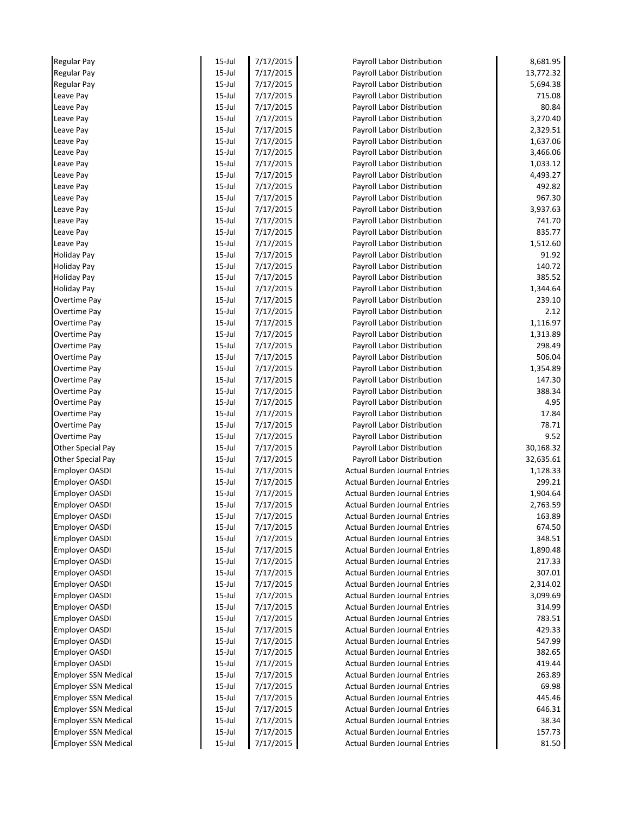| <b>Regular Pay</b>          | 15-Jul     | 7/17/2015 | Payroll Labor Distribution           | 8,681.95  |
|-----------------------------|------------|-----------|--------------------------------------|-----------|
| <b>Regular Pay</b>          | 15-Jul     | 7/17/2015 | Payroll Labor Distribution           | 13,772.32 |
| <b>Regular Pay</b>          | 15-Jul     | 7/17/2015 | Payroll Labor Distribution           | 5,694.38  |
| Leave Pay                   | 15-Jul     | 7/17/2015 | Payroll Labor Distribution           | 715.08    |
| Leave Pay                   | $15$ -Jul  | 7/17/2015 | Payroll Labor Distribution           | 80.84     |
| Leave Pay                   | 15-Jul     | 7/17/2015 | Payroll Labor Distribution           | 3,270.40  |
| Leave Pay                   | 15-Jul     | 7/17/2015 | Payroll Labor Distribution           | 2,329.51  |
| Leave Pay                   | $15$ -Jul  | 7/17/2015 | Payroll Labor Distribution           | 1,637.06  |
| Leave Pay                   | 15-Jul     | 7/17/2015 | Payroll Labor Distribution           | 3,466.06  |
| Leave Pay                   | 15-Jul     | 7/17/2015 | Payroll Labor Distribution           | 1,033.12  |
| Leave Pay                   | $15$ -Jul  | 7/17/2015 | Payroll Labor Distribution           | 4,493.27  |
| Leave Pay                   | 15-Jul     | 7/17/2015 | Payroll Labor Distribution           | 492.82    |
| Leave Pay                   | 15-Jul     | 7/17/2015 | Payroll Labor Distribution           | 967.30    |
| Leave Pay                   | 15-Jul     | 7/17/2015 | Payroll Labor Distribution           | 3,937.63  |
| Leave Pay                   | 15-Jul     | 7/17/2015 | Payroll Labor Distribution           | 741.70    |
| Leave Pay                   | 15-Jul     | 7/17/2015 | Payroll Labor Distribution           | 835.77    |
| Leave Pay                   | $15$ -Jul  | 7/17/2015 | Payroll Labor Distribution           | 1,512.60  |
| <b>Holiday Pay</b>          | $15$ -Jul  | 7/17/2015 | Payroll Labor Distribution           | 91.92     |
| <b>Holiday Pay</b>          | 15-Jul     | 7/17/2015 | Payroll Labor Distribution           | 140.72    |
| <b>Holiday Pay</b>          | $15$ -Jul  | 7/17/2015 | Payroll Labor Distribution           | 385.52    |
| <b>Holiday Pay</b>          | 15-Jul     | 7/17/2015 | Payroll Labor Distribution           | 1,344.64  |
| Overtime Pay                | 15-Jul     | 7/17/2015 | Payroll Labor Distribution           | 239.10    |
| Overtime Pay                | 15-Jul     | 7/17/2015 | Payroll Labor Distribution           | 2.12      |
| <b>Overtime Pay</b>         | $15$ -Jul  | 7/17/2015 | Payroll Labor Distribution           | 1,116.97  |
| <b>Overtime Pay</b>         | 15-Jul     | 7/17/2015 | Payroll Labor Distribution           | 1,313.89  |
| Overtime Pay                | 15-Jul     | 7/17/2015 | Payroll Labor Distribution           | 298.49    |
| <b>Overtime Pay</b>         | $15$ -Jul  | 7/17/2015 | Payroll Labor Distribution           | 506.04    |
| Overtime Pay                | 15-Jul     | 7/17/2015 | Payroll Labor Distribution           | 1,354.89  |
| Overtime Pay                | $15$ -Jul  | 7/17/2015 | Payroll Labor Distribution           | 147.30    |
| Overtime Pay                | $15$ -Jul  | 7/17/2015 | Payroll Labor Distribution           | 388.34    |
| Overtime Pay                | 15-Jul     | 7/17/2015 | Payroll Labor Distribution           | 4.95      |
| Overtime Pay                | $15$ -Jul  | 7/17/2015 | Payroll Labor Distribution           | 17.84     |
| Overtime Pay                | $15$ -Jul  | 7/17/2015 | Payroll Labor Distribution           | 78.71     |
| Overtime Pay                | $15$ -Jul  | 7/17/2015 | Payroll Labor Distribution           | 9.52      |
| Other Special Pay           | $15$ -Jul  | 7/17/2015 | Payroll Labor Distribution           | 30,168.32 |
| <b>Other Special Pay</b>    | $15$ -Jul  | 7/17/2015 | Payroll Labor Distribution           | 32,635.61 |
| <b>Employer OASDI</b>       | $15$ -Jul  | 7/17/2015 | <b>Actual Burden Journal Entries</b> | 1,128.33  |
| <b>Employer OASDI</b>       | $15$ -Jul  | 7/17/2015 | <b>Actual Burden Journal Entries</b> | 299.21    |
| <b>Employer OASDI</b>       | $15$ -Jul  | 7/17/2015 | <b>Actual Burden Journal Entries</b> | 1,904.64  |
| <b>Employer OASDI</b>       | 15-Jul     | 7/17/2015 | <b>Actual Burden Journal Entries</b> | 2,763.59  |
| <b>Employer OASDI</b>       | $15$ -Jul  | 7/17/2015 | <b>Actual Burden Journal Entries</b> | 163.89    |
| <b>Employer OASDI</b>       | $15$ -Jul  | 7/17/2015 | <b>Actual Burden Journal Entries</b> | 674.50    |
| <b>Employer OASDI</b>       | $15 -$ Jul | 7/17/2015 | <b>Actual Burden Journal Entries</b> | 348.51    |
| <b>Employer OASDI</b>       | 15-Jul     | 7/17/2015 | <b>Actual Burden Journal Entries</b> | 1,890.48  |
| <b>Employer OASDI</b>       | $15$ -Jul  | 7/17/2015 | <b>Actual Burden Journal Entries</b> | 217.33    |
| <b>Employer OASDI</b>       | $15 -$ Jul | 7/17/2015 | <b>Actual Burden Journal Entries</b> | 307.01    |
| <b>Employer OASDI</b>       | 15-Jul     | 7/17/2015 | <b>Actual Burden Journal Entries</b> | 2,314.02  |
| <b>Employer OASDI</b>       | 15-Jul     | 7/17/2015 | <b>Actual Burden Journal Entries</b> | 3,099.69  |
| <b>Employer OASDI</b>       | 15-Jul     | 7/17/2015 | <b>Actual Burden Journal Entries</b> | 314.99    |
| <b>Employer OASDI</b>       | 15-Jul     | 7/17/2015 | <b>Actual Burden Journal Entries</b> | 783.51    |
| <b>Employer OASDI</b>       | $15$ -Jul  | 7/17/2015 | <b>Actual Burden Journal Entries</b> | 429.33    |
| <b>Employer OASDI</b>       | $15$ -Jul  | 7/17/2015 | <b>Actual Burden Journal Entries</b> | 547.99    |
| <b>Employer OASDI</b>       | 15-Jul     | 7/17/2015 | <b>Actual Burden Journal Entries</b> | 382.65    |
| <b>Employer OASDI</b>       | 15-Jul     | 7/17/2015 | <b>Actual Burden Journal Entries</b> | 419.44    |
| <b>Employer SSN Medical</b> | 15-Jul     | 7/17/2015 | <b>Actual Burden Journal Entries</b> | 263.89    |
| <b>Employer SSN Medical</b> | 15-Jul     | 7/17/2015 | <b>Actual Burden Journal Entries</b> | 69.98     |
| <b>Employer SSN Medical</b> | $15$ -Jul  | 7/17/2015 | <b>Actual Burden Journal Entries</b> | 445.46    |
| <b>Employer SSN Medical</b> | 15-Jul     | 7/17/2015 | <b>Actual Burden Journal Entries</b> | 646.31    |
| <b>Employer SSN Medical</b> | 15-Jul     | 7/17/2015 | <b>Actual Burden Journal Entries</b> | 38.34     |
| <b>Employer SSN Medical</b> | 15-Jul     | 7/17/2015 | <b>Actual Burden Journal Entries</b> | 157.73    |
| <b>Employer SSN Medical</b> | 15-Jul     | 7/17/2015 | <b>Actual Burden Journal Entries</b> | 81.50     |
|                             |            |           |                                      |           |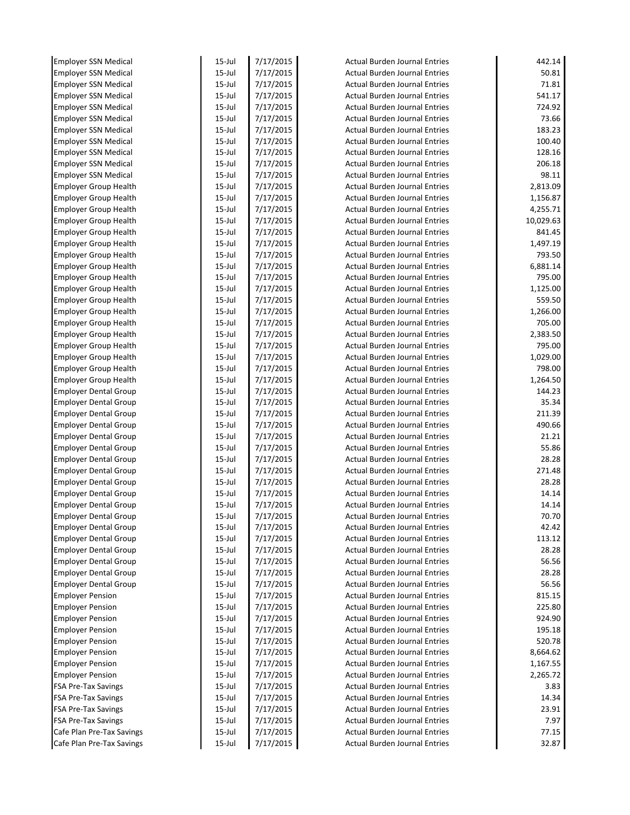| <b>Employer SSN Medical</b>  | $15$ -Jul | 7/17/2015 | <b>Actual Burden Journal Entries</b> | 442.14    |
|------------------------------|-----------|-----------|--------------------------------------|-----------|
| <b>Employer SSN Medical</b>  | 15-Jul    | 7/17/2015 | <b>Actual Burden Journal Entries</b> | 50.81     |
| <b>Employer SSN Medical</b>  | $15$ -Jul | 7/17/2015 | <b>Actual Burden Journal Entries</b> | 71.81     |
| <b>Employer SSN Medical</b>  | $15$ -Jul | 7/17/2015 | <b>Actual Burden Journal Entries</b> | 541.17    |
| <b>Employer SSN Medical</b>  | $15$ -Jul | 7/17/2015 | <b>Actual Burden Journal Entries</b> | 724.92    |
| <b>Employer SSN Medical</b>  | 15-Jul    | 7/17/2015 | <b>Actual Burden Journal Entries</b> | 73.66     |
| <b>Employer SSN Medical</b>  | 15-Jul    | 7/17/2015 | <b>Actual Burden Journal Entries</b> | 183.23    |
| <b>Employer SSN Medical</b>  | $15$ -Jul | 7/17/2015 | <b>Actual Burden Journal Entries</b> | 100.40    |
| <b>Employer SSN Medical</b>  | $15$ -Jul | 7/17/2015 | <b>Actual Burden Journal Entries</b> | 128.16    |
| <b>Employer SSN Medical</b>  | 15-Jul    | 7/17/2015 | <b>Actual Burden Journal Entries</b> | 206.18    |
| <b>Employer SSN Medical</b>  | $15$ -Jul | 7/17/2015 | <b>Actual Burden Journal Entries</b> | 98.11     |
| <b>Employer Group Health</b> | $15$ -Jul | 7/17/2015 | <b>Actual Burden Journal Entries</b> | 2,813.09  |
| <b>Employer Group Health</b> | 15-Jul    | 7/17/2015 | <b>Actual Burden Journal Entries</b> | 1,156.87  |
| <b>Employer Group Health</b> | 15-Jul    | 7/17/2015 | <b>Actual Burden Journal Entries</b> | 4,255.71  |
| <b>Employer Group Health</b> | $15$ -Jul | 7/17/2015 | <b>Actual Burden Journal Entries</b> | 10,029.63 |
| <b>Employer Group Health</b> | $15$ -Jul | 7/17/2015 | <b>Actual Burden Journal Entries</b> | 841.45    |
| <b>Employer Group Health</b> | $15$ -Jul | 7/17/2015 | <b>Actual Burden Journal Entries</b> | 1,497.19  |
| <b>Employer Group Health</b> | $15$ -Jul | 7/17/2015 | <b>Actual Burden Journal Entries</b> | 793.50    |
| <b>Employer Group Health</b> | 15-Jul    | 7/17/2015 | <b>Actual Burden Journal Entries</b> | 6,881.14  |
| <b>Employer Group Health</b> | $15$ -Jul | 7/17/2015 | <b>Actual Burden Journal Entries</b> | 795.00    |
| <b>Employer Group Health</b> | $15$ -Jul | 7/17/2015 | <b>Actual Burden Journal Entries</b> | 1,125.00  |
| <b>Employer Group Health</b> | $15$ -Jul | 7/17/2015 | <b>Actual Burden Journal Entries</b> | 559.50    |
| <b>Employer Group Health</b> | $15$ -Jul | 7/17/2015 | <b>Actual Burden Journal Entries</b> | 1,266.00  |
| <b>Employer Group Health</b> | $15$ -Jul | 7/17/2015 | <b>Actual Burden Journal Entries</b> | 705.00    |
| <b>Employer Group Health</b> | 15-Jul    | 7/17/2015 | <b>Actual Burden Journal Entries</b> | 2,383.50  |
| <b>Employer Group Health</b> | $15$ -Jul | 7/17/2015 | <b>Actual Burden Journal Entries</b> | 795.00    |
| <b>Employer Group Health</b> | $15$ -Jul | 7/17/2015 | <b>Actual Burden Journal Entries</b> | 1,029.00  |
| <b>Employer Group Health</b> | $15$ -Jul | 7/17/2015 | <b>Actual Burden Journal Entries</b> | 798.00    |
| <b>Employer Group Health</b> | $15$ -Jul | 7/17/2015 | <b>Actual Burden Journal Entries</b> | 1,264.50  |
| <b>Employer Dental Group</b> | $15$ -Jul | 7/17/2015 | <b>Actual Burden Journal Entries</b> | 144.23    |
| <b>Employer Dental Group</b> | 15-Jul    | 7/17/2015 | <b>Actual Burden Journal Entries</b> | 35.34     |
| <b>Employer Dental Group</b> | 15-Jul    | 7/17/2015 | <b>Actual Burden Journal Entries</b> | 211.39    |
| <b>Employer Dental Group</b> | $15$ -Jul | 7/17/2015 | <b>Actual Burden Journal Entries</b> | 490.66    |
| <b>Employer Dental Group</b> | $15$ -Jul | 7/17/2015 | <b>Actual Burden Journal Entries</b> | 21.21     |
| <b>Employer Dental Group</b> | $15$ -Jul | 7/17/2015 | <b>Actual Burden Journal Entries</b> | 55.86     |
| <b>Employer Dental Group</b> | $15$ -Jul | 7/17/2015 | <b>Actual Burden Journal Entries</b> | 28.28     |
| <b>Employer Dental Group</b> | $15$ -Jul | 7/17/2015 | <b>Actual Burden Journal Entries</b> | 271.48    |
| <b>Employer Dental Group</b> | 15-Jul    | 7/17/2015 | <b>Actual Burden Journal Entries</b> | 28.28     |
| <b>Employer Dental Group</b> | $15$ -Jul | 7/17/2015 | <b>Actual Burden Journal Entries</b> | 14.14     |
| <b>Employer Dental Group</b> | $15$ -Jul | 7/17/2015 | Actual Burden Journal Entries        | 14.14     |
| <b>Employer Dental Group</b> | $15$ -Jul | 7/17/2015 | Actual Burden Journal Entries        | 70.70     |
| <b>Employer Dental Group</b> | $15$ -Jul | 7/17/2015 | <b>Actual Burden Journal Entries</b> | 42.42     |
| <b>Employer Dental Group</b> | $15$ -Jul | 7/17/2015 | <b>Actual Burden Journal Entries</b> | 113.12    |
| <b>Employer Dental Group</b> | $15$ -Jul | 7/17/2015 | <b>Actual Burden Journal Entries</b> | 28.28     |
| <b>Employer Dental Group</b> | $15$ -Jul | 7/17/2015 | <b>Actual Burden Journal Entries</b> | 56.56     |
| <b>Employer Dental Group</b> | $15$ -Jul | 7/17/2015 | <b>Actual Burden Journal Entries</b> | 28.28     |
| <b>Employer Dental Group</b> | $15$ -Jul | 7/17/2015 | <b>Actual Burden Journal Entries</b> | 56.56     |
| <b>Employer Pension</b>      | $15$ -Jul | 7/17/2015 | <b>Actual Burden Journal Entries</b> | 815.15    |
| <b>Employer Pension</b>      | $15$ -Jul | 7/17/2015 | <b>Actual Burden Journal Entries</b> | 225.80    |
| <b>Employer Pension</b>      | 15-Jul    | 7/17/2015 | <b>Actual Burden Journal Entries</b> | 924.90    |
| <b>Employer Pension</b>      | $15$ -Jul | 7/17/2015 | <b>Actual Burden Journal Entries</b> | 195.18    |
| <b>Employer Pension</b>      | $15$ -Jul | 7/17/2015 | <b>Actual Burden Journal Entries</b> | 520.78    |
| <b>Employer Pension</b>      | 15-Jul    | 7/17/2015 | <b>Actual Burden Journal Entries</b> | 8,664.62  |
| <b>Employer Pension</b>      | $15$ -Jul | 7/17/2015 | <b>Actual Burden Journal Entries</b> | 1,167.55  |
| <b>Employer Pension</b>      | $15$ -Jul | 7/17/2015 | <b>Actual Burden Journal Entries</b> | 2,265.72  |
| <b>FSA Pre-Tax Savings</b>   | $15$ -Jul | 7/17/2015 | <b>Actual Burden Journal Entries</b> | 3.83      |
| <b>FSA Pre-Tax Savings</b>   | $15$ -Jul | 7/17/2015 | <b>Actual Burden Journal Entries</b> | 14.34     |
| <b>FSA Pre-Tax Savings</b>   | $15$ -Jul | 7/17/2015 | <b>Actual Burden Journal Entries</b> | 23.91     |
| <b>FSA Pre-Tax Savings</b>   | $15$ -Jul | 7/17/2015 | <b>Actual Burden Journal Entries</b> | 7.97      |
|                              |           |           |                                      |           |
| Cafe Plan Pre-Tax Savings    | $15$ -Jul | 7/17/2015 | <b>Actual Burden Journal Entries</b> | 77.15     |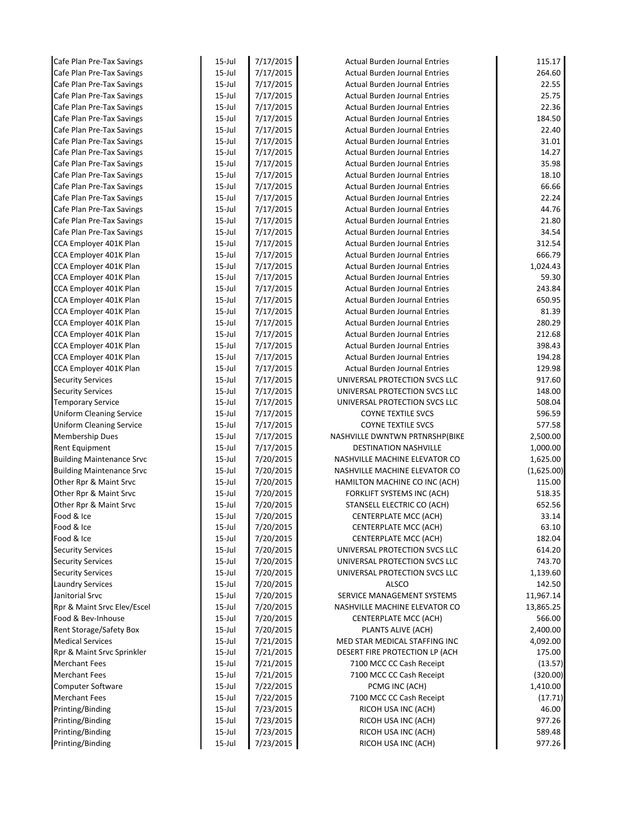| Cafe Plan Pre-Tax Savings        | $15$ -Jul  | 7/17/2015 | <b>Actual Burden Journal Entries</b> | 115.17     |
|----------------------------------|------------|-----------|--------------------------------------|------------|
| Cafe Plan Pre-Tax Savings        | $15$ -Jul  | 7/17/2015 | <b>Actual Burden Journal Entries</b> | 264.60     |
| Cafe Plan Pre-Tax Savings        | $15$ -Jul  | 7/17/2015 | <b>Actual Burden Journal Entries</b> | 22.55      |
| Cafe Plan Pre-Tax Savings        | $15$ -Jul  | 7/17/2015 | <b>Actual Burden Journal Entries</b> | 25.75      |
| Cafe Plan Pre-Tax Savings        | $15$ -Jul  | 7/17/2015 | <b>Actual Burden Journal Entries</b> | 22.36      |
| Cafe Plan Pre-Tax Savings        | $15$ -Jul  | 7/17/2015 | <b>Actual Burden Journal Entries</b> | 184.50     |
| Cafe Plan Pre-Tax Savings        | $15$ -Jul  | 7/17/2015 | <b>Actual Burden Journal Entries</b> | 22.40      |
| Cafe Plan Pre-Tax Savings        | $15$ -Jul  | 7/17/2015 | <b>Actual Burden Journal Entries</b> | 31.01      |
| Cafe Plan Pre-Tax Savings        | $15$ -Jul  | 7/17/2015 | <b>Actual Burden Journal Entries</b> | 14.27      |
| Cafe Plan Pre-Tax Savings        | $15$ -Jul  | 7/17/2015 | <b>Actual Burden Journal Entries</b> | 35.98      |
| Cafe Plan Pre-Tax Savings        | $15$ -Jul  | 7/17/2015 | <b>Actual Burden Journal Entries</b> | 18.10      |
| Cafe Plan Pre-Tax Savings        | $15$ -Jul  | 7/17/2015 | <b>Actual Burden Journal Entries</b> | 66.66      |
| Cafe Plan Pre-Tax Savings        | $15$ -Jul  | 7/17/2015 | <b>Actual Burden Journal Entries</b> | 22.24      |
| Cafe Plan Pre-Tax Savings        | $15$ -Jul  | 7/17/2015 | <b>Actual Burden Journal Entries</b> | 44.76      |
| Cafe Plan Pre-Tax Savings        | $15$ -Jul  | 7/17/2015 | <b>Actual Burden Journal Entries</b> | 21.80      |
| Cafe Plan Pre-Tax Savings        | $15$ -Jul  | 7/17/2015 | <b>Actual Burden Journal Entries</b> | 34.54      |
| CCA Employer 401K Plan           | $15$ -Jul  | 7/17/2015 | <b>Actual Burden Journal Entries</b> | 312.54     |
| CCA Employer 401K Plan           | $15$ -Jul  | 7/17/2015 | <b>Actual Burden Journal Entries</b> | 666.79     |
| CCA Employer 401K Plan           | $15$ -Jul  | 7/17/2015 | <b>Actual Burden Journal Entries</b> | 1,024.43   |
| CCA Employer 401K Plan           | $15$ -Jul  | 7/17/2015 | <b>Actual Burden Journal Entries</b> | 59.30      |
| CCA Employer 401K Plan           | $15$ -Jul  | 7/17/2015 | <b>Actual Burden Journal Entries</b> | 243.84     |
| CCA Employer 401K Plan           | $15$ -Jul  | 7/17/2015 | <b>Actual Burden Journal Entries</b> | 650.95     |
| CCA Employer 401K Plan           | $15 -$ Jul | 7/17/2015 | <b>Actual Burden Journal Entries</b> | 81.39      |
| CCA Employer 401K Plan           | $15$ -Jul  | 7/17/2015 | <b>Actual Burden Journal Entries</b> | 280.29     |
| CCA Employer 401K Plan           | $15$ -Jul  | 7/17/2015 | <b>Actual Burden Journal Entries</b> | 212.68     |
| CCA Employer 401K Plan           | $15$ -Jul  | 7/17/2015 | <b>Actual Burden Journal Entries</b> | 398.43     |
| CCA Employer 401K Plan           | $15$ -Jul  | 7/17/2015 | <b>Actual Burden Journal Entries</b> | 194.28     |
| CCA Employer 401K Plan           | $15$ -Jul  | 7/17/2015 | <b>Actual Burden Journal Entries</b> | 129.98     |
| <b>Security Services</b>         | $15$ -Jul  | 7/17/2015 | UNIVERSAL PROTECTION SVCS LLC        | 917.60     |
| <b>Security Services</b>         | $15$ -Jul  | 7/17/2015 | UNIVERSAL PROTECTION SVCS LLC        | 148.00     |
| <b>Temporary Service</b>         | $15$ -Jul  | 7/17/2015 | UNIVERSAL PROTECTION SVCS LLC        | 508.04     |
| <b>Uniform Cleaning Service</b>  | $15$ -Jul  | 7/17/2015 | <b>COYNE TEXTILE SVCS</b>            | 596.59     |
| Uniform Cleaning Service         | $15$ -Jul  | 7/17/2015 | <b>COYNE TEXTILE SVCS</b>            | 577.58     |
| Membership Dues                  | $15$ -Jul  | 7/17/2015 | NASHVILLE DWNTWN PRTNRSHP(BIKE       | 2,500.00   |
| <b>Rent Equipment</b>            | $15$ -Jul  | 7/17/2015 | <b>DESTINATION NASHVILLE</b>         | 1,000.00   |
| <b>Building Maintenance Srvc</b> | $15$ -Jul  | 7/20/2015 | NASHVILLE MACHINE ELEVATOR CO        | 1,625.00   |
| <b>Building Maintenance Srvc</b> | $15$ -Jul  | 7/20/2015 | NASHVILLE MACHINE ELEVATOR CO        | (1,625.00) |
| Other Rpr & Maint Srvc           | $15$ -Jul  | 7/20/2015 | HAMILTON MACHINE CO INC (ACH)        | 115.00     |
| Other Rpr & Maint Srvc           | $15$ -Jul  | 7/20/2015 | FORKLIFT SYSTEMS INC (ACH)           | 518.35     |
| Other Rpr & Maint Srvc           | $15$ -Jul  | 7/20/2015 | STANSELL ELECTRIC CO (ACH)           | 652.56     |
| Food & Ice                       | $15$ -Jul  | 7/20/2015 | CENTERPLATE MCC (ACH)                | 33.14      |
| Food & Ice                       | $15$ -Jul  | 7/20/2015 | CENTERPLATE MCC (ACH)                | 63.10      |
| Food & Ice                       | $15$ -Jul  | 7/20/2015 | <b>CENTERPLATE MCC (ACH)</b>         | 182.04     |
| <b>Security Services</b>         | $15$ -Jul  | 7/20/2015 | UNIVERSAL PROTECTION SVCS LLC        | 614.20     |
| <b>Security Services</b>         | $15$ -Jul  | 7/20/2015 | UNIVERSAL PROTECTION SVCS LLC        | 743.70     |
| <b>Security Services</b>         | $15$ -Jul  | 7/20/2015 | UNIVERSAL PROTECTION SVCS LLC        | 1,139.60   |
| <b>Laundry Services</b>          | $15$ -Jul  | 7/20/2015 | ALSCO                                | 142.50     |
| Janitorial Srvc                  | $15$ -Jul  | 7/20/2015 | SERVICE MANAGEMENT SYSTEMS           | 11,967.14  |
| Rpr & Maint Srvc Elev/Escel      | $15$ -Jul  | 7/20/2015 | NASHVILLE MACHINE ELEVATOR CO        | 13,865.25  |
| Food & Bev-Inhouse               | $15$ -Jul  | 7/20/2015 | CENTERPLATE MCC (ACH)                | 566.00     |
| Rent Storage/Safety Box          | $15$ -Jul  | 7/20/2015 | PLANTS ALIVE (ACH)                   | 2,400.00   |
| <b>Medical Services</b>          | $15$ -Jul  | 7/21/2015 | MED STAR MEDICAL STAFFING INC        | 4,092.00   |
| Rpr & Maint Srvc Sprinkler       | $15$ -Jul  | 7/21/2015 | DESERT FIRE PROTECTION LP (ACH       | 175.00     |
| <b>Merchant Fees</b>             | $15$ -Jul  | 7/21/2015 | 7100 MCC CC Cash Receipt             | (13.57)    |
| <b>Merchant Fees</b>             | $15$ -Jul  | 7/21/2015 | 7100 MCC CC Cash Receipt             | (320.00)   |
| Computer Software                | $15$ -Jul  | 7/22/2015 | PCMG INC (ACH)                       | 1,410.00   |
| <b>Merchant Fees</b>             | $15$ -Jul  | 7/22/2015 | 7100 MCC CC Cash Receipt             | (17.71)    |
| Printing/Binding                 | $15$ -Jul  | 7/23/2015 | RICOH USA INC (ACH)                  | 46.00      |
| Printing/Binding                 | $15$ -Jul  | 7/23/2015 | RICOH USA INC (ACH)                  | 977.26     |
| Printing/Binding                 | 15-Jul     | 7/23/2015 | RICOH USA INC (ACH)                  | 589.48     |
| Printing/Binding                 | $15 -$ Jul | 7/23/2015 | RICOH USA INC (ACH)                  | 977.26     |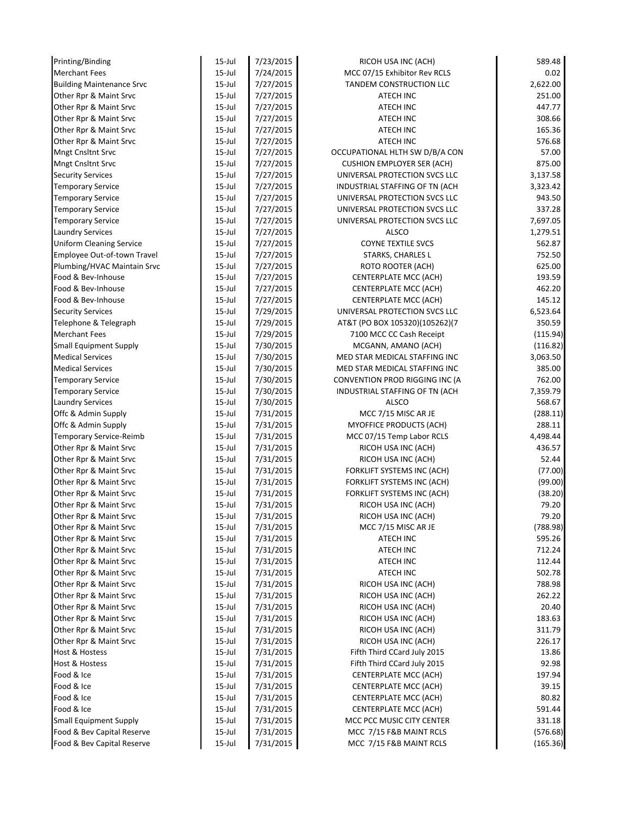| Printing/Binding                 | $15$ -Jul  | 7/23/2015 | RICOH USA INC (ACH)               | 589.48   |
|----------------------------------|------------|-----------|-----------------------------------|----------|
| <b>Merchant Fees</b>             | $15$ -Jul  | 7/24/2015 | MCC 07/15 Exhibitor Rev RCLS      | 0.02     |
| <b>Building Maintenance Srvc</b> | $15$ -Jul  | 7/27/2015 | TANDEM CONSTRUCTION LLC           | 2,622.00 |
| Other Rpr & Maint Srvc           | $15$ -Jul  | 7/27/2015 | ATECH INC                         | 251.00   |
| Other Rpr & Maint Srvc           | $15$ -Jul  | 7/27/2015 | ATECH INC                         | 447.77   |
| Other Rpr & Maint Srvc           | $15$ -Jul  | 7/27/2015 | <b>ATECH INC</b>                  | 308.66   |
| Other Rpr & Maint Srvc           | $15$ -Jul  | 7/27/2015 | <b>ATECH INC</b>                  | 165.36   |
| Other Rpr & Maint Srvc           | $15$ -Jul  | 7/27/2015 | <b>ATECH INC</b>                  | 576.68   |
| <b>Mngt Cnsltnt Srvc</b>         | $15$ -Jul  | 7/27/2015 | OCCUPATIONAL HLTH SW D/B/A CON    | 57.00    |
| Mngt Cnsltnt Srvc                | $15$ -Jul  | 7/27/2015 | <b>CUSHION EMPLOYER SER (ACH)</b> | 875.00   |
| <b>Security Services</b>         | $15$ -Jul  | 7/27/2015 | UNIVERSAL PROTECTION SVCS LLC     | 3,137.58 |
| <b>Temporary Service</b>         | $15$ -Jul  | 7/27/2015 | INDUSTRIAL STAFFING OF TN (ACH    | 3,323.42 |
| <b>Temporary Service</b>         | $15$ -Jul  | 7/27/2015 | UNIVERSAL PROTECTION SVCS LLC     | 943.50   |
| <b>Temporary Service</b>         | $15$ -Jul  | 7/27/2015 | UNIVERSAL PROTECTION SVCS LLC     | 337.28   |
| <b>Temporary Service</b>         | $15$ -Jul  | 7/27/2015 | UNIVERSAL PROTECTION SVCS LLC     | 7,697.05 |
| <b>Laundry Services</b>          | $15$ -Jul  | 7/27/2015 | <b>ALSCO</b>                      | 1,279.51 |
| <b>Uniform Cleaning Service</b>  | $15$ -Jul  | 7/27/2015 | <b>COYNE TEXTILE SVCS</b>         | 562.87   |
| Employee Out-of-town Travel      | $15$ -Jul  | 7/27/2015 | <b>STARKS, CHARLES L</b>          | 752.50   |
| Plumbing/HVAC Maintain Srvc      | $15$ -Jul  | 7/27/2015 | ROTO ROOTER (ACH)                 | 625.00   |
| Food & Bev-Inhouse               | 15-Jul     | 7/27/2015 | CENTERPLATE MCC (ACH)             | 193.59   |
| Food & Bev-Inhouse               | $15$ -Jul  | 7/27/2015 | CENTERPLATE MCC (ACH)             | 462.20   |
| Food & Bev-Inhouse               | $15$ -Jul  | 7/27/2015 | CENTERPLATE MCC (ACH)             | 145.12   |
| <b>Security Services</b>         | $15$ -Jul  | 7/29/2015 | UNIVERSAL PROTECTION SVCS LLC     | 6,523.64 |
| Telephone & Telegraph            | $15 -$ Jul | 7/29/2015 | AT&T (PO BOX 105320)(105262)(7    | 350.59   |
| <b>Merchant Fees</b>             | $15$ -Jul  | 7/29/2015 | 7100 MCC CC Cash Receipt          | (115.94) |
| Small Equipment Supply           | $15$ -Jul  | 7/30/2015 | MCGANN, AMANO (ACH)               | (116.82) |
| <b>Medical Services</b>          | $15$ -Jul  | 7/30/2015 | MED STAR MEDICAL STAFFING INC     | 3,063.50 |
| <b>Medical Services</b>          | $15$ -Jul  | 7/30/2015 | MED STAR MEDICAL STAFFING INC     | 385.00   |
| <b>Temporary Service</b>         | $15$ -Jul  | 7/30/2015 | CONVENTION PROD RIGGING INC (A    | 762.00   |
| <b>Temporary Service</b>         | $15$ -Jul  | 7/30/2015 | INDUSTRIAL STAFFING OF TN (ACH    | 7,359.79 |
| <b>Laundry Services</b>          | $15$ -Jul  | 7/30/2015 | ALSCO                             | 568.67   |
| Offc & Admin Supply              | $15$ -Jul  | 7/31/2015 | MCC 7/15 MISC AR JE               | (288.11) |
| Offc & Admin Supply              | $15$ -Jul  | 7/31/2015 | MYOFFICE PRODUCTS (ACH)           | 288.11   |
| Temporary Service-Reimb          | $15$ -Jul  | 7/31/2015 | MCC 07/15 Temp Labor RCLS         | 4,498.44 |
| Other Rpr & Maint Srvc           | $15$ -Jul  | 7/31/2015 | RICOH USA INC (ACH)               | 436.57   |
| Other Rpr & Maint Srvc           | $15$ -Jul  | 7/31/2015 | RICOH USA INC (ACH)               | 52.44    |
| Other Rpr & Maint Srvc           | 15-Jul     | 7/31/2015 | FORKLIFT SYSTEMS INC (ACH)        | (77.00)  |
| Other Rpr & Maint Srvc           | $15$ -Jul  | 7/31/2015 | FORKLIFT SYSTEMS INC (ACH)        | (99.00)  |
| Other Rpr & Maint Srvc           | $15$ -Jul  | 7/31/2015 | FORKLIFT SYSTEMS INC (ACH)        | (38.20)  |
| Other Rpr & Maint Srvc           | $15$ -Jul  | 7/31/2015 | RICOH USA INC (ACH)               | 79.20    |
| Other Rpr & Maint Srvc           | $15$ -Jul  | 7/31/2015 | RICOH USA INC (ACH)               | 79.20    |
| Other Rpr & Maint Srvc           | $15$ -Jul  | 7/31/2015 | MCC 7/15 MISC AR JE               | (788.98) |
| Other Rpr & Maint Srvc           | 15-Jul     | 7/31/2015 | ATECH INC                         | 595.26   |
| Other Rpr & Maint Srvc           | $15 -$ Jul | 7/31/2015 | <b>ATECH INC</b>                  | 712.24   |
| Other Rpr & Maint Srvc           | $15$ -Jul  | 7/31/2015 | ATECH INC                         | 112.44   |
| Other Rpr & Maint Srvc           | $15$ -Jul  | 7/31/2015 | ATECH INC                         | 502.78   |
| Other Rpr & Maint Srvc           | $15$ -Jul  | 7/31/2015 | RICOH USA INC (ACH)               | 788.98   |
| Other Rpr & Maint Srvc           | $15$ -Jul  | 7/31/2015 | RICOH USA INC (ACH)               | 262.22   |
| Other Rpr & Maint Srvc           | 15-Jul     | 7/31/2015 | RICOH USA INC (ACH)               | 20.40    |
| Other Rpr & Maint Srvc           | 15-Jul     | 7/31/2015 | RICOH USA INC (ACH)               | 183.63   |
| Other Rpr & Maint Srvc           | $15$ -Jul  | 7/31/2015 | RICOH USA INC (ACH)               | 311.79   |
| Other Rpr & Maint Srvc           | $15$ -Jul  | 7/31/2015 | RICOH USA INC (ACH)               | 226.17   |
| Host & Hostess                   | $15$ -Jul  | 7/31/2015 | Fifth Third CCard July 2015       | 13.86    |
| Host & Hostess                   | $15$ -Jul  | 7/31/2015 | Fifth Third CCard July 2015       | 92.98    |
| Food & Ice                       | $15$ -Jul  | 7/31/2015 | CENTERPLATE MCC (ACH)             | 197.94   |
| Food & Ice                       | 15-Jul     | 7/31/2015 | CENTERPLATE MCC (ACH)             | 39.15    |
| Food & Ice                       | $15$ -Jul  | 7/31/2015 | CENTERPLATE MCC (ACH)             | 80.82    |
| Food & Ice                       | $15$ -Jul  | 7/31/2015 | CENTERPLATE MCC (ACH)             | 591.44   |
| <b>Small Equipment Supply</b>    | $15$ -Jul  | 7/31/2015 | MCC PCC MUSIC CITY CENTER         | 331.18   |
| Food & Bev Capital Reserve       | $15$ -Jul  | 7/31/2015 | MCC 7/15 F&B MAINT RCLS           | (576.68) |
| Food & Bev Capital Reserve       | $15$ -Jul  | 7/31/2015 | MCC 7/15 F&B MAINT RCLS           | (165.36) |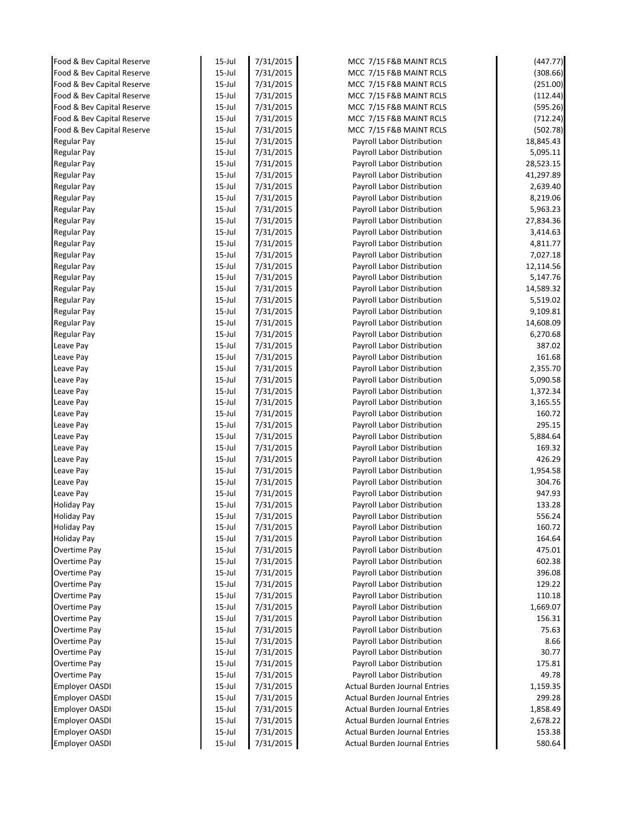| Food & Bev Capital Reserve                               | $15$ -Jul              | 7/31/2015              | MCC 7/15 F&B MAINT RCLS                                  | (447.77)             |
|----------------------------------------------------------|------------------------|------------------------|----------------------------------------------------------|----------------------|
| Food & Bev Capital Reserve                               | $15$ -Jul              | 7/31/2015              | MCC 7/15 F&B MAINT RCLS                                  | (308.66)             |
| Food & Bev Capital Reserve                               | $15$ -Jul              | 7/31/2015              | MCC 7/15 F&B MAINT RCLS                                  | (251.00)             |
| Food & Bev Capital Reserve<br>Food & Bev Capital Reserve | $15$ -Jul              | 7/31/2015              | MCC 7/15 F&B MAINT RCLS                                  | (112.44)<br>(595.26) |
| Food & Bev Capital Reserve                               | $15$ -Jul<br>$15$ -Jul | 7/31/2015<br>7/31/2015 | MCC 7/15 F&B MAINT RCLS<br>MCC 7/15 F&B MAINT RCLS       | (712.24)             |
| Food & Bev Capital Reserve                               | $15$ -Jul              | 7/31/2015              | MCC 7/15 F&B MAINT RCLS                                  | (502.78)             |
| <b>Regular Pay</b>                                       | $15$ -Jul              | 7/31/2015              | Payroll Labor Distribution                               | 18,845.43            |
| <b>Regular Pay</b>                                       | $15$ -Jul              | 7/31/2015              | Payroll Labor Distribution                               | 5,095.11             |
| <b>Regular Pay</b>                                       | $15$ -Jul              | 7/31/2015              | Payroll Labor Distribution                               | 28,523.15            |
| <b>Regular Pay</b>                                       | $15$ -Jul              | 7/31/2015              | Payroll Labor Distribution                               | 41,297.89            |
| <b>Regular Pay</b>                                       | $15$ -Jul              | 7/31/2015              | Payroll Labor Distribution                               | 2,639.40             |
| <b>Regular Pay</b>                                       | $15$ -Jul              | 7/31/2015              | Payroll Labor Distribution                               | 8,219.06             |
| <b>Regular Pay</b>                                       | $15$ -Jul              | 7/31/2015              | Payroll Labor Distribution                               | 5,963.23             |
| <b>Regular Pay</b>                                       | $15$ -Jul              | 7/31/2015              | Payroll Labor Distribution                               | 27,834.36            |
| <b>Regular Pay</b>                                       | $15$ -Jul              | 7/31/2015              | Payroll Labor Distribution                               | 3,414.63             |
| <b>Regular Pay</b>                                       | $15$ -Jul              | 7/31/2015              | Payroll Labor Distribution                               | 4,811.77             |
| <b>Regular Pay</b>                                       | $15$ -Jul              | 7/31/2015              | Payroll Labor Distribution                               | 7,027.18             |
| <b>Regular Pay</b>                                       | $15$ -Jul              | 7/31/2015              | Payroll Labor Distribution                               | 12,114.56            |
| <b>Regular Pay</b>                                       | $15$ -Jul              | 7/31/2015              | Payroll Labor Distribution                               | 5,147.76             |
| <b>Regular Pay</b>                                       | $15$ -Jul              | 7/31/2015              | Payroll Labor Distribution                               | 14,589.32            |
| <b>Regular Pay</b>                                       | $15$ -Jul              | 7/31/2015              | Payroll Labor Distribution                               | 5,519.02             |
| <b>Regular Pay</b>                                       | $15$ -Jul              | 7/31/2015              | Payroll Labor Distribution                               | 9,109.81             |
| <b>Regular Pay</b>                                       | $15$ -Jul              | 7/31/2015              | Payroll Labor Distribution                               | 14,608.09            |
| <b>Regular Pay</b>                                       | $15$ -Jul              | 7/31/2015              | Payroll Labor Distribution                               | 6,270.68             |
| Leave Pay                                                | $15$ -Jul              | 7/31/2015              | Payroll Labor Distribution                               | 387.02               |
| Leave Pay                                                | $15$ -Jul              | 7/31/2015              | Payroll Labor Distribution                               | 161.68               |
| Leave Pay                                                | $15$ -Jul              | 7/31/2015              | Payroll Labor Distribution                               | 2,355.70             |
| Leave Pay                                                | $15$ -Jul              | 7/31/2015              | Payroll Labor Distribution                               | 5,090.58             |
| Leave Pay                                                | $15$ -Jul              | 7/31/2015              | Payroll Labor Distribution                               | 1,372.34             |
| Leave Pay                                                | $15$ -Jul              | 7/31/2015              | Payroll Labor Distribution                               | 3,165.55             |
| Leave Pay                                                | $15$ -Jul              | 7/31/2015              | Payroll Labor Distribution                               | 160.72               |
| Leave Pay                                                | $15$ -Jul              | 7/31/2015              | Payroll Labor Distribution                               | 295.15               |
| Leave Pay                                                | $15$ -Jul              | 7/31/2015              | Payroll Labor Distribution                               | 5,884.64             |
| Leave Pay                                                | 15-Jul                 | 7/31/2015              | Payroll Labor Distribution                               | 169.32               |
| Leave Pay                                                | $15$ -Jul              | 7/31/2015              | Payroll Labor Distribution                               | 426.29               |
| Leave Pay                                                | $15$ -Jul              | 7/31/2015              | Payroll Labor Distribution                               | 1,954.58             |
| Leave Pay                                                | 15-Jul                 | 7/31/2015              | Payroll Labor Distribution                               | 304.76               |
| Leave Pay                                                | $15$ -Jul              | 7/31/2015              | Payroll Labor Distribution                               | 947.93               |
| <b>Holiday Pay</b>                                       | 15-Jul                 | 7/31/2015              | Payroll Labor Distribution                               | 133.28               |
| <b>Holiday Pay</b>                                       | $15$ -Jul              | 7/31/2015              | Payroll Labor Distribution                               | 556.24               |
| <b>Holiday Pay</b><br><b>Holiday Pay</b>                 | $15$ -Jul<br>$15$ -Jul | 7/31/2015<br>7/31/2015 | Payroll Labor Distribution<br>Payroll Labor Distribution | 160.72<br>164.64     |
| Overtime Pay                                             | $15$ -Jul              | 7/31/2015              | Payroll Labor Distribution                               | 475.01               |
| Overtime Pay                                             | $15$ -Jul              | 7/31/2015              | Payroll Labor Distribution                               | 602.38               |
| Overtime Pay                                             | $15$ -Jul              | 7/31/2015              | Payroll Labor Distribution                               | 396.08               |
| Overtime Pay                                             | $15$ -Jul              | 7/31/2015              | Payroll Labor Distribution                               | 129.22               |
| Overtime Pay                                             | $15$ -Jul              | 7/31/2015              | Payroll Labor Distribution                               | 110.18               |
| Overtime Pay                                             | $15$ -Jul              | 7/31/2015              | Payroll Labor Distribution                               | 1,669.07             |
| Overtime Pay                                             | 15-Jul                 | 7/31/2015              | Payroll Labor Distribution                               | 156.31               |
| Overtime Pay                                             | $15$ -Jul              | 7/31/2015              | Payroll Labor Distribution                               | 75.63                |
| Overtime Pay                                             | $15$ -Jul              | 7/31/2015              | Payroll Labor Distribution                               | 8.66                 |
| Overtime Pay                                             | 15-Jul                 | 7/31/2015              | Payroll Labor Distribution                               | 30.77                |
| Overtime Pay                                             | $15$ -Jul              | 7/31/2015              | Payroll Labor Distribution                               | 175.81               |
| Overtime Pay                                             | $15$ -Jul              | 7/31/2015              | Payroll Labor Distribution                               | 49.78                |
| <b>Employer OASDI</b>                                    | $15$ -Jul              | 7/31/2015              | <b>Actual Burden Journal Entries</b>                     | 1,159.35             |
| <b>Employer OASDI</b>                                    | $15$ -Jul              | 7/31/2015              | <b>Actual Burden Journal Entries</b>                     | 299.28               |
| <b>Employer OASDI</b>                                    | $15$ -Jul              | 7/31/2015              | <b>Actual Burden Journal Entries</b>                     | 1,858.49             |
|                                                          |                        |                        |                                                          |                      |
| <b>Employer OASDI</b>                                    | $15$ -Jul              | 7/31/2015              | <b>Actual Burden Journal Entries</b>                     | 2,678.22             |
| <b>Employer OASDI</b>                                    | 15-Jul                 | 7/31/2015              | <b>Actual Burden Journal Entries</b>                     | 153.38               |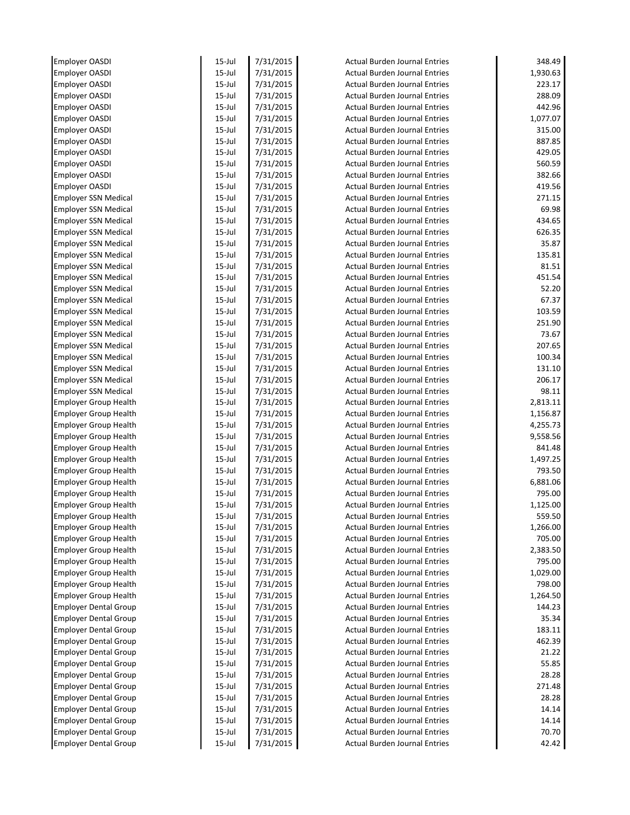| Employer OASDI               | $15$ -Jul | 7/31/2015 | <b>Actual Burden Journal Entries</b> | 348.49   |
|------------------------------|-----------|-----------|--------------------------------------|----------|
| <b>Employer OASDI</b>        | $15$ -Jul | 7/31/2015 | <b>Actual Burden Journal Entries</b> | 1,930.63 |
| <b>Employer OASDI</b>        | $15$ -Jul | 7/31/2015 | <b>Actual Burden Journal Entries</b> | 223.17   |
| Employer OASDI               | $15$ -Jul | 7/31/2015 | <b>Actual Burden Journal Entries</b> | 288.09   |
| <b>Employer OASDI</b>        | $15$ -Jul | 7/31/2015 | Actual Burden Journal Entries        | 442.96   |
| <b>Employer OASDI</b>        | $15$ -Jul | 7/31/2015 | <b>Actual Burden Journal Entries</b> | 1,077.07 |
| Employer OASDI               | $15$ -Jul | 7/31/2015 | <b>Actual Burden Journal Entries</b> | 315.00   |
| Employer OASDI               | $15$ -Jul | 7/31/2015 | <b>Actual Burden Journal Entries</b> | 887.85   |
| Employer OASDI               | $15$ -Jul | 7/31/2015 | <b>Actual Burden Journal Entries</b> | 429.05   |
| Employer OASDI               | $15$ -Jul | 7/31/2015 | <b>Actual Burden Journal Entries</b> | 560.59   |
| Employer OASDI               | $15$ -Jul | 7/31/2015 | <b>Actual Burden Journal Entries</b> | 382.66   |
| <b>Employer OASDI</b>        | $15$ -Jul | 7/31/2015 | <b>Actual Burden Journal Entries</b> | 419.56   |
| <b>Employer SSN Medical</b>  | $15$ -Jul | 7/31/2015 | <b>Actual Burden Journal Entries</b> | 271.15   |
| <b>Employer SSN Medical</b>  | $15$ -Jul | 7/31/2015 | <b>Actual Burden Journal Entries</b> | 69.98    |
| <b>Employer SSN Medical</b>  | $15$ -Jul | 7/31/2015 | <b>Actual Burden Journal Entries</b> | 434.65   |
| <b>Employer SSN Medical</b>  | $15$ -Jul | 7/31/2015 | <b>Actual Burden Journal Entries</b> | 626.35   |
| <b>Employer SSN Medical</b>  | $15$ -Jul | 7/31/2015 | <b>Actual Burden Journal Entries</b> | 35.87    |
| <b>Employer SSN Medical</b>  | $15$ -Jul | 7/31/2015 | <b>Actual Burden Journal Entries</b> | 135.81   |
| <b>Employer SSN Medical</b>  | $15$ -Jul | 7/31/2015 | <b>Actual Burden Journal Entries</b> | 81.51    |
| <b>Employer SSN Medical</b>  | $15$ -Jul | 7/31/2015 | <b>Actual Burden Journal Entries</b> | 451.54   |
| <b>Employer SSN Medical</b>  | $15$ -Jul | 7/31/2015 | <b>Actual Burden Journal Entries</b> | 52.20    |
| <b>Employer SSN Medical</b>  | $15$ -Jul | 7/31/2015 | <b>Actual Burden Journal Entries</b> | 67.37    |
| <b>Employer SSN Medical</b>  | $15$ -Jul | 7/31/2015 | <b>Actual Burden Journal Entries</b> | 103.59   |
| <b>Employer SSN Medical</b>  | $15$ -Jul | 7/31/2015 | <b>Actual Burden Journal Entries</b> | 251.90   |
| <b>Employer SSN Medical</b>  | $15$ -Jul | 7/31/2015 | <b>Actual Burden Journal Entries</b> | 73.67    |
| <b>Employer SSN Medical</b>  | $15$ -Jul | 7/31/2015 | <b>Actual Burden Journal Entries</b> | 207.65   |
| <b>Employer SSN Medical</b>  | $15$ -Jul | 7/31/2015 | <b>Actual Burden Journal Entries</b> | 100.34   |
| <b>Employer SSN Medical</b>  | $15$ -Jul | 7/31/2015 | <b>Actual Burden Journal Entries</b> | 131.10   |
| <b>Employer SSN Medical</b>  | $15$ -Jul | 7/31/2015 | <b>Actual Burden Journal Entries</b> | 206.17   |
| <b>Employer SSN Medical</b>  | $15$ -Jul | 7/31/2015 | <b>Actual Burden Journal Entries</b> | 98.11    |
| <b>Employer Group Health</b> | $15$ -Jul | 7/31/2015 | <b>Actual Burden Journal Entries</b> | 2,813.11 |
| <b>Employer Group Health</b> | $15$ -Jul | 7/31/2015 | <b>Actual Burden Journal Entries</b> | 1,156.87 |
| <b>Employer Group Health</b> | $15$ -Jul | 7/31/2015 | <b>Actual Burden Journal Entries</b> | 4,255.73 |
| <b>Employer Group Health</b> | $15$ -Jul | 7/31/2015 | <b>Actual Burden Journal Entries</b> | 9,558.56 |
| <b>Employer Group Health</b> | $15$ -Jul | 7/31/2015 | <b>Actual Burden Journal Entries</b> | 841.48   |
| <b>Employer Group Health</b> | $15$ -Jul | 7/31/2015 | <b>Actual Burden Journal Entries</b> | 1,497.25 |
| <b>Employer Group Health</b> | $15$ -Jul | 7/31/2015 | <b>Actual Burden Journal Entries</b> | 793.50   |
| <b>Employer Group Health</b> | $15$ -Jul | 7/31/2015 | <b>Actual Burden Journal Entries</b> | 6,881.06 |
| <b>Employer Group Health</b> | $15$ -Jul | 7/31/2015 | <b>Actual Burden Journal Entries</b> | 795.00   |
| <b>Employer Group Health</b> | $15$ -Jul | 7/31/2015 | <b>Actual Burden Journal Entries</b> | 1,125.00 |
| <b>Employer Group Health</b> | $15$ -Jul | 7/31/2015 | <b>Actual Burden Journal Entries</b> | 559.50   |
| <b>Employer Group Health</b> | $15$ -Jul | 7/31/2015 | <b>Actual Burden Journal Entries</b> | 1,266.00 |
| <b>Employer Group Health</b> | $15$ -Jul | 7/31/2015 | <b>Actual Burden Journal Entries</b> | 705.00   |
| <b>Employer Group Health</b> | $15$ -Jul | 7/31/2015 | <b>Actual Burden Journal Entries</b> | 2,383.50 |
| <b>Employer Group Health</b> | $15$ -Jul | 7/31/2015 | <b>Actual Burden Journal Entries</b> | 795.00   |
| <b>Employer Group Health</b> | $15$ -Jul | 7/31/2015 | <b>Actual Burden Journal Entries</b> | 1,029.00 |
| <b>Employer Group Health</b> | $15$ -Jul | 7/31/2015 | <b>Actual Burden Journal Entries</b> | 798.00   |
| <b>Employer Group Health</b> | $15$ -Jul | 7/31/2015 | <b>Actual Burden Journal Entries</b> | 1,264.50 |
| <b>Employer Dental Group</b> | $15$ -Jul | 7/31/2015 | <b>Actual Burden Journal Entries</b> | 144.23   |
| <b>Employer Dental Group</b> | $15$ -Jul | 7/31/2015 | <b>Actual Burden Journal Entries</b> | 35.34    |
| <b>Employer Dental Group</b> | $15$ -Jul | 7/31/2015 | <b>Actual Burden Journal Entries</b> | 183.11   |
| <b>Employer Dental Group</b> | $15$ -Jul | 7/31/2015 | <b>Actual Burden Journal Entries</b> | 462.39   |
| <b>Employer Dental Group</b> | $15$ -Jul | 7/31/2015 | <b>Actual Burden Journal Entries</b> | 21.22    |
| <b>Employer Dental Group</b> | $15$ -Jul | 7/31/2015 | <b>Actual Burden Journal Entries</b> | 55.85    |
| <b>Employer Dental Group</b> | $15$ -Jul | 7/31/2015 | <b>Actual Burden Journal Entries</b> | 28.28    |
| <b>Employer Dental Group</b> | $15$ -Jul | 7/31/2015 | <b>Actual Burden Journal Entries</b> | 271.48   |
| <b>Employer Dental Group</b> | $15$ -Jul | 7/31/2015 | <b>Actual Burden Journal Entries</b> | 28.28    |
| <b>Employer Dental Group</b> | $15$ -Jul | 7/31/2015 | <b>Actual Burden Journal Entries</b> | 14.14    |
| <b>Employer Dental Group</b> | $15$ -Jul | 7/31/2015 | <b>Actual Burden Journal Entries</b> | 14.14    |
| <b>Employer Dental Group</b> | 15-Jul    | 7/31/2015 | <b>Actual Burden Journal Entries</b> | 70.70    |
| <b>Employer Dental Group</b> | 15-Jul    | 7/31/2015 | <b>Actual Burden Journal Entries</b> | 42.42    |
|                              |           |           |                                      |          |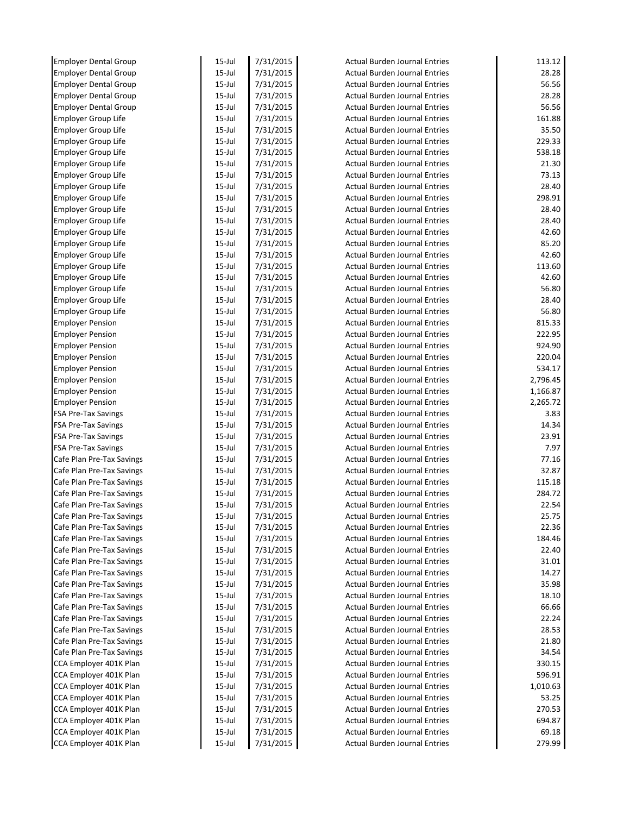|                                                  | $15$ -Jul              | 7/31/2015              | <b>Actual Burden Journal Entries</b>                                         | 113.12          |
|--------------------------------------------------|------------------------|------------------------|------------------------------------------------------------------------------|-----------------|
| <b>Employer Dental Group</b>                     | $15$ -Jul              | 7/31/2015              | <b>Actual Burden Journal Entries</b>                                         | 28.28           |
| <b>Employer Dental Group</b>                     | $15$ -Jul              | 7/31/2015              | <b>Actual Burden Journal Entries</b>                                         | 56.56           |
| <b>Employer Dental Group</b>                     | $15$ -Jul              | 7/31/2015              | <b>Actual Burden Journal Entries</b>                                         | 28.28           |
| <b>Employer Dental Group</b>                     | $15$ -Jul              | 7/31/2015              | <b>Actual Burden Journal Entries</b>                                         | 56.56           |
| <b>Employer Group Life</b>                       | 15-Jul                 | 7/31/2015              | <b>Actual Burden Journal Entries</b>                                         | 161.88          |
| <b>Employer Group Life</b>                       | 15-Jul                 | 7/31/2015              | <b>Actual Burden Journal Entries</b>                                         | 35.50           |
| Employer Group Life                              | 15-Jul                 | 7/31/2015              | <b>Actual Burden Journal Entries</b>                                         | 229.33          |
| <b>Employer Group Life</b>                       | 15-Jul                 | 7/31/2015              | <b>Actual Burden Journal Entries</b>                                         | 538.18          |
| <b>Employer Group Life</b>                       | $15$ -Jul              | 7/31/2015              | <b>Actual Burden Journal Entries</b>                                         | 21.30           |
| <b>Employer Group Life</b>                       | $15$ -Jul              | 7/31/2015              | <b>Actual Burden Journal Entries</b>                                         | 73.13           |
| <b>Employer Group Life</b>                       | 15-Jul                 | 7/31/2015              | <b>Actual Burden Journal Entries</b>                                         | 28.40           |
| <b>Employer Group Life</b>                       | 15-Jul                 | 7/31/2015              | <b>Actual Burden Journal Entries</b>                                         | 298.91          |
| <b>Employer Group Life</b>                       | $15$ -Jul              | 7/31/2015              | <b>Actual Burden Journal Entries</b>                                         | 28.40           |
| <b>Employer Group Life</b>                       | $15$ -Jul              | 7/31/2015              | <b>Actual Burden Journal Entries</b>                                         | 28.40           |
| <b>Employer Group Life</b>                       | $15$ -Jul              | 7/31/2015              | <b>Actual Burden Journal Entries</b>                                         | 42.60           |
| Employer Group Life                              | $15$ -Jul              | 7/31/2015              | <b>Actual Burden Journal Entries</b>                                         | 85.20           |
| <b>Employer Group Life</b>                       | $15$ -Jul              | 7/31/2015              | <b>Actual Burden Journal Entries</b>                                         | 42.60           |
| <b>Employer Group Life</b>                       | 15-Jul                 | 7/31/2015              | <b>Actual Burden Journal Entries</b>                                         | 113.60          |
| <b>Employer Group Life</b>                       | $15$ -Jul              | 7/31/2015              | <b>Actual Burden Journal Entries</b>                                         | 42.60           |
| <b>Employer Group Life</b>                       | $15$ -Jul              | 7/31/2015              | <b>Actual Burden Journal Entries</b>                                         | 56.80           |
| <b>Employer Group Life</b>                       | $15$ -Jul              | 7/31/2015              | <b>Actual Burden Journal Entries</b>                                         | 28.40           |
| <b>Employer Group Life</b>                       | 15-Jul                 | 7/31/2015              | <b>Actual Burden Journal Entries</b>                                         | 56.80           |
| <b>Employer Pension</b>                          | $15$ -Jul              | 7/31/2015              | <b>Actual Burden Journal Entries</b>                                         | 815.33          |
| <b>Employer Pension</b>                          | $15$ -Jul              | 7/31/2015              | <b>Actual Burden Journal Entries</b>                                         | 222.95          |
| <b>Employer Pension</b>                          | $15$ -Jul              | 7/31/2015              | <b>Actual Burden Journal Entries</b>                                         | 924.90          |
| <b>Employer Pension</b>                          | 15-Jul                 | 7/31/2015              | <b>Actual Burden Journal Entries</b>                                         | 220.04          |
| <b>Employer Pension</b>                          | $15$ -Jul              | 7/31/2015              | <b>Actual Burden Journal Entries</b>                                         | 534.17          |
| <b>Employer Pension</b>                          | $15$ -Jul              | 7/31/2015              | <b>Actual Burden Journal Entries</b>                                         | 2,796.45        |
| <b>Employer Pension</b>                          | $15$ -Jul              | 7/31/2015              | <b>Actual Burden Journal Entries</b>                                         | 1,166.87        |
| <b>Employer Pension</b>                          | 15-Jul                 | 7/31/2015              | <b>Actual Burden Journal Entries</b>                                         | 2,265.72        |
| <b>FSA Pre-Tax Savings</b>                       | 15-Jul                 | 7/31/2015              | <b>Actual Burden Journal Entries</b>                                         | 3.83            |
| <b>FSA Pre-Tax Savings</b>                       | 15-Jul                 | 7/31/2015              | <b>Actual Burden Journal Entries</b>                                         | 14.34           |
| <b>FSA Pre-Tax Savings</b>                       | $15$ -Jul              | 7/31/2015              | <b>Actual Burden Journal Entries</b>                                         | 23.91           |
| <b>FSA Pre-Tax Savings</b>                       | $15$ -Jul              | 7/31/2015              | <b>Actual Burden Journal Entries</b>                                         | 7.97            |
| Cafe Plan Pre-Tax Savings                        | $15$ -Jul              | 7/31/2015              | <b>Actual Burden Journal Entries</b>                                         | 77.16           |
| Cafe Plan Pre-Tax Savings                        | $15$ -Jul              | 7/31/2015              | <b>Actual Burden Journal Entries</b>                                         | 32.87           |
| Cafe Plan Pre-Tax Savings                        | 15-Jul                 | 7/31/2015              | <b>Actual Burden Journal Entries</b>                                         | 115.18          |
| Cafe Plan Pre-Tax Savings                        | $15$ -Jul              | 7/31/2015              | <b>Actual Burden Journal Entries</b>                                         | 284.72          |
| Cafe Plan Pre-Tax Savings                        | $15$ -Jul              | 7/31/2015              | Actual Burden Journal Entries                                                | 22.54           |
| Cafe Plan Pre-Tax Savings                        | $15$ -Jul              | 7/31/2015              | <b>Actual Burden Journal Entries</b>                                         | 25.75           |
| Cafe Plan Pre-Tax Savings                        | $15$ -Jul              | 7/31/2015              | <b>Actual Burden Journal Entries</b>                                         | 22.36           |
| Cafe Plan Pre-Tax Savings                        | $15$ -Jul              | 7/31/2015              | <b>Actual Burden Journal Entries</b>                                         | 184.46          |
| Cafe Plan Pre-Tax Savings                        | $15$ -Jul              | 7/31/2015              | <b>Actual Burden Journal Entries</b>                                         | 22.40           |
| Cafe Plan Pre-Tax Savings                        | $15$ -Jul              | 7/31/2015              | <b>Actual Burden Journal Entries</b>                                         | 31.01           |
| Cafe Plan Pre-Tax Savings                        | $15$ -Jul              | 7/31/2015              | <b>Actual Burden Journal Entries</b>                                         | 14.27           |
| Cafe Plan Pre-Tax Savings                        | $15$ -Jul              | 7/31/2015              | <b>Actual Burden Journal Entries</b>                                         | 35.98           |
| Cafe Plan Pre-Tax Savings                        | $15$ -Jul              | 7/31/2015              | <b>Actual Burden Journal Entries</b>                                         | 18.10           |
| Cafe Plan Pre-Tax Savings                        | $15$ -Jul              | 7/31/2015              | <b>Actual Burden Journal Entries</b>                                         | 66.66           |
| Cafe Plan Pre-Tax Savings                        | $15$ -Jul              | 7/31/2015              | <b>Actual Burden Journal Entries</b>                                         | 22.24           |
| Cafe Plan Pre-Tax Savings                        | $15$ -Jul              | 7/31/2015              | <b>Actual Burden Journal Entries</b>                                         | 28.53           |
| Cafe Plan Pre-Tax Savings                        | $15$ -Jul              | 7/31/2015              | <b>Actual Burden Journal Entries</b>                                         | 21.80           |
| Cafe Plan Pre-Tax Savings                        | $15$ -Jul              | 7/31/2015              | <b>Actual Burden Journal Entries</b>                                         | 34.54           |
| CCA Employer 401K Plan                           | $15$ -Jul              | 7/31/2015              | <b>Actual Burden Journal Entries</b>                                         | 330.15          |
| CCA Employer 401K Plan                           | $15$ -Jul              | 7/31/2015              | <b>Actual Burden Journal Entries</b>                                         | 596.91          |
| CCA Employer 401K Plan                           | $15$ -Jul              | 7/31/2015              | <b>Actual Burden Journal Entries</b>                                         | 1,010.63        |
|                                                  | $15$ -Jul              |                        |                                                                              | 53.25           |
|                                                  |                        | 7/31/2015              | <b>Actual Burden Journal Entries</b>                                         |                 |
| CCA Employer 401K Plan                           |                        |                        |                                                                              |                 |
| CCA Employer 401K Plan                           | $15$ -Jul              | 7/31/2015              | <b>Actual Burden Journal Entries</b>                                         | 270.53          |
| CCA Employer 401K Plan<br>CCA Employer 401K Plan | $15$ -Jul<br>$15$ -Jul | 7/31/2015<br>7/31/2015 | <b>Actual Burden Journal Entries</b><br><b>Actual Burden Journal Entries</b> | 694.87<br>69.18 |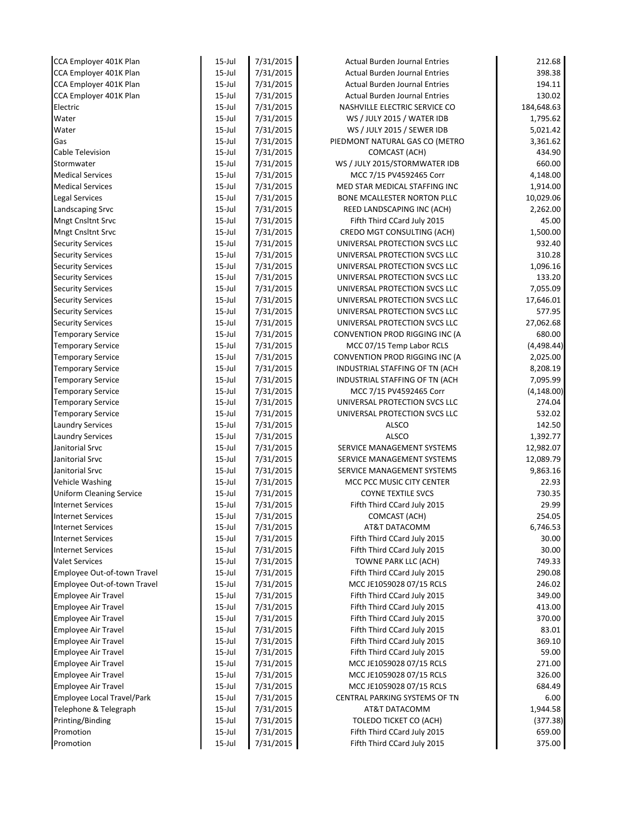| CCA Employer 401K Plan            | $15$ -Jul  | 7/31/2015 | <b>Actual Burden Journal Entries</b> | 212.68      |
|-----------------------------------|------------|-----------|--------------------------------------|-------------|
| CCA Employer 401K Plan            | $15$ -Jul  | 7/31/2015 | <b>Actual Burden Journal Entries</b> | 398.38      |
| CCA Employer 401K Plan            | $15$ -Jul  | 7/31/2015 | <b>Actual Burden Journal Entries</b> | 194.11      |
| CCA Employer 401K Plan            | $15$ -Jul  | 7/31/2015 | <b>Actual Burden Journal Entries</b> | 130.02      |
| Electric                          | $15$ -Jul  | 7/31/2015 | NASHVILLE ELECTRIC SERVICE CO        | 184,648.63  |
| Water                             | $15$ -Jul  | 7/31/2015 | WS / JULY 2015 / WATER IDB           | 1,795.62    |
| Water                             | $15$ -Jul  | 7/31/2015 | WS / JULY 2015 / SEWER IDB           | 5,021.42    |
| Gas                               | $15$ -Jul  | 7/31/2015 | PIEDMONT NATURAL GAS CO (METRO       | 3,361.62    |
| Cable Television                  | $15$ -Jul  | 7/31/2015 | COMCAST (ACH)                        | 434.90      |
| Stormwater                        | $15$ -Jul  | 7/31/2015 | WS / JULY 2015/STORMWATER IDB        | 660.00      |
| <b>Medical Services</b>           | $15$ -Jul  | 7/31/2015 | MCC 7/15 PV4592465 Corr              | 4,148.00    |
| <b>Medical Services</b>           | $15 -$ Jul | 7/31/2015 | MED STAR MEDICAL STAFFING INC        | 1,914.00    |
| <b>Legal Services</b>             | $15$ -Jul  | 7/31/2015 | BONE MCALLESTER NORTON PLLC          | 10,029.06   |
| Landscaping Srvc                  | $15$ -Jul  | 7/31/2015 | REED LANDSCAPING INC (ACH)           | 2,262.00    |
| <b>Mngt Cnsltnt Srvc</b>          | $15$ -Jul  | 7/31/2015 | Fifth Third CCard July 2015          | 45.00       |
| <b>Mngt Cnsltnt Srvc</b>          | $15$ -Jul  | 7/31/2015 | CREDO MGT CONSULTING (ACH)           | 1,500.00    |
| <b>Security Services</b>          | $15$ -Jul  | 7/31/2015 | UNIVERSAL PROTECTION SVCS LLC        | 932.40      |
| <b>Security Services</b>          | $15$ -Jul  | 7/31/2015 | UNIVERSAL PROTECTION SVCS LLC        | 310.28      |
| <b>Security Services</b>          | $15$ -Jul  | 7/31/2015 | UNIVERSAL PROTECTION SVCS LLC        | 1,096.16    |
| <b>Security Services</b>          | $15$ -Jul  | 7/31/2015 | UNIVERSAL PROTECTION SVCS LLC        | 133.20      |
| <b>Security Services</b>          | $15$ -Jul  | 7/31/2015 | UNIVERSAL PROTECTION SVCS LLC        | 7,055.09    |
| <b>Security Services</b>          | $15$ -Jul  | 7/31/2015 | UNIVERSAL PROTECTION SVCS LLC        | 17,646.01   |
| <b>Security Services</b>          | $15 -$ Jul | 7/31/2015 | UNIVERSAL PROTECTION SVCS LLC        | 577.95      |
| <b>Security Services</b>          | $15 -$ Jul | 7/31/2015 | UNIVERSAL PROTECTION SVCS LLC        | 27,062.68   |
| <b>Temporary Service</b>          | $15$ -Jul  | 7/31/2015 | CONVENTION PROD RIGGING INC (A       | 680.00      |
| <b>Temporary Service</b>          | $15$ -Jul  | 7/31/2015 | MCC 07/15 Temp Labor RCLS            | (4, 498.44) |
| <b>Temporary Service</b>          | $15$ -Jul  | 7/31/2015 | CONVENTION PROD RIGGING INC (A       | 2,025.00    |
| <b>Temporary Service</b>          | $15$ -Jul  | 7/31/2015 | INDUSTRIAL STAFFING OF TN (ACH       | 8,208.19    |
| <b>Temporary Service</b>          | $15$ -Jul  | 7/31/2015 | INDUSTRIAL STAFFING OF TN (ACH       | 7,095.99    |
| <b>Temporary Service</b>          | $15$ -Jul  | 7/31/2015 | MCC 7/15 PV4592465 Corr              | (4, 148.00) |
| <b>Temporary Service</b>          | $15$ -Jul  | 7/31/2015 | UNIVERSAL PROTECTION SVCS LLC        | 274.04      |
| <b>Temporary Service</b>          | $15$ -Jul  | 7/31/2015 | UNIVERSAL PROTECTION SVCS LLC        | 532.02      |
| <b>Laundry Services</b>           | $15$ -Jul  | 7/31/2015 | <b>ALSCO</b>                         | 142.50      |
| <b>Laundry Services</b>           | $15$ -Jul  | 7/31/2015 | <b>ALSCO</b>                         | 1,392.77    |
| Janitorial Srvc                   | $15 -$ Jul | 7/31/2015 | SERVICE MANAGEMENT SYSTEMS           | 12,982.07   |
| Janitorial Srvc                   | $15$ -Jul  | 7/31/2015 | SERVICE MANAGEMENT SYSTEMS           | 12,089.79   |
| Janitorial Srvc                   | $15$ -Jul  | 7/31/2015 | SERVICE MANAGEMENT SYSTEMS           | 9,863.16    |
| <b>Vehicle Washing</b>            | $15$ -Jul  | 7/31/2015 | MCC PCC MUSIC CITY CENTER            | 22.93       |
| <b>Uniform Cleaning Service</b>   | $15$ -Jul  | 7/31/2015 | <b>COYNE TEXTILE SVCS</b>            | 730.35      |
| <b>Internet Services</b>          | $15$ -Jul  | 7/31/2015 | Fifth Third CCard July 2015          | 29.99       |
| <b>Internet Services</b>          | $15$ -Jul  | 7/31/2015 | COMCAST (ACH)                        | 254.05      |
| <b>Internet Services</b>          | $15$ -Jul  | 7/31/2015 | AT&T DATACOMM                        | 6,746.53    |
| <b>Internet Services</b>          | $15$ -Jul  | 7/31/2015 | Fifth Third CCard July 2015          | 30.00       |
| <b>Internet Services</b>          | $15$ -Jul  | 7/31/2015 | Fifth Third CCard July 2015          | 30.00       |
| <b>Valet Services</b>             | $15$ -Jul  | 7/31/2015 | TOWNE PARK LLC (ACH)                 | 749.33      |
| Employee Out-of-town Travel       | $15$ -Jul  | 7/31/2015 | Fifth Third CCard July 2015          | 290.08      |
| Employee Out-of-town Travel       | $15$ -Jul  | 7/31/2015 | MCC JE1059028 07/15 RCLS             | 246.02      |
| <b>Employee Air Travel</b>        | $15$ -Jul  | 7/31/2015 | Fifth Third CCard July 2015          | 349.00      |
| <b>Employee Air Travel</b>        | $15$ -Jul  | 7/31/2015 | Fifth Third CCard July 2015          | 413.00      |
| <b>Employee Air Travel</b>        | $15$ -Jul  | 7/31/2015 | Fifth Third CCard July 2015          | 370.00      |
| <b>Employee Air Travel</b>        | $15$ -Jul  | 7/31/2015 | Fifth Third CCard July 2015          | 83.01       |
| <b>Employee Air Travel</b>        | $15$ -Jul  | 7/31/2015 | Fifth Third CCard July 2015          | 369.10      |
| <b>Employee Air Travel</b>        | $15$ -Jul  | 7/31/2015 | Fifth Third CCard July 2015          | 59.00       |
| <b>Employee Air Travel</b>        | 15-Jul     | 7/31/2015 | MCC JE1059028 07/15 RCLS             | 271.00      |
| <b>Employee Air Travel</b>        | $15$ -Jul  | 7/31/2015 | MCC JE1059028 07/15 RCLS             | 326.00      |
| Employee Air Travel               | $15$ -Jul  | 7/31/2015 | MCC JE1059028 07/15 RCLS             | 684.49      |
| <b>Employee Local Travel/Park</b> | $15$ -Jul  | 7/31/2015 | CENTRAL PARKING SYSTEMS OF TN        | 6.00        |
| Telephone & Telegraph             | $15$ -Jul  | 7/31/2015 | AT&T DATACOMM                        | 1,944.58    |
| Printing/Binding                  | $15$ -Jul  | 7/31/2015 | TOLEDO TICKET CO (ACH)               | (377.38)    |
| Promotion                         | $15$ -Jul  | 7/31/2015 | Fifth Third CCard July 2015          | 659.00      |
| Promotion                         | $15$ -Jul  | 7/31/2015 | Fifth Third CCard July 2015          | 375.00      |
|                                   |            |           |                                      |             |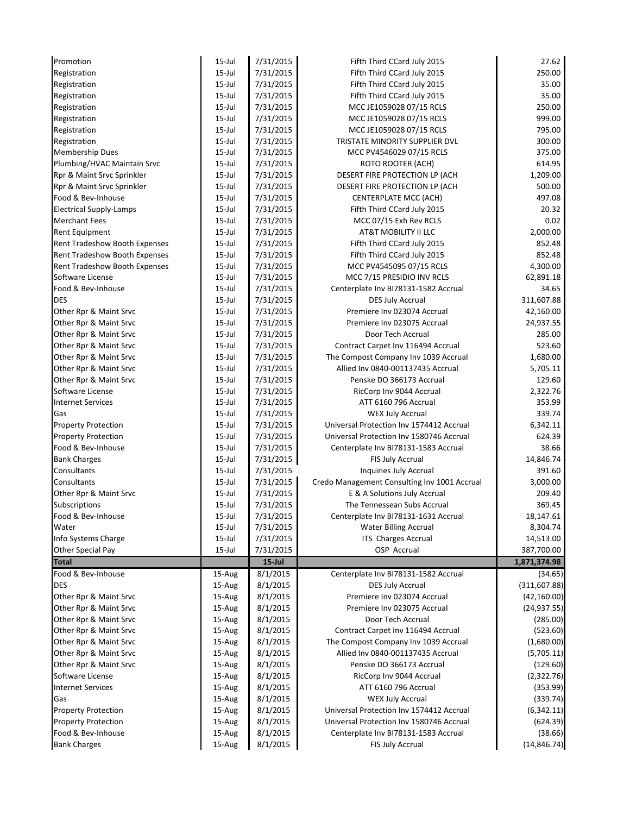| Promotion                      | $15$ -Jul | 7/31/2015 | Fifth Third CCard July 2015                  | 27.62         |
|--------------------------------|-----------|-----------|----------------------------------------------|---------------|
| Registration                   | $15$ -Jul | 7/31/2015 | Fifth Third CCard July 2015                  | 250.00        |
| Registration                   | $15$ -Jul | 7/31/2015 | Fifth Third CCard July 2015                  | 35.00         |
| Registration                   | $15$ -Jul | 7/31/2015 | Fifth Third CCard July 2015                  | 35.00         |
| Registration                   | $15$ -Jul | 7/31/2015 | MCC JE1059028 07/15 RCLS                     | 250.00        |
| Registration                   | $15$ -Jul | 7/31/2015 | MCC JE1059028 07/15 RCLS                     | 999.00        |
| Registration                   | $15$ -Jul | 7/31/2015 | MCC JE1059028 07/15 RCLS                     | 795.00        |
| Registration                   | $15$ -Jul | 7/31/2015 | TRISTATE MINORITY SUPPLIER DVL               | 300.00        |
| Membership Dues                | $15$ -Jul | 7/31/2015 | MCC PV4546029 07/15 RCLS                     | 375.00        |
| Plumbing/HVAC Maintain Srvc    | $15$ -Jul | 7/31/2015 | <b>ROTO ROOTER (ACH)</b>                     | 614.95        |
| Rpr & Maint Srvc Sprinkler     | $15$ -Jul | 7/31/2015 | DESERT FIRE PROTECTION LP (ACH               | 1,209.00      |
| Rpr & Maint Srvc Sprinkler     | $15$ -Jul | 7/31/2015 | DESERT FIRE PROTECTION LP (ACH               | 500.00        |
| Food & Bev-Inhouse             | $15$ -Jul | 7/31/2015 | CENTERPLATE MCC (ACH)                        | 497.08        |
| <b>Electrical Supply-Lamps</b> | $15$ -Jul | 7/31/2015 | Fifth Third CCard July 2015                  | 20.32         |
| <b>Merchant Fees</b>           | $15$ -Jul | 7/31/2015 | MCC 07/15 Exh Rev RCLS                       | 0.02          |
| <b>Rent Equipment</b>          | $15$ -Jul | 7/31/2015 | AT&T MOBILITY II LLC                         | 2,000.00      |
| Rent Tradeshow Booth Expenses  | $15$ -Jul | 7/31/2015 | Fifth Third CCard July 2015                  | 852.48        |
| Rent Tradeshow Booth Expenses  | $15$ -Jul | 7/31/2015 | Fifth Third CCard July 2015                  | 852.48        |
| Rent Tradeshow Booth Expenses  | $15$ -Jul | 7/31/2015 | MCC PV4545095 07/15 RCLS                     | 4,300.00      |
| Software License               | $15$ -Jul | 7/31/2015 | MCC 7/15 PRESIDIO INV RCLS                   | 62,891.18     |
| Food & Bev-Inhouse             | $15$ -Jul | 7/31/2015 | Centerplate Inv BI78131-1582 Accrual         | 34.65         |
| <b>DES</b>                     | $15$ -Jul | 7/31/2015 | <b>DES July Accrual</b>                      | 311,607.88    |
| Other Rpr & Maint Srvc         | $15$ -Jul | 7/31/2015 | Premiere Inv 023074 Accrual                  | 42,160.00     |
| Other Rpr & Maint Srvc         | $15$ -Jul | 7/31/2015 | Premiere Inv 023075 Accrual                  | 24,937.55     |
| Other Rpr & Maint Srvc         | $15$ -Jul | 7/31/2015 | Door Tech Accrual                            | 285.00        |
| Other Rpr & Maint Srvc         | 15-Jul    | 7/31/2015 | Contract Carpet Inv 116494 Accrual           | 523.60        |
| Other Rpr & Maint Srvc         | $15$ -Jul | 7/31/2015 | The Compost Company Inv 1039 Accrual         | 1,680.00      |
| Other Rpr & Maint Srvc         | $15$ -Jul | 7/31/2015 | Allied Inv 0840-001137435 Accrual            | 5,705.11      |
| Other Rpr & Maint Srvc         | $15$ -Jul | 7/31/2015 | Penske DO 366173 Accrual                     | 129.60        |
| Software License               | $15$ -Jul | 7/31/2015 | RicCorp Inv 9044 Accrual                     | 2,322.76      |
| <b>Internet Services</b>       | $15$ -Jul | 7/31/2015 | ATT 6160 796 Accrual                         | 353.99        |
| Gas                            | 15-Jul    | 7/31/2015 | <b>WEX July Accrual</b>                      | 339.74        |
| <b>Property Protection</b>     | $15$ -Jul | 7/31/2015 | Universal Protection Inv 1574412 Accrual     | 6,342.11      |
| <b>Property Protection</b>     | 15-Jul    | 7/31/2015 | Universal Protection Inv 1580746 Accrual     | 624.39        |
| Food & Bev-Inhouse             | $15$ -Jul | 7/31/2015 | Centerplate Inv BI78131-1583 Accrual         | 38.66         |
| <b>Bank Charges</b>            | $15$ -Jul | 7/31/2015 | FIS July Accrual                             | 14,846.74     |
| Consultants                    | 15-Jul    | 7/31/2015 | Inquiries July Accrual                       | 391.60        |
| Consultants                    | 15-Jul    | 7/31/2015 | Credo Management Consulting Inv 1001 Accrual | 3,000.00      |
| Other Rpr & Maint Srvc         | 15-Jul    | 7/31/2015 | E & A Solutions July Accrual                 | 209.40        |
| Subscriptions                  | 15-Jul    | 7/31/2015 | The Tennessean Subs Accrual                  | 369.45        |
| Food & Bev-Inhouse             | $15$ -Jul | 7/31/2015 | Centerplate Inv BI78131-1631 Accrual         | 18,147.61     |
| Water                          |           |           |                                              |               |
|                                | $15$ -Jul | 7/31/2015 | <b>Water Billing Accrual</b>                 | 8,304.74      |
| Info Systems Charge            | $15$ -Jul | 7/31/2015 | <b>ITS Charges Accrual</b>                   | 14,513.00     |
| Other Special Pay              | $15$ -Jul | 7/31/2015 | OSP Accrual                                  | 387,700.00    |
| <b>Total</b>                   |           | $15$ -Jul |                                              | 1,871,374.98  |
| Food & Bev-Inhouse             | 15-Aug    | 8/1/2015  | Centerplate Inv BI78131-1582 Accrual         | (34.65)       |
| DES                            | 15-Aug    | 8/1/2015  | <b>DES July Accrual</b>                      | (311, 607.88) |
| Other Rpr & Maint Srvc         | 15-Aug    | 8/1/2015  | Premiere Inv 023074 Accrual                  | (42, 160.00)  |
| Other Rpr & Maint Srvc         | 15-Aug    | 8/1/2015  | Premiere Inv 023075 Accrual                  | (24, 937.55)  |
| Other Rpr & Maint Srvc         | 15-Aug    | 8/1/2015  | Door Tech Accrual                            | (285.00)      |
| Other Rpr & Maint Srvc         | 15-Aug    | 8/1/2015  | Contract Carpet Inv 116494 Accrual           | (523.60)      |
| Other Rpr & Maint Srvc         | 15-Aug    | 8/1/2015  | The Compost Company Inv 1039 Accrual         | (1,680.00)    |
| Other Rpr & Maint Srvc         | 15-Aug    | 8/1/2015  | Allied Inv 0840-001137435 Accrual            | (5,705.11)    |
| Other Rpr & Maint Srvc         | 15-Aug    | 8/1/2015  | Penske DO 366173 Accrual                     | (129.60)      |
| Software License               | 15-Aug    | 8/1/2015  | RicCorp Inv 9044 Accrual                     | (2,322.76)    |
| <b>Internet Services</b>       | 15-Aug    | 8/1/2015  | ATT 6160 796 Accrual                         | (353.99)      |
| Gas                            | 15-Aug    | 8/1/2015  | <b>WEX July Accrual</b>                      | (339.74)      |
| <b>Property Protection</b>     | 15-Aug    | 8/1/2015  | Universal Protection Inv 1574412 Accrual     | (6,342.11)    |
| <b>Property Protection</b>     | 15-Aug    | 8/1/2015  | Universal Protection Inv 1580746 Accrual     | (624.39)      |
| Food & Bev-Inhouse             | 15-Aug    | 8/1/2015  | Centerplate Inv BI78131-1583 Accrual         | (38.66)       |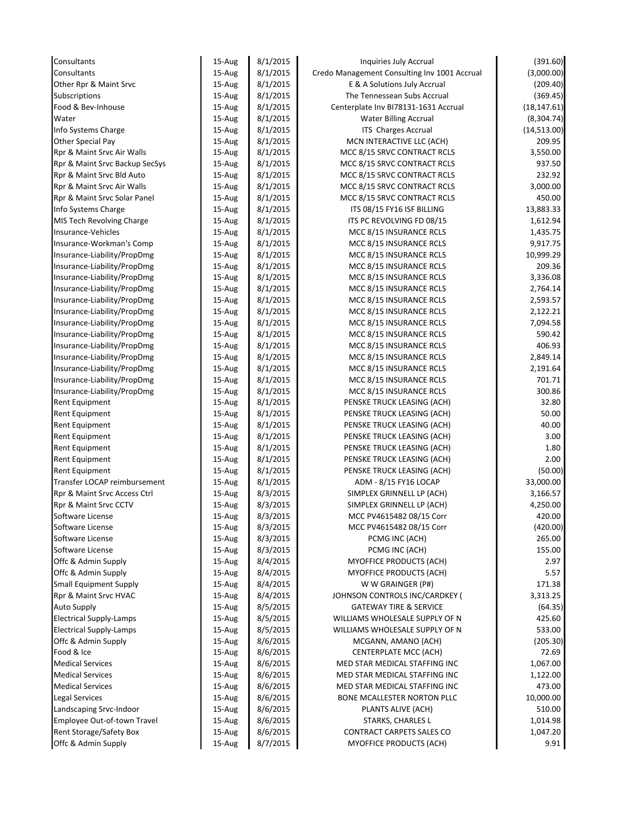| Consultants                                            | 15-Aug           | 8/1/2015             | Inquiries July Accrual                                | (391.60)             |
|--------------------------------------------------------|------------------|----------------------|-------------------------------------------------------|----------------------|
| Consultants                                            | 15-Aug           | 8/1/2015             | Credo Management Consulting Inv 1001 Accrual          | (3,000.00)           |
| Other Rpr & Maint Srvc                                 | 15-Aug           | 8/1/2015             | E & A Solutions July Accrual                          | (209.40)             |
| Subscriptions                                          | 15-Aug           | 8/1/2015             | The Tennessean Subs Accrual                           | (369.45)             |
| Food & Bev-Inhouse                                     | 15-Aug           | 8/1/2015             | Centerplate Inv BI78131-1631 Accrual                  | (18, 147.61)         |
| Water                                                  | 15-Aug           | 8/1/2015             | Water Billing Accrual                                 | (8, 304.74)          |
| Info Systems Charge                                    | 15-Aug           | 8/1/2015             | ITS Charges Accrual                                   | (14,513.00)          |
| Other Special Pay                                      | 15-Aug           | 8/1/2015             | MCN INTERACTIVE LLC (ACH)                             | 209.95               |
| Rpr & Maint Srvc Air Walls                             | 15-Aug           | 8/1/2015             | MCC 8/15 SRVC CONTRACT RCLS                           | 3,550.00             |
| Rpr & Maint Srvc Backup SecSys                         | 15-Aug           | 8/1/2015             | MCC 8/15 SRVC CONTRACT RCLS                           | 937.50               |
| Rpr & Maint Srvc Bld Auto                              | 15-Aug           | 8/1/2015             | MCC 8/15 SRVC CONTRACT RCLS                           | 232.92               |
| Rpr & Maint Srvc Air Walls                             | 15-Aug           | 8/1/2015             | MCC 8/15 SRVC CONTRACT RCLS                           | 3,000.00             |
| Rpr & Maint Srvc Solar Panel                           | 15-Aug           | 8/1/2015             | MCC 8/15 SRVC CONTRACT RCLS                           | 450.00               |
| Info Systems Charge                                    | 15-Aug           | 8/1/2015             | ITS 08/15 FY16 ISF BILLING                            | 13,883.33            |
| MIS Tech Revolving Charge                              | 15-Aug           | 8/1/2015             | ITS PC REVOLVING FD 08/15                             | 1,612.94             |
| Insurance-Vehicles                                     | 15-Aug           | 8/1/2015             | MCC 8/15 INSURANCE RCLS                               | 1,435.75             |
| Insurance-Workman's Comp                               | 15-Aug           | 8/1/2015             | MCC 8/15 INSURANCE RCLS                               | 9,917.75             |
| Insurance-Liability/PropDmg                            | $15-Au$ g        | 8/1/2015             | MCC 8/15 INSURANCE RCLS                               | 10,999.29            |
| Insurance-Liability/PropDmg                            | 15-Aug           | 8/1/2015             | MCC 8/15 INSURANCE RCLS                               | 209.36               |
| Insurance-Liability/PropDmg                            | 15-Aug           | 8/1/2015             | MCC 8/15 INSURANCE RCLS                               | 3,336.08             |
| Insurance-Liability/PropDmg                            | 15-Aug           | 8/1/2015             | MCC 8/15 INSURANCE RCLS                               | 2,764.14             |
| Insurance-Liability/PropDmg                            | 15-Aug           | 8/1/2015             | MCC 8/15 INSURANCE RCLS                               | 2,593.57             |
| Insurance-Liability/PropDmg                            | 15-Aug           | 8/1/2015             | MCC 8/15 INSURANCE RCLS                               | 2,122.21             |
| Insurance-Liability/PropDmg                            | 15-Aug           | 8/1/2015             | MCC 8/15 INSURANCE RCLS                               | 7,094.58             |
| Insurance-Liability/PropDmg                            | 15-Aug           | 8/1/2015             | MCC 8/15 INSURANCE RCLS                               | 590.42               |
| Insurance-Liability/PropDmg                            | 15-Aug           | 8/1/2015             | MCC 8/15 INSURANCE RCLS                               | 406.93               |
| Insurance-Liability/PropDmg                            | 15-Aug           | 8/1/2015             | MCC 8/15 INSURANCE RCLS                               | 2,849.14             |
| Insurance-Liability/PropDmg                            | 15-Aug           | 8/1/2015             | MCC 8/15 INSURANCE RCLS                               | 2,191.64             |
| Insurance-Liability/PropDmg                            | 15-Aug           | 8/1/2015             | MCC 8/15 INSURANCE RCLS                               | 701.71               |
| Insurance-Liability/PropDmg                            | 15-Aug           | 8/1/2015             | MCC 8/15 INSURANCE RCLS                               | 300.86               |
| Rent Equipment                                         | 15-Aug           | 8/1/2015             | PENSKE TRUCK LEASING (ACH)                            | 32.80                |
| Rent Equipment                                         | 15-Aug           | 8/1/2015             | PENSKE TRUCK LEASING (ACH)                            | 50.00                |
| Rent Equipment                                         | 15-Aug           | 8/1/2015             | PENSKE TRUCK LEASING (ACH)                            | 40.00                |
| Rent Equipment                                         | 15-Aug           | 8/1/2015             | PENSKE TRUCK LEASING (ACH)                            | 3.00                 |
| Rent Equipment                                         | $15-Au$ g        | 8/1/2015             | PENSKE TRUCK LEASING (ACH)                            | 1.80                 |
| <b>Rent Equipment</b>                                  | 15-Aug           | 8/1/2015             | PENSKE TRUCK LEASING (ACH)                            | 2.00                 |
| Rent Equipment                                         | 15-Aug           | 8/1/2015             | PENSKE TRUCK LEASING (ACH)                            | (50.00)              |
| Transfer LOCAP reimbursement                           | 15-Aug           | 8/1/2015             | ADM - 8/15 FY16 LOCAP                                 | 33,000.00            |
| Rpr & Maint Srvc Access Ctrl                           | 15-Aug           | 8/3/2015             | SIMPLEX GRINNELL LP (ACH)                             | 3,166.57             |
| Rpr & Maint Srvc CCTV                                  | 15-Aug           | 8/3/2015             | SIMPLEX GRINNELL LP (ACH)                             | 4,250.00             |
| Software License                                       | 15-Aug           | 8/3/2015             | MCC PV4615482 08/15 Corr                              | 420.00               |
| Software License                                       | 15-Aug           | 8/3/2015             | MCC PV4615482 08/15 Corr                              | (420.00)             |
| Software License                                       | 15-Aug           | 8/3/2015             | PCMG INC (ACH)                                        | 265.00               |
| Software License                                       | 15-Aug           | 8/3/2015             | PCMG INC (ACH)                                        | 155.00               |
| Offc & Admin Supply                                    | 15-Aug           | 8/4/2015             | MYOFFICE PRODUCTS (ACH)                               | 2.97                 |
| Offc & Admin Supply                                    | 15-Aug           | 8/4/2015             | MYOFFICE PRODUCTS (ACH)                               | 5.57                 |
| <b>Small Equipment Supply</b>                          | 15-Aug           | 8/4/2015             | W W GRAINGER (P#)                                     | 171.38               |
| Rpr & Maint Srvc HVAC                                  | 15-Aug           | 8/4/2015             | JOHNSON CONTROLS INC/CARDKEY (                        | 3,313.25             |
| <b>Auto Supply</b>                                     | 15-Aug           | 8/5/2015             | <b>GATEWAY TIRE &amp; SERVICE</b>                     | (64.35)              |
| <b>Electrical Supply-Lamps</b>                         | 15-Aug           | 8/5/2015             | WILLIAMS WHOLESALE SUPPLY OF N                        | 425.60               |
| <b>Electrical Supply-Lamps</b>                         | 15-Aug           | 8/5/2015             | WILLIAMS WHOLESALE SUPPLY OF N                        | 533.00               |
| Offc & Admin Supply                                    | 15-Aug           | 8/6/2015             | MCGANN, AMANO (ACH)                                   | (205.30)             |
| Food & Ice                                             | 15-Aug           | 8/6/2015             | CENTERPLATE MCC (ACH)                                 | 72.69                |
| <b>Medical Services</b>                                | 15-Aug           | 8/6/2015             | MED STAR MEDICAL STAFFING INC                         | 1,067.00             |
| <b>Medical Services</b>                                | 15-Aug           | 8/6/2015             | MED STAR MEDICAL STAFFING INC                         | 1,122.00             |
| <b>Medical Services</b>                                | 15-Aug           | 8/6/2015             | MED STAR MEDICAL STAFFING INC                         | 473.00               |
|                                                        |                  | 8/6/2015             | BONE MCALLESTER NORTON PLLC                           | 10,000.00            |
|                                                        |                  |                      |                                                       |                      |
|                                                        | 15-Aug           |                      |                                                       |                      |
| <b>Legal Services</b><br>Landscaping Srvc-Indoor       | 15-Aug           | 8/6/2015             | PLANTS ALIVE (ACH)                                    | 510.00               |
| Employee Out-of-town Travel<br>Rent Storage/Safety Box | 15-Aug<br>15-Aug | 8/6/2015<br>8/6/2015 | <b>STARKS, CHARLES L</b><br>CONTRACT CARPETS SALES CO | 1,014.98<br>1,047.20 |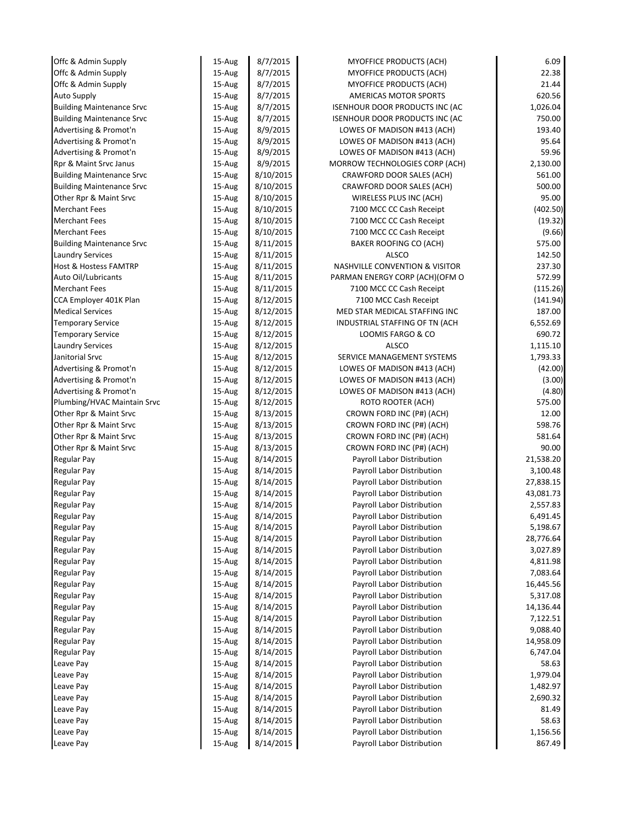| Offc & Admin Supply              | 15-Aug | 8/7/2015  | MYOFFICE PRODUCTS (ACH)           | 6.09      |
|----------------------------------|--------|-----------|-----------------------------------|-----------|
| Offc & Admin Supply              | 15-Aug | 8/7/2015  | MYOFFICE PRODUCTS (ACH)           | 22.38     |
| Offc & Admin Supply              | 15-Aug | 8/7/2015  | MYOFFICE PRODUCTS (ACH)           | 21.44     |
| <b>Auto Supply</b>               | 15-Aug | 8/7/2015  | <b>AMERICAS MOTOR SPORTS</b>      | 620.56    |
| <b>Building Maintenance Srvc</b> | 15-Aug | 8/7/2015  | ISENHOUR DOOR PRODUCTS INC (AC    | 1,026.04  |
| <b>Building Maintenance Srvc</b> | 15-Aug | 8/7/2015  | ISENHOUR DOOR PRODUCTS INC (AC    | 750.00    |
| Advertising & Promot'n           | 15-Aug | 8/9/2015  | LOWES OF MADISON #413 (ACH)       | 193.40    |
| Advertising & Promot'n           | 15-Aug | 8/9/2015  | LOWES OF MADISON #413 (ACH)       | 95.64     |
| Advertising & Promot'n           | 15-Aug | 8/9/2015  | LOWES OF MADISON #413 (ACH)       | 59.96     |
| Rpr & Maint Srvc Janus           | 15-Aug | 8/9/2015  | MORROW TECHNOLOGIES CORP (ACH)    | 2,130.00  |
| <b>Building Maintenance Srvc</b> | 15-Aug | 8/10/2015 | CRAWFORD DOOR SALES (ACH)         | 561.00    |
| <b>Building Maintenance Srvc</b> | 15-Aug | 8/10/2015 | CRAWFORD DOOR SALES (ACH)         | 500.00    |
| Other Rpr & Maint Srvc           | 15-Aug | 8/10/2015 | WIRELESS PLUS INC (ACH)           | 95.00     |
| <b>Merchant Fees</b>             | 15-Aug | 8/10/2015 | 7100 MCC CC Cash Receipt          | (402.50)  |
| <b>Merchant Fees</b>             | 15-Aug | 8/10/2015 | 7100 MCC CC Cash Receipt          | (19.32)   |
| <b>Merchant Fees</b>             | 15-Aug | 8/10/2015 | 7100 MCC CC Cash Receipt          | (9.66)    |
| <b>Building Maintenance Srvc</b> | 15-Aug | 8/11/2015 | BAKER ROOFING CO (ACH)            | 575.00    |
| <b>Laundry Services</b>          | 15-Aug | 8/11/2015 | <b>ALSCO</b>                      | 142.50    |
| <b>Host &amp; Hostess FAMTRP</b> | 15-Aug | 8/11/2015 | NASHVILLE CONVENTION & VISITOR    | 237.30    |
| Auto Oil/Lubricants              | 15-Aug | 8/11/2015 | PARMAN ENERGY CORP (ACH)(OFM O    | 572.99    |
| <b>Merchant Fees</b>             | 15-Aug | 8/11/2015 | 7100 MCC CC Cash Receipt          | (115.26)  |
| CCA Employer 401K Plan           | 15-Aug | 8/12/2015 | 7100 MCC Cash Receipt             | (141.94)  |
| <b>Medical Services</b>          | 15-Aug | 8/12/2015 | MED STAR MEDICAL STAFFING INC     | 187.00    |
| <b>Temporary Service</b>         | 15-Aug | 8/12/2015 | INDUSTRIAL STAFFING OF TN (ACH    | 6,552.69  |
| <b>Temporary Service</b>         | 15-Aug | 8/12/2015 | LOOMIS FARGO & CO                 | 690.72    |
| <b>Laundry Services</b>          | 15-Aug | 8/12/2015 | <b>ALSCO</b>                      | 1,115.10  |
| Janitorial Srvc                  | 15-Aug | 8/12/2015 | SERVICE MANAGEMENT SYSTEMS        | 1,793.33  |
| Advertising & Promot'n           | 15-Aug | 8/12/2015 | LOWES OF MADISON #413 (ACH)       | (42.00)   |
| Advertising & Promot'n           | 15-Aug | 8/12/2015 | LOWES OF MADISON #413 (ACH)       | (3.00)    |
| Advertising & Promot'n           | 15-Aug | 8/12/2015 | LOWES OF MADISON #413 (ACH)       | (4.80)    |
| Plumbing/HVAC Maintain Srvc      | 15-Aug | 8/12/2015 | ROTO ROOTER (ACH)                 | 575.00    |
| Other Rpr & Maint Srvc           | 15-Aug | 8/13/2015 | CROWN FORD INC (P#) (ACH)         | 12.00     |
| Other Rpr & Maint Srvc           | 15-Aug | 8/13/2015 | CROWN FORD INC (P#) (ACH)         | 598.76    |
| Other Rpr & Maint Srvc           | 15-Aug | 8/13/2015 | CROWN FORD INC (P#) (ACH)         | 581.64    |
| Other Rpr & Maint Srvc           | 15-Aug | 8/13/2015 | CROWN FORD INC (P#) (ACH)         | 90.00     |
| <b>Regular Pay</b>               | 15-Aug | 8/14/2015 | Payroll Labor Distribution        | 21,538.20 |
| <b>Regular Pay</b>               | 15-Aug | 8/14/2015 | Payroll Labor Distribution        | 3,100.48  |
| <b>Regular Pay</b>               | 15-Aug | 8/14/2015 | Payroll Labor Distribution        | 27,838.15 |
| Regular Pay                      | 15-Aug | 8/14/2015 | Payroll Labor Distribution        | 43,081.73 |
| <b>Regular Pay</b>               | 15-Aug | 8/14/2015 | Payroll Labor Distribution        | 2,557.83  |
| <b>Regular Pay</b>               | 15-Aug | 8/14/2015 | <b>Payroll Labor Distribution</b> | 6,491.45  |
| <b>Regular Pay</b>               | 15-Aug | 8/14/2015 | Payroll Labor Distribution        | 5,198.67  |
| <b>Regular Pay</b>               | 15-Aug | 8/14/2015 | Payroll Labor Distribution        | 28,776.64 |
| Regular Pay                      | 15-Aug | 8/14/2015 | Payroll Labor Distribution        | 3,027.89  |
| <b>Regular Pay</b>               | 15-Aug | 8/14/2015 | Payroll Labor Distribution        | 4,811.98  |
| Regular Pay                      | 15-Aug | 8/14/2015 | <b>Payroll Labor Distribution</b> | 7,083.64  |
| <b>Regular Pay</b>               | 15-Aug | 8/14/2015 | Payroll Labor Distribution        | 16,445.56 |
| Regular Pay                      | 15-Aug | 8/14/2015 | Payroll Labor Distribution        | 5,317.08  |
| Regular Pay                      | 15-Aug | 8/14/2015 | Payroll Labor Distribution        | 14,136.44 |
| Regular Pay                      | 15-Aug | 8/14/2015 | Payroll Labor Distribution        | 7,122.51  |
| Regular Pay                      | 15-Aug | 8/14/2015 | Payroll Labor Distribution        | 9,088.40  |
| <b>Regular Pay</b>               | 15-Aug | 8/14/2015 | Payroll Labor Distribution        | 14,958.09 |
| <b>Regular Pay</b>               | 15-Aug | 8/14/2015 | Payroll Labor Distribution        | 6,747.04  |
| Leave Pay                        | 15-Aug | 8/14/2015 | Payroll Labor Distribution        | 58.63     |
| Leave Pay                        | 15-Aug | 8/14/2015 | Payroll Labor Distribution        | 1,979.04  |
| Leave Pay                        | 15-Aug | 8/14/2015 | Payroll Labor Distribution        | 1,482.97  |
| Leave Pay                        | 15-Aug | 8/14/2015 | Payroll Labor Distribution        | 2,690.32  |
| Leave Pay                        | 15-Aug | 8/14/2015 | Payroll Labor Distribution        | 81.49     |
| Leave Pay                        | 15-Aug | 8/14/2015 | Payroll Labor Distribution        | 58.63     |
| Leave Pay                        | 15-Aug | 8/14/2015 | Payroll Labor Distribution        | 1,156.56  |
| Leave Pay                        | 15-Aug | 8/14/2015 | Payroll Labor Distribution        | 867.49    |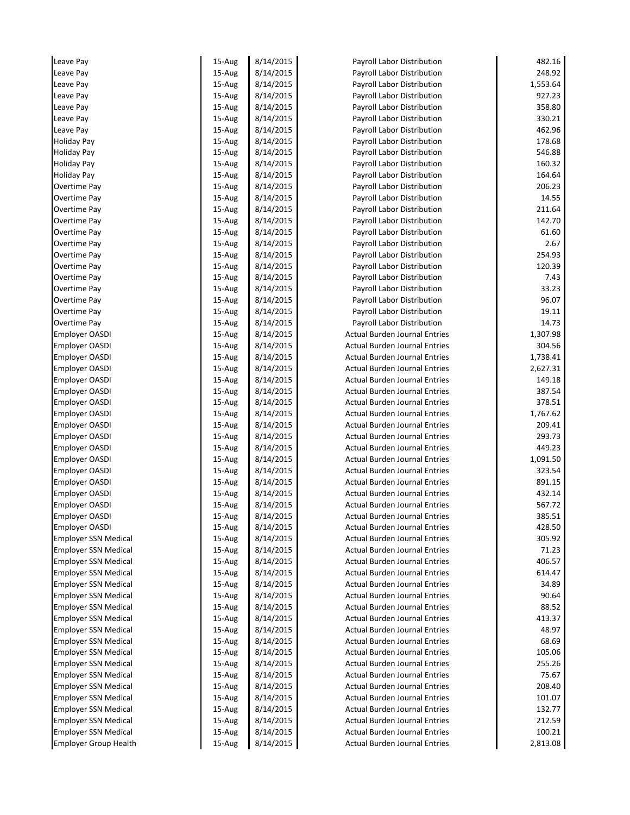| Leave Pay                    | 15-Aug    | 8/14/2015 | Payroll Labor Distribution           | 482.16   |
|------------------------------|-----------|-----------|--------------------------------------|----------|
| Leave Pay                    | 15-Aug    | 8/14/2015 | Payroll Labor Distribution           | 248.92   |
| Leave Pay                    | 15-Aug    | 8/14/2015 | Payroll Labor Distribution           | 1,553.64 |
| Leave Pay                    | 15-Aug    | 8/14/2015 | Payroll Labor Distribution           | 927.23   |
| Leave Pay                    | 15-Aug    | 8/14/2015 | Payroll Labor Distribution           | 358.80   |
| Leave Pay                    | 15-Aug    | 8/14/2015 | Payroll Labor Distribution           | 330.21   |
| Leave Pay                    | 15-Aug    | 8/14/2015 | Payroll Labor Distribution           | 462.96   |
| <b>Holiday Pay</b>           | 15-Aug    | 8/14/2015 | Payroll Labor Distribution           | 178.68   |
| <b>Holiday Pay</b>           | 15-Aug    | 8/14/2015 | Payroll Labor Distribution           | 546.88   |
| <b>Holiday Pay</b>           | 15-Aug    | 8/14/2015 | Payroll Labor Distribution           | 160.32   |
| <b>Holiday Pay</b>           | 15-Aug    | 8/14/2015 | Payroll Labor Distribution           | 164.64   |
| Overtime Pay                 | 15-Aug    | 8/14/2015 | Payroll Labor Distribution           | 206.23   |
| Overtime Pay                 | 15-Aug    | 8/14/2015 | Payroll Labor Distribution           | 14.55    |
| Overtime Pay                 | 15-Aug    | 8/14/2015 | Payroll Labor Distribution           | 211.64   |
| Overtime Pay                 | 15-Aug    | 8/14/2015 | Payroll Labor Distribution           | 142.70   |
| Overtime Pay                 | 15-Aug    | 8/14/2015 | Payroll Labor Distribution           | 61.60    |
| Overtime Pay                 | 15-Aug    | 8/14/2015 | Payroll Labor Distribution           | 2.67     |
| Overtime Pay                 | 15-Aug    | 8/14/2015 | Payroll Labor Distribution           | 254.93   |
| Overtime Pay                 | $15-Au$ g | 8/14/2015 | Payroll Labor Distribution           | 120.39   |
| Overtime Pay                 | 15-Aug    | 8/14/2015 | Payroll Labor Distribution           | 7.43     |
| Overtime Pay                 | 15-Aug    | 8/14/2015 | Payroll Labor Distribution           | 33.23    |
| Overtime Pay                 | 15-Aug    | 8/14/2015 | Payroll Labor Distribution           | 96.07    |
| Overtime Pay                 | 15-Aug    | 8/14/2015 | Payroll Labor Distribution           | 19.11    |
| Overtime Pay                 | 15-Aug    | 8/14/2015 | Payroll Labor Distribution           | 14.73    |
| <b>Employer OASDI</b>        | 15-Aug    | 8/14/2015 | <b>Actual Burden Journal Entries</b> | 1,307.98 |
| <b>Employer OASDI</b>        | 15-Aug    | 8/14/2015 | <b>Actual Burden Journal Entries</b> | 304.56   |
| <b>Employer OASDI</b>        | 15-Aug    | 8/14/2015 | <b>Actual Burden Journal Entries</b> | 1,738.41 |
| <b>Employer OASDI</b>        | 15-Aug    | 8/14/2015 | <b>Actual Burden Journal Entries</b> | 2,627.31 |
| <b>Employer OASDI</b>        | 15-Aug    | 8/14/2015 | <b>Actual Burden Journal Entries</b> | 149.18   |
| <b>Employer OASDI</b>        | 15-Aug    | 8/14/2015 | <b>Actual Burden Journal Entries</b> | 387.54   |
| <b>Employer OASDI</b>        | 15-Aug    | 8/14/2015 | <b>Actual Burden Journal Entries</b> | 378.51   |
| <b>Employer OASDI</b>        | 15-Aug    | 8/14/2015 | <b>Actual Burden Journal Entries</b> | 1,767.62 |
| <b>Employer OASDI</b>        | 15-Aug    | 8/14/2015 | <b>Actual Burden Journal Entries</b> | 209.41   |
| <b>Employer OASDI</b>        | 15-Aug    | 8/14/2015 | <b>Actual Burden Journal Entries</b> | 293.73   |
| <b>Employer OASDI</b>        | 15-Aug    | 8/14/2015 | <b>Actual Burden Journal Entries</b> | 449.23   |
| <b>Employer OASDI</b>        | 15-Aug    | 8/14/2015 | <b>Actual Burden Journal Entries</b> | 1,091.50 |
| Employer OASDI               | 15-Aug    | 8/14/2015 | <b>Actual Burden Journal Entries</b> | 323.54   |
| Employer OASDI               | 15-Aug    | 8/14/2015 | <b>Actual Burden Journal Entries</b> | 891.15   |
| <b>Employer OASDI</b>        | 15-Aug    | 8/14/2015 | <b>Actual Burden Journal Entries</b> | 432.14   |
| Employer OASDI               | 15-Aug    | 8/14/2015 | <b>Actual Burden Journal Entries</b> | 567.72   |
| <b>Employer OASDI</b>        | 15-Aug    | 8/14/2015 | Actual Burden Journal Entries        | 385.51   |
| <b>Employer OASDI</b>        | 15-Aug    | 8/14/2015 | <b>Actual Burden Journal Entries</b> | 428.50   |
| <b>Employer SSN Medical</b>  | 15-Aug    | 8/14/2015 | <b>Actual Burden Journal Entries</b> | 305.92   |
| <b>Employer SSN Medical</b>  | 15-Aug    | 8/14/2015 | <b>Actual Burden Journal Entries</b> | 71.23    |
| <b>Employer SSN Medical</b>  | 15-Aug    | 8/14/2015 | <b>Actual Burden Journal Entries</b> | 406.57   |
| <b>Employer SSN Medical</b>  | $15-Au$ g | 8/14/2015 | <b>Actual Burden Journal Entries</b> | 614.47   |
| <b>Employer SSN Medical</b>  | 15-Aug    | 8/14/2015 | <b>Actual Burden Journal Entries</b> | 34.89    |
| <b>Employer SSN Medical</b>  | 15-Aug    | 8/14/2015 | <b>Actual Burden Journal Entries</b> | 90.64    |
| <b>Employer SSN Medical</b>  | 15-Aug    | 8/14/2015 | <b>Actual Burden Journal Entries</b> | 88.52    |
| <b>Employer SSN Medical</b>  | 15-Aug    | 8/14/2015 | <b>Actual Burden Journal Entries</b> | 413.37   |
| Employer SSN Medical         | 15-Aug    | 8/14/2015 | <b>Actual Burden Journal Entries</b> | 48.97    |
| <b>Employer SSN Medical</b>  | 15-Aug    | 8/14/2015 | <b>Actual Burden Journal Entries</b> | 68.69    |
| <b>Employer SSN Medical</b>  | 15-Aug    | 8/14/2015 | <b>Actual Burden Journal Entries</b> | 105.06   |
| <b>Employer SSN Medical</b>  | 15-Aug    | 8/14/2015 | <b>Actual Burden Journal Entries</b> | 255.26   |
| <b>Employer SSN Medical</b>  | 15-Aug    | 8/14/2015 | <b>Actual Burden Journal Entries</b> | 75.67    |
| <b>Employer SSN Medical</b>  | 15-Aug    | 8/14/2015 | <b>Actual Burden Journal Entries</b> | 208.40   |
| <b>Employer SSN Medical</b>  | 15-Aug    | 8/14/2015 | <b>Actual Burden Journal Entries</b> | 101.07   |
| <b>Employer SSN Medical</b>  | 15-Aug    | 8/14/2015 | <b>Actual Burden Journal Entries</b> | 132.77   |
| <b>Employer SSN Medical</b>  | 15-Aug    | 8/14/2015 | <b>Actual Burden Journal Entries</b> | 212.59   |
| <b>Employer SSN Medical</b>  | 15-Aug    | 8/14/2015 | <b>Actual Burden Journal Entries</b> | 100.21   |
| <b>Employer Group Health</b> | 15-Aug    | 8/14/2015 | <b>Actual Burden Journal Entries</b> | 2,813.08 |
|                              |           |           |                                      |          |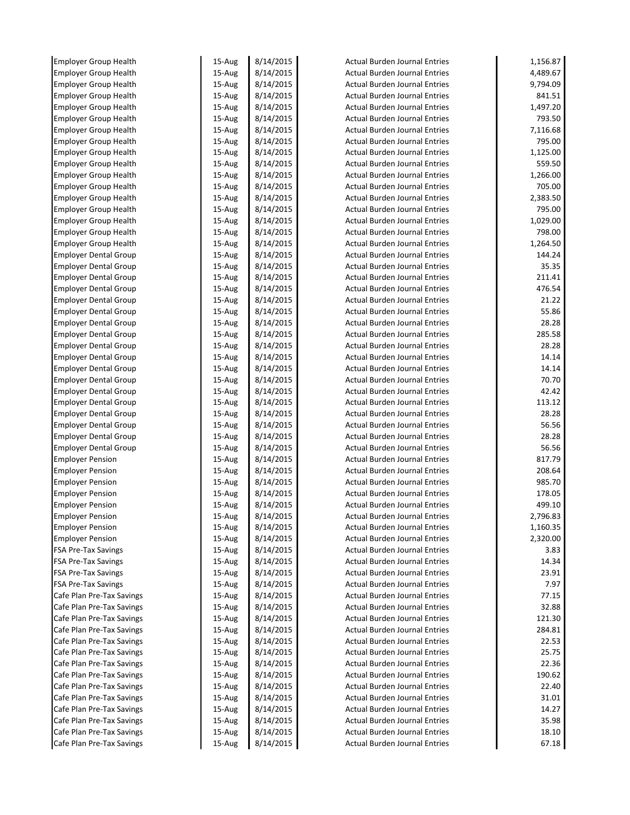| <b>Employer Group Health</b> | 15-Aug    | 8/14/2015 | <b>Actual Burden Journal Entries</b> | 1,156.87 |
|------------------------------|-----------|-----------|--------------------------------------|----------|
| <b>Employer Group Health</b> | 15-Aug    | 8/14/2015 | <b>Actual Burden Journal Entries</b> | 4,489.67 |
| <b>Employer Group Health</b> | 15-Aug    | 8/14/2015 | <b>Actual Burden Journal Entries</b> | 9,794.09 |
| <b>Employer Group Health</b> | 15-Aug    | 8/14/2015 | <b>Actual Burden Journal Entries</b> | 841.51   |
| <b>Employer Group Health</b> | 15-Aug    | 8/14/2015 | <b>Actual Burden Journal Entries</b> | 1,497.20 |
| <b>Employer Group Health</b> | 15-Aug    | 8/14/2015 | <b>Actual Burden Journal Entries</b> | 793.50   |
| <b>Employer Group Health</b> | 15-Aug    | 8/14/2015 | <b>Actual Burden Journal Entries</b> | 7,116.68 |
| <b>Employer Group Health</b> | 15-Aug    | 8/14/2015 | <b>Actual Burden Journal Entries</b> | 795.00   |
| <b>Employer Group Health</b> | 15-Aug    | 8/14/2015 | <b>Actual Burden Journal Entries</b> | 1,125.00 |
| <b>Employer Group Health</b> | 15-Aug    | 8/14/2015 | <b>Actual Burden Journal Entries</b> | 559.50   |
| <b>Employer Group Health</b> | 15-Aug    | 8/14/2015 | <b>Actual Burden Journal Entries</b> | 1,266.00 |
| <b>Employer Group Health</b> | 15-Aug    | 8/14/2015 | <b>Actual Burden Journal Entries</b> | 705.00   |
| <b>Employer Group Health</b> | 15-Aug    | 8/14/2015 | <b>Actual Burden Journal Entries</b> | 2,383.50 |
| <b>Employer Group Health</b> | 15-Aug    | 8/14/2015 | <b>Actual Burden Journal Entries</b> | 795.00   |
| <b>Employer Group Health</b> | 15-Aug    | 8/14/2015 | <b>Actual Burden Journal Entries</b> | 1,029.00 |
| <b>Employer Group Health</b> | 15-Aug    | 8/14/2015 | <b>Actual Burden Journal Entries</b> | 798.00   |
| <b>Employer Group Health</b> | 15-Aug    | 8/14/2015 | <b>Actual Burden Journal Entries</b> | 1,264.50 |
| <b>Employer Dental Group</b> | 15-Aug    | 8/14/2015 | <b>Actual Burden Journal Entries</b> | 144.24   |
| <b>Employer Dental Group</b> | 15-Aug    | 8/14/2015 | <b>Actual Burden Journal Entries</b> | 35.35    |
| <b>Employer Dental Group</b> | 15-Aug    | 8/14/2015 | <b>Actual Burden Journal Entries</b> | 211.41   |
| <b>Employer Dental Group</b> | $15-Au$ g | 8/14/2015 | <b>Actual Burden Journal Entries</b> | 476.54   |
| <b>Employer Dental Group</b> | 15-Aug    | 8/14/2015 | <b>Actual Burden Journal Entries</b> | 21.22    |
| <b>Employer Dental Group</b> | 15-Aug    | 8/14/2015 | <b>Actual Burden Journal Entries</b> | 55.86    |
| <b>Employer Dental Group</b> | 15-Aug    | 8/14/2015 | <b>Actual Burden Journal Entries</b> | 28.28    |
| <b>Employer Dental Group</b> | 15-Aug    | 8/14/2015 | <b>Actual Burden Journal Entries</b> | 285.58   |
| <b>Employer Dental Group</b> | 15-Aug    | 8/14/2015 | <b>Actual Burden Journal Entries</b> | 28.28    |
| <b>Employer Dental Group</b> | 15-Aug    | 8/14/2015 | <b>Actual Burden Journal Entries</b> | 14.14    |
| <b>Employer Dental Group</b> | 15-Aug    | 8/14/2015 | <b>Actual Burden Journal Entries</b> | 14.14    |
| <b>Employer Dental Group</b> | 15-Aug    | 8/14/2015 | <b>Actual Burden Journal Entries</b> | 70.70    |
| <b>Employer Dental Group</b> | 15-Aug    | 8/14/2015 | <b>Actual Burden Journal Entries</b> | 42.42    |
| <b>Employer Dental Group</b> | 15-Aug    | 8/14/2015 | <b>Actual Burden Journal Entries</b> | 113.12   |
| <b>Employer Dental Group</b> | 15-Aug    | 8/14/2015 | <b>Actual Burden Journal Entries</b> | 28.28    |
| <b>Employer Dental Group</b> | 15-Aug    | 8/14/2015 | <b>Actual Burden Journal Entries</b> | 56.56    |
| <b>Employer Dental Group</b> | 15-Aug    | 8/14/2015 | <b>Actual Burden Journal Entries</b> | 28.28    |
| <b>Employer Dental Group</b> | 15-Aug    | 8/14/2015 | <b>Actual Burden Journal Entries</b> | 56.56    |
| <b>Employer Pension</b>      | 15-Aug    | 8/14/2015 | <b>Actual Burden Journal Entries</b> | 817.79   |
| <b>Employer Pension</b>      | 15-Aug    | 8/14/2015 | <b>Actual Burden Journal Entries</b> | 208.64   |
| <b>Employer Pension</b>      | 15-Aug    | 8/14/2015 | <b>Actual Burden Journal Entries</b> | 985.70   |
| <b>Employer Pension</b>      | 15-Aug    | 8/14/2015 | <b>Actual Burden Journal Entries</b> | 178.05   |
| <b>Employer Pension</b>      | 15-Aug    | 8/14/2015 | <b>Actual Burden Journal Entries</b> | 499.10   |
| <b>Employer Pension</b>      | 15-Aug    | 8/14/2015 | <b>Actual Burden Journal Entries</b> | 2,796.83 |
| <b>Employer Pension</b>      | 15-Aug    | 8/14/2015 | <b>Actual Burden Journal Entries</b> | 1,160.35 |
| <b>Employer Pension</b>      | 15-Aug    | 8/14/2015 | <b>Actual Burden Journal Entries</b> | 2,320.00 |
| <b>FSA Pre-Tax Savings</b>   | 15-Aug    | 8/14/2015 | <b>Actual Burden Journal Entries</b> | 3.83     |
| <b>FSA Pre-Tax Savings</b>   | 15-Aug    | 8/14/2015 | <b>Actual Burden Journal Entries</b> | 14.34    |
| <b>FSA Pre-Tax Savings</b>   | 15-Aug    | 8/14/2015 | <b>Actual Burden Journal Entries</b> | 23.91    |
| <b>FSA Pre-Tax Savings</b>   | 15-Aug    | 8/14/2015 | <b>Actual Burden Journal Entries</b> | 7.97     |
| Cafe Plan Pre-Tax Savings    | 15-Aug    | 8/14/2015 | <b>Actual Burden Journal Entries</b> | 77.15    |
| Cafe Plan Pre-Tax Savings    | 15-Aug    | 8/14/2015 | <b>Actual Burden Journal Entries</b> | 32.88    |
| Cafe Plan Pre-Tax Savings    | 15-Aug    | 8/14/2015 | <b>Actual Burden Journal Entries</b> | 121.30   |
| Cafe Plan Pre-Tax Savings    |           |           |                                      | 284.81   |
|                              | 15-Aug    | 8/14/2015 | <b>Actual Burden Journal Entries</b> | 22.53    |
| Cafe Plan Pre-Tax Savings    | 15-Aug    | 8/14/2015 | <b>Actual Burden Journal Entries</b> |          |
| Cafe Plan Pre-Tax Savings    | 15-Aug    | 8/14/2015 | <b>Actual Burden Journal Entries</b> | 25.75    |
| Cafe Plan Pre-Tax Savings    | 15-Aug    | 8/14/2015 | <b>Actual Burden Journal Entries</b> | 22.36    |
| Cafe Plan Pre-Tax Savings    | 15-Aug    | 8/14/2015 | <b>Actual Burden Journal Entries</b> | 190.62   |
| Cafe Plan Pre-Tax Savings    | 15-Aug    | 8/14/2015 | <b>Actual Burden Journal Entries</b> | 22.40    |
| Cafe Plan Pre-Tax Savings    | 15-Aug    | 8/14/2015 | <b>Actual Burden Journal Entries</b> | 31.01    |
| Cafe Plan Pre-Tax Savings    | 15-Aug    | 8/14/2015 | <b>Actual Burden Journal Entries</b> | 14.27    |
| Cafe Plan Pre-Tax Savings    | 15-Aug    | 8/14/2015 | <b>Actual Burden Journal Entries</b> | 35.98    |
| Cafe Plan Pre-Tax Savings    | 15-Aug    | 8/14/2015 | <b>Actual Burden Journal Entries</b> | 18.10    |
| Cafe Plan Pre-Tax Savings    | 15-Aug    | 8/14/2015 | <b>Actual Burden Journal Entries</b> | 67.18    |
|                              |           |           |                                      |          |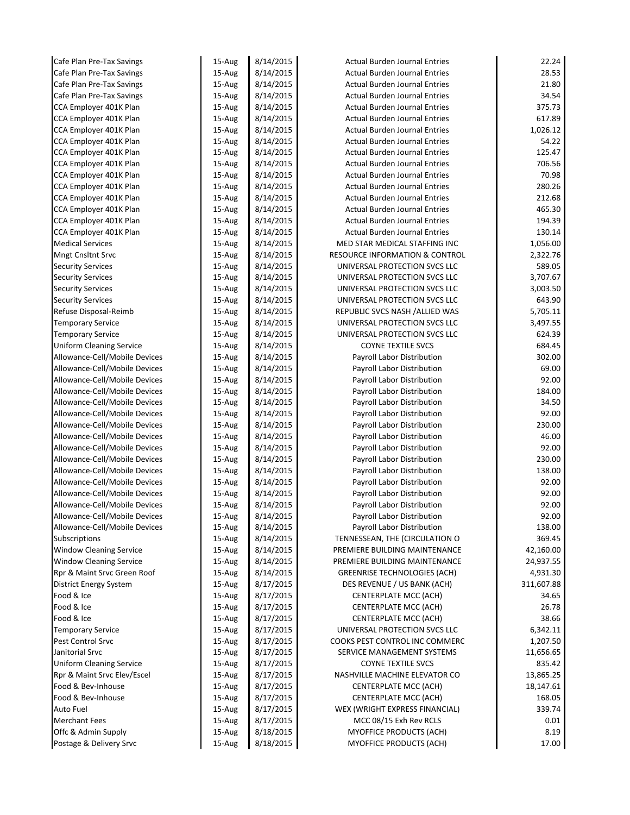| Cafe Plan Pre-Tax Savings                        | $15-Au$ g        | 8/14/2015              | <b>Actual Burden Journal Entries</b>                                         | 22.24            |
|--------------------------------------------------|------------------|------------------------|------------------------------------------------------------------------------|------------------|
| Cafe Plan Pre-Tax Savings                        | 15-Aug           | 8/14/2015              | <b>Actual Burden Journal Entries</b>                                         | 28.53            |
| Cafe Plan Pre-Tax Savings                        | 15-Aug           | 8/14/2015              | <b>Actual Burden Journal Entries</b>                                         | 21.80            |
| Cafe Plan Pre-Tax Savings                        | 15-Aug           | 8/14/2015              | <b>Actual Burden Journal Entries</b>                                         | 34.54            |
| CCA Employer 401K Plan                           | 15-Aug           | 8/14/2015              | <b>Actual Burden Journal Entries</b>                                         | 375.73           |
| CCA Employer 401K Plan                           | 15-Aug           | 8/14/2015              | <b>Actual Burden Journal Entries</b>                                         | 617.89           |
| CCA Employer 401K Plan                           | 15-Aug           | 8/14/2015              | <b>Actual Burden Journal Entries</b>                                         | 1,026.12         |
| CCA Employer 401K Plan                           | 15-Aug           | 8/14/2015              | <b>Actual Burden Journal Entries</b>                                         | 54.22            |
| CCA Employer 401K Plan                           | 15-Aug           | 8/14/2015              | <b>Actual Burden Journal Entries</b>                                         | 125.47           |
| CCA Employer 401K Plan                           | 15-Aug           | 8/14/2015              | <b>Actual Burden Journal Entries</b>                                         | 706.56           |
| CCA Employer 401K Plan                           | 15-Aug           | 8/14/2015              | <b>Actual Burden Journal Entries</b>                                         | 70.98            |
| CCA Employer 401K Plan                           | 15-Aug           | 8/14/2015              | <b>Actual Burden Journal Entries</b>                                         | 280.26           |
| CCA Employer 401K Plan                           | 15-Aug           | 8/14/2015              | <b>Actual Burden Journal Entries</b>                                         | 212.68<br>465.30 |
| CCA Employer 401K Plan                           | 15-Aug           | 8/14/2015<br>8/14/2015 | <b>Actual Burden Journal Entries</b><br><b>Actual Burden Journal Entries</b> | 194.39           |
| CCA Employer 401K Plan<br>CCA Employer 401K Plan | 15-Aug           | 8/14/2015              | <b>Actual Burden Journal Entries</b>                                         | 130.14           |
| <b>Medical Services</b>                          | 15-Aug<br>15-Aug | 8/14/2015              | MED STAR MEDICAL STAFFING INC                                                | 1,056.00         |
| <b>Mngt Cnsltnt Srvc</b>                         |                  | 8/14/2015              |                                                                              | 2,322.76         |
| <b>Security Services</b>                         | 15-Aug<br>15-Aug | 8/14/2015              | <b>RESOURCE INFORMATION &amp; CONTROL</b><br>UNIVERSAL PROTECTION SVCS LLC   | 589.05           |
| <b>Security Services</b>                         | 15-Aug           | 8/14/2015              | UNIVERSAL PROTECTION SVCS LLC                                                | 3,707.67         |
| <b>Security Services</b>                         | 15-Aug           | 8/14/2015              | UNIVERSAL PROTECTION SVCS LLC                                                | 3,003.50         |
| <b>Security Services</b>                         | 15-Aug           | 8/14/2015              | UNIVERSAL PROTECTION SVCS LLC                                                | 643.90           |
| Refuse Disposal-Reimb                            | 15-Aug           | 8/14/2015              | REPUBLIC SVCS NASH / ALLIED WAS                                              | 5,705.11         |
| <b>Temporary Service</b>                         | 15-Aug           | 8/14/2015              | UNIVERSAL PROTECTION SVCS LLC                                                | 3,497.55         |
| <b>Temporary Service</b>                         | 15-Aug           | 8/14/2015              | UNIVERSAL PROTECTION SVCS LLC                                                | 624.39           |
| <b>Uniform Cleaning Service</b>                  | 15-Aug           | 8/14/2015              | <b>COYNE TEXTILE SVCS</b>                                                    | 684.45           |
| Allowance-Cell/Mobile Devices                    | 15-Aug           | 8/14/2015              | Payroll Labor Distribution                                                   | 302.00           |
| Allowance-Cell/Mobile Devices                    | 15-Aug           | 8/14/2015              | Payroll Labor Distribution                                                   | 69.00            |
| Allowance-Cell/Mobile Devices                    | 15-Aug           | 8/14/2015              | Payroll Labor Distribution                                                   | 92.00            |
| Allowance-Cell/Mobile Devices                    | 15-Aug           | 8/14/2015              | Payroll Labor Distribution                                                   | 184.00           |
| Allowance-Cell/Mobile Devices                    | 15-Aug           | 8/14/2015              | Payroll Labor Distribution                                                   | 34.50            |
| Allowance-Cell/Mobile Devices                    | 15-Aug           | 8/14/2015              | Payroll Labor Distribution                                                   | 92.00            |
| Allowance-Cell/Mobile Devices                    | 15-Aug           | 8/14/2015              | Payroll Labor Distribution                                                   | 230.00           |
| Allowance-Cell/Mobile Devices                    | 15-Aug           | 8/14/2015              | Payroll Labor Distribution                                                   | 46.00            |
| Allowance-Cell/Mobile Devices                    | 15-Aug           | 8/14/2015              | Payroll Labor Distribution                                                   | 92.00            |
| Allowance-Cell/Mobile Devices                    | 15-Aug           | 8/14/2015              | Payroll Labor Distribution                                                   | 230.00           |
| Allowance-Cell/Mobile Devices                    | 15-Aug           | 8/14/2015              | Payroll Labor Distribution                                                   | 138.00           |
| Allowance-Cell/Mobile Devices                    | 15-Aug           | 8/14/2015              | Payroll Labor Distribution                                                   | 92.00            |
| Allowance-Cell/Mobile Devices                    | 15-Aug           | 8/14/2015              | Payroll Labor Distribution                                                   | 92.00            |
| Allowance-Cell/Mobile Devices                    | 15-Aug           | 8/14/2015              | Payroll Labor Distribution                                                   | 92.00            |
| Allowance-Cell/Mobile Devices                    | 15-Aug           | 8/14/2015              | Payroll Labor Distribution                                                   | 92.00            |
| Allowance-Cell/Mobile Devices                    | 15-Aug           | 8/14/2015              | Payroll Labor Distribution                                                   | 138.00           |
| Subscriptions                                    | 15-Aug           | 8/14/2015              | TENNESSEAN, THE (CIRCULATION O                                               | 369.45           |
| <b>Window Cleaning Service</b>                   | 15-Aug           | 8/14/2015              | PREMIERE BUILDING MAINTENANCE                                                | 42,160.00        |
| <b>Window Cleaning Service</b>                   | 15-Aug           | 8/14/2015              | PREMIERE BUILDING MAINTENANCE                                                | 24,937.55        |
| Rpr & Maint Srvc Green Roof                      | 15-Aug           | 8/14/2015              | <b>GREENRISE TECHNOLOGIES (ACH)</b>                                          | 4,931.30         |
| District Energy System                           | 15-Aug           | 8/17/2015              | DES REVENUE / US BANK (ACH)                                                  | 311,607.88       |
| Food & Ice                                       | 15-Aug           | 8/17/2015              | CENTERPLATE MCC (ACH)                                                        | 34.65            |
| Food & Ice                                       | 15-Aug           | 8/17/2015              | CENTERPLATE MCC (ACH)                                                        | 26.78            |
| Food & Ice                                       | 15-Aug           | 8/17/2015              | <b>CENTERPLATE MCC (ACH)</b>                                                 | 38.66            |
| <b>Temporary Service</b>                         | 15-Aug           | 8/17/2015              | UNIVERSAL PROTECTION SVCS LLC                                                | 6,342.11         |
| Pest Control Srvc                                | 15-Aug           | 8/17/2015              | COOKS PEST CONTROL INC COMMERC                                               | 1,207.50         |
| Janitorial Srvc                                  | 15-Aug           | 8/17/2015              | SERVICE MANAGEMENT SYSTEMS                                                   | 11,656.65        |
| <b>Uniform Cleaning Service</b>                  | 15-Aug           | 8/17/2015              | <b>COYNE TEXTILE SVCS</b>                                                    | 835.42           |
| Rpr & Maint Srvc Elev/Escel                      | 15-Aug           | 8/17/2015              | NASHVILLE MACHINE ELEVATOR CO                                                | 13,865.25        |
| Food & Bev-Inhouse                               | 15-Aug           | 8/17/2015              | CENTERPLATE MCC (ACH)                                                        | 18,147.61        |
| Food & Bev-Inhouse                               | 15-Aug<br>15-Aug | 8/17/2015<br>8/17/2015 | CENTERPLATE MCC (ACH)                                                        | 168.05           |
|                                                  |                  |                        | WEX (WRIGHT EXPRESS FINANCIAL)                                               | 339.74           |
| Auto Fuel                                        |                  |                        |                                                                              |                  |
| <b>Merchant Fees</b><br>Offc & Admin Supply      | 15-Aug<br>15-Aug | 8/17/2015<br>8/18/2015 | MCC 08/15 Exh Rev RCLS<br>MYOFFICE PRODUCTS (ACH)                            | 0.01<br>8.19     |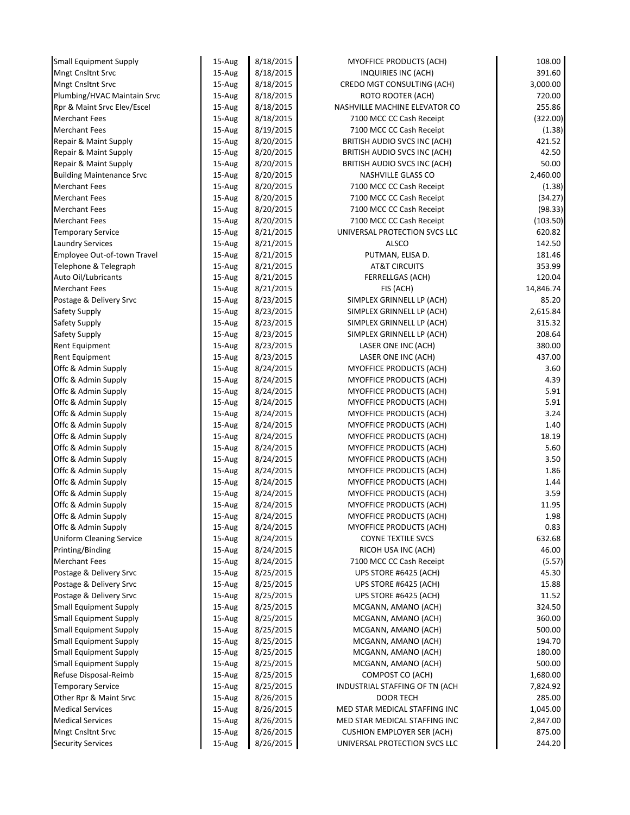| <b>Small Equipment Supply</b>    | 15-Aug | 8/18/2015 | MYOFFICE PRODUCTS (ACH)           | 108.00    |
|----------------------------------|--------|-----------|-----------------------------------|-----------|
| <b>Mngt Cnsltnt Srvc</b>         | 15-Aug | 8/18/2015 | INQUIRIES INC (ACH)               | 391.60    |
| <b>Mngt Cnsltnt Srvc</b>         | 15-Aug | 8/18/2015 | CREDO MGT CONSULTING (ACH)        | 3,000.00  |
| Plumbing/HVAC Maintain Srvc      | 15-Aug | 8/18/2015 | ROTO ROOTER (ACH)                 | 720.00    |
| Rpr & Maint Srvc Elev/Escel      | 15-Aug | 8/18/2015 | NASHVILLE MACHINE ELEVATOR CO     | 255.86    |
| <b>Merchant Fees</b>             | 15-Aug | 8/18/2015 | 7100 MCC CC Cash Receipt          | (322.00)  |
| <b>Merchant Fees</b>             | 15-Aug | 8/19/2015 | 7100 MCC CC Cash Receipt          | (1.38)    |
| Repair & Maint Supply            | 15-Aug | 8/20/2015 | BRITISH AUDIO SVCS INC (ACH)      | 421.52    |
| Repair & Maint Supply            | 15-Aug | 8/20/2015 | BRITISH AUDIO SVCS INC (ACH)      | 42.50     |
| Repair & Maint Supply            | 15-Aug | 8/20/2015 | BRITISH AUDIO SVCS INC (ACH)      | 50.00     |
| <b>Building Maintenance Srvc</b> | 15-Aug | 8/20/2015 | NASHVILLE GLASS CO                | 2,460.00  |
| <b>Merchant Fees</b>             | 15-Aug | 8/20/2015 | 7100 MCC CC Cash Receipt          | (1.38)    |
| <b>Merchant Fees</b>             | 15-Aug | 8/20/2015 | 7100 MCC CC Cash Receipt          | (34.27)   |
| <b>Merchant Fees</b>             | 15-Aug | 8/20/2015 | 7100 MCC CC Cash Receipt          | (98.33)   |
| <b>Merchant Fees</b>             | 15-Aug | 8/20/2015 | 7100 MCC CC Cash Receipt          | (103.50)  |
| <b>Temporary Service</b>         | 15-Aug | 8/21/2015 | UNIVERSAL PROTECTION SVCS LLC     | 620.82    |
| <b>Laundry Services</b>          | 15-Aug | 8/21/2015 | ALSCO                             | 142.50    |
| Employee Out-of-town Travel      | 15-Aug | 8/21/2015 | PUTMAN, ELISA D.                  | 181.46    |
| Telephone & Telegraph            | 15-Aug | 8/21/2015 | <b>AT&amp;T CIRCUITS</b>          | 353.99    |
| Auto Oil/Lubricants              | 15-Aug | 8/21/2015 | <b>FERRELLGAS (ACH)</b>           | 120.04    |
| <b>Merchant Fees</b>             | 15-Aug | 8/21/2015 | FIS (ACH)                         | 14,846.74 |
| Postage & Delivery Srvc          | 15-Aug | 8/23/2015 | SIMPLEX GRINNELL LP (ACH)         | 85.20     |
| Safety Supply                    | 15-Aug | 8/23/2015 | SIMPLEX GRINNELL LP (ACH)         | 2,615.84  |
| Safety Supply                    | 15-Aug | 8/23/2015 | SIMPLEX GRINNELL LP (ACH)         | 315.32    |
| Safety Supply                    | 15-Aug | 8/23/2015 | SIMPLEX GRINNELL LP (ACH)         | 208.64    |
| <b>Rent Equipment</b>            | 15-Aug | 8/23/2015 | LASER ONE INC (ACH)               | 380.00    |
| <b>Rent Equipment</b>            | 15-Aug | 8/23/2015 | LASER ONE INC (ACH)               | 437.00    |
| Offc & Admin Supply              | 15-Aug | 8/24/2015 | MYOFFICE PRODUCTS (ACH)           | 3.60      |
| Offc & Admin Supply              | 15-Aug | 8/24/2015 | MYOFFICE PRODUCTS (ACH)           | 4.39      |
| Offc & Admin Supply              | 15-Aug | 8/24/2015 | MYOFFICE PRODUCTS (ACH)           | 5.91      |
| Offc & Admin Supply              | 15-Aug | 8/24/2015 | MYOFFICE PRODUCTS (ACH)           | 5.91      |
| Offc & Admin Supply              | 15-Aug | 8/24/2015 | MYOFFICE PRODUCTS (ACH)           | 3.24      |
| Offc & Admin Supply              | 15-Aug | 8/24/2015 | MYOFFICE PRODUCTS (ACH)           | 1.40      |
| Offc & Admin Supply              | 15-Aug | 8/24/2015 | MYOFFICE PRODUCTS (ACH)           | 18.19     |
| Offc & Admin Supply              | 15-Aug | 8/24/2015 | MYOFFICE PRODUCTS (ACH)           | 5.60      |
| Offc & Admin Supply              | 15-Aug | 8/24/2015 | <b>MYOFFICE PRODUCTS (ACH)</b>    | 3.50      |
| Offc & Admin Supply              | 15-Aug | 8/24/2015 | MYOFFICE PRODUCTS (ACH)           | 1.86      |
| Offc & Admin Supply              | 15-Aug | 8/24/2015 | MYOFFICE PRODUCTS (ACH)           | 1.44      |
| Offc & Admin Supply              | 15-Aug | 8/24/2015 | MYOFFICE PRODUCTS (ACH)           | 3.59      |
| Offc & Admin Supply              | 15-Aug | 8/24/2015 | MYOFFICE PRODUCTS (ACH)           | 11.95     |
| Offc & Admin Supply              | 15-Aug | 8/24/2015 | MYOFFICE PRODUCTS (ACH)           | 1.98      |
| Offc & Admin Supply              | 15-Aug | 8/24/2015 | MYOFFICE PRODUCTS (ACH)           | 0.83      |
| <b>Uniform Cleaning Service</b>  | 15-Aug | 8/24/2015 | COYNE TEXTILE SVCS                | 632.68    |
| Printing/Binding                 | 15-Aug | 8/24/2015 | RICOH USA INC (ACH)               | 46.00     |
| <b>Merchant Fees</b>             | 15-Aug | 8/24/2015 | 7100 MCC CC Cash Receipt          | (5.57)    |
| Postage & Delivery Srvc          | 15-Aug | 8/25/2015 | UPS STORE #6425 (ACH)             | 45.30     |
| Postage & Delivery Srvc          | 15-Aug | 8/25/2015 | UPS STORE #6425 (ACH)             | 15.88     |
| Postage & Delivery Srvc          | 15-Aug | 8/25/2015 | UPS STORE #6425 (ACH)             | 11.52     |
| <b>Small Equipment Supply</b>    | 15-Aug | 8/25/2015 | MCGANN, AMANO (ACH)               | 324.50    |
| <b>Small Equipment Supply</b>    | 15-Aug | 8/25/2015 | MCGANN, AMANO (ACH)               | 360.00    |
| <b>Small Equipment Supply</b>    | 15-Aug | 8/25/2015 | MCGANN, AMANO (ACH)               | 500.00    |
| <b>Small Equipment Supply</b>    | 15-Aug | 8/25/2015 | MCGANN, AMANO (ACH)               | 194.70    |
| <b>Small Equipment Supply</b>    | 15-Aug | 8/25/2015 | MCGANN, AMANO (ACH)               | 180.00    |
| <b>Small Equipment Supply</b>    | 15-Aug | 8/25/2015 | MCGANN, AMANO (ACH)               | 500.00    |
| Refuse Disposal-Reimb            | 15-Aug | 8/25/2015 | COMPOST CO (ACH)                  | 1,680.00  |
| <b>Temporary Service</b>         | 15-Aug | 8/25/2015 | INDUSTRIAL STAFFING OF TN (ACH    | 7,824.92  |
| Other Rpr & Maint Srvc           | 15-Aug | 8/26/2015 | <b>DOOR TECH</b>                  | 285.00    |
| <b>Medical Services</b>          | 15-Aug | 8/26/2015 | MED STAR MEDICAL STAFFING INC     | 1,045.00  |
| <b>Medical Services</b>          | 15-Aug | 8/26/2015 | MED STAR MEDICAL STAFFING INC     | 2,847.00  |
| <b>Mngt Cnsltnt Srvc</b>         | 15-Aug | 8/26/2015 | <b>CUSHION EMPLOYER SER (ACH)</b> | 875.00    |
| <b>Security Services</b>         | 15-Aug | 8/26/2015 | UNIVERSAL PROTECTION SVCS LLC     | 244.20    |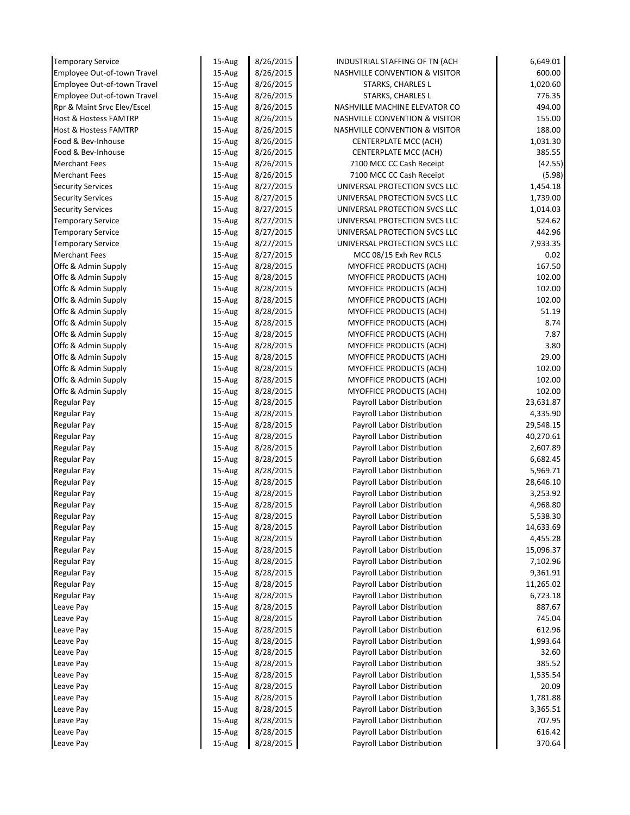| <b>Temporary Service</b>         | 15-Aug | 8/26/2015 | INDUSTRIAL STAFFING OF TN (ACH            | 6,649.01  |
|----------------------------------|--------|-----------|-------------------------------------------|-----------|
| Employee Out-of-town Travel      | 15-Aug | 8/26/2015 | <b>NASHVILLE CONVENTION &amp; VISITOR</b> | 600.00    |
| Employee Out-of-town Travel      | 15-Aug | 8/26/2015 | <b>STARKS, CHARLES L</b>                  | 1,020.60  |
| Employee Out-of-town Travel      | 15-Aug | 8/26/2015 | <b>STARKS, CHARLES L</b>                  | 776.35    |
| Rpr & Maint Srvc Elev/Escel      | 15-Aug | 8/26/2015 | NASHVILLE MACHINE ELEVATOR CO             | 494.00    |
| <b>Host &amp; Hostess FAMTRP</b> | 15-Aug | 8/26/2015 | <b>NASHVILLE CONVENTION &amp; VISITOR</b> | 155.00    |
| <b>Host &amp; Hostess FAMTRP</b> | 15-Aug | 8/26/2015 | NASHVILLE CONVENTION & VISITOR            | 188.00    |
| Food & Bev-Inhouse               | 15-Aug | 8/26/2015 | CENTERPLATE MCC (ACH)                     | 1,031.30  |
| Food & Bev-Inhouse               | 15-Aug | 8/26/2015 | CENTERPLATE MCC (ACH)                     | 385.55    |
| <b>Merchant Fees</b>             | 15-Aug | 8/26/2015 | 7100 MCC CC Cash Receipt                  | (42.55)   |
| <b>Merchant Fees</b>             | 15-Aug | 8/26/2015 | 7100 MCC CC Cash Receipt                  | (5.98)    |
| <b>Security Services</b>         | 15-Aug | 8/27/2015 | UNIVERSAL PROTECTION SVCS LLC             | 1,454.18  |
| <b>Security Services</b>         | 15-Aug | 8/27/2015 | UNIVERSAL PROTECTION SVCS LLC             | 1,739.00  |
| <b>Security Services</b>         | 15-Aug | 8/27/2015 | UNIVERSAL PROTECTION SVCS LLC             | 1,014.03  |
| <b>Temporary Service</b>         | 15-Aug | 8/27/2015 | UNIVERSAL PROTECTION SVCS LLC             | 524.62    |
| <b>Temporary Service</b>         | 15-Aug | 8/27/2015 | UNIVERSAL PROTECTION SVCS LLC             | 442.96    |
| <b>Temporary Service</b>         | 15-Aug | 8/27/2015 | UNIVERSAL PROTECTION SVCS LLC             | 7,933.35  |
| <b>Merchant Fees</b>             | 15-Aug | 8/27/2015 | MCC 08/15 Exh Rev RCLS                    | 0.02      |
| Offc & Admin Supply              | 15-Aug | 8/28/2015 | MYOFFICE PRODUCTS (ACH)                   | 167.50    |
| Offc & Admin Supply              | 15-Aug | 8/28/2015 | MYOFFICE PRODUCTS (ACH)                   | 102.00    |
| Offc & Admin Supply              | 15-Aug | 8/28/2015 | MYOFFICE PRODUCTS (ACH)                   | 102.00    |
| Offc & Admin Supply              | 15-Aug | 8/28/2015 | MYOFFICE PRODUCTS (ACH)                   | 102.00    |
| Offc & Admin Supply              | 15-Aug | 8/28/2015 | MYOFFICE PRODUCTS (ACH)                   | 51.19     |
| Offc & Admin Supply              | 15-Aug | 8/28/2015 | MYOFFICE PRODUCTS (ACH)                   | 8.74      |
| Offc & Admin Supply              | 15-Aug | 8/28/2015 | MYOFFICE PRODUCTS (ACH)                   | 7.87      |
| Offc & Admin Supply              | 15-Aug | 8/28/2015 | MYOFFICE PRODUCTS (ACH)                   | 3.80      |
| Offc & Admin Supply              | 15-Aug | 8/28/2015 | MYOFFICE PRODUCTS (ACH)                   | 29.00     |
| Offc & Admin Supply              | 15-Aug | 8/28/2015 | MYOFFICE PRODUCTS (ACH)                   | 102.00    |
| Offc & Admin Supply              | 15-Aug | 8/28/2015 | MYOFFICE PRODUCTS (ACH)                   | 102.00    |
| Offc & Admin Supply              | 15-Aug | 8/28/2015 | MYOFFICE PRODUCTS (ACH)                   | 102.00    |
| <b>Regular Pay</b>               | 15-Aug | 8/28/2015 | Payroll Labor Distribution                | 23,631.87 |
| Regular Pay                      | 15-Aug | 8/28/2015 | Payroll Labor Distribution                | 4,335.90  |
| Regular Pay                      | 15-Aug | 8/28/2015 | Payroll Labor Distribution                | 29,548.15 |
| Regular Pay                      | 15-Aug | 8/28/2015 | Payroll Labor Distribution                | 40,270.61 |
| Regular Pay                      | 15-Aug | 8/28/2015 | Payroll Labor Distribution                | 2,607.89  |
| Regular Pay                      | 15-Aug | 8/28/2015 | Payroll Labor Distribution                | 6,682.45  |
| Regular Pay                      | 15-Aug | 8/28/2015 | Payroll Labor Distribution                | 5,969.71  |
| Regular Pay                      | 15-Aug | 8/28/2015 | Payroll Labor Distribution                | 28,646.10 |
| Regular Pay                      | 15-Aug | 8/28/2015 | Payroll Labor Distribution                | 3,253.92  |
| <b>Regular Pay</b>               | 15-Aug | 8/28/2015 | Payroll Labor Distribution                | 4,968.80  |
| <b>Regular Pay</b>               | 15-Aug | 8/28/2015 | Payroll Labor Distribution                | 5,538.30  |
| <b>Regular Pay</b>               | 15-Aug | 8/28/2015 | Payroll Labor Distribution                | 14,633.69 |
| <b>Regular Pay</b>               | 15-Aug | 8/28/2015 | Payroll Labor Distribution                | 4,455.28  |
| Regular Pay                      | 15-Aug | 8/28/2015 | Payroll Labor Distribution                | 15,096.37 |
| <b>Regular Pay</b>               | 15-Aug | 8/28/2015 | Payroll Labor Distribution                | 7,102.96  |
| <b>Regular Pay</b>               | 15-Aug | 8/28/2015 | Payroll Labor Distribution                | 9,361.91  |
| <b>Regular Pay</b>               | 15-Aug | 8/28/2015 | Payroll Labor Distribution                | 11,265.02 |
| <b>Regular Pay</b>               | 15-Aug | 8/28/2015 | Payroll Labor Distribution                | 6,723.18  |
| Leave Pay                        | 15-Aug | 8/28/2015 | Payroll Labor Distribution                | 887.67    |
| Leave Pay                        | 15-Aug | 8/28/2015 | Payroll Labor Distribution                | 745.04    |
| Leave Pay                        | 15-Aug | 8/28/2015 | Payroll Labor Distribution                | 612.96    |
| Leave Pay                        | 15-Aug | 8/28/2015 | Payroll Labor Distribution                | 1,993.64  |
| Leave Pay                        | 15-Aug | 8/28/2015 | Payroll Labor Distribution                | 32.60     |
| Leave Pay                        | 15-Aug | 8/28/2015 | Payroll Labor Distribution                | 385.52    |
| Leave Pay                        | 15-Aug | 8/28/2015 | Payroll Labor Distribution                | 1,535.54  |
| Leave Pay                        | 15-Aug | 8/28/2015 | Payroll Labor Distribution                | 20.09     |
| Leave Pay                        | 15-Aug | 8/28/2015 | Payroll Labor Distribution                | 1,781.88  |
| Leave Pay                        | 15-Aug | 8/28/2015 | Payroll Labor Distribution                | 3,365.51  |
| Leave Pay                        | 15-Aug | 8/28/2015 | Payroll Labor Distribution                | 707.95    |
| Leave Pay                        | 15-Aug | 8/28/2015 | Payroll Labor Distribution                | 616.42    |
| Leave Pay                        | 15-Aug | 8/28/2015 | Payroll Labor Distribution                | 370.64    |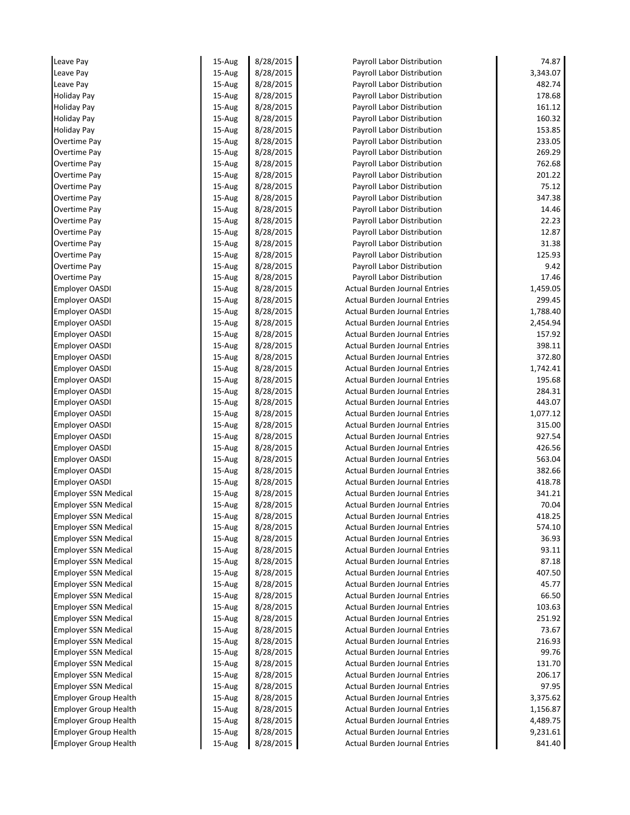| Leave Pay                    | 15-Aug           | 8/28/2015              | Payroll Labor Distribution           | 74.87    |
|------------------------------|------------------|------------------------|--------------------------------------|----------|
| Leave Pay                    | 15-Aug           | 8/28/2015              | Payroll Labor Distribution           | 3,343.07 |
| Leave Pay                    | 15-Aug           | 8/28/2015              | Payroll Labor Distribution           | 482.74   |
| <b>Holiday Pay</b>           | 15-Aug           | 8/28/2015              | Payroll Labor Distribution           | 178.68   |
| <b>Holiday Pay</b>           | 15-Aug           | 8/28/2015              | Payroll Labor Distribution           | 161.12   |
| <b>Holiday Pay</b>           | 15-Aug           | 8/28/2015              | Payroll Labor Distribution           | 160.32   |
| <b>Holiday Pay</b>           | 15-Aug           | 8/28/2015              | Payroll Labor Distribution           | 153.85   |
| Overtime Pay                 | 15-Aug           | 8/28/2015              | Payroll Labor Distribution           | 233.05   |
| Overtime Pay                 | 15-Aug           | 8/28/2015              | Payroll Labor Distribution           | 269.29   |
| Overtime Pay                 | 15-Aug           | 8/28/2015              | Payroll Labor Distribution           | 762.68   |
| Overtime Pay                 | 15-Aug           | 8/28/2015              | Payroll Labor Distribution           | 201.22   |
| Overtime Pay                 | 15-Aug           | 8/28/2015              | Payroll Labor Distribution           | 75.12    |
| Overtime Pay                 | 15-Aug           | 8/28/2015              | Payroll Labor Distribution           | 347.38   |
| Overtime Pay                 | 15-Aug           | 8/28/2015              | Payroll Labor Distribution           | 14.46    |
| Overtime Pay                 | 15-Aug           | 8/28/2015              | Payroll Labor Distribution           | 22.23    |
| Overtime Pay                 | 15-Aug           | 8/28/2015              | Payroll Labor Distribution           | 12.87    |
| Overtime Pay                 | 15-Aug           | 8/28/2015              | Payroll Labor Distribution           | 31.38    |
| Overtime Pay                 | 15-Aug           | 8/28/2015              | Payroll Labor Distribution           | 125.93   |
| Overtime Pay                 | 15-Aug           | 8/28/2015              | Payroll Labor Distribution           | 9.42     |
| Overtime Pay                 | 15-Aug           | 8/28/2015              | Payroll Labor Distribution           | 17.46    |
| <b>Employer OASDI</b>        | 15-Aug           | 8/28/2015              | <b>Actual Burden Journal Entries</b> | 1,459.05 |
| <b>Employer OASDI</b>        | 15-Aug           | 8/28/2015              | <b>Actual Burden Journal Entries</b> | 299.45   |
| <b>Employer OASDI</b>        | 15-Aug           | 8/28/2015              | <b>Actual Burden Journal Entries</b> | 1,788.40 |
| <b>Employer OASDI</b>        | 15-Aug           | 8/28/2015              | <b>Actual Burden Journal Entries</b> | 2,454.94 |
| <b>Employer OASDI</b>        | 15-Aug           | 8/28/2015              | <b>Actual Burden Journal Entries</b> | 157.92   |
| <b>Employer OASDI</b>        | 15-Aug           | 8/28/2015              | <b>Actual Burden Journal Entries</b> | 398.11   |
| <b>Employer OASDI</b>        | 15-Aug           | 8/28/2015              | <b>Actual Burden Journal Entries</b> | 372.80   |
| <b>Employer OASDI</b>        | 15-Aug           | 8/28/2015              | <b>Actual Burden Journal Entries</b> | 1,742.41 |
| <b>Employer OASDI</b>        | 15-Aug           | 8/28/2015              | <b>Actual Burden Journal Entries</b> | 195.68   |
| <b>Employer OASDI</b>        | 15-Aug           | 8/28/2015              | <b>Actual Burden Journal Entries</b> | 284.31   |
| <b>Employer OASDI</b>        | 15-Aug           | 8/28/2015              | <b>Actual Burden Journal Entries</b> | 443.07   |
| <b>Employer OASDI</b>        | 15-Aug           | 8/28/2015              | <b>Actual Burden Journal Entries</b> | 1,077.12 |
| <b>Employer OASDI</b>        | 15-Aug           | 8/28/2015              | <b>Actual Burden Journal Entries</b> | 315.00   |
| <b>Employer OASDI</b>        | 15-Aug           | 8/28/2015              | <b>Actual Burden Journal Entries</b> | 927.54   |
| <b>Employer OASDI</b>        | 15-Aug           | 8/28/2015              | <b>Actual Burden Journal Entries</b> | 426.56   |
| <b>Employer OASDI</b>        | 15-Aug           | 8/28/2015              | <b>Actual Burden Journal Entries</b> | 563.04   |
| <b>Employer OASDI</b>        | 15-Aug           | 8/28/2015              | <b>Actual Burden Journal Entries</b> | 382.66   |
| <b>Employer OASDI</b>        | 15-Aug           | 8/28/2015              | <b>Actual Burden Journal Entries</b> | 418.78   |
| <b>Employer SSN Medical</b>  | 15-Aug           | 8/28/2015              | <b>Actual Burden Journal Entries</b> | 341.21   |
| <b>Employer SSN Medical</b>  | 15-Aug           | 8/28/2015              | Actual Burden Journal Entries        | 70.04    |
| <b>Employer SSN Medical</b>  | 15-Aug           | 8/28/2015              | <b>Actual Burden Journal Entries</b> | 418.25   |
| <b>Employer SSN Medical</b>  | 15-Aug           | 8/28/2015              | <b>Actual Burden Journal Entries</b> | 574.10   |
| <b>Employer SSN Medical</b>  | $15-Au$ g        | 8/28/2015              | <b>Actual Burden Journal Entries</b> | 36.93    |
| <b>Employer SSN Medical</b>  | 15-Aug           | 8/28/2015              | <b>Actual Burden Journal Entries</b> | 93.11    |
| <b>Employer SSN Medical</b>  | 15-Aug           | 8/28/2015              | <b>Actual Burden Journal Entries</b> | 87.18    |
| <b>Employer SSN Medical</b>  | 15-Aug           | 8/28/2015              | <b>Actual Burden Journal Entries</b> | 407.50   |
| <b>Employer SSN Medical</b>  | 15-Aug           | 8/28/2015              | <b>Actual Burden Journal Entries</b> | 45.77    |
| <b>Employer SSN Medical</b>  | 15-Aug           | 8/28/2015              | <b>Actual Burden Journal Entries</b> | 66.50    |
| <b>Employer SSN Medical</b>  | 15-Aug           | 8/28/2015              | <b>Actual Burden Journal Entries</b> | 103.63   |
| <b>Employer SSN Medical</b>  | 15-Aug           | 8/28/2015              | <b>Actual Burden Journal Entries</b> | 251.92   |
| Employer SSN Medical         | 15-Aug           | 8/28/2015              | <b>Actual Burden Journal Entries</b> | 73.67    |
| <b>Employer SSN Medical</b>  | 15-Aug           | 8/28/2015              | <b>Actual Burden Journal Entries</b> | 216.93   |
| <b>Employer SSN Medical</b>  | 15-Aug           | 8/28/2015              | <b>Actual Burden Journal Entries</b> | 99.76    |
| <b>Employer SSN Medical</b>  | 15-Aug           | 8/28/2015              | <b>Actual Burden Journal Entries</b> | 131.70   |
| <b>Employer SSN Medical</b>  | 15-Aug           | 8/28/2015              | <b>Actual Burden Journal Entries</b> | 206.17   |
| <b>Employer SSN Medical</b>  | 15-Aug           | 8/28/2015              | <b>Actual Burden Journal Entries</b> | 97.95    |
| Employer Group Health        | 15-Aug           | 8/28/2015              | <b>Actual Burden Journal Entries</b> | 3,375.62 |
| <b>Employer Group Health</b> | 15-Aug           | 8/28/2015              | <b>Actual Burden Journal Entries</b> | 1,156.87 |
|                              |                  |                        |                                      |          |
| <b>Employer Group Health</b> |                  |                        | <b>Actual Burden Journal Entries</b> | 4,489.75 |
| <b>Employer Group Health</b> | 15-Aug<br>15-Aug | 8/28/2015<br>8/28/2015 | <b>Actual Burden Journal Entries</b> | 9,231.61 |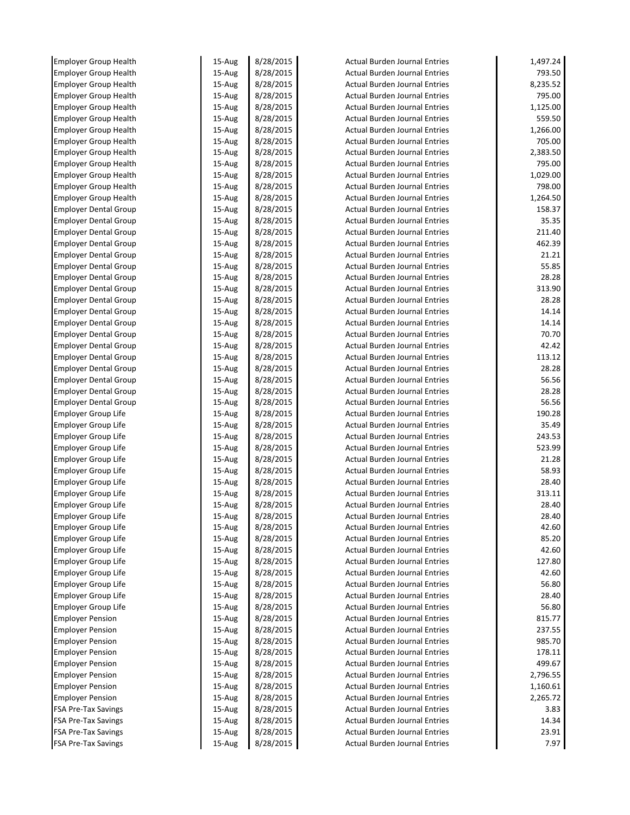| <b>Employer Group Health</b> | 15-Aug    | 8/28/2015 | <b>Actual Burden Journal Entries</b> | 1,497.24 |
|------------------------------|-----------|-----------|--------------------------------------|----------|
| <b>Employer Group Health</b> | 15-Aug    | 8/28/2015 | <b>Actual Burden Journal Entries</b> | 793.50   |
| <b>Employer Group Health</b> | 15-Aug    | 8/28/2015 | <b>Actual Burden Journal Entries</b> | 8,235.52 |
| <b>Employer Group Health</b> | 15-Aug    | 8/28/2015 | <b>Actual Burden Journal Entries</b> | 795.00   |
| <b>Employer Group Health</b> | 15-Aug    | 8/28/2015 | <b>Actual Burden Journal Entries</b> | 1,125.00 |
| <b>Employer Group Health</b> | 15-Aug    | 8/28/2015 | <b>Actual Burden Journal Entries</b> | 559.50   |
| <b>Employer Group Health</b> | 15-Aug    | 8/28/2015 | <b>Actual Burden Journal Entries</b> | 1,266.00 |
| <b>Employer Group Health</b> | 15-Aug    | 8/28/2015 | <b>Actual Burden Journal Entries</b> | 705.00   |
| <b>Employer Group Health</b> | 15-Aug    | 8/28/2015 | <b>Actual Burden Journal Entries</b> | 2,383.50 |
| <b>Employer Group Health</b> | 15-Aug    | 8/28/2015 | <b>Actual Burden Journal Entries</b> | 795.00   |
| <b>Employer Group Health</b> | 15-Aug    | 8/28/2015 | <b>Actual Burden Journal Entries</b> | 1,029.00 |
| <b>Employer Group Health</b> | 15-Aug    | 8/28/2015 | <b>Actual Burden Journal Entries</b> | 798.00   |
| <b>Employer Group Health</b> | 15-Aug    | 8/28/2015 | <b>Actual Burden Journal Entries</b> | 1,264.50 |
| <b>Employer Dental Group</b> | 15-Aug    | 8/28/2015 | <b>Actual Burden Journal Entries</b> | 158.37   |
| <b>Employer Dental Group</b> | 15-Aug    | 8/28/2015 | <b>Actual Burden Journal Entries</b> | 35.35    |
| <b>Employer Dental Group</b> | 15-Aug    | 8/28/2015 | <b>Actual Burden Journal Entries</b> | 211.40   |
| <b>Employer Dental Group</b> | 15-Aug    | 8/28/2015 | <b>Actual Burden Journal Entries</b> | 462.39   |
| <b>Employer Dental Group</b> | $15-Au$ g | 8/28/2015 | <b>Actual Burden Journal Entries</b> | 21.21    |
| <b>Employer Dental Group</b> | 15-Aug    | 8/28/2015 | <b>Actual Burden Journal Entries</b> | 55.85    |
| <b>Employer Dental Group</b> | 15-Aug    | 8/28/2015 | <b>Actual Burden Journal Entries</b> | 28.28    |
| <b>Employer Dental Group</b> | 15-Aug    | 8/28/2015 | <b>Actual Burden Journal Entries</b> | 313.90   |
| <b>Employer Dental Group</b> | 15-Aug    | 8/28/2015 | <b>Actual Burden Journal Entries</b> | 28.28    |
| <b>Employer Dental Group</b> | 15-Aug    | 8/28/2015 | <b>Actual Burden Journal Entries</b> | 14.14    |
| <b>Employer Dental Group</b> | $15-Au$ g | 8/28/2015 | <b>Actual Burden Journal Entries</b> | 14.14    |
| <b>Employer Dental Group</b> | 15-Aug    | 8/28/2015 | <b>Actual Burden Journal Entries</b> | 70.70    |
| <b>Employer Dental Group</b> | 15-Aug    | 8/28/2015 | <b>Actual Burden Journal Entries</b> | 42.42    |
| <b>Employer Dental Group</b> | 15-Aug    | 8/28/2015 | <b>Actual Burden Journal Entries</b> | 113.12   |
| <b>Employer Dental Group</b> | 15-Aug    | 8/28/2015 | <b>Actual Burden Journal Entries</b> | 28.28    |
| <b>Employer Dental Group</b> | 15-Aug    | 8/28/2015 | <b>Actual Burden Journal Entries</b> | 56.56    |
| <b>Employer Dental Group</b> | 15-Aug    | 8/28/2015 | <b>Actual Burden Journal Entries</b> | 28.28    |
| <b>Employer Dental Group</b> | 15-Aug    | 8/28/2015 | <b>Actual Burden Journal Entries</b> | 56.56    |
| <b>Employer Group Life</b>   | 15-Aug    | 8/28/2015 | <b>Actual Burden Journal Entries</b> | 190.28   |
| <b>Employer Group Life</b>   | 15-Aug    | 8/28/2015 | <b>Actual Burden Journal Entries</b> | 35.49    |
| <b>Employer Group Life</b>   | 15-Aug    | 8/28/2015 | <b>Actual Burden Journal Entries</b> | 243.53   |
| <b>Employer Group Life</b>   | 15-Aug    | 8/28/2015 | <b>Actual Burden Journal Entries</b> | 523.99   |
| <b>Employer Group Life</b>   | 15-Aug    | 8/28/2015 | <b>Actual Burden Journal Entries</b> | 21.28    |
| <b>Employer Group Life</b>   | 15-Aug    | 8/28/2015 | <b>Actual Burden Journal Entries</b> | 58.93    |
| <b>Employer Group Life</b>   | 15-Aug    | 8/28/2015 | <b>Actual Burden Journal Entries</b> | 28.40    |
| <b>Employer Group Life</b>   | 15-Aug    | 8/28/2015 | <b>Actual Burden Journal Entries</b> | 313.11   |
| Employer Group Life          | 15-Aug    | 8/28/2015 | Actual Burden Journal Entries        | 28.40    |
| Employer Group Life          | 15-Aug    | 8/28/2015 | Actual Burden Journal Entries        | 28.40    |
| Employer Group Life          | 15-Aug    | 8/28/2015 | <b>Actual Burden Journal Entries</b> | 42.60    |
| <b>Employer Group Life</b>   | 15-Aug    | 8/28/2015 | <b>Actual Burden Journal Entries</b> | 85.20    |
| <b>Employer Group Life</b>   | 15-Aug    | 8/28/2015 | <b>Actual Burden Journal Entries</b> | 42.60    |
| <b>Employer Group Life</b>   | 15-Aug    | 8/28/2015 | <b>Actual Burden Journal Entries</b> | 127.80   |
| <b>Employer Group Life</b>   | 15-Aug    | 8/28/2015 | <b>Actual Burden Journal Entries</b> | 42.60    |
| Employer Group Life          | 15-Aug    | 8/28/2015 | <b>Actual Burden Journal Entries</b> | 56.80    |
| <b>Employer Group Life</b>   | 15-Aug    | 8/28/2015 | <b>Actual Burden Journal Entries</b> | 28.40    |
| Employer Group Life          | 15-Aug    | 8/28/2015 | <b>Actual Burden Journal Entries</b> | 56.80    |
| <b>Employer Pension</b>      | 15-Aug    | 8/28/2015 | <b>Actual Burden Journal Entries</b> | 815.77   |
| <b>Employer Pension</b>      | 15-Aug    | 8/28/2015 | <b>Actual Burden Journal Entries</b> | 237.55   |
| <b>Employer Pension</b>      | 15-Aug    | 8/28/2015 | <b>Actual Burden Journal Entries</b> | 985.70   |
|                              |           |           | <b>Actual Burden Journal Entries</b> | 178.11   |
| <b>Employer Pension</b>      | 15-Aug    | 8/28/2015 |                                      |          |
| <b>Employer Pension</b>      | 15-Aug    | 8/28/2015 | <b>Actual Burden Journal Entries</b> | 499.67   |
| <b>Employer Pension</b>      | 15-Aug    | 8/28/2015 | <b>Actual Burden Journal Entries</b> | 2,796.55 |
| <b>Employer Pension</b>      | 15-Aug    | 8/28/2015 | <b>Actual Burden Journal Entries</b> | 1,160.61 |
| <b>Employer Pension</b>      | 15-Aug    | 8/28/2015 | <b>Actual Burden Journal Entries</b> | 2,265.72 |
| <b>FSA Pre-Tax Savings</b>   | 15-Aug    | 8/28/2015 | <b>Actual Burden Journal Entries</b> | 3.83     |
| <b>FSA Pre-Tax Savings</b>   | 15-Aug    | 8/28/2015 | <b>Actual Burden Journal Entries</b> | 14.34    |
| <b>FSA Pre-Tax Savings</b>   | 15-Aug    | 8/28/2015 | <b>Actual Burden Journal Entries</b> | 23.91    |
| FSA Pre-Tax Savings          | 15-Aug    | 8/28/2015 | <b>Actual Burden Journal Entries</b> | 7.97     |
|                              |           |           |                                      |          |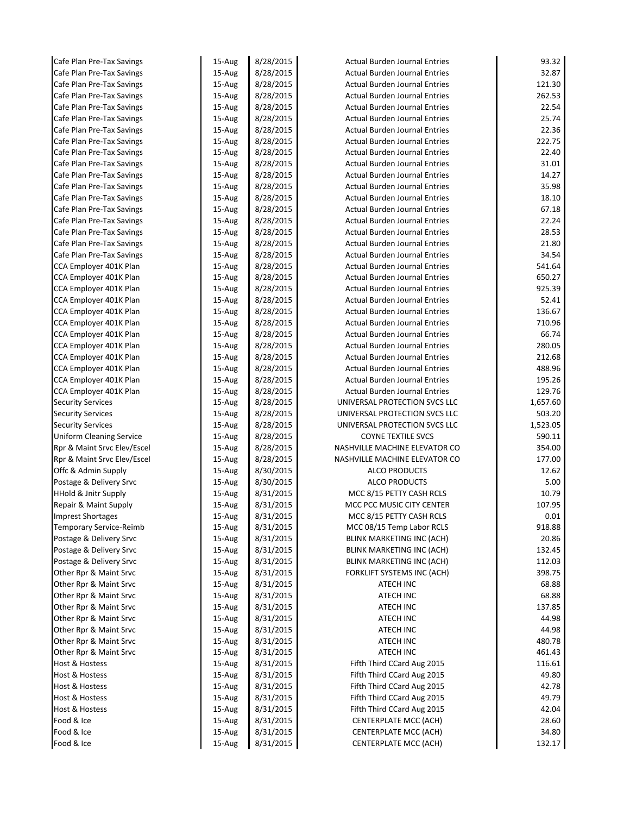| Cafe Plan Pre-Tax Savings       | 15-Aug    | 8/28/2015 | <b>Actual Burden Journal Entries</b> | 93.32    |
|---------------------------------|-----------|-----------|--------------------------------------|----------|
| Cafe Plan Pre-Tax Savings       | 15-Aug    | 8/28/2015 | <b>Actual Burden Journal Entries</b> | 32.87    |
| Cafe Plan Pre-Tax Savings       | 15-Aug    | 8/28/2015 | <b>Actual Burden Journal Entries</b> | 121.30   |
| Cafe Plan Pre-Tax Savings       | 15-Aug    | 8/28/2015 | <b>Actual Burden Journal Entries</b> | 262.53   |
| Cafe Plan Pre-Tax Savings       | 15-Aug    | 8/28/2015 | <b>Actual Burden Journal Entries</b> | 22.54    |
| Cafe Plan Pre-Tax Savings       | 15-Aug    | 8/28/2015 | <b>Actual Burden Journal Entries</b> | 25.74    |
| Cafe Plan Pre-Tax Savings       | 15-Aug    | 8/28/2015 | <b>Actual Burden Journal Entries</b> | 22.36    |
| Cafe Plan Pre-Tax Savings       | 15-Aug    | 8/28/2015 | <b>Actual Burden Journal Entries</b> | 222.75   |
| Cafe Plan Pre-Tax Savings       | 15-Aug    | 8/28/2015 | <b>Actual Burden Journal Entries</b> | 22.40    |
| Cafe Plan Pre-Tax Savings       | 15-Aug    | 8/28/2015 | <b>Actual Burden Journal Entries</b> | 31.01    |
| Cafe Plan Pre-Tax Savings       | 15-Aug    | 8/28/2015 | <b>Actual Burden Journal Entries</b> | 14.27    |
| Cafe Plan Pre-Tax Savings       | 15-Aug    | 8/28/2015 | <b>Actual Burden Journal Entries</b> | 35.98    |
| Cafe Plan Pre-Tax Savings       | 15-Aug    | 8/28/2015 | <b>Actual Burden Journal Entries</b> | 18.10    |
| Cafe Plan Pre-Tax Savings       | 15-Aug    | 8/28/2015 | <b>Actual Burden Journal Entries</b> | 67.18    |
| Cafe Plan Pre-Tax Savings       | 15-Aug    | 8/28/2015 | <b>Actual Burden Journal Entries</b> | 22.24    |
| Cafe Plan Pre-Tax Savings       | 15-Aug    | 8/28/2015 | <b>Actual Burden Journal Entries</b> | 28.53    |
| Cafe Plan Pre-Tax Savings       | 15-Aug    | 8/28/2015 | <b>Actual Burden Journal Entries</b> | 21.80    |
| Cafe Plan Pre-Tax Savings       | 15-Aug    | 8/28/2015 | <b>Actual Burden Journal Entries</b> | 34.54    |
| CCA Employer 401K Plan          | $15-Au$ g | 8/28/2015 | <b>Actual Burden Journal Entries</b> | 541.64   |
| CCA Employer 401K Plan          | 15-Aug    | 8/28/2015 | <b>Actual Burden Journal Entries</b> | 650.27   |
| CCA Employer 401K Plan          | 15-Aug    | 8/28/2015 | <b>Actual Burden Journal Entries</b> | 925.39   |
| CCA Employer 401K Plan          | 15-Aug    | 8/28/2015 | <b>Actual Burden Journal Entries</b> | 52.41    |
| CCA Employer 401K Plan          | 15-Aug    | 8/28/2015 | <b>Actual Burden Journal Entries</b> | 136.67   |
| CCA Employer 401K Plan          | 15-Aug    | 8/28/2015 | <b>Actual Burden Journal Entries</b> | 710.96   |
| CCA Employer 401K Plan          | 15-Aug    | 8/28/2015 | <b>Actual Burden Journal Entries</b> | 66.74    |
| CCA Employer 401K Plan          | 15-Aug    | 8/28/2015 | <b>Actual Burden Journal Entries</b> | 280.05   |
| CCA Employer 401K Plan          | 15-Aug    | 8/28/2015 | <b>Actual Burden Journal Entries</b> | 212.68   |
| CCA Employer 401K Plan          | 15-Aug    | 8/28/2015 | <b>Actual Burden Journal Entries</b> | 488.96   |
| CCA Employer 401K Plan          | 15-Aug    | 8/28/2015 | <b>Actual Burden Journal Entries</b> | 195.26   |
| CCA Employer 401K Plan          | 15-Aug    | 8/28/2015 | <b>Actual Burden Journal Entries</b> | 129.76   |
| <b>Security Services</b>        | 15-Aug    | 8/28/2015 | UNIVERSAL PROTECTION SVCS LLC        | 1,657.60 |
| <b>Security Services</b>        | 15-Aug    | 8/28/2015 | UNIVERSAL PROTECTION SVCS LLC        | 503.20   |
| <b>Security Services</b>        | 15-Aug    | 8/28/2015 | UNIVERSAL PROTECTION SVCS LLC        | 1,523.05 |
| <b>Uniform Cleaning Service</b> | 15-Aug    | 8/28/2015 | <b>COYNE TEXTILE SVCS</b>            | 590.11   |
| Rpr & Maint Srvc Elev/Escel     | 15-Aug    | 8/28/2015 | NASHVILLE MACHINE ELEVATOR CO        | 354.00   |
| Rpr & Maint Srvc Elev/Escel     | 15-Aug    | 8/28/2015 | NASHVILLE MACHINE ELEVATOR CO        | 177.00   |
| Offc & Admin Supply             | 15-Aug    | 8/30/2015 | ALCO PRODUCTS                        | 12.62    |
| Postage & Delivery Srvc         | 15-Aug    | 8/30/2015 | ALCO PRODUCTS                        | 5.00     |
| <b>HHold &amp; Jnitr Supply</b> | 15-Aug    | 8/31/2015 | MCC 8/15 PETTY CASH RCLS             | 10.79    |
| Repair & Maint Supply           | 15-Aug    | 8/31/2015 | MCC PCC MUSIC CITY CENTER            | 107.95   |
| <b>Imprest Shortages</b>        | 15-Aug    | 8/31/2015 | MCC 8/15 PETTY CASH RCLS             | 0.01     |
| Temporary Service-Reimb         | 15-Aug    | 8/31/2015 | MCC 08/15 Temp Labor RCLS            | 918.88   |
| Postage & Delivery Srvc         | 15-Aug    | 8/31/2015 | <b>BLINK MARKETING INC (ACH)</b>     | 20.86    |
| Postage & Delivery Srvc         | 15-Aug    | 8/31/2015 | <b>BLINK MARKETING INC (ACH)</b>     | 132.45   |
| Postage & Delivery Srvc         | 15-Aug    | 8/31/2015 | BLINK MARKETING INC (ACH)            | 112.03   |
| Other Rpr & Maint Srvc          | $15-Au$ g | 8/31/2015 | FORKLIFT SYSTEMS INC (ACH)           | 398.75   |
| Other Rpr & Maint Srvc          | 15-Aug    | 8/31/2015 | ATECH INC                            | 68.88    |
| Other Rpr & Maint Srvc          | 15-Aug    | 8/31/2015 | ATECH INC                            | 68.88    |
| Other Rpr & Maint Srvc          | 15-Aug    | 8/31/2015 | ATECH INC                            | 137.85   |
| Other Rpr & Maint Srvc          | 15-Aug    | 8/31/2015 | ATECH INC                            | 44.98    |
| Other Rpr & Maint Srvc          | 15-Aug    | 8/31/2015 | ATECH INC                            | 44.98    |
| Other Rpr & Maint Srvc          | 15-Aug    | 8/31/2015 | ATECH INC                            | 480.78   |
| Other Rpr & Maint Srvc          | 15-Aug    | 8/31/2015 | ATECH INC                            | 461.43   |
| Host & Hostess                  | 15-Aug    | 8/31/2015 | Fifth Third CCard Aug 2015           | 116.61   |
| Host & Hostess                  | 15-Aug    | 8/31/2015 | Fifth Third CCard Aug 2015           | 49.80    |
| Host & Hostess                  | 15-Aug    | 8/31/2015 | Fifth Third CCard Aug 2015           | 42.78    |
| Host & Hostess                  | 15-Aug    | 8/31/2015 | Fifth Third CCard Aug 2015           | 49.79    |
| <b>Host &amp; Hostess</b>       | 15-Aug    | 8/31/2015 | Fifth Third CCard Aug 2015           | 42.04    |
| Food & Ice                      | 15-Aug    | 8/31/2015 | CENTERPLATE MCC (ACH)                | 28.60    |
| Food & Ice                      | 15-Aug    | 8/31/2015 | CENTERPLATE MCC (ACH)                | 34.80    |
| Food & Ice                      | 15-Aug    | 8/31/2015 | <b>CENTERPLATE MCC (ACH)</b>         | 132.17   |
|                                 |           |           |                                      |          |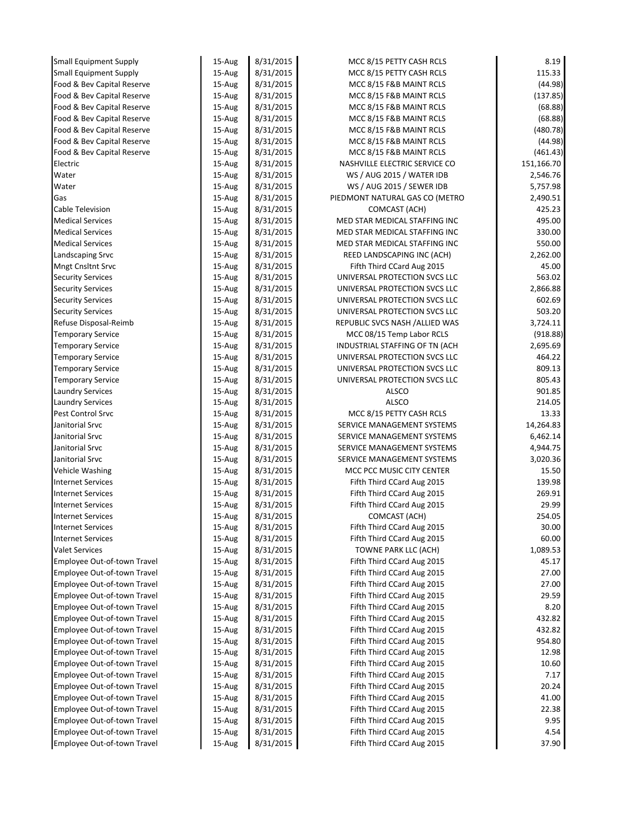| <b>Small Equipment Supply</b> | 15-Aug | 8/31/2015 | MCC 8/15 PETTY CASH RCLS        | 8.19       |
|-------------------------------|--------|-----------|---------------------------------|------------|
| <b>Small Equipment Supply</b> | 15-Aug | 8/31/2015 | MCC 8/15 PETTY CASH RCLS        | 115.33     |
| Food & Bev Capital Reserve    | 15-Aug | 8/31/2015 | MCC 8/15 F&B MAINT RCLS         | (44.98)    |
| Food & Bev Capital Reserve    | 15-Aug | 8/31/2015 | MCC 8/15 F&B MAINT RCLS         | (137.85)   |
| Food & Bev Capital Reserve    | 15-Aug | 8/31/2015 | MCC 8/15 F&B MAINT RCLS         | (68.88)    |
| Food & Bev Capital Reserve    | 15-Aug | 8/31/2015 | MCC 8/15 F&B MAINT RCLS         | (68.88)    |
| Food & Bev Capital Reserve    | 15-Aug | 8/31/2015 | MCC 8/15 F&B MAINT RCLS         | (480.78)   |
| Food & Bev Capital Reserve    | 15-Aug | 8/31/2015 | MCC 8/15 F&B MAINT RCLS         | (44.98)    |
| Food & Bev Capital Reserve    | 15-Aug | 8/31/2015 | MCC 8/15 F&B MAINT RCLS         | (461.43)   |
| Electric                      | 15-Aug | 8/31/2015 | NASHVILLE ELECTRIC SERVICE CO   | 151,166.70 |
| Water                         | 15-Aug | 8/31/2015 | WS / AUG 2015 / WATER IDB       | 2,546.76   |
| Water                         | 15-Aug | 8/31/2015 | WS / AUG 2015 / SEWER IDB       | 5,757.98   |
| Gas                           | 15-Aug | 8/31/2015 | PIEDMONT NATURAL GAS CO (METRO  | 2,490.51   |
| Cable Television              | 15-Aug | 8/31/2015 | COMCAST (ACH)                   | 425.23     |
| <b>Medical Services</b>       | 15-Aug | 8/31/2015 | MED STAR MEDICAL STAFFING INC   | 495.00     |
| <b>Medical Services</b>       | 15-Aug | 8/31/2015 | MED STAR MEDICAL STAFFING INC   | 330.00     |
| <b>Medical Services</b>       | 15-Aug | 8/31/2015 | MED STAR MEDICAL STAFFING INC   | 550.00     |
| Landscaping Srvc              | 15-Aug | 8/31/2015 | REED LANDSCAPING INC (ACH)      | 2,262.00   |
| Mngt Cnsltnt Srvc             | 15-Aug | 8/31/2015 | Fifth Third CCard Aug 2015      | 45.00      |
| <b>Security Services</b>      | 15-Aug | 8/31/2015 | UNIVERSAL PROTECTION SVCS LLC   | 563.02     |
| <b>Security Services</b>      | 15-Aug | 8/31/2015 | UNIVERSAL PROTECTION SVCS LLC   | 2,866.88   |
| <b>Security Services</b>      | 15-Aug | 8/31/2015 | UNIVERSAL PROTECTION SVCS LLC   | 602.69     |
| <b>Security Services</b>      | 15-Aug | 8/31/2015 | UNIVERSAL PROTECTION SVCS LLC   | 503.20     |
| Refuse Disposal-Reimb         | 15-Aug | 8/31/2015 | REPUBLIC SVCS NASH / ALLIED WAS | 3,724.11   |
| <b>Temporary Service</b>      | 15-Aug | 8/31/2015 | MCC 08/15 Temp Labor RCLS       | (918.88)   |
| <b>Temporary Service</b>      | 15-Aug | 8/31/2015 | INDUSTRIAL STAFFING OF TN (ACH  | 2,695.69   |
| <b>Temporary Service</b>      | 15-Aug | 8/31/2015 | UNIVERSAL PROTECTION SVCS LLC   | 464.22     |
| <b>Temporary Service</b>      | 15-Aug | 8/31/2015 | UNIVERSAL PROTECTION SVCS LLC   | 809.13     |
| <b>Temporary Service</b>      | 15-Aug | 8/31/2015 | UNIVERSAL PROTECTION SVCS LLC   | 805.43     |
| <b>Laundry Services</b>       | 15-Aug | 8/31/2015 | ALSCO                           | 901.85     |
| <b>Laundry Services</b>       | 15-Aug | 8/31/2015 | ALSCO                           | 214.05     |
| Pest Control Srvc             | 15-Aug | 8/31/2015 | MCC 8/15 PETTY CASH RCLS        | 13.33      |
| Janitorial Srvc               | 15-Aug | 8/31/2015 | SERVICE MANAGEMENT SYSTEMS      | 14,264.83  |
| Janitorial Srvc               | 15-Aug | 8/31/2015 | SERVICE MANAGEMENT SYSTEMS      | 6,462.14   |
| Janitorial Srvc               | 15-Aug | 8/31/2015 | SERVICE MANAGEMENT SYSTEMS      | 4,944.75   |
| Janitorial Srvc               | 15-Aug | 8/31/2015 | SERVICE MANAGEMENT SYSTEMS      | 3,020.36   |
| <b>Vehicle Washing</b>        | 15-Aug | 8/31/2015 | MCC PCC MUSIC CITY CENTER       | 15.50      |
| <b>Internet Services</b>      | 15-Aug | 8/31/2015 | Fifth Third CCard Aug 2015      | 139.98     |
| <b>Internet Services</b>      | 15-Aug | 8/31/2015 | Fifth Third CCard Aug 2015      | 269.91     |
| <b>Internet Services</b>      | 15-Aug | 8/31/2015 | Fifth Third CCard Aug 2015      | 29.99      |
| <b>Internet Services</b>      | 15-Aug | 8/31/2015 | COMCAST (ACH)                   | 254.05     |
| <b>Internet Services</b>      | 15-Aug | 8/31/2015 | Fifth Third CCard Aug 2015      | 30.00      |
| <b>Internet Services</b>      | 15-Aug | 8/31/2015 | Fifth Third CCard Aug 2015      | 60.00      |
| <b>Valet Services</b>         | 15-Aug | 8/31/2015 | TOWNE PARK LLC (ACH)            | 1,089.53   |
| Employee Out-of-town Travel   | 15-Aug | 8/31/2015 | Fifth Third CCard Aug 2015      | 45.17      |
| Employee Out-of-town Travel   | 15-Aug | 8/31/2015 | Fifth Third CCard Aug 2015      | 27.00      |
| Employee Out-of-town Travel   | 15-Aug | 8/31/2015 | Fifth Third CCard Aug 2015      | 27.00      |
| Employee Out-of-town Travel   | 15-Aug | 8/31/2015 | Fifth Third CCard Aug 2015      | 29.59      |
| Employee Out-of-town Travel   | 15-Aug | 8/31/2015 | Fifth Third CCard Aug 2015      | 8.20       |
| Employee Out-of-town Travel   | 15-Aug | 8/31/2015 | Fifth Third CCard Aug 2015      | 432.82     |
| Employee Out-of-town Travel   | 15-Aug | 8/31/2015 | Fifth Third CCard Aug 2015      | 432.82     |
| Employee Out-of-town Travel   | 15-Aug | 8/31/2015 | Fifth Third CCard Aug 2015      | 954.80     |
| Employee Out-of-town Travel   | 15-Aug | 8/31/2015 | Fifth Third CCard Aug 2015      | 12.98      |
| Employee Out-of-town Travel   | 15-Aug | 8/31/2015 | Fifth Third CCard Aug 2015      | 10.60      |
| Employee Out-of-town Travel   | 15-Aug | 8/31/2015 | Fifth Third CCard Aug 2015      | 7.17       |
| Employee Out-of-town Travel   | 15-Aug | 8/31/2015 | Fifth Third CCard Aug 2015      | 20.24      |
| Employee Out-of-town Travel   | 15-Aug | 8/31/2015 | Fifth Third CCard Aug 2015      | 41.00      |
| Employee Out-of-town Travel   | 15-Aug | 8/31/2015 | Fifth Third CCard Aug 2015      | 22.38      |
| Employee Out-of-town Travel   | 15-Aug | 8/31/2015 | Fifth Third CCard Aug 2015      | 9.95       |
| Employee Out-of-town Travel   | 15-Aug | 8/31/2015 | Fifth Third CCard Aug 2015      | 4.54       |
| Employee Out-of-town Travel   | 15-Aug | 8/31/2015 | Fifth Third CCard Aug 2015      | 37.90      |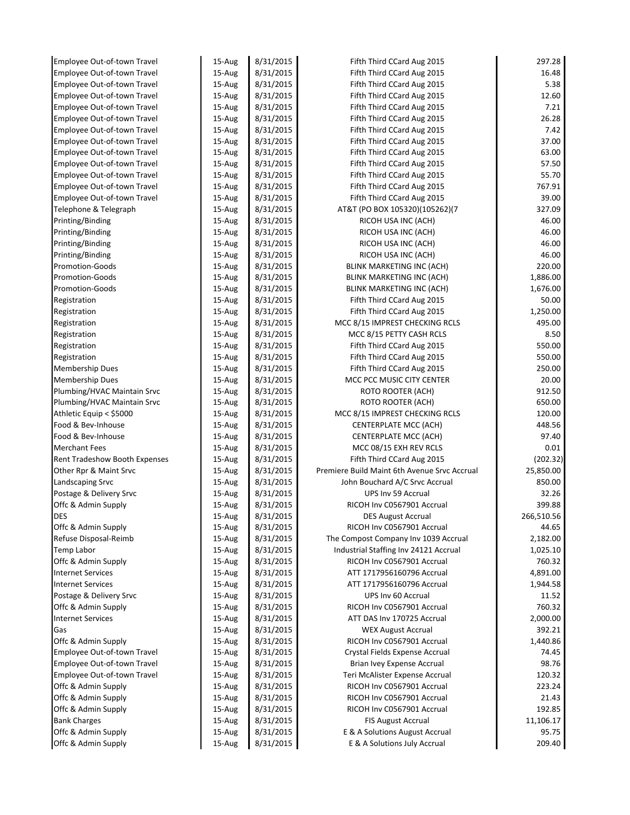| Employee Out-of-town Travel        | 15-Aug | 8/31/2015 | Fifth Third CCard Aug 2015                   | 297.28     |
|------------------------------------|--------|-----------|----------------------------------------------|------------|
| Employee Out-of-town Travel        | 15-Aug | 8/31/2015 | Fifth Third CCard Aug 2015                   | 16.48      |
| Employee Out-of-town Travel        | 15-Aug | 8/31/2015 | Fifth Third CCard Aug 2015                   | 5.38       |
| Employee Out-of-town Travel        | 15-Aug | 8/31/2015 | Fifth Third CCard Aug 2015                   | 12.60      |
| Employee Out-of-town Travel        | 15-Aug | 8/31/2015 | Fifth Third CCard Aug 2015                   | 7.21       |
| Employee Out-of-town Travel        | 15-Aug | 8/31/2015 | Fifth Third CCard Aug 2015                   | 26.28      |
| <b>Employee Out-of-town Travel</b> | 15-Aug | 8/31/2015 | Fifth Third CCard Aug 2015                   | 7.42       |
| Employee Out-of-town Travel        | 15-Aug | 8/31/2015 | Fifth Third CCard Aug 2015                   | 37.00      |
| Employee Out-of-town Travel        | 15-Aug | 8/31/2015 | Fifth Third CCard Aug 2015                   | 63.00      |
| Employee Out-of-town Travel        | 15-Aug | 8/31/2015 | Fifth Third CCard Aug 2015                   | 57.50      |
| Employee Out-of-town Travel        | 15-Aug | 8/31/2015 | Fifth Third CCard Aug 2015                   | 55.70      |
| Employee Out-of-town Travel        | 15-Aug | 8/31/2015 | Fifth Third CCard Aug 2015                   | 767.91     |
| Employee Out-of-town Travel        | 15-Aug | 8/31/2015 | Fifth Third CCard Aug 2015                   | 39.00      |
| Telephone & Telegraph              | 15-Aug | 8/31/2015 | AT&T (PO BOX 105320)(105262)(7               | 327.09     |
| Printing/Binding                   | 15-Aug | 8/31/2015 | RICOH USA INC (ACH)                          | 46.00      |
| Printing/Binding                   | 15-Aug | 8/31/2015 | RICOH USA INC (ACH)                          | 46.00      |
| Printing/Binding                   | 15-Aug | 8/31/2015 | RICOH USA INC (ACH)                          | 46.00      |
| Printing/Binding                   | 15-Aug | 8/31/2015 | RICOH USA INC (ACH)                          | 46.00      |
| Promotion-Goods                    | 15-Aug | 8/31/2015 | <b>BLINK MARKETING INC (ACH)</b>             | 220.00     |
| <b>Promotion-Goods</b>             | 15-Aug | 8/31/2015 | BLINK MARKETING INC (ACH)                    | 1,886.00   |
| <b>Promotion-Goods</b>             | 15-Aug | 8/31/2015 | BLINK MARKETING INC (ACH)                    | 1,676.00   |
| Registration                       | 15-Aug | 8/31/2015 | Fifth Third CCard Aug 2015                   | 50.00      |
| Registration                       | 15-Aug | 8/31/2015 | Fifth Third CCard Aug 2015                   | 1,250.00   |
| Registration                       | 15-Aug | 8/31/2015 | MCC 8/15 IMPREST CHECKING RCLS               | 495.00     |
| Registration                       | 15-Aug | 8/31/2015 | MCC 8/15 PETTY CASH RCLS                     | 8.50       |
| Registration                       | 15-Aug | 8/31/2015 | Fifth Third CCard Aug 2015                   | 550.00     |
| Registration                       | 15-Aug | 8/31/2015 | Fifth Third CCard Aug 2015                   | 550.00     |
| Membership Dues                    | 15-Aug | 8/31/2015 | Fifth Third CCard Aug 2015                   | 250.00     |
| Membership Dues                    | 15-Aug | 8/31/2015 | MCC PCC MUSIC CITY CENTER                    | 20.00      |
| Plumbing/HVAC Maintain Srvc        | 15-Aug | 8/31/2015 | ROTO ROOTER (ACH)                            | 912.50     |
| Plumbing/HVAC Maintain Srvc        | 15-Aug | 8/31/2015 | ROTO ROOTER (ACH)                            | 650.00     |
| Athletic Equip < \$5000            | 15-Aug | 8/31/2015 | MCC 8/15 IMPREST CHECKING RCLS               | 120.00     |
| Food & Bev-Inhouse                 | 15-Aug | 8/31/2015 | CENTERPLATE MCC (ACH)                        | 448.56     |
| Food & Bev-Inhouse                 | 15-Aug | 8/31/2015 | CENTERPLATE MCC (ACH)                        | 97.40      |
| Merchant Fees                      | 15-Aug | 8/31/2015 | MCC 08/15 EXH REV RCLS                       | 0.01       |
| Rent Tradeshow Booth Expenses      | 15-Aug | 8/31/2015 | Fifth Third CCard Aug 2015                   | (202.32)   |
| Other Rpr & Maint Srvc             | 15-Aug | 8/31/2015 | Premiere Build Maint 6th Avenue Srvc Accrual | 25,850.00  |
| Landscaping Srvc                   | 15-Aug | 8/31/2015 | John Bouchard A/C Srvc Accrual               | 850.00     |
| Postage & Delivery Srvc            | 15-Aug | 8/31/2015 | UPS Inv 59 Accrual                           | 32.26      |
| Offc & Admin Supply                | 15-Aug | 8/31/2015 | RICOH Inv C0567901 Accrual                   | 399.88     |
| <b>DES</b>                         | 15-Aug | 8/31/2015 | <b>DES August Accrual</b>                    | 266,510.56 |
| Offc & Admin Supply                | 15-Aug | 8/31/2015 | RICOH Inv C0567901 Accrual                   | 44.65      |
| Refuse Disposal-Reimb              | 15-Aug | 8/31/2015 | The Compost Company Inv 1039 Accrual         | 2,182.00   |
| Temp Labor                         | 15-Aug | 8/31/2015 | Industrial Staffing Inv 24121 Accrual        | 1,025.10   |
| Offc & Admin Supply                | 15-Aug | 8/31/2015 | RICOH Inv C0567901 Accrual                   | 760.32     |
| <b>Internet Services</b>           | 15-Aug | 8/31/2015 | ATT 1717956160796 Accrual                    | 4,891.00   |
| <b>Internet Services</b>           | 15-Aug | 8/31/2015 | ATT 1717956160796 Accrual                    | 1,944.58   |
| Postage & Delivery Srvc            | 15-Aug | 8/31/2015 | UPS Inv 60 Accrual                           | 11.52      |
| Offc & Admin Supply                | 15-Aug | 8/31/2015 | RICOH Inv C0567901 Accrual                   | 760.32     |
| Internet Services                  | 15-Aug | 8/31/2015 | ATT DAS Inv 170725 Accrual                   | 2,000.00   |
| Gas                                | 15-Aug | 8/31/2015 | <b>WEX August Accrual</b>                    | 392.21     |
| Offc & Admin Supply                | 15-Aug | 8/31/2015 | RICOH Inv C0567901 Accrual                   | 1,440.86   |
| Employee Out-of-town Travel        | 15-Aug | 8/31/2015 | Crystal Fields Expense Accrual               | 74.45      |
| Employee Out-of-town Travel        | 15-Aug | 8/31/2015 | Brian Ivey Expense Accrual                   | 98.76      |
| Employee Out-of-town Travel        | 15-Aug | 8/31/2015 | Teri McAlister Expense Accrual               | 120.32     |
| Offc & Admin Supply                | 15-Aug | 8/31/2015 | RICOH Inv C0567901 Accrual                   | 223.24     |
| Offc & Admin Supply                | 15-Aug | 8/31/2015 | RICOH Inv C0567901 Accrual                   | 21.43      |
| Offc & Admin Supply                | 15-Aug | 8/31/2015 | RICOH Inv C0567901 Accrual                   | 192.85     |
| <b>Bank Charges</b>                | 15-Aug | 8/31/2015 | <b>FIS August Accrual</b>                    | 11,106.17  |
| Offc & Admin Supply                | 15-Aug | 8/31/2015 | E & A Solutions August Accrual               | 95.75      |
| Offc & Admin Supply                | 15-Aug | 8/31/2015 | E & A Solutions July Accrual                 | 209.40     |
|                                    |        |           |                                              |            |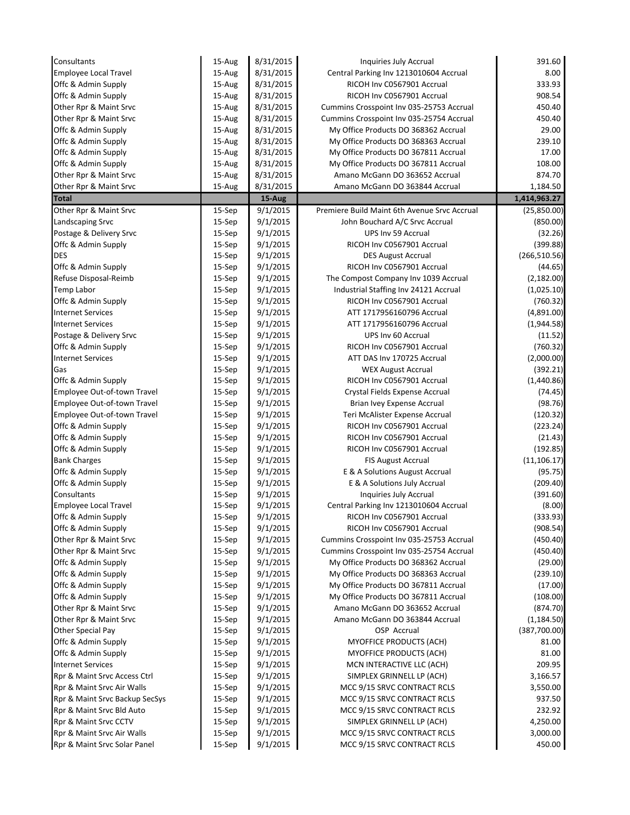| Consultants                    | 15-Aug    | 8/31/2015 | Inquiries July Accrual                       | 391.60        |
|--------------------------------|-----------|-----------|----------------------------------------------|---------------|
| Employee Local Travel          | 15-Aug    | 8/31/2015 | Central Parking Inv 1213010604 Accrual       | 8.00          |
| Offc & Admin Supply            | 15-Aug    | 8/31/2015 | RICOH Inv C0567901 Accrual                   | 333.93        |
| Offc & Admin Supply            | 15-Aug    | 8/31/2015 | RICOH Inv C0567901 Accrual                   | 908.54        |
| Other Rpr & Maint Srvc         | 15-Aug    | 8/31/2015 | Cummins Crosspoint Inv 035-25753 Accrual     | 450.40        |
| Other Rpr & Maint Srvc         | 15-Aug    | 8/31/2015 | Cummins Crosspoint Inv 035-25754 Accrual     | 450.40        |
| Offc & Admin Supply            | 15-Aug    | 8/31/2015 | My Office Products DO 368362 Accrual         | 29.00         |
| Offc & Admin Supply            | 15-Aug    | 8/31/2015 | My Office Products DO 368363 Accrual         | 239.10        |
| Offc & Admin Supply            | 15-Aug    | 8/31/2015 | My Office Products DO 367811 Accrual         | 17.00         |
| Offc & Admin Supply            | 15-Aug    | 8/31/2015 | My Office Products DO 367811 Accrual         | 108.00        |
| Other Rpr & Maint Srvc         | 15-Aug    | 8/31/2015 | Amano McGann DO 363652 Accrual               | 874.70        |
| Other Rpr & Maint Srvc         | 15-Aug    | 8/31/2015 | Amano McGann DO 363844 Accrual               | 1,184.50      |
| <b>Total</b>                   |           | 15-Aug    |                                              | 1,414,963.27  |
| Other Rpr & Maint Srvc         | 15-Sep    | 9/1/2015  | Premiere Build Maint 6th Avenue Srvc Accrual | (25,850.00)   |
| Landscaping Srvc               | 15-Sep    | 9/1/2015  | John Bouchard A/C Srvc Accrual               | (850.00)      |
| Postage & Delivery Srvc        | 15-Sep    | 9/1/2015  | UPS Inv 59 Accrual                           | (32.26)       |
| Offc & Admin Supply            | $15-$ Sep | 9/1/2015  | RICOH Inv C0567901 Accrual                   | (399.88)      |
| <b>DES</b>                     | $15-$ Sep | 9/1/2015  | <b>DES August Accrual</b>                    | (266, 510.56) |
| Offc & Admin Supply            | 15-Sep    | 9/1/2015  | RICOH Inv C0567901 Accrual                   | (44.65)       |
| Refuse Disposal-Reimb          | $15-$ Sep | 9/1/2015  | The Compost Company Inv 1039 Accrual         | (2, 182.00)   |
| <b>Temp Labor</b>              | 15-Sep    | 9/1/2015  | Industrial Staffing Inv 24121 Accrual        | (1,025.10)    |
| Offc & Admin Supply            | 15-Sep    | 9/1/2015  | RICOH Inv C0567901 Accrual                   | (760.32)      |
| <b>Internet Services</b>       | 15-Sep    | 9/1/2015  | ATT 1717956160796 Accrual                    | (4,891.00)    |
| <b>Internet Services</b>       | $15-$ Sep | 9/1/2015  | ATT 1717956160796 Accrual                    | (1,944.58)    |
| Postage & Delivery Srvc        | 15-Sep    | 9/1/2015  | UPS Inv 60 Accrual                           | (11.52)       |
| Offc & Admin Supply            | $15-$ Sep | 9/1/2015  | RICOH Inv C0567901 Accrual                   | (760.32)      |
| <b>Internet Services</b>       | 15-Sep    | 9/1/2015  | ATT DAS Inv 170725 Accrual                   | (2,000.00)    |
| Gas                            | 15-Sep    | 9/1/2015  | <b>WEX August Accrual</b>                    | (392.21)      |
| Offc & Admin Supply            | $15-$ Sep | 9/1/2015  | RICOH Inv C0567901 Accrual                   | (1,440.86)    |
| Employee Out-of-town Travel    | 15-Sep    | 9/1/2015  | Crystal Fields Expense Accrual               | (74.45)       |
| Employee Out-of-town Travel    | $15-$ Sep | 9/1/2015  | Brian Ivey Expense Accrual                   | (98.76)       |
| Employee Out-of-town Travel    | $15-$ Sep | 9/1/2015  | Teri McAlister Expense Accrual               | (120.32)      |
| Offc & Admin Supply            | 15-Sep    | 9/1/2015  | RICOH Inv C0567901 Accrual                   | (223.24)      |
| Offc & Admin Supply            | 15-Sep    | 9/1/2015  | RICOH Inv C0567901 Accrual                   | (21.43)       |
| Offc & Admin Supply            | $15-$ Sep | 9/1/2015  | RICOH Inv C0567901 Accrual                   | (192.85)      |
| <b>Bank Charges</b>            | 15-Sep    | 9/1/2015  | <b>FIS August Accrual</b>                    | (11, 106.17)  |
| Offc & Admin Supply            | 15-Sep    | 9/1/2015  | E & A Solutions August Accrual               | (95.75)       |
| Offc & Admin Supply            | $15-$ Sep | 9/1/2015  | E & A Solutions July Accrual                 | (209.40)      |
| Consultants                    | 15-Sep    | 9/1/2015  | Inquiries July Accrual                       | (391.60)      |
| <b>Employee Local Travel</b>   | 15-Sep    | 9/1/2015  | Central Parking Inv 1213010604 Accrual       | (8.00)        |
| Offc & Admin Supply            | 15-Sep    | 9/1/2015  | RICOH Inv C0567901 Accrual                   | (333.93)      |
| Offc & Admin Supply            | 15-Sep    | 9/1/2015  | RICOH Inv C0567901 Accrual                   | (908.54)      |
| Other Rpr & Maint Srvc         | 15-Sep    | 9/1/2015  | Cummins Crosspoint Inv 035-25753 Accrual     | (450.40)      |
| Other Rpr & Maint Srvc         | 15-Sep    | 9/1/2015  | Cummins Crosspoint Inv 035-25754 Accrual     | (450.40)      |
| Offc & Admin Supply            | 15-Sep    | 9/1/2015  | My Office Products DO 368362 Accrual         | (29.00)       |
| Offc & Admin Supply            | 15-Sep    | 9/1/2015  | My Office Products DO 368363 Accrual         | (239.10)      |
| Offc & Admin Supply            | 15-Sep    | 9/1/2015  | My Office Products DO 367811 Accrual         | (17.00)       |
| Offc & Admin Supply            | 15-Sep    | 9/1/2015  | My Office Products DO 367811 Accrual         | (108.00)      |
| Other Rpr & Maint Srvc         | 15-Sep    | 9/1/2015  | Amano McGann DO 363652 Accrual               | (874.70)      |
| Other Rpr & Maint Srvc         | 15-Sep    | 9/1/2015  | Amano McGann DO 363844 Accrual               | (1, 184.50)   |
| <b>Other Special Pay</b>       | 15-Sep    | 9/1/2015  | OSP Accrual                                  | (387,700.00)  |
| Offc & Admin Supply            | 15-Sep    | 9/1/2015  | MYOFFICE PRODUCTS (ACH)                      | 81.00         |
| Offc & Admin Supply            | 15-Sep    | 9/1/2015  | MYOFFICE PRODUCTS (ACH)                      | 81.00         |
| <b>Internet Services</b>       | 15-Sep    | 9/1/2015  | MCN INTERACTIVE LLC (ACH)                    | 209.95        |
| Rpr & Maint Srvc Access Ctrl   | 15-Sep    | 9/1/2015  | SIMPLEX GRINNELL LP (ACH)                    | 3,166.57      |
| Rpr & Maint Srvc Air Walls     | 15-Sep    | 9/1/2015  | MCC 9/15 SRVC CONTRACT RCLS                  | 3,550.00      |
| Rpr & Maint Srvc Backup SecSys | 15-Sep    | 9/1/2015  | MCC 9/15 SRVC CONTRACT RCLS                  | 937.50        |
| Rpr & Maint Srvc Bld Auto      | 15-Sep    | 9/1/2015  | MCC 9/15 SRVC CONTRACT RCLS                  | 232.92        |
| Rpr & Maint Srvc CCTV          | 15-Sep    | 9/1/2015  | SIMPLEX GRINNELL LP (ACH)                    | 4,250.00      |
| Rpr & Maint Srvc Air Walls     | 15-Sep    | 9/1/2015  | MCC 9/15 SRVC CONTRACT RCLS                  | 3,000.00      |
| Rpr & Maint Srvc Solar Panel   | 15-Sep    | 9/1/2015  | MCC 9/15 SRVC CONTRACT RCLS                  | 450.00        |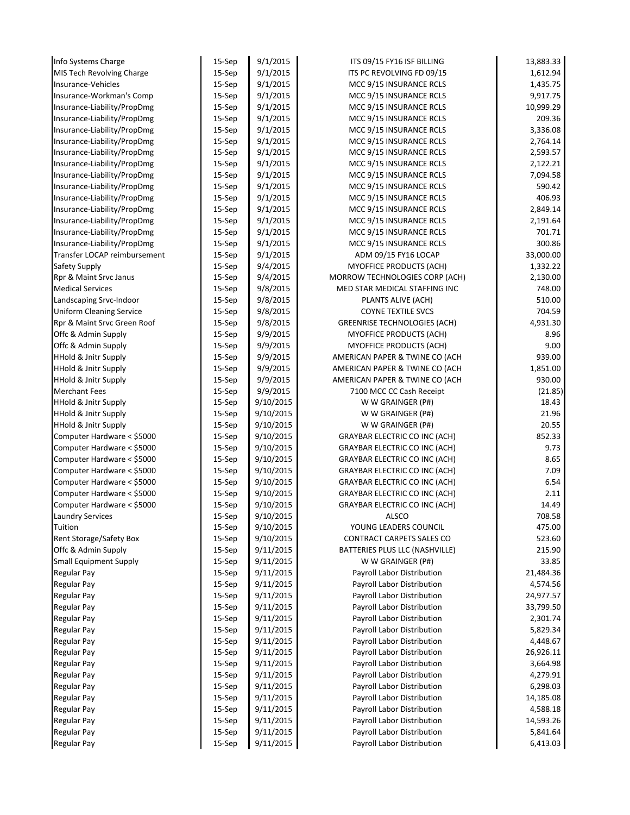| Info Systems Charge             | 15-Sep    | 9/1/2015  | ITS 09/15 FY16 ISF BILLING           | 13,883.33 |
|---------------------------------|-----------|-----------|--------------------------------------|-----------|
| MIS Tech Revolving Charge       | 15-Sep    | 9/1/2015  | ITS PC REVOLVING FD 09/15            | 1,612.94  |
| Insurance-Vehicles              | $15-$ Sep | 9/1/2015  | MCC 9/15 INSURANCE RCLS              | 1,435.75  |
| Insurance-Workman's Comp        | 15-Sep    | 9/1/2015  | MCC 9/15 INSURANCE RCLS              | 9,917.75  |
| Insurance-Liability/PropDmg     | $15-$ Sep | 9/1/2015  | MCC 9/15 INSURANCE RCLS              | 10,999.29 |
| Insurance-Liability/PropDmg     | 15-Sep    | 9/1/2015  | MCC 9/15 INSURANCE RCLS              | 209.36    |
| Insurance-Liability/PropDmg     | 15-Sep    | 9/1/2015  | MCC 9/15 INSURANCE RCLS              | 3,336.08  |
| Insurance-Liability/PropDmg     | 15-Sep    | 9/1/2015  | MCC 9/15 INSURANCE RCLS              | 2,764.14  |
| Insurance-Liability/PropDmg     | $15-$ Sep | 9/1/2015  | MCC 9/15 INSURANCE RCLS              | 2,593.57  |
| Insurance-Liability/PropDmg     | 15-Sep    | 9/1/2015  | MCC 9/15 INSURANCE RCLS              | 2,122.21  |
| Insurance-Liability/PropDmg     | 15-Sep    | 9/1/2015  | MCC 9/15 INSURANCE RCLS              | 7,094.58  |
| Insurance-Liability/PropDmg     | 15-Sep    | 9/1/2015  | MCC 9/15 INSURANCE RCLS              | 590.42    |
| Insurance-Liability/PropDmg     | 15-Sep    | 9/1/2015  | MCC 9/15 INSURANCE RCLS              | 406.93    |
| Insurance-Liability/PropDmg     | $15-$ Sep | 9/1/2015  | MCC 9/15 INSURANCE RCLS              | 2,849.14  |
| Insurance-Liability/PropDmg     | 15-Sep    | 9/1/2015  | MCC 9/15 INSURANCE RCLS              | 2,191.64  |
| Insurance-Liability/PropDmg     | $15-$ Sep | 9/1/2015  | MCC 9/15 INSURANCE RCLS              | 701.71    |
| Insurance-Liability/PropDmg     | 15-Sep    | 9/1/2015  | MCC 9/15 INSURANCE RCLS              | 300.86    |
| Transfer LOCAP reimbursement    | $15-$ Sep | 9/1/2015  | ADM 09/15 FY16 LOCAP                 | 33,000.00 |
| Safety Supply                   | 15-Sep    | 9/4/2015  | MYOFFICE PRODUCTS (ACH)              | 1,332.22  |
| Rpr & Maint Srvc Janus          | 15-Sep    | 9/4/2015  | MORROW TECHNOLOGIES CORP (ACH)       | 2,130.00  |
| <b>Medical Services</b>         | $15-$ Sep | 9/8/2015  | MED STAR MEDICAL STAFFING INC        | 748.00    |
| Landscaping Srvc-Indoor         | 15-Sep    | 9/8/2015  | PLANTS ALIVE (ACH)                   | 510.00    |
| <b>Uniform Cleaning Service</b> | 15-Sep    | 9/8/2015  | <b>COYNE TEXTILE SVCS</b>            | 704.59    |
| Rpr & Maint Srvc Green Roof     | 15-Sep    | 9/8/2015  | <b>GREENRISE TECHNOLOGIES (ACH)</b>  | 4,931.30  |
| Offc & Admin Supply             | 15-Sep    | 9/9/2015  | <b>MYOFFICE PRODUCTS (ACH)</b>       | 8.96      |
| Offc & Admin Supply             | 15-Sep    | 9/9/2015  | MYOFFICE PRODUCTS (ACH)              | 9.00      |
| HHold & Jnitr Supply            | 15-Sep    | 9/9/2015  | AMERICAN PAPER & TWINE CO (ACH       | 939.00    |
| HHold & Jnitr Supply            | $15-$ Sep | 9/9/2015  | AMERICAN PAPER & TWINE CO (ACH       | 1,851.00  |
| HHold & Jnitr Supply            | 15-Sep    | 9/9/2015  | AMERICAN PAPER & TWINE CO (ACH       | 930.00    |
| <b>Merchant Fees</b>            | 15-Sep    | 9/9/2015  | 7100 MCC CC Cash Receipt             | (21.85)   |
| <b>HHold &amp; Jnitr Supply</b> | 15-Sep    | 9/10/2015 | W W GRAINGER (P#)                    | 18.43     |
| <b>HHold &amp; Jnitr Supply</b> | $15-$ Sep | 9/10/2015 | W W GRAINGER (P#)                    | 21.96     |
| <b>HHold &amp; Jnitr Supply</b> | $15-$ Sep | 9/10/2015 | W W GRAINGER (P#)                    | 20.55     |
| Computer Hardware < \$5000      | $15-$ Sep | 9/10/2015 | <b>GRAYBAR ELECTRIC CO INC (ACH)</b> | 852.33    |
| Computer Hardware < \$5000      | 15-Sep    | 9/10/2015 | <b>GRAYBAR ELECTRIC CO INC (ACH)</b> | 9.73      |
| Computer Hardware < \$5000      | 15-Sep    | 9/10/2015 | <b>GRAYBAR ELECTRIC CO INC (ACH)</b> | 8.65      |
| Computer Hardware < \$5000      | 15-Sep    | 9/10/2015 | <b>GRAYBAR ELECTRIC CO INC (ACH)</b> | 7.09      |
| Computer Hardware < \$5000      | 15-Sep    | 9/10/2015 | <b>GRAYBAR ELECTRIC CO INC (ACH)</b> | 6.54      |
| Computer Hardware < \$5000      | 15-Sep    | 9/10/2015 | <b>GRAYBAR ELECTRIC CO INC (ACH)</b> | 2.11      |
| Computer Hardware < \$5000      | 15-Sep    | 9/10/2015 | <b>GRAYBAR ELECTRIC CO INC (ACH)</b> | 14.49     |
| <b>Laundry Services</b>         | 15-Sep    | 9/10/2015 | ALSCO                                | 708.58    |
| Tuition                         | 15-Sep    | 9/10/2015 | YOUNG LEADERS COUNCIL                | 475.00    |
| Rent Storage/Safety Box         | 15-Sep    | 9/10/2015 | CONTRACT CARPETS SALES CO            | 523.60    |
| Offc & Admin Supply             | 15-Sep    | 9/11/2015 | BATTERIES PLUS LLC (NASHVILLE)       | 215.90    |
| <b>Small Equipment Supply</b>   | 15-Sep    | 9/11/2015 | W W GRAINGER (P#)                    | 33.85     |
| Regular Pay                     | 15-Sep    | 9/11/2015 | Payroll Labor Distribution           | 21,484.36 |
| Regular Pay                     | 15-Sep    | 9/11/2015 | Payroll Labor Distribution           | 4,574.56  |
| Regular Pay                     | 15-Sep    | 9/11/2015 | Payroll Labor Distribution           | 24,977.57 |
| Regular Pay                     | 15-Sep    | 9/11/2015 | Payroll Labor Distribution           | 33,799.50 |
| Regular Pay                     | $15-$ Sep | 9/11/2015 | Payroll Labor Distribution           | 2,301.74  |
| Regular Pay                     | 15-Sep    | 9/11/2015 | Payroll Labor Distribution           | 5,829.34  |
| <b>Regular Pay</b>              | 15-Sep    | 9/11/2015 | Payroll Labor Distribution           | 4,448.67  |
| <b>Regular Pay</b>              | $15-$ Sep | 9/11/2015 | Payroll Labor Distribution           | 26,926.11 |
| <b>Regular Pay</b>              | 15-Sep    | 9/11/2015 | Payroll Labor Distribution           | 3,664.98  |
| Regular Pay                     | 15-Sep    | 9/11/2015 | Payroll Labor Distribution           | 4,279.91  |
| <b>Regular Pay</b>              | 15-Sep    | 9/11/2015 | Payroll Labor Distribution           | 6,298.03  |
| Regular Pay                     | 15-Sep    | 9/11/2015 | Payroll Labor Distribution           | 14,185.08 |
| Regular Pay                     | 15-Sep    | 9/11/2015 | Payroll Labor Distribution           | 4,588.18  |
| Regular Pay                     | $15-$ Sep | 9/11/2015 | Payroll Labor Distribution           | 14,593.26 |
| Regular Pay                     | 15-Sep    | 9/11/2015 | Payroll Labor Distribution           | 5,841.64  |
| <b>Regular Pay</b>              | 15-Sep    | 9/11/2015 | Payroll Labor Distribution           | 6,413.03  |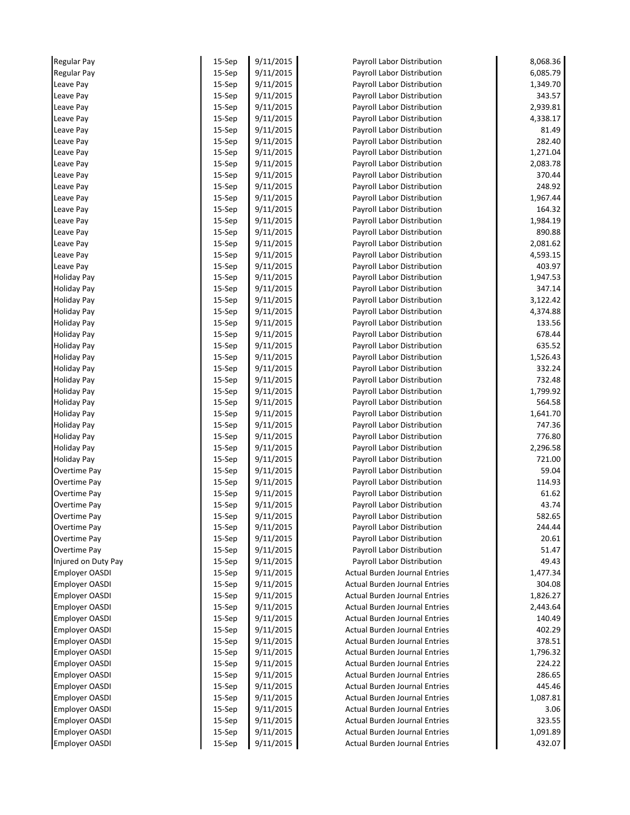| <b>Regular Pay</b>    | 15-Sep    | 9/11/2015 | Payroll Labor Distribution           | 8,068.36 |
|-----------------------|-----------|-----------|--------------------------------------|----------|
| <b>Regular Pay</b>    | 15-Sep    | 9/11/2015 | Payroll Labor Distribution           | 6,085.79 |
| Leave Pay             | 15-Sep    | 9/11/2015 | Payroll Labor Distribution           | 1,349.70 |
| Leave Pay             | 15-Sep    | 9/11/2015 | Payroll Labor Distribution           | 343.57   |
| Leave Pay             | $15-$ Sep | 9/11/2015 | Payroll Labor Distribution           | 2,939.81 |
| Leave Pay             | 15-Sep    | 9/11/2015 | Payroll Labor Distribution           | 4,338.17 |
| Leave Pay             | 15-Sep    | 9/11/2015 | Payroll Labor Distribution           | 81.49    |
| Leave Pay             | $15-$ Sep | 9/11/2015 | Payroll Labor Distribution           | 282.40   |
| Leave Pay             | 15-Sep    | 9/11/2015 | Payroll Labor Distribution           | 1,271.04 |
| Leave Pay             | $15-$ Sep | 9/11/2015 | Payroll Labor Distribution           | 2,083.78 |
| Leave Pay             | $15-$ Sep | 9/11/2015 | Payroll Labor Distribution           | 370.44   |
| Leave Pay             | 15-Sep    | 9/11/2015 | Payroll Labor Distribution           | 248.92   |
| Leave Pay             | $15-$ Sep | 9/11/2015 | Payroll Labor Distribution           | 1,967.44 |
| Leave Pay             | 15-Sep    | 9/11/2015 | Payroll Labor Distribution           | 164.32   |
| Leave Pay             | 15-Sep    | 9/11/2015 | Payroll Labor Distribution           | 1,984.19 |
| Leave Pay             | 15-Sep    | 9/11/2015 | Payroll Labor Distribution           | 890.88   |
| Leave Pay             | $15-$ Sep | 9/11/2015 | Payroll Labor Distribution           | 2,081.62 |
| Leave Pay             | $15-$ Sep | 9/11/2015 | Payroll Labor Distribution           | 4,593.15 |
| Leave Pay             | 15-Sep    | 9/11/2015 | Payroll Labor Distribution           | 403.97   |
| <b>Holiday Pay</b>    | $15-$ Sep | 9/11/2015 | Payroll Labor Distribution           | 1,947.53 |
| <b>Holiday Pay</b>    | $15-$ Sep | 9/11/2015 | Payroll Labor Distribution           | 347.14   |
| <b>Holiday Pay</b>    | $15-$ Sep | 9/11/2015 | Payroll Labor Distribution           | 3,122.42 |
| <b>Holiday Pay</b>    | 15-Sep    | 9/11/2015 | Payroll Labor Distribution           | 4,374.88 |
| <b>Holiday Pay</b>    | $15-$ Sep | 9/11/2015 | Payroll Labor Distribution           | 133.56   |
| <b>Holiday Pay</b>    | 15-Sep    | 9/11/2015 | Payroll Labor Distribution           | 678.44   |
| <b>Holiday Pay</b>    | 15-Sep    | 9/11/2015 | Payroll Labor Distribution           | 635.52   |
| <b>Holiday Pay</b>    | $15-$ Sep | 9/11/2015 | Payroll Labor Distribution           | 1,526.43 |
| <b>Holiday Pay</b>    | 15-Sep    | 9/11/2015 | Payroll Labor Distribution           | 332.24   |
| <b>Holiday Pay</b>    | 15-Sep    | 9/11/2015 | Payroll Labor Distribution           | 732.48   |
| <b>Holiday Pay</b>    | $15-$ Sep | 9/11/2015 | Payroll Labor Distribution           | 1,799.92 |
| <b>Holiday Pay</b>    | $15-$ Sep | 9/11/2015 | Payroll Labor Distribution           | 564.58   |
| <b>Holiday Pay</b>    | 15-Sep    | 9/11/2015 | Payroll Labor Distribution           | 1,641.70 |
| <b>Holiday Pay</b>    | $15-$ Sep | 9/11/2015 | Payroll Labor Distribution           | 747.36   |
| <b>Holiday Pay</b>    | 15-Sep    | 9/11/2015 | Payroll Labor Distribution           | 776.80   |
| <b>Holiday Pay</b>    | $15-$ Sep | 9/11/2015 | Payroll Labor Distribution           | 2,296.58 |
| <b>Holiday Pay</b>    | $15-$ Sep | 9/11/2015 | Payroll Labor Distribution           | 721.00   |
| Overtime Pay          | 15-Sep    | 9/11/2015 | Payroll Labor Distribution           | 59.04    |
| Overtime Pay          | 15-Sep    | 9/11/2015 | Payroll Labor Distribution           | 114.93   |
| Overtime Pay          | 15-Sep    | 9/11/2015 | Payroll Labor Distribution           | 61.62    |
| Overtime Pay          | 15-Sep    | 9/11/2015 | Payroll Labor Distribution           | 43.74    |
| Overtime Pay          | $15-$ Sep | 9/11/2015 | Payroll Labor Distribution           | 582.65   |
| Overtime Pay          | $15-$ Sep | 9/11/2015 | Payroll Labor Distribution           | 244.44   |
| Overtime Pay          | 15-Sep    | 9/11/2015 | Payroll Labor Distribution           | 20.61    |
| Overtime Pay          | 15-Sep    | 9/11/2015 | Payroll Labor Distribution           | 51.47    |
| Injured on Duty Pay   | 15-Sep    | 9/11/2015 | Payroll Labor Distribution           | 49.43    |
| <b>Employer OASDI</b> | 15-Sep    | 9/11/2015 | <b>Actual Burden Journal Entries</b> | 1,477.34 |
| <b>Employer OASDI</b> | $15-$ Sep | 9/11/2015 | <b>Actual Burden Journal Entries</b> | 304.08   |
| Employer OASDI        | 15-Sep    | 9/11/2015 | <b>Actual Burden Journal Entries</b> | 1,826.27 |
| <b>Employer OASDI</b> | $15-$ Sep | 9/11/2015 | <b>Actual Burden Journal Entries</b> | 2,443.64 |
| <b>Employer OASDI</b> | 15-Sep    | 9/11/2015 | <b>Actual Burden Journal Entries</b> | 140.49   |
| <b>Employer OASDI</b> | 15-Sep    | 9/11/2015 | <b>Actual Burden Journal Entries</b> | 402.29   |
| <b>Employer OASDI</b> | $15-$ Sep | 9/11/2015 | <b>Actual Burden Journal Entries</b> | 378.51   |
| <b>Employer OASDI</b> | 15-Sep    | 9/11/2015 | <b>Actual Burden Journal Entries</b> | 1,796.32 |
| <b>Employer OASDI</b> | 15-Sep    | 9/11/2015 | <b>Actual Burden Journal Entries</b> | 224.22   |
| <b>Employer OASDI</b> | 15-Sep    | 9/11/2015 | <b>Actual Burden Journal Entries</b> | 286.65   |
| Employer OASDI        | 15-Sep    | 9/11/2015 | <b>Actual Burden Journal Entries</b> | 445.46   |
| <b>Employer OASDI</b> | 15-Sep    | 9/11/2015 | <b>Actual Burden Journal Entries</b> | 1,087.81 |
| <b>Employer OASDI</b> | $15-$ Sep | 9/11/2015 | <b>Actual Burden Journal Entries</b> | 3.06     |
| <b>Employer OASDI</b> | 15-Sep    | 9/11/2015 | <b>Actual Burden Journal Entries</b> | 323.55   |
| <b>Employer OASDI</b> | 15-Sep    | 9/11/2015 | <b>Actual Burden Journal Entries</b> | 1,091.89 |
| Employer OASDI        | 15-Sep    | 9/11/2015 | <b>Actual Burden Journal Entries</b> | 432.07   |
|                       |           |           |                                      |          |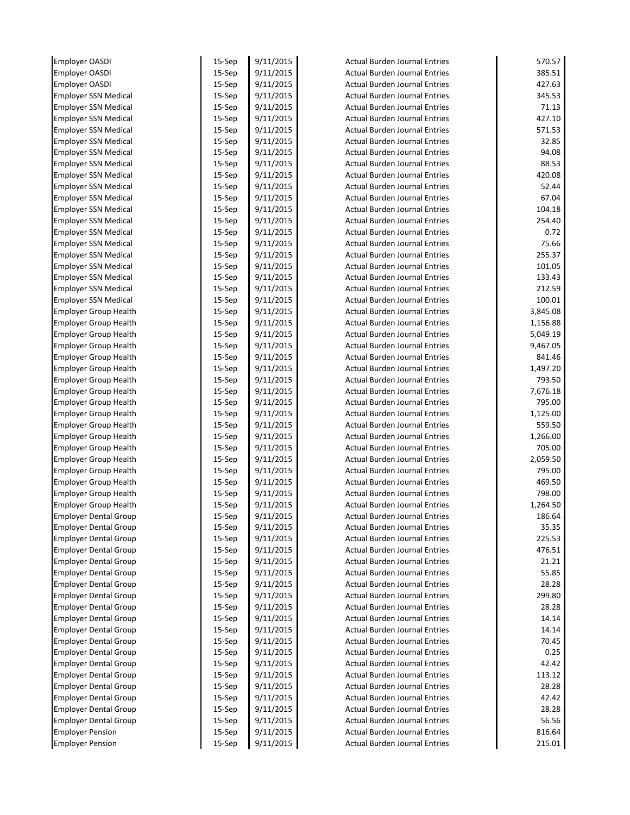| <b>Employer OASDI</b>                                   | 15-Sep           | 9/11/2015              | <b>Actual Burden Journal Entries</b>                                         | 570.57          |
|---------------------------------------------------------|------------------|------------------------|------------------------------------------------------------------------------|-----------------|
| <b>Employer OASDI</b>                                   | 15-Sep           | 9/11/2015              | <b>Actual Burden Journal Entries</b>                                         | 385.51          |
| <b>Employer OASDI</b>                                   | 15-Sep           | 9/11/2015              | <b>Actual Burden Journal Entries</b>                                         | 427.63          |
| <b>Employer SSN Medical</b>                             | 15-Sep           | 9/11/2015              | <b>Actual Burden Journal Entries</b>                                         | 345.53          |
| <b>Employer SSN Medical</b>                             | $15-$ Sep        | 9/11/2015              | <b>Actual Burden Journal Entries</b>                                         | 71.13           |
| <b>Employer SSN Medical</b>                             | 15-Sep           | 9/11/2015              | <b>Actual Burden Journal Entries</b>                                         | 427.10          |
| <b>Employer SSN Medical</b>                             | 15-Sep           | 9/11/2015              | <b>Actual Burden Journal Entries</b>                                         | 571.53          |
| <b>Employer SSN Medical</b>                             | $15-$ Sep        | 9/11/2015              | <b>Actual Burden Journal Entries</b>                                         | 32.85           |
| <b>Employer SSN Medical</b>                             | 15-Sep           | 9/11/2015              | <b>Actual Burden Journal Entries</b>                                         | 94.08           |
| <b>Employer SSN Medical</b>                             | $15-$ Sep        | 9/11/2015              | <b>Actual Burden Journal Entries</b>                                         | 88.53           |
| <b>Employer SSN Medical</b>                             | $15-$ Sep        | 9/11/2015              | <b>Actual Burden Journal Entries</b>                                         | 420.08          |
| <b>Employer SSN Medical</b>                             | 15-Sep           | 9/11/2015              | <b>Actual Burden Journal Entries</b>                                         | 52.44           |
| <b>Employer SSN Medical</b>                             | $15-$ Sep        | 9/11/2015              | <b>Actual Burden Journal Entries</b>                                         | 67.04           |
| <b>Employer SSN Medical</b>                             | 15-Sep           | 9/11/2015              | <b>Actual Burden Journal Entries</b>                                         | 104.18          |
| <b>Employer SSN Medical</b>                             | 15-Sep           | 9/11/2015              | <b>Actual Burden Journal Entries</b>                                         | 254.40          |
| <b>Employer SSN Medical</b>                             | $15-$ Sep        | 9/11/2015              | <b>Actual Burden Journal Entries</b>                                         | 0.72            |
| <b>Employer SSN Medical</b>                             | $15-$ Sep        | 9/11/2015              | <b>Actual Burden Journal Entries</b>                                         | 75.66           |
| <b>Employer SSN Medical</b>                             | $15-$ Sep        | 9/11/2015              | <b>Actual Burden Journal Entries</b>                                         | 255.37          |
| <b>Employer SSN Medical</b>                             | 15-Sep           | 9/11/2015              | <b>Actual Burden Journal Entries</b>                                         | 101.05          |
| <b>Employer SSN Medical</b>                             | $15-$ Sep        | 9/11/2015              | <b>Actual Burden Journal Entries</b>                                         | 133.43          |
| <b>Employer SSN Medical</b>                             | $15-$ Sep        | 9/11/2015              | <b>Actual Burden Journal Entries</b>                                         | 212.59          |
| <b>Employer SSN Medical</b>                             | $15-$ Sep        | 9/11/2015              | <b>Actual Burden Journal Entries</b>                                         | 100.01          |
| <b>Employer Group Health</b>                            | $15-$ Sep        | 9/11/2015              | <b>Actual Burden Journal Entries</b>                                         | 3,845.08        |
| <b>Employer Group Health</b>                            | $15-$ Sep        | 9/11/2015              | <b>Actual Burden Journal Entries</b>                                         | 1,156.88        |
| <b>Employer Group Health</b>                            | 15-Sep           | 9/11/2015              | <b>Actual Burden Journal Entries</b>                                         | 5,049.19        |
| <b>Employer Group Health</b>                            | 15-Sep           | 9/11/2015              | <b>Actual Burden Journal Entries</b>                                         | 9,467.05        |
| <b>Employer Group Health</b>                            | $15-$ Sep        | 9/11/2015              | <b>Actual Burden Journal Entries</b>                                         | 841.46          |
| <b>Employer Group Health</b>                            | 15-Sep           | 9/11/2015              | <b>Actual Burden Journal Entries</b>                                         | 1,497.20        |
| <b>Employer Group Health</b>                            | $15-$ Sep        | 9/11/2015              | <b>Actual Burden Journal Entries</b>                                         | 793.50          |
| <b>Employer Group Health</b>                            | $15-$ Sep        | 9/11/2015              | <b>Actual Burden Journal Entries</b>                                         | 7,676.18        |
| <b>Employer Group Health</b>                            | $15-$ Sep        | 9/11/2015              | <b>Actual Burden Journal Entries</b>                                         | 795.00          |
| <b>Employer Group Health</b>                            | $15-$ Sep        | 9/11/2015              | <b>Actual Burden Journal Entries</b>                                         | 1,125.00        |
| <b>Employer Group Health</b>                            | $15-$ Sep        | 9/11/2015              | <b>Actual Burden Journal Entries</b>                                         | 559.50          |
| <b>Employer Group Health</b>                            | $15-$ Sep        | 9/11/2015              | <b>Actual Burden Journal Entries</b>                                         | 1,266.00        |
| <b>Employer Group Health</b>                            | $15-$ Sep        | 9/11/2015              | <b>Actual Burden Journal Entries</b>                                         | 705.00          |
| <b>Employer Group Health</b>                            | $15-$ Sep        | 9/11/2015              | <b>Actual Burden Journal Entries</b>                                         | 2,059.50        |
| <b>Employer Group Health</b>                            | $15-$ Sep        | 9/11/2015              | <b>Actual Burden Journal Entries</b>                                         | 795.00          |
| <b>Employer Group Health</b>                            | 15-Sep           | 9/11/2015              | <b>Actual Burden Journal Entries</b>                                         | 469.50          |
| <b>Employer Group Health</b>                            | 15-Sep           | 9/11/2015              | <b>Actual Burden Journal Entries</b>                                         | 798.00          |
| <b>Employer Group Health</b>                            | 15-Sep           | 9/11/2015              | Actual Burden Journal Entries                                                | 1,264.50        |
| <b>Employer Dental Group</b>                            | $15-$ Sep        | 9/11/2015              | <b>Actual Burden Journal Entries</b>                                         | 186.64          |
| <b>Employer Dental Group</b>                            | $15-$ Sep        | 9/11/2015              | <b>Actual Burden Journal Entries</b>                                         | 35.35           |
| <b>Employer Dental Group</b>                            | 15-Sep           | 9/11/2015              | <b>Actual Burden Journal Entries</b>                                         | 225.53          |
| <b>Employer Dental Group</b>                            | 15-Sep           | 9/11/2015              | <b>Actual Burden Journal Entries</b>                                         | 476.51          |
| <b>Employer Dental Group</b>                            | 15-Sep           | 9/11/2015              | <b>Actual Burden Journal Entries</b>                                         | 21.21           |
| <b>Employer Dental Group</b>                            | 15-Sep           | 9/11/2015              | <b>Actual Burden Journal Entries</b>                                         | 55.85           |
| <b>Employer Dental Group</b>                            | $15-$ Sep        | 9/11/2015              | <b>Actual Burden Journal Entries</b>                                         | 28.28           |
| <b>Employer Dental Group</b>                            | 15-Sep           | 9/11/2015              | <b>Actual Burden Journal Entries</b>                                         | 299.80          |
| <b>Employer Dental Group</b>                            | $15-$ Sep        | 9/11/2015              | <b>Actual Burden Journal Entries</b>                                         | 28.28           |
| <b>Employer Dental Group</b>                            | 15-Sep           | 9/11/2015              | <b>Actual Burden Journal Entries</b>                                         | 14.14           |
| <b>Employer Dental Group</b>                            | 15-Sep           | 9/11/2015              | <b>Actual Burden Journal Entries</b>                                         | 14.14           |
| <b>Employer Dental Group</b>                            | $15-$ Sep        | 9/11/2015              | <b>Actual Burden Journal Entries</b>                                         | 70.45           |
| <b>Employer Dental Group</b>                            | 15-Sep           | 9/11/2015              | <b>Actual Burden Journal Entries</b>                                         | 0.25            |
| <b>Employer Dental Group</b>                            | 15-Sep           | 9/11/2015              | <b>Actual Burden Journal Entries</b>                                         | 42.42           |
| <b>Employer Dental Group</b>                            | $15-$ Sep        | 9/11/2015              | <b>Actual Burden Journal Entries</b>                                         | 113.12          |
| <b>Employer Dental Group</b>                            | 15-Sep           | 9/11/2015              | <b>Actual Burden Journal Entries</b>                                         | 28.28           |
|                                                         | 15-Sep           | 9/11/2015              | <b>Actual Burden Journal Entries</b>                                         | 42.42           |
|                                                         |                  |                        |                                                                              |                 |
| <b>Employer Dental Group</b>                            |                  |                        |                                                                              |                 |
| <b>Employer Dental Group</b>                            | $15-$ Sep        | 9/11/2015              | <b>Actual Burden Journal Entries</b>                                         | 28.28           |
| <b>Employer Dental Group</b><br><b>Employer Pension</b> | 15-Sep<br>15-Sep | 9/11/2015<br>9/11/2015 | <b>Actual Burden Journal Entries</b><br><b>Actual Burden Journal Entries</b> | 56.56<br>816.64 |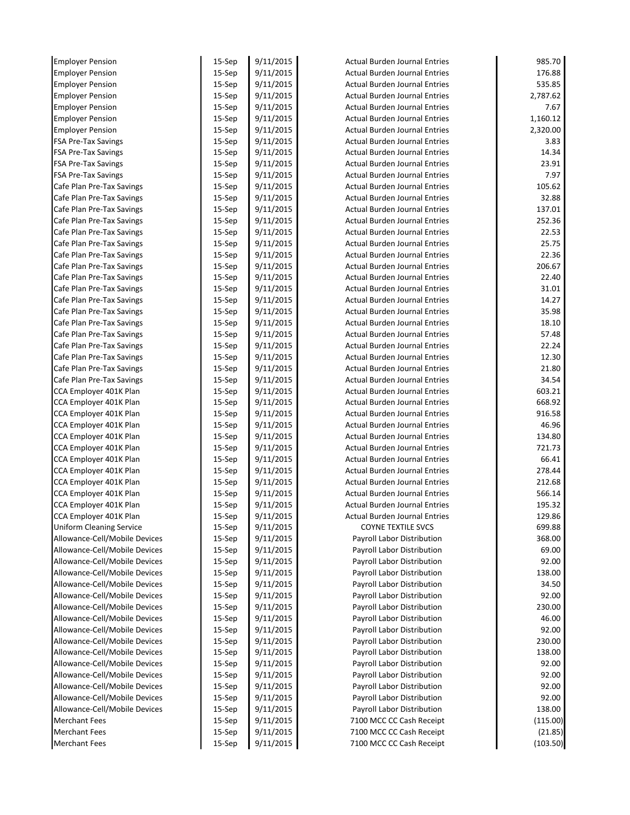| <b>Employer Pension</b>         | 15-Sep    | 9/11/2015 | <b>Actual Burden Journal Entries</b> | 985.70   |
|---------------------------------|-----------|-----------|--------------------------------------|----------|
| <b>Employer Pension</b>         | 15-Sep    | 9/11/2015 | <b>Actual Burden Journal Entries</b> | 176.88   |
| <b>Employer Pension</b>         | 15-Sep    | 9/11/2015 | <b>Actual Burden Journal Entries</b> | 535.85   |
| <b>Employer Pension</b>         | 15-Sep    | 9/11/2015 | <b>Actual Burden Journal Entries</b> | 2,787.62 |
| <b>Employer Pension</b>         | $15-$ Sep | 9/11/2015 | <b>Actual Burden Journal Entries</b> | 7.67     |
| <b>Employer Pension</b>         | 15-Sep    | 9/11/2015 | <b>Actual Burden Journal Entries</b> | 1,160.12 |
| <b>Employer Pension</b>         | 15-Sep    | 9/11/2015 | <b>Actual Burden Journal Entries</b> | 2,320.00 |
| <b>FSA Pre-Tax Savings</b>      | $15-$ Sep | 9/11/2015 | <b>Actual Burden Journal Entries</b> | 3.83     |
| <b>FSA Pre-Tax Savings</b>      | 15-Sep    | 9/11/2015 | <b>Actual Burden Journal Entries</b> | 14.34    |
| <b>FSA Pre-Tax Savings</b>      | $15-$ Sep | 9/11/2015 | <b>Actual Burden Journal Entries</b> | 23.91    |
| <b>FSA Pre-Tax Savings</b>      | $15-$ Sep | 9/11/2015 | <b>Actual Burden Journal Entries</b> | 7.97     |
| Cafe Plan Pre-Tax Savings       | $15-$ Sep | 9/11/2015 | <b>Actual Burden Journal Entries</b> | 105.62   |
| Cafe Plan Pre-Tax Savings       | $15-$ Sep | 9/11/2015 | <b>Actual Burden Journal Entries</b> | 32.88    |
| Cafe Plan Pre-Tax Savings       | $15-$ Sep | 9/11/2015 | <b>Actual Burden Journal Entries</b> | 137.01   |
| Cafe Plan Pre-Tax Savings       | $15-$ Sep | 9/11/2015 | <b>Actual Burden Journal Entries</b> | 252.36   |
| Cafe Plan Pre-Tax Savings       | $15-$ Sep | 9/11/2015 | <b>Actual Burden Journal Entries</b> | 22.53    |
| Cafe Plan Pre-Tax Savings       | $15-$ Sep | 9/11/2015 | <b>Actual Burden Journal Entries</b> | 25.75    |
| Cafe Plan Pre-Tax Savings       | $15-$ Sep | 9/11/2015 | <b>Actual Burden Journal Entries</b> | 22.36    |
| Cafe Plan Pre-Tax Savings       | 15-Sep    | 9/11/2015 | <b>Actual Burden Journal Entries</b> | 206.67   |
| Cafe Plan Pre-Tax Savings       | $15-$ Sep | 9/11/2015 | <b>Actual Burden Journal Entries</b> | 22.40    |
| Cafe Plan Pre-Tax Savings       | $15-$ Sep | 9/11/2015 | <b>Actual Burden Journal Entries</b> | 31.01    |
| Cafe Plan Pre-Tax Savings       | $15-$ Sep | 9/11/2015 | <b>Actual Burden Journal Entries</b> | 14.27    |
| Cafe Plan Pre-Tax Savings       | $15-$ Sep | 9/11/2015 | <b>Actual Burden Journal Entries</b> | 35.98    |
| Cafe Plan Pre-Tax Savings       | $15-$ Sep | 9/11/2015 | <b>Actual Burden Journal Entries</b> | 18.10    |
| Cafe Plan Pre-Tax Savings       | 15-Sep    | 9/11/2015 | <b>Actual Burden Journal Entries</b> | 57.48    |
| Cafe Plan Pre-Tax Savings       | 15-Sep    | 9/11/2015 | <b>Actual Burden Journal Entries</b> | 22.24    |
| Cafe Plan Pre-Tax Savings       | $15-$ Sep | 9/11/2015 | <b>Actual Burden Journal Entries</b> | 12.30    |
| Cafe Plan Pre-Tax Savings       | 15-Sep    | 9/11/2015 | <b>Actual Burden Journal Entries</b> | 21.80    |
| Cafe Plan Pre-Tax Savings       | $15-$ Sep | 9/11/2015 | <b>Actual Burden Journal Entries</b> | 34.54    |
| CCA Employer 401K Plan          | $15-$ Sep | 9/11/2015 | <b>Actual Burden Journal Entries</b> | 603.21   |
| CCA Employer 401K Plan          | $15-$ Sep | 9/11/2015 | <b>Actual Burden Journal Entries</b> | 668.92   |
| CCA Employer 401K Plan          | $15-$ Sep | 9/11/2015 | <b>Actual Burden Journal Entries</b> | 916.58   |
| CCA Employer 401K Plan          | $15-$ Sep | 9/11/2015 | <b>Actual Burden Journal Entries</b> | 46.96    |
| CCA Employer 401K Plan          | $15-$ Sep | 9/11/2015 | <b>Actual Burden Journal Entries</b> | 134.80   |
| CCA Employer 401K Plan          | $15-$ Sep | 9/11/2015 | <b>Actual Burden Journal Entries</b> | 721.73   |
| CCA Employer 401K Plan          | $15-$ Sep | 9/11/2015 | <b>Actual Burden Journal Entries</b> | 66.41    |
| CCA Employer 401K Plan          | $15-$ Sep | 9/11/2015 | <b>Actual Burden Journal Entries</b> | 278.44   |
| CCA Employer 401K Plan          | $15-$ Sep | 9/11/2015 | <b>Actual Burden Journal Entries</b> | 212.68   |
| CCA Employer 401K Plan          | 15-Sep    | 9/11/2015 | <b>Actual Burden Journal Entries</b> | 566.14   |
| CCA Employer 401K Plan          | 15-Sep    | 9/11/2015 | Actual Burden Journal Entries        | 195.32   |
| CCA Employer 401K Plan          | 15-Sep    | 9/11/2015 | Actual Burden Journal Entries        | 129.86   |
| <b>Uniform Cleaning Service</b> | $15-$ Sep | 9/11/2015 | <b>COYNE TEXTILE SVCS</b>            | 699.88   |
| Allowance-Cell/Mobile Devices   | $15-$ Sep | 9/11/2015 | Payroll Labor Distribution           | 368.00   |
| Allowance-Cell/Mobile Devices   | $15-$ Sep | 9/11/2015 | Payroll Labor Distribution           | 69.00    |
| Allowance-Cell/Mobile Devices   | $15-$ Sep | 9/11/2015 | Payroll Labor Distribution           | 92.00    |
| Allowance-Cell/Mobile Devices   | 15-Sep    | 9/11/2015 | Payroll Labor Distribution           | 138.00   |
| Allowance-Cell/Mobile Devices   | $15-$ Sep | 9/11/2015 | Payroll Labor Distribution           | 34.50    |
| Allowance-Cell/Mobile Devices   | 15-Sep    | 9/11/2015 | Payroll Labor Distribution           | 92.00    |
| Allowance-Cell/Mobile Devices   | $15-$ Sep | 9/11/2015 | Payroll Labor Distribution           | 230.00   |
| Allowance-Cell/Mobile Devices   | 15-Sep    | 9/11/2015 | Payroll Labor Distribution           | 46.00    |
| Allowance-Cell/Mobile Devices   | 15-Sep    | 9/11/2015 | Payroll Labor Distribution           | 92.00    |
| Allowance-Cell/Mobile Devices   | $15-$ Sep | 9/11/2015 | Payroll Labor Distribution           | 230.00   |
| Allowance-Cell/Mobile Devices   | 15-Sep    | 9/11/2015 | Payroll Labor Distribution           | 138.00   |
| Allowance-Cell/Mobile Devices   | 15-Sep    | 9/11/2015 | Payroll Labor Distribution           | 92.00    |
| Allowance-Cell/Mobile Devices   | $15-$ Sep | 9/11/2015 | Payroll Labor Distribution           | 92.00    |
| Allowance-Cell/Mobile Devices   | $15-$ Sep | 9/11/2015 | Payroll Labor Distribution           | 92.00    |
| Allowance-Cell/Mobile Devices   | $15-$ Sep | 9/11/2015 | Payroll Labor Distribution           | 92.00    |
| Allowance-Cell/Mobile Devices   | $15-$ Sep | 9/11/2015 | Payroll Labor Distribution           | 138.00   |
| <b>Merchant Fees</b>            | 15-Sep    | 9/11/2015 | 7100 MCC CC Cash Receipt             | (115.00) |
| <b>Merchant Fees</b>            | 15-Sep    | 9/11/2015 | 7100 MCC CC Cash Receipt             | (21.85)  |
|                                 |           |           |                                      |          |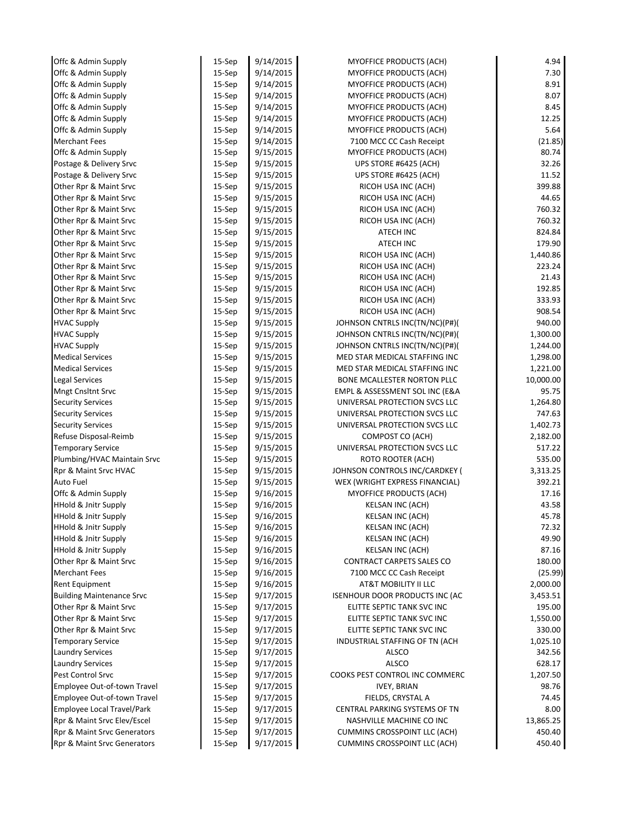| Offc & Admin Supply              | 15-Sep    | 9/14/2015 | MYOFFICE PRODUCTS (ACH)             | 4.94      |
|----------------------------------|-----------|-----------|-------------------------------------|-----------|
| Offc & Admin Supply              | 15-Sep    | 9/14/2015 | <b>MYOFFICE PRODUCTS (ACH)</b>      | 7.30      |
| Offc & Admin Supply              | $15-$ Sep | 9/14/2015 | <b>MYOFFICE PRODUCTS (ACH)</b>      | 8.91      |
| Offc & Admin Supply              | 15-Sep    | 9/14/2015 | MYOFFICE PRODUCTS (ACH)             | 8.07      |
| Offc & Admin Supply              | $15-$ Sep | 9/14/2015 | <b>MYOFFICE PRODUCTS (ACH)</b>      | 8.45      |
| Offc & Admin Supply              | 15-Sep    | 9/14/2015 | MYOFFICE PRODUCTS (ACH)             | 12.25     |
| Offc & Admin Supply              | 15-Sep    | 9/14/2015 | MYOFFICE PRODUCTS (ACH)             | 5.64      |
| <b>Merchant Fees</b>             | 15-Sep    | 9/14/2015 | 7100 MCC CC Cash Receipt            | (21.85)   |
| Offc & Admin Supply              | $15-$ Sep | 9/15/2015 | MYOFFICE PRODUCTS (ACH)             | 80.74     |
| Postage & Delivery Srvc          | 15-Sep    | 9/15/2015 | UPS STORE #6425 (ACH)               | 32.26     |
| Postage & Delivery Srvc          | 15-Sep    | 9/15/2015 | UPS STORE #6425 (ACH)               | 11.52     |
| Other Rpr & Maint Srvc           | 15-Sep    | 9/15/2015 | RICOH USA INC (ACH)                 | 399.88    |
| Other Rpr & Maint Srvc           | 15-Sep    | 9/15/2015 | RICOH USA INC (ACH)                 | 44.65     |
| Other Rpr & Maint Srvc           | $15-$ Sep | 9/15/2015 | RICOH USA INC (ACH)                 | 760.32    |
| Other Rpr & Maint Srvc           | 15-Sep    | 9/15/2015 | RICOH USA INC (ACH)                 | 760.32    |
| Other Rpr & Maint Srvc           | $15-$ Sep | 9/15/2015 | ATECH INC                           | 824.84    |
| Other Rpr & Maint Srvc           | 15-Sep    | 9/15/2015 | ATECH INC                           | 179.90    |
| Other Rpr & Maint Srvc           | 15-Sep    | 9/15/2015 | RICOH USA INC (ACH)                 | 1,440.86  |
| Other Rpr & Maint Srvc           | $15-$ Sep | 9/15/2015 | RICOH USA INC (ACH)                 | 223.24    |
| Other Rpr & Maint Srvc           | 15-Sep    | 9/15/2015 | RICOH USA INC (ACH)                 | 21.43     |
| Other Rpr & Maint Srvc           | 15-Sep    | 9/15/2015 | RICOH USA INC (ACH)                 | 192.85    |
| Other Rpr & Maint Srvc           | 15-Sep    | 9/15/2015 | RICOH USA INC (ACH)                 | 333.93    |
| Other Rpr & Maint Srvc           | 15-Sep    | 9/15/2015 | RICOH USA INC (ACH)                 | 908.54    |
| <b>HVAC Supply</b>               | 15-Sep    | 9/15/2015 | JOHNSON CNTRLS INC(TN/NC)(P#)(      | 940.00    |
| <b>HVAC Supply</b>               | 15-Sep    | 9/15/2015 | JOHNSON CNTRLS INC(TN/NC)(P#)(      | 1,300.00  |
| <b>HVAC Supply</b>               | 15-Sep    | 9/15/2015 | JOHNSON CNTRLS INC(TN/NC)(P#)(      | 1,244.00  |
| <b>Medical Services</b>          | 15-Sep    | 9/15/2015 | MED STAR MEDICAL STAFFING INC       | 1,298.00  |
| <b>Medical Services</b>          | $15-$ Sep | 9/15/2015 | MED STAR MEDICAL STAFFING INC       | 1,221.00  |
| Legal Services                   | 15-Sep    | 9/15/2015 | BONE MCALLESTER NORTON PLLC         | 10,000.00 |
| <b>Mngt Cnsltnt Srvc</b>         | $15-$ Sep | 9/15/2015 | EMPL & ASSESSMENT SOL INC (E&A      | 95.75     |
| <b>Security Services</b>         | 15-Sep    | 9/15/2015 | UNIVERSAL PROTECTION SVCS LLC       | 1,264.80  |
| <b>Security Services</b>         | 15-Sep    | 9/15/2015 | UNIVERSAL PROTECTION SVCS LLC       | 747.63    |
| <b>Security Services</b>         | 15-Sep    | 9/15/2015 | UNIVERSAL PROTECTION SVCS LLC       | 1,402.73  |
| Refuse Disposal-Reimb            | $15-$ Sep | 9/15/2015 | COMPOST CO (ACH)                    | 2,182.00  |
| <b>Temporary Service</b>         | 15-Sep    | 9/15/2015 | UNIVERSAL PROTECTION SVCS LLC       | 517.22    |
| Plumbing/HVAC Maintain Srvc      | 15-Sep    | 9/15/2015 | ROTO ROOTER (ACH)                   | 535.00    |
| Rpr & Maint Srvc HVAC            | 15-Sep    | 9/15/2015 | JOHNSON CONTROLS INC/CARDKEY (      | 3,313.25  |
| Auto Fuel                        | 15-Sep    | 9/15/2015 | WEX (WRIGHT EXPRESS FINANCIAL)      | 392.21    |
| Offc & Admin Supply              | 15-Sep    | 9/16/2015 | <b>MYOFFICE PRODUCTS (ACH)</b>      | 17.16     |
| <b>HHold &amp; Jnitr Supply</b>  | 15-Sep    | 9/16/2015 | KELSAN INC (ACH)                    | 43.58     |
| <b>HHold &amp; Jnitr Supply</b>  | 15-Sep    | 9/16/2015 | KELSAN INC (ACH)                    | 45.78     |
| <b>HHold &amp; Jnitr Supply</b>  | 15-Sep    | 9/16/2015 | KELSAN INC (ACH)                    | 72.32     |
| <b>HHold &amp; Jnitr Supply</b>  | 15-Sep    | 9/16/2015 | <b>KELSAN INC (ACH)</b>             | 49.90     |
| <b>HHold &amp; Jnitr Supply</b>  | 15-Sep    | 9/16/2015 | KELSAN INC (ACH)                    | 87.16     |
| Other Rpr & Maint Srvc           | $15-$ Sep | 9/16/2015 | CONTRACT CARPETS SALES CO           | 180.00    |
| <b>Merchant Fees</b>             | 15-Sep    | 9/16/2015 | 7100 MCC CC Cash Receipt            | (25.99)   |
| Rent Equipment                   | 15-Sep    | 9/16/2015 | AT&T MOBILITY II LLC                | 2,000.00  |
| <b>Building Maintenance Srvc</b> | 15-Sep    | 9/17/2015 | ISENHOUR DOOR PRODUCTS INC (AC      | 3,453.51  |
| Other Rpr & Maint Srvc           | 15-Sep    | 9/17/2015 | ELITTE SEPTIC TANK SVC INC          | 195.00    |
| Other Rpr & Maint Srvc           | $15-$ Sep | 9/17/2015 | ELITTE SEPTIC TANK SVC INC          | 1,550.00  |
| Other Rpr & Maint Srvc           | 15-Sep    | 9/17/2015 | ELITTE SEPTIC TANK SVC INC          | 330.00    |
| <b>Temporary Service</b>         | 15-Sep    | 9/17/2015 | INDUSTRIAL STAFFING OF TN (ACH      | 1,025.10  |
| <b>Laundry Services</b>          | $15-$ Sep | 9/17/2015 | ALSCO                               | 342.56    |
| <b>Laundry Services</b>          | 15-Sep    | 9/17/2015 | <b>ALSCO</b>                        | 628.17    |
| Pest Control Srvc                | 15-Sep    | 9/17/2015 | COOKS PEST CONTROL INC COMMERC      | 1,207.50  |
| Employee Out-of-town Travel      | 15-Sep    | 9/17/2015 | <b>IVEY, BRIAN</b>                  | 98.76     |
| Employee Out-of-town Travel      | 15-Sep    | 9/17/2015 | FIELDS, CRYSTAL A                   | 74.45     |
| Employee Local Travel/Park       | 15-Sep    | 9/17/2015 | CENTRAL PARKING SYSTEMS OF TN       | 8.00      |
| Rpr & Maint Srvc Elev/Escel      | $15-$ Sep | 9/17/2015 | NASHVILLE MACHINE CO INC            | 13,865.25 |
| Rpr & Maint Srvc Generators      | 15-Sep    | 9/17/2015 | <b>CUMMINS CROSSPOINT LLC (ACH)</b> | 450.40    |
| Rpr & Maint Srvc Generators      | 15-Sep    | 9/17/2015 | <b>CUMMINS CROSSPOINT LLC (ACH)</b> | 450.40    |
|                                  |           |           |                                     |           |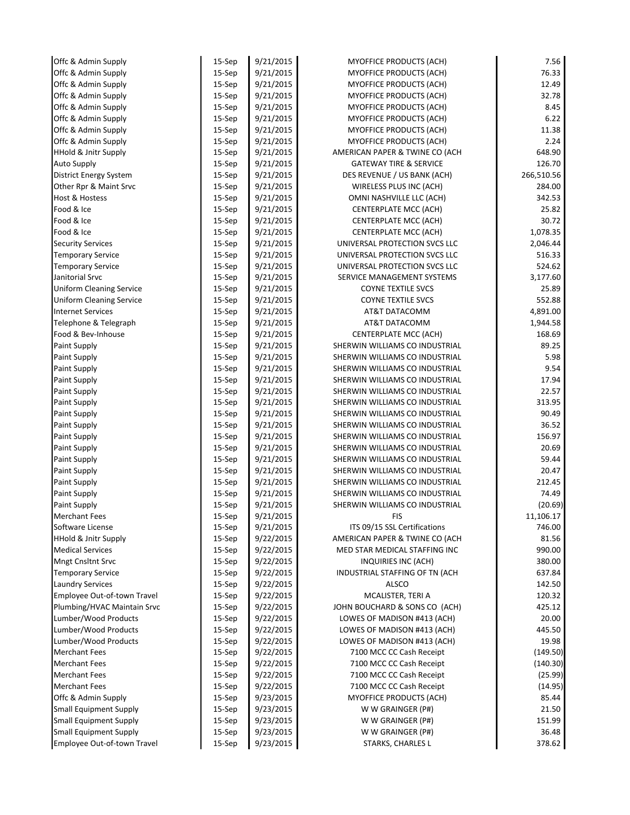| Offc & Admin Supply             | 15-Sep    | 9/21/2015 | <b>MYOFFICE PRODUCTS (ACH)</b>    | 7.56       |
|---------------------------------|-----------|-----------|-----------------------------------|------------|
| Offc & Admin Supply             | 15-Sep    | 9/21/2015 | <b>MYOFFICE PRODUCTS (ACH)</b>    | 76.33      |
| Offc & Admin Supply             | 15-Sep    | 9/21/2015 | MYOFFICE PRODUCTS (ACH)           | 12.49      |
| Offc & Admin Supply             | 15-Sep    | 9/21/2015 | MYOFFICE PRODUCTS (ACH)           | 32.78      |
| Offc & Admin Supply             | 15-Sep    | 9/21/2015 | MYOFFICE PRODUCTS (ACH)           | 8.45       |
| Offc & Admin Supply             | 15-Sep    | 9/21/2015 | MYOFFICE PRODUCTS (ACH)           | 6.22       |
| Offc & Admin Supply             | 15-Sep    | 9/21/2015 | <b>MYOFFICE PRODUCTS (ACH)</b>    | 11.38      |
| Offc & Admin Supply             | 15-Sep    | 9/21/2015 | MYOFFICE PRODUCTS (ACH)           | 2.24       |
| <b>HHold &amp; Jnitr Supply</b> | 15-Sep    | 9/21/2015 | AMERICAN PAPER & TWINE CO (ACH    | 648.90     |
| <b>Auto Supply</b>              | 15-Sep    | 9/21/2015 | <b>GATEWAY TIRE &amp; SERVICE</b> | 126.70     |
| District Energy System          | $15-$ Sep | 9/21/2015 | DES REVENUE / US BANK (ACH)       | 266,510.56 |
| Other Rpr & Maint Srvc          | 15-Sep    | 9/21/2015 | WIRELESS PLUS INC (ACH)           | 284.00     |
| Host & Hostess                  | 15-Sep    | 9/21/2015 | OMNI NASHVILLE LLC (ACH)          | 342.53     |
| Food & Ice                      | 15-Sep    | 9/21/2015 | CENTERPLATE MCC (ACH)             | 25.82      |
| Food & Ice                      | 15-Sep    | 9/21/2015 | CENTERPLATE MCC (ACH)             | 30.72      |
| Food & Ice                      | 15-Sep    | 9/21/2015 | CENTERPLATE MCC (ACH)             | 1,078.35   |
| <b>Security Services</b>        | 15-Sep    | 9/21/2015 | UNIVERSAL PROTECTION SVCS LLC     | 2,046.44   |
| <b>Temporary Service</b>        | 15-Sep    | 9/21/2015 | UNIVERSAL PROTECTION SVCS LLC     | 516.33     |
| <b>Temporary Service</b>        | 15-Sep    | 9/21/2015 | UNIVERSAL PROTECTION SVCS LLC     | 524.62     |
| Janitorial Srvc                 | 15-Sep    | 9/21/2015 | SERVICE MANAGEMENT SYSTEMS        | 3,177.60   |
| <b>Uniform Cleaning Service</b> | 15-Sep    | 9/21/2015 | <b>COYNE TEXTILE SVCS</b>         | 25.89      |
| <b>Uniform Cleaning Service</b> | 15-Sep    | 9/21/2015 | <b>COYNE TEXTILE SVCS</b>         | 552.88     |
| <b>Internet Services</b>        | 15-Sep    | 9/21/2015 | AT&T DATACOMM                     | 4,891.00   |
| Telephone & Telegraph           | 15-Sep    | 9/21/2015 | AT&T DATACOMM                     | 1,944.58   |
| Food & Bev-Inhouse              | 15-Sep    | 9/21/2015 | CENTERPLATE MCC (ACH)             | 168.69     |
| Paint Supply                    | 15-Sep    | 9/21/2015 | SHERWIN WILLIAMS CO INDUSTRIAL    | 89.25      |
| Paint Supply                    | 15-Sep    | 9/21/2015 | SHERWIN WILLIAMS CO INDUSTRIAL    | 5.98       |
| Paint Supply                    | 15-Sep    | 9/21/2015 | SHERWIN WILLIAMS CO INDUSTRIAL    | 9.54       |
| Paint Supply                    | 15-Sep    | 9/21/2015 | SHERWIN WILLIAMS CO INDUSTRIAL    | 17.94      |
| Paint Supply                    | 15-Sep    | 9/21/2015 | SHERWIN WILLIAMS CO INDUSTRIAL    | 22.57      |
| Paint Supply                    | 15-Sep    | 9/21/2015 | SHERWIN WILLIAMS CO INDUSTRIAL    | 313.95     |
| Paint Supply                    | 15-Sep    | 9/21/2015 | SHERWIN WILLIAMS CO INDUSTRIAL    | 90.49      |
| Paint Supply                    | 15-Sep    | 9/21/2015 | SHERWIN WILLIAMS CO INDUSTRIAL    | 36.52      |
| Paint Supply                    | 15-Sep    | 9/21/2015 | SHERWIN WILLIAMS CO INDUSTRIAL    | 156.97     |
| Paint Supply                    | 15-Sep    | 9/21/2015 | SHERWIN WILLIAMS CO INDUSTRIAL    | 20.69      |
| Paint Supply                    | $15-$ Sep | 9/21/2015 | SHERWIN WILLIAMS CO INDUSTRIAL    | 59.44      |
| Paint Supply                    | 15-Sep    | 9/21/2015 | SHERWIN WILLIAMS CO INDUSTRIAL    | 20.47      |
| Paint Supply                    | 15-Sep    | 9/21/2015 | SHERWIN WILLIAMS CO INDUSTRIAL    | 212.45     |
| Paint Supply                    | 15-Sep    | 9/21/2015 | SHERWIN WILLIAMS CO INDUSTRIAL    | 74.49      |
| Paint Supply                    | 15-Sep    | 9/21/2015 | SHERWIN WILLIAMS CO INDUSTRIAL    | (20.69)    |
| <b>Merchant Fees</b>            | $15-$ Sep | 9/21/2015 | FIS                               | 11,106.17  |
| Software License                | 15-Sep    | 9/21/2015 | ITS 09/15 SSL Certifications      | 746.00     |
| <b>HHold &amp; Jnitr Supply</b> | 15-Sep    | 9/22/2015 | AMERICAN PAPER & TWINE CO (ACH    | 81.56      |
| <b>Medical Services</b>         | 15-Sep    | 9/22/2015 | MED STAR MEDICAL STAFFING INC     | 990.00     |
| <b>Mngt Cnsltnt Srvc</b>        | 15-Sep    | 9/22/2015 | INQUIRIES INC (ACH)               | 380.00     |
| <b>Temporary Service</b>        | 15-Sep    | 9/22/2015 | INDUSTRIAL STAFFING OF TN (ACH    | 637.84     |
| <b>Laundry Services</b>         | $15-$ Sep | 9/22/2015 | <b>ALSCO</b>                      | 142.50     |
| Employee Out-of-town Travel     | 15-Sep    | 9/22/2015 | MCALISTER, TERI A                 | 120.32     |
| Plumbing/HVAC Maintain Srvc     | 15-Sep    | 9/22/2015 | JOHN BOUCHARD & SONS CO (ACH)     | 425.12     |
| Lumber/Wood Products            | 15-Sep    | 9/22/2015 | LOWES OF MADISON #413 (ACH)       | 20.00      |
| Lumber/Wood Products            | 15-Sep    | 9/22/2015 | LOWES OF MADISON #413 (ACH)       | 445.50     |
| Lumber/Wood Products            | $15-$ Sep | 9/22/2015 | LOWES OF MADISON #413 (ACH)       | 19.98      |
| <b>Merchant Fees</b>            | 15-Sep    | 9/22/2015 | 7100 MCC CC Cash Receipt          | (149.50)   |
| <b>Merchant Fees</b>            | 15-Sep    | 9/22/2015 | 7100 MCC CC Cash Receipt          | (140.30)   |
| <b>Merchant Fees</b>            | 15-Sep    | 9/22/2015 | 7100 MCC CC Cash Receipt          | (25.99)    |
| <b>Merchant Fees</b>            | 15-Sep    | 9/22/2015 | 7100 MCC CC Cash Receipt          | (14.95)    |
| Offc & Admin Supply             | 15-Sep    | 9/23/2015 | <b>MYOFFICE PRODUCTS (ACH)</b>    | 85.44      |
| <b>Small Equipment Supply</b>   | $15-$ Sep | 9/23/2015 | W W GRAINGER (P#)                 | 21.50      |
| <b>Small Equipment Supply</b>   | 15-Sep    | 9/23/2015 | W W GRAINGER (P#)                 | 151.99     |
| <b>Small Equipment Supply</b>   | 15-Sep    | 9/23/2015 | W W GRAINGER (P#)                 | 36.48      |
| Employee Out-of-town Travel     | 15-Sep    | 9/23/2015 | STARKS, CHARLES L                 | 378.62     |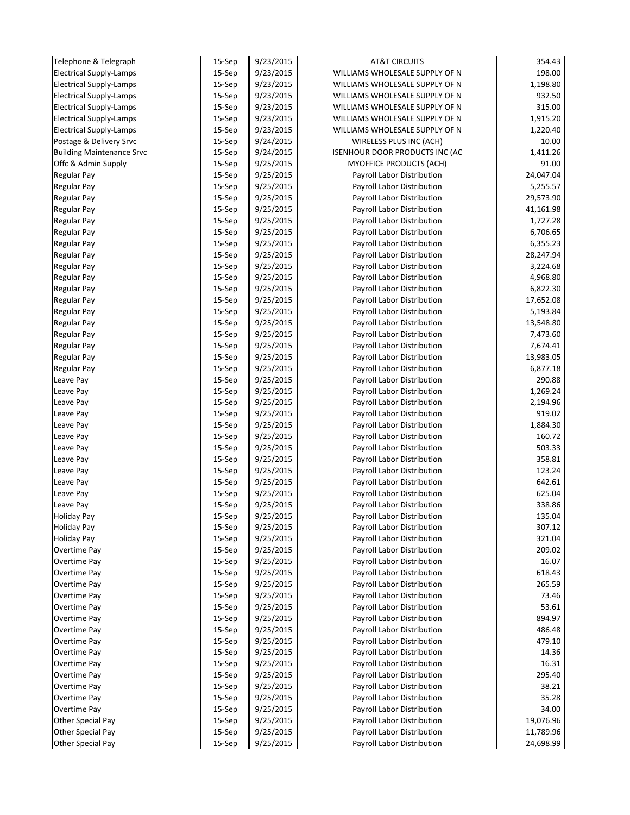| Telephone & Telegraph            | 15-Sep    | 9/23/2015 | <b>AT&amp;T CIRCUITS</b>       | 354.43    |
|----------------------------------|-----------|-----------|--------------------------------|-----------|
| <b>Electrical Supply-Lamps</b>   | 15-Sep    | 9/23/2015 | WILLIAMS WHOLESALE SUPPLY OF N | 198.00    |
| <b>Electrical Supply-Lamps</b>   | 15-Sep    | 9/23/2015 | WILLIAMS WHOLESALE SUPPLY OF N | 1,198.80  |
| <b>Electrical Supply-Lamps</b>   | 15-Sep    | 9/23/2015 | WILLIAMS WHOLESALE SUPPLY OF N | 932.50    |
| <b>Electrical Supply-Lamps</b>   | $15-$ Sep | 9/23/2015 | WILLIAMS WHOLESALE SUPPLY OF N | 315.00    |
| <b>Electrical Supply-Lamps</b>   | 15-Sep    | 9/23/2015 | WILLIAMS WHOLESALE SUPPLY OF N | 1,915.20  |
| <b>Electrical Supply-Lamps</b>   | 15-Sep    | 9/23/2015 | WILLIAMS WHOLESALE SUPPLY OF N | 1,220.40  |
| Postage & Delivery Srvc          | $15-$ Sep | 9/24/2015 | WIRELESS PLUS INC (ACH)        | 10.00     |
| <b>Building Maintenance Srvc</b> | 15-Sep    | 9/24/2015 | ISENHOUR DOOR PRODUCTS INC (AC | 1,411.26  |
| Offc & Admin Supply              | $15-$ Sep | 9/25/2015 | <b>MYOFFICE PRODUCTS (ACH)</b> | 91.00     |
| <b>Regular Pay</b>               | $15-$ Sep | 9/25/2015 | Payroll Labor Distribution     | 24,047.04 |
| <b>Regular Pay</b>               | 15-Sep    | 9/25/2015 | Payroll Labor Distribution     | 5,255.57  |
| <b>Regular Pay</b>               | 15-Sep    | 9/25/2015 | Payroll Labor Distribution     | 29,573.90 |
| <b>Regular Pay</b>               | 15-Sep    | 9/25/2015 | Payroll Labor Distribution     | 41,161.98 |
| <b>Regular Pay</b>               | 15-Sep    | 9/25/2015 | Payroll Labor Distribution     | 1,727.28  |
| <b>Regular Pay</b>               | 15-Sep    | 9/25/2015 | Payroll Labor Distribution     | 6,706.65  |
| <b>Regular Pay</b>               | 15-Sep    | 9/25/2015 | Payroll Labor Distribution     | 6,355.23  |
| <b>Regular Pay</b>               | $15-$ Sep | 9/25/2015 | Payroll Labor Distribution     | 28,247.94 |
| <b>Regular Pay</b>               | 15-Sep    | 9/25/2015 | Payroll Labor Distribution     | 3,224.68  |
| <b>Regular Pay</b>               | 15-Sep    | 9/25/2015 | Payroll Labor Distribution     | 4,968.80  |
| <b>Regular Pay</b>               | $15-$ Sep | 9/25/2015 | Payroll Labor Distribution     | 6,822.30  |
| <b>Regular Pay</b>               | $15-$ Sep | 9/25/2015 | Payroll Labor Distribution     | 17,652.08 |
| <b>Regular Pay</b>               | 15-Sep    | 9/25/2015 | Payroll Labor Distribution     | 5,193.84  |
| <b>Regular Pay</b>               | 15-Sep    | 9/25/2015 | Payroll Labor Distribution     | 13,548.80 |
| <b>Regular Pay</b>               | 15-Sep    | 9/25/2015 | Payroll Labor Distribution     | 7,473.60  |
| <b>Regular Pay</b>               | 15-Sep    | 9/25/2015 | Payroll Labor Distribution     | 7,674.41  |
| <b>Regular Pay</b>               | 15-Sep    | 9/25/2015 | Payroll Labor Distribution     | 13,983.05 |
| <b>Regular Pay</b>               | 15-Sep    | 9/25/2015 | Payroll Labor Distribution     | 6,877.18  |
| Leave Pay                        | 15-Sep    | 9/25/2015 | Payroll Labor Distribution     | 290.88    |
| Leave Pay                        | $15-$ Sep | 9/25/2015 | Payroll Labor Distribution     | 1,269.24  |
| Leave Pay                        | 15-Sep    | 9/25/2015 | Payroll Labor Distribution     | 2,194.96  |
| Leave Pay                        | 15-Sep    | 9/25/2015 | Payroll Labor Distribution     | 919.02    |
| Leave Pay                        | $15-$ Sep | 9/25/2015 | Payroll Labor Distribution     | 1,884.30  |
| Leave Pay                        | 15-Sep    | 9/25/2015 | Payroll Labor Distribution     | 160.72    |
| Leave Pay                        | $15-$ Sep | 9/25/2015 | Payroll Labor Distribution     | 503.33    |
| Leave Pay                        | $15-$ Sep | 9/25/2015 | Payroll Labor Distribution     | 358.81    |
| Leave Pay                        | 15-Sep    | 9/25/2015 | Payroll Labor Distribution     | 123.24    |
| Leave Pay                        | 15-Sep    | 9/25/2015 | Payroll Labor Distribution     | 642.61    |
| Leave Pay                        | 15-Sep    | 9/25/2015 | Payroll Labor Distribution     | 625.04    |
| Leave Pay                        | 15-Sep    | 9/25/2015 | Payroll Labor Distribution     | 338.86    |
| <b>Holiday Pay</b>               | $15-$ Sep | 9/25/2015 | Payroll Labor Distribution     | 135.04    |
| <b>Holiday Pay</b>               | 15-Sep    | 9/25/2015 | Payroll Labor Distribution     | 307.12    |
| <b>Holiday Pay</b>               | 15-Sep    | 9/25/2015 | Payroll Labor Distribution     | 321.04    |
| Overtime Pay                     | 15-Sep    | 9/25/2015 | Payroll Labor Distribution     | 209.02    |
| Overtime Pay                     | 15-Sep    | 9/25/2015 | Payroll Labor Distribution     | 16.07     |
| Overtime Pay                     | 15-Sep    | 9/25/2015 | Payroll Labor Distribution     | 618.43    |
| Overtime Pay                     | 15-Sep    | 9/25/2015 | Payroll Labor Distribution     | 265.59    |
| Overtime Pay                     | 15-Sep    | 9/25/2015 | Payroll Labor Distribution     | 73.46     |
| Overtime Pay                     | $15-$ Sep | 9/25/2015 | Payroll Labor Distribution     | 53.61     |
| Overtime Pay                     | 15-Sep    | 9/25/2015 | Payroll Labor Distribution     | 894.97    |
| Overtime Pay                     | 15-Sep    | 9/25/2015 | Payroll Labor Distribution     | 486.48    |
| Overtime Pay                     | $15-$ Sep | 9/25/2015 | Payroll Labor Distribution     | 479.10    |
| Overtime Pay                     | 15-Sep    | 9/25/2015 | Payroll Labor Distribution     | 14.36     |
| Overtime Pay                     | 15-Sep    | 9/25/2015 | Payroll Labor Distribution     | 16.31     |
| Overtime Pay                     | 15-Sep    | 9/25/2015 | Payroll Labor Distribution     | 295.40    |
| Overtime Pay                     | 15-Sep    | 9/25/2015 | Payroll Labor Distribution     | 38.21     |
| Overtime Pay                     | 15-Sep    | 9/25/2015 | Payroll Labor Distribution     | 35.28     |
| Overtime Pay                     | $15-$ Sep | 9/25/2015 | Payroll Labor Distribution     | 34.00     |
| Other Special Pay                | 15-Sep    | 9/25/2015 | Payroll Labor Distribution     | 19,076.96 |
| Other Special Pay                | 15-Sep    | 9/25/2015 | Payroll Labor Distribution     | 11,789.96 |
| Other Special Pay                | 15-Sep    | 9/25/2015 | Payroll Labor Distribution     | 24,698.99 |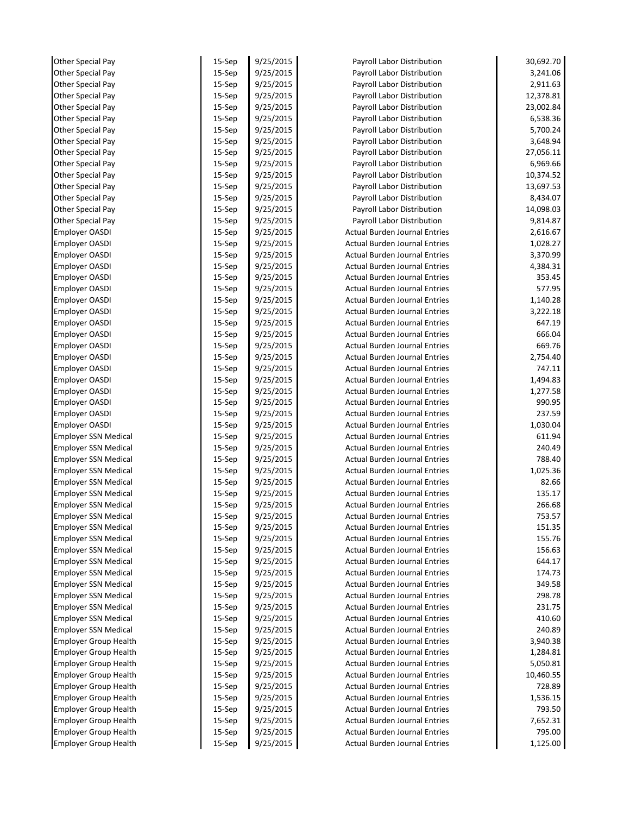| Other Special Pay            | 15-Sep    | 9/25/2015 | Payroll Labor Distribution           | 30,692.70 |
|------------------------------|-----------|-----------|--------------------------------------|-----------|
| Other Special Pay            | 15-Sep    | 9/25/2015 | Payroll Labor Distribution           | 3,241.06  |
| Other Special Pay            | 15-Sep    | 9/25/2015 | Payroll Labor Distribution           | 2,911.63  |
| Other Special Pay            | 15-Sep    | 9/25/2015 | Payroll Labor Distribution           | 12,378.81 |
| Other Special Pay            | $15-$ Sep | 9/25/2015 | Payroll Labor Distribution           | 23,002.84 |
| Other Special Pay            | 15-Sep    | 9/25/2015 | Payroll Labor Distribution           | 6,538.36  |
| Other Special Pay            | 15-Sep    | 9/25/2015 | Payroll Labor Distribution           | 5,700.24  |
| Other Special Pay            | $15-$ Sep | 9/25/2015 | Payroll Labor Distribution           | 3,648.94  |
| Other Special Pay            | 15-Sep    | 9/25/2015 | Payroll Labor Distribution           | 27,056.11 |
| Other Special Pay            | $15-$ Sep | 9/25/2015 | Payroll Labor Distribution           | 6,969.66  |
| Other Special Pay            | $15-$ Sep | 9/25/2015 | Payroll Labor Distribution           | 10,374.52 |
| Other Special Pay            | 15-Sep    | 9/25/2015 | Payroll Labor Distribution           | 13,697.53 |
| Other Special Pay            | $15-$ Sep | 9/25/2015 | Payroll Labor Distribution           | 8,434.07  |
| Other Special Pay            | 15-Sep    | 9/25/2015 | Payroll Labor Distribution           | 14,098.03 |
| Other Special Pay            | 15-Sep    | 9/25/2015 | Payroll Labor Distribution           | 9,814.87  |
| <b>Employer OASDI</b>        | 15-Sep    | 9/25/2015 | <b>Actual Burden Journal Entries</b> | 2,616.67  |
| <b>Employer OASDI</b>        | $15-$ Sep | 9/25/2015 | <b>Actual Burden Journal Entries</b> | 1,028.27  |
| <b>Employer OASDI</b>        | $15-$ Sep | 9/25/2015 | <b>Actual Burden Journal Entries</b> | 3,370.99  |
| <b>Employer OASDI</b>        | 15-Sep    | 9/25/2015 | <b>Actual Burden Journal Entries</b> | 4,384.31  |
| <b>Employer OASDI</b>        | 15-Sep    | 9/25/2015 | <b>Actual Burden Journal Entries</b> | 353.45    |
| <b>Employer OASDI</b>        | $15-$ Sep | 9/25/2015 | <b>Actual Burden Journal Entries</b> | 577.95    |
| <b>Employer OASDI</b>        | $15-$ Sep | 9/25/2015 | <b>Actual Burden Journal Entries</b> | 1,140.28  |
| <b>Employer OASDI</b>        | 15-Sep    | 9/25/2015 | <b>Actual Burden Journal Entries</b> | 3,222.18  |
| <b>Employer OASDI</b>        | $15-$ Sep | 9/25/2015 | <b>Actual Burden Journal Entries</b> | 647.19    |
| <b>Employer OASDI</b>        | 15-Sep    | 9/25/2015 | <b>Actual Burden Journal Entries</b> | 666.04    |
| <b>Employer OASDI</b>        | 15-Sep    | 9/25/2015 | <b>Actual Burden Journal Entries</b> | 669.76    |
| <b>Employer OASDI</b>        | $15-$ Sep | 9/25/2015 | <b>Actual Burden Journal Entries</b> | 2,754.40  |
| <b>Employer OASDI</b>        | 15-Sep    | 9/25/2015 | <b>Actual Burden Journal Entries</b> | 747.11    |
| <b>Employer OASDI</b>        | 15-Sep    | 9/25/2015 | <b>Actual Burden Journal Entries</b> | 1,494.83  |
| <b>Employer OASDI</b>        | $15-$ Sep | 9/25/2015 | <b>Actual Burden Journal Entries</b> | 1,277.58  |
|                              |           |           | <b>Actual Burden Journal Entries</b> | 990.95    |
| Employer OASDI               | $15-$ Sep | 9/25/2015 |                                      |           |
| <b>Employer OASDI</b>        | 15-Sep    | 9/25/2015 | <b>Actual Burden Journal Entries</b> | 237.59    |
| <b>Employer OASDI</b>        | $15-$ Sep | 9/25/2015 | <b>Actual Burden Journal Entries</b> | 1,030.04  |
| <b>Employer SSN Medical</b>  | 15-Sep    | 9/25/2015 | <b>Actual Burden Journal Entries</b> | 611.94    |
| <b>Employer SSN Medical</b>  | $15-$ Sep | 9/25/2015 | <b>Actual Burden Journal Entries</b> | 240.49    |
| <b>Employer SSN Medical</b>  | $15-$ Sep | 9/25/2015 | <b>Actual Burden Journal Entries</b> | 788.40    |
| <b>Employer SSN Medical</b>  | 15-Sep    | 9/25/2015 | <b>Actual Burden Journal Entries</b> | 1,025.36  |
| <b>Employer SSN Medical</b>  | 15-Sep    | 9/25/2015 | <b>Actual Burden Journal Entries</b> | 82.66     |
| <b>Employer SSN Medical</b>  | 15-Sep    | 9/25/2015 | <b>Actual Burden Journal Entries</b> | 135.17    |
| <b>Employer SSN Medical</b>  | 15-Sep    | 9/25/2015 | <b>Actual Burden Journal Entries</b> | 266.68    |
| <b>Employer SSN Medical</b>  | $15-$ Sep | 9/25/2015 | <b>Actual Burden Journal Entries</b> | 753.57    |
| <b>Employer SSN Medical</b>  | 15-Sep    | 9/25/2015 | <b>Actual Burden Journal Entries</b> | 151.35    |
| <b>Employer SSN Medical</b>  | $15-$ Sep | 9/25/2015 | <b>Actual Burden Journal Entries</b> | 155.76    |
| <b>Employer SSN Medical</b>  | 15-Sep    | 9/25/2015 | <b>Actual Burden Journal Entries</b> | 156.63    |
| <b>Employer SSN Medical</b>  | 15-Sep    | 9/25/2015 | <b>Actual Burden Journal Entries</b> | 644.17    |
| <b>Employer SSN Medical</b>  | 15-Sep    | 9/25/2015 | <b>Actual Burden Journal Entries</b> | 174.73    |
| <b>Employer SSN Medical</b>  | $15-$ Sep | 9/25/2015 | <b>Actual Burden Journal Entries</b> | 349.58    |
| <b>Employer SSN Medical</b>  | 15-Sep    | 9/25/2015 | <b>Actual Burden Journal Entries</b> | 298.78    |
| <b>Employer SSN Medical</b>  | $15-$ Sep | 9/25/2015 | <b>Actual Burden Journal Entries</b> | 231.75    |
| <b>Employer SSN Medical</b>  | 15-Sep    | 9/25/2015 | <b>Actual Burden Journal Entries</b> | 410.60    |
| <b>Employer SSN Medical</b>  | 15-Sep    | 9/25/2015 | <b>Actual Burden Journal Entries</b> | 240.89    |
| <b>Employer Group Health</b> | 15-Sep    | 9/25/2015 | <b>Actual Burden Journal Entries</b> | 3,940.38  |
| <b>Employer Group Health</b> | 15-Sep    | 9/25/2015 | Actual Burden Journal Entries        | 1,284.81  |
| <b>Employer Group Health</b> | 15-Sep    | 9/25/2015 | <b>Actual Burden Journal Entries</b> | 5,050.81  |
| <b>Employer Group Health</b> | $15-$ Sep | 9/25/2015 | <b>Actual Burden Journal Entries</b> | 10,460.55 |
| <b>Employer Group Health</b> | $15-$ Sep | 9/25/2015 | <b>Actual Burden Journal Entries</b> | 728.89    |
| <b>Employer Group Health</b> | 15-Sep    | 9/25/2015 | <b>Actual Burden Journal Entries</b> | 1,536.15  |
| <b>Employer Group Health</b> | $15-$ Sep | 9/25/2015 | <b>Actual Burden Journal Entries</b> | 793.50    |
| <b>Employer Group Health</b> | 15-Sep    | 9/25/2015 | <b>Actual Burden Journal Entries</b> | 7,652.31  |
| <b>Employer Group Health</b> | 15-Sep    | 9/25/2015 | <b>Actual Burden Journal Entries</b> | 795.00    |
| <b>Employer Group Health</b> | 15-Sep    | 9/25/2015 | <b>Actual Burden Journal Entries</b> | 1,125.00  |
|                              |           |           |                                      |           |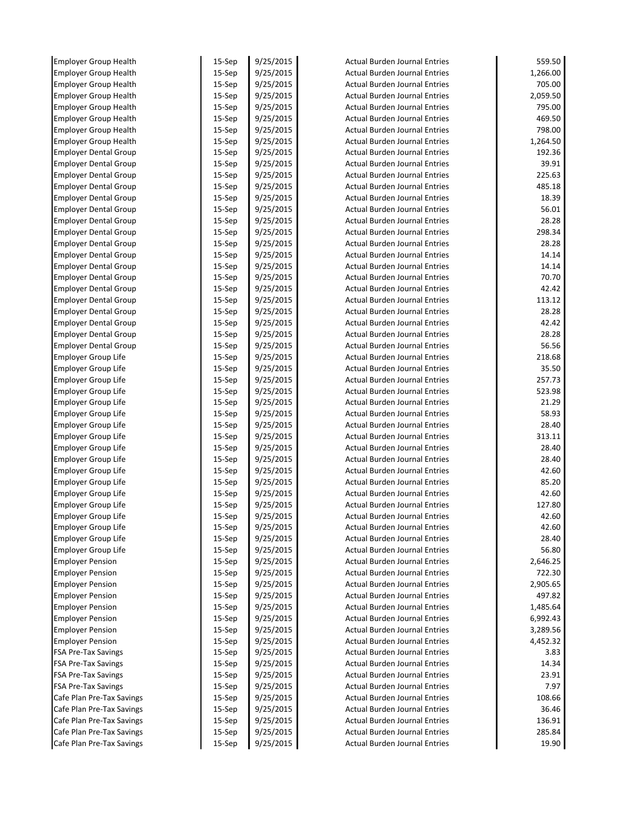| <b>Employer Group Health</b>                           | 15-Sep    | 9/25/2015 | <b>Actual Burden Journal Entries</b>                                  | 559.50           |
|--------------------------------------------------------|-----------|-----------|-----------------------------------------------------------------------|------------------|
| <b>Employer Group Health</b>                           | 15-Sep    | 9/25/2015 | <b>Actual Burden Journal Entries</b>                                  | 1,266.00         |
| <b>Employer Group Health</b>                           | $15-$ Sep | 9/25/2015 | <b>Actual Burden Journal Entries</b>                                  | 705.00           |
| <b>Employer Group Health</b>                           | 15-Sep    | 9/25/2015 | <b>Actual Burden Journal Entries</b>                                  | 2,059.50         |
| <b>Employer Group Health</b>                           | $15-$ Sep | 9/25/2015 | <b>Actual Burden Journal Entries</b>                                  | 795.00           |
| <b>Employer Group Health</b>                           | 15-Sep    | 9/25/2015 | <b>Actual Burden Journal Entries</b>                                  | 469.50           |
| <b>Employer Group Health</b>                           | 15-Sep    | 9/25/2015 | <b>Actual Burden Journal Entries</b>                                  | 798.00           |
| <b>Employer Group Health</b>                           | 15-Sep    | 9/25/2015 | <b>Actual Burden Journal Entries</b>                                  | 1,264.50         |
| <b>Employer Dental Group</b>                           | 15-Sep    | 9/25/2015 | <b>Actual Burden Journal Entries</b>                                  | 192.36           |
| <b>Employer Dental Group</b>                           | 15-Sep    | 9/25/2015 | <b>Actual Burden Journal Entries</b>                                  | 39.91            |
| <b>Employer Dental Group</b>                           | 15-Sep    | 9/25/2015 | <b>Actual Burden Journal Entries</b>                                  | 225.63           |
| <b>Employer Dental Group</b>                           | 15-Sep    | 9/25/2015 | <b>Actual Burden Journal Entries</b>                                  | 485.18           |
| <b>Employer Dental Group</b>                           | 15-Sep    | 9/25/2015 | <b>Actual Burden Journal Entries</b>                                  | 18.39            |
| <b>Employer Dental Group</b>                           | $15-$ Sep | 9/25/2015 | <b>Actual Burden Journal Entries</b>                                  | 56.01            |
| <b>Employer Dental Group</b>                           | 15-Sep    | 9/25/2015 | <b>Actual Burden Journal Entries</b>                                  | 28.28            |
| <b>Employer Dental Group</b>                           | 15-Sep    | 9/25/2015 | <b>Actual Burden Journal Entries</b>                                  | 298.34           |
| <b>Employer Dental Group</b>                           | $15-$ Sep | 9/25/2015 | <b>Actual Burden Journal Entries</b>                                  | 28.28            |
| <b>Employer Dental Group</b>                           | 15-Sep    | 9/25/2015 | <b>Actual Burden Journal Entries</b>                                  | 14.14            |
| <b>Employer Dental Group</b>                           | 15-Sep    | 9/25/2015 | <b>Actual Burden Journal Entries</b>                                  | 14.14            |
| <b>Employer Dental Group</b>                           | 15-Sep    | 9/25/2015 | <b>Actual Burden Journal Entries</b>                                  | 70.70            |
| <b>Employer Dental Group</b>                           | 15-Sep    | 9/25/2015 | <b>Actual Burden Journal Entries</b>                                  | 42.42            |
| <b>Employer Dental Group</b>                           | 15-Sep    | 9/25/2015 | <b>Actual Burden Journal Entries</b>                                  | 113.12           |
| <b>Employer Dental Group</b>                           | 15-Sep    | 9/25/2015 | <b>Actual Burden Journal Entries</b>                                  | 28.28            |
| <b>Employer Dental Group</b>                           | 15-Sep    | 9/25/2015 | <b>Actual Burden Journal Entries</b>                                  | 42.42            |
| <b>Employer Dental Group</b>                           | $15-$ Sep | 9/25/2015 | <b>Actual Burden Journal Entries</b>                                  | 28.28            |
| <b>Employer Dental Group</b>                           | 15-Sep    | 9/25/2015 | <b>Actual Burden Journal Entries</b>                                  | 56.56            |
| Employer Group Life                                    | 15-Sep    | 9/25/2015 | <b>Actual Burden Journal Entries</b>                                  | 218.68           |
| <b>Employer Group Life</b>                             | $15-$ Sep | 9/25/2015 | <b>Actual Burden Journal Entries</b>                                  | 35.50            |
| Employer Group Life                                    | 15-Sep    | 9/25/2015 | <b>Actual Burden Journal Entries</b>                                  | 257.73           |
| Employer Group Life                                    | 15-Sep    | 9/25/2015 | <b>Actual Burden Journal Entries</b>                                  | 523.98           |
| Employer Group Life                                    | 15-Sep    | 9/25/2015 | <b>Actual Burden Journal Entries</b>                                  | 21.29            |
| Employer Group Life                                    | 15-Sep    | 9/25/2015 | <b>Actual Burden Journal Entries</b>                                  | 58.93            |
| <b>Employer Group Life</b>                             | 15-Sep    | 9/25/2015 | <b>Actual Burden Journal Entries</b>                                  | 28.40            |
| <b>Employer Group Life</b>                             | $15-$ Sep | 9/25/2015 | <b>Actual Burden Journal Entries</b>                                  | 313.11           |
| Employer Group Life                                    | 15-Sep    | 9/25/2015 | <b>Actual Burden Journal Entries</b>                                  | 28.40            |
| Employer Group Life                                    | 15-Sep    | 9/25/2015 | <b>Actual Burden Journal Entries</b>                                  | 28.40            |
| Employer Group Life                                    | 15-Sep    | 9/25/2015 | <b>Actual Burden Journal Entries</b>                                  | 42.60            |
| Employer Group Life                                    | 15-Sep    | 9/25/2015 | <b>Actual Burden Journal Entries</b>                                  | 85.20            |
| <b>Employer Group Life</b>                             | 15-Sep    | 9/25/2015 | <b>Actual Burden Journal Entries</b>                                  | 42.60            |
| Employer Group Life                                    | 15-Sep    | 9/25/2015 | <b>Actual Burden Journal Entries</b>                                  | 127.80           |
| <b>Emplover Group Life</b>                             | 15-Sep    | 9/25/2015 | Actual Burden Journal Entries                                         | 42.60            |
| Employer Group Life                                    | 15-Sep    | 9/25/2015 | <b>Actual Burden Journal Entries</b>                                  | 42.60            |
| <b>Employer Group Life</b>                             | 15-Sep    | 9/25/2015 | <b>Actual Burden Journal Entries</b>                                  | 28.40            |
| <b>Employer Group Life</b>                             | 15-Sep    | 9/25/2015 | <b>Actual Burden Journal Entries</b>                                  | 56.80            |
| <b>Employer Pension</b>                                | 15-Sep    | 9/25/2015 | <b>Actual Burden Journal Entries</b>                                  | 2,646.25         |
| <b>Employer Pension</b>                                | 15-Sep    | 9/25/2015 | <b>Actual Burden Journal Entries</b>                                  | 722.30           |
| <b>Employer Pension</b>                                | 15-Sep    | 9/25/2015 | <b>Actual Burden Journal Entries</b>                                  | 2,905.65         |
| <b>Employer Pension</b>                                | 15-Sep    | 9/25/2015 | <b>Actual Burden Journal Entries</b>                                  | 497.82           |
| <b>Employer Pension</b>                                | 15-Sep    | 9/25/2015 | <b>Actual Burden Journal Entries</b>                                  | 1,485.64         |
| <b>Employer Pension</b>                                | 15-Sep    | 9/25/2015 | <b>Actual Burden Journal Entries</b>                                  | 6,992.43         |
| <b>Employer Pension</b>                                | 15-Sep    | 9/25/2015 | <b>Actual Burden Journal Entries</b>                                  | 3,289.56         |
| <b>Employer Pension</b>                                | 15-Sep    | 9/25/2015 | <b>Actual Burden Journal Entries</b>                                  | 4,452.32         |
| <b>FSA Pre-Tax Savings</b>                             | 15-Sep    | 9/25/2015 | <b>Actual Burden Journal Entries</b>                                  | 3.83             |
| <b>FSA Pre-Tax Savings</b>                             | 15-Sep    | 9/25/2015 | <b>Actual Burden Journal Entries</b>                                  | 14.34            |
| <b>FSA Pre-Tax Savings</b>                             | 15-Sep    | 9/25/2015 | <b>Actual Burden Journal Entries</b>                                  | 23.91            |
| <b>FSA Pre-Tax Savings</b>                             | 15-Sep    | 9/25/2015 | <b>Actual Burden Journal Entries</b>                                  | 7.97             |
| Cafe Plan Pre-Tax Savings                              | 15-Sep    | 9/25/2015 | <b>Actual Burden Journal Entries</b>                                  | 108.66           |
| Cafe Plan Pre-Tax Savings                              | 15-Sep    | 9/25/2015 | <b>Actual Burden Journal Entries</b>                                  | 36.46            |
| Cafe Plan Pre-Tax Savings<br>Cafe Plan Pre-Tax Savings | 15-Sep    | 9/25/2015 | <b>Actual Burden Journal Entries</b><br>Actual Burden Journal Entries | 136.91<br>285.84 |
|                                                        | 15-Sep    | 9/25/2015 |                                                                       |                  |
| Cafe Plan Pre-Tax Savings                              | 15-Sep    | 9/25/2015 | <b>Actual Burden Journal Entries</b>                                  | 19.90            |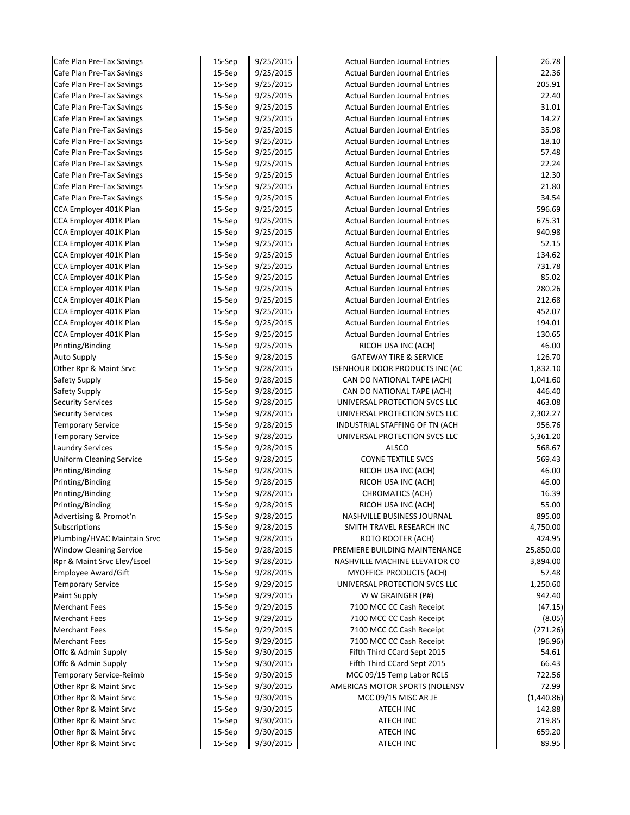| Cafe Plan Pre-Tax Savings                                  | 15-Sep           | 9/25/2015              | <b>Actual Burden Journal Entries</b>          | 26.78              |
|------------------------------------------------------------|------------------|------------------------|-----------------------------------------------|--------------------|
| Cafe Plan Pre-Tax Savings                                  | 15-Sep           | 9/25/2015              | <b>Actual Burden Journal Entries</b>          | 22.36              |
| Cafe Plan Pre-Tax Savings                                  | $15-$ Sep        | 9/25/2015              | <b>Actual Burden Journal Entries</b>          | 205.91             |
| Cafe Plan Pre-Tax Savings                                  | 15-Sep           | 9/25/2015              | <b>Actual Burden Journal Entries</b>          | 22.40              |
| Cafe Plan Pre-Tax Savings                                  | $15-$ Sep        | 9/25/2015              | <b>Actual Burden Journal Entries</b>          | 31.01              |
| Cafe Plan Pre-Tax Savings                                  | $15-$ Sep        | 9/25/2015              | <b>Actual Burden Journal Entries</b>          | 14.27              |
| Cafe Plan Pre-Tax Savings                                  | 15-Sep           | 9/25/2015              | <b>Actual Burden Journal Entries</b>          | 35.98              |
| Cafe Plan Pre-Tax Savings                                  | $15-$ Sep        | 9/25/2015              | <b>Actual Burden Journal Entries</b>          | 18.10              |
| Cafe Plan Pre-Tax Savings                                  | $15-$ Sep        | 9/25/2015              | <b>Actual Burden Journal Entries</b>          | 57.48              |
| Cafe Plan Pre-Tax Savings                                  | 15-Sep           | 9/25/2015              | <b>Actual Burden Journal Entries</b>          | 22.24              |
| Cafe Plan Pre-Tax Savings                                  | 15-Sep           | 9/25/2015              | <b>Actual Burden Journal Entries</b>          | 12.30              |
| Cafe Plan Pre-Tax Savings                                  | 15-Sep           | 9/25/2015              | <b>Actual Burden Journal Entries</b>          | 21.80              |
| Cafe Plan Pre-Tax Savings                                  | 15-Sep           | 9/25/2015              | <b>Actual Burden Journal Entries</b>          | 34.54              |
| CCA Employer 401K Plan                                     | $15-$ Sep        | 9/25/2015              | <b>Actual Burden Journal Entries</b>          | 596.69             |
| CCA Employer 401K Plan                                     | 15-Sep           | 9/25/2015              | <b>Actual Burden Journal Entries</b>          | 675.31             |
| CCA Employer 401K Plan                                     | $15-$ Sep        | 9/25/2015              | <b>Actual Burden Journal Entries</b>          | 940.98             |
| CCA Employer 401K Plan                                     | 15-Sep           | 9/25/2015              | <b>Actual Burden Journal Entries</b>          | 52.15              |
| CCA Employer 401K Plan                                     | $15-$ Sep        | 9/25/2015              | <b>Actual Burden Journal Entries</b>          | 134.62             |
| CCA Employer 401K Plan                                     | $15-$ Sep        | 9/25/2015              | <b>Actual Burden Journal Entries</b>          | 731.78             |
| CCA Employer 401K Plan                                     | $15-$ Sep        | 9/25/2015              | <b>Actual Burden Journal Entries</b>          | 85.02              |
| CCA Employer 401K Plan                                     | $15-$ Sep        | 9/25/2015              | <b>Actual Burden Journal Entries</b>          | 280.26             |
| CCA Employer 401K Plan                                     | $15-$ Sep        | 9/25/2015              | <b>Actual Burden Journal Entries</b>          | 212.68             |
| CCA Employer 401K Plan                                     | $15-$ Sep        | 9/25/2015              | <b>Actual Burden Journal Entries</b>          | 452.07             |
| CCA Employer 401K Plan                                     | 15-Sep           | 9/25/2015              | <b>Actual Burden Journal Entries</b>          | 194.01             |
| CCA Employer 401K Plan                                     | $15-$ Sep        | 9/25/2015              | <b>Actual Burden Journal Entries</b>          | 130.65             |
| Printing/Binding                                           | $15-$ Sep        | 9/25/2015              | RICOH USA INC (ACH)                           | 46.00              |
| <b>Auto Supply</b>                                         | 15-Sep           | 9/28/2015              | <b>GATEWAY TIRE &amp; SERVICE</b>             | 126.70             |
| Other Rpr & Maint Srvc                                     | $15-$ Sep        | 9/28/2015              | <b>ISENHOUR DOOR PRODUCTS INC (AC</b>         | 1,832.10           |
| Safety Supply                                              | 15-Sep           | 9/28/2015              | CAN DO NATIONAL TAPE (ACH)                    | 1,041.60           |
| Safety Supply                                              | $15-$ Sep        | 9/28/2015              | CAN DO NATIONAL TAPE (ACH)                    | 446.40             |
| <b>Security Services</b>                                   | $15-$ Sep        | 9/28/2015              | UNIVERSAL PROTECTION SVCS LLC                 | 463.08             |
| <b>Security Services</b>                                   | 15-Sep           | 9/28/2015              | UNIVERSAL PROTECTION SVCS LLC                 | 2,302.27           |
| <b>Temporary Service</b>                                   | $15-$ Sep        | 9/28/2015              | INDUSTRIAL STAFFING OF TN (ACH                | 956.76             |
| <b>Temporary Service</b>                                   | $15-$ Sep        | 9/28/2015              | UNIVERSAL PROTECTION SVCS LLC<br><b>ALSCO</b> | 5,361.20<br>568.67 |
| <b>Laundry Services</b><br><b>Uniform Cleaning Service</b> | 15-Sep<br>15-Sep | 9/28/2015<br>9/28/2015 | <b>COYNE TEXTILE SVCS</b>                     | 569.43             |
| Printing/Binding                                           | 15-Sep           | 9/28/2015              | RICOH USA INC (ACH)                           | 46.00              |
| Printing/Binding                                           | 15-Sep           | 9/28/2015              | RICOH USA INC (ACH)                           | 46.00              |
| Printing/Binding                                           | 15-Sep           | 9/28/2015              | <b>CHROMATICS (ACH)</b>                       | 16.39              |
| Printing/Binding                                           | 15-Sep           | 9/28/2015              | RICOH USA INC (ACH)                           | 55.00              |
| Advertising & Promot'n                                     | 15-Sep           | 9/28/2015              | NASHVILLE BUSINESS JOURNAL                    | 895.00             |
| Subscriptions                                              | 15-Sep           | 9/28/2015              | SMITH TRAVEL RESEARCH INC                     | 4,750.00           |
| Plumbing/HVAC Maintain Srvc                                | 15-Sep           | 9/28/2015              | ROTO ROOTER (ACH)                             | 424.95             |
| <b>Window Cleaning Service</b>                             | 15-Sep           | 9/28/2015              | PREMIERE BUILDING MAINTENANCE                 | 25,850.00          |
| Rpr & Maint Srvc Elev/Escel                                | 15-Sep           | 9/28/2015              | NASHVILLE MACHINE ELEVATOR CO                 | 3,894.00           |
| Employee Award/Gift                                        | $15-$ Sep        | 9/28/2015              | <b>MYOFFICE PRODUCTS (ACH)</b>                | 57.48              |
| <b>Temporary Service</b>                                   | 15-Sep           | 9/29/2015              | UNIVERSAL PROTECTION SVCS LLC                 | 1,250.60           |
| Paint Supply                                               | 15-Sep           | 9/29/2015              | W W GRAINGER (P#)                             | 942.40             |
| <b>Merchant Fees</b>                                       | 15-Sep           | 9/29/2015              | 7100 MCC CC Cash Receipt                      | (47.15)            |
| <b>Merchant Fees</b>                                       | $15-$ Sep        | 9/29/2015              | 7100 MCC CC Cash Receipt                      | (8.05)             |
| <b>Merchant Fees</b>                                       | $15-$ Sep        | 9/29/2015              | 7100 MCC CC Cash Receipt                      | (271.26)           |
| <b>Merchant Fees</b>                                       | 15-Sep           | 9/29/2015              | 7100 MCC CC Cash Receipt                      | (96.96)            |
| Offc & Admin Supply                                        | $15-$ Sep        | 9/30/2015              | Fifth Third CCard Sept 2015                   | 54.61              |
| Offc & Admin Supply                                        | 15-Sep           | 9/30/2015              | Fifth Third CCard Sept 2015                   | 66.43              |
| Temporary Service-Reimb                                    | 15-Sep           | 9/30/2015              | MCC 09/15 Temp Labor RCLS                     | 722.56             |
| Other Rpr & Maint Srvc                                     | $15-$ Sep        | 9/30/2015              | AMERICAS MOTOR SPORTS (NOLENSV                | 72.99              |
| Other Rpr & Maint Srvc                                     | 15-Sep           | 9/30/2015              | MCC 09/15 MISC AR JE                          | (1,440.86)         |
| Other Rpr & Maint Srvc                                     | 15-Sep           | 9/30/2015              | ATECH INC                                     | 142.88             |
| Other Rpr & Maint Srvc                                     | $15-$ Sep        | 9/30/2015              | ATECH INC                                     | 219.85             |
| Other Rpr & Maint Srvc                                     | 15-Sep           | 9/30/2015              | <b>ATECH INC</b>                              | 659.20             |
| Other Rpr & Maint Srvc                                     | 15-Sep           | 9/30/2015              | <b>ATECH INC</b>                              | 89.95              |
|                                                            |                  |                        |                                               |                    |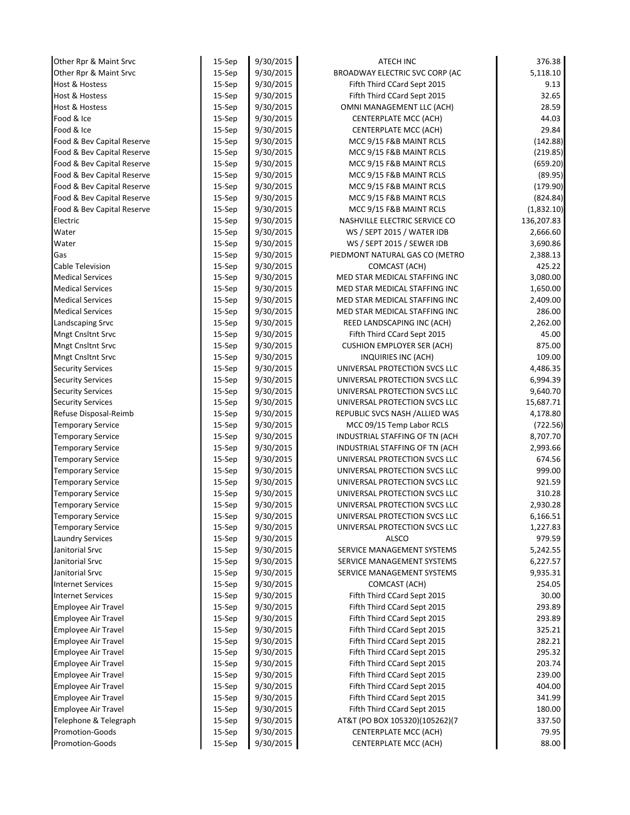| Other Rpr & Maint Srvc     | 15-Sep    | 9/30/2015 | <b>ATECH INC</b>                  | 376.38     |
|----------------------------|-----------|-----------|-----------------------------------|------------|
| Other Rpr & Maint Srvc     | 15-Sep    | 9/30/2015 | BROADWAY ELECTRIC SVC CORP (AC    | 5,118.10   |
| Host & Hostess             | $15-$ Sep | 9/30/2015 | Fifth Third CCard Sept 2015       | 9.13       |
| <b>Host &amp; Hostess</b>  | 15-Sep    | 9/30/2015 | Fifth Third CCard Sept 2015       | 32.65      |
| Host & Hostess             | $15-$ Sep | 9/30/2015 | OMNI MANAGEMENT LLC (ACH)         | 28.59      |
| Food & Ice                 | 15-Sep    | 9/30/2015 | CENTERPLATE MCC (ACH)             | 44.03      |
| Food & Ice                 | 15-Sep    | 9/30/2015 | CENTERPLATE MCC (ACH)             | 29.84      |
| Food & Bev Capital Reserve | $15-$ Sep | 9/30/2015 | MCC 9/15 F&B MAINT RCLS           | (142.88)   |
| Food & Bev Capital Reserve | $15-$ Sep | 9/30/2015 | MCC 9/15 F&B MAINT RCLS           | (219.85)   |
| Food & Bev Capital Reserve | 15-Sep    | 9/30/2015 | MCC 9/15 F&B MAINT RCLS           | (659.20)   |
| Food & Bev Capital Reserve | $15-$ Sep | 9/30/2015 | MCC 9/15 F&B MAINT RCLS           | (89.95)    |
| Food & Bev Capital Reserve | 15-Sep    | 9/30/2015 | MCC 9/15 F&B MAINT RCLS           | (179.90)   |
| Food & Bev Capital Reserve | 15-Sep    | 9/30/2015 | MCC 9/15 F&B MAINT RCLS           | (824.84)   |
| Food & Bev Capital Reserve | $15-$ Sep | 9/30/2015 | MCC 9/15 F&B MAINT RCLS           | (1,832.10) |
| Electric                   | 15-Sep    | 9/30/2015 | NASHVILLE ELECTRIC SERVICE CO     | 136,207.83 |
| Water                      | $15-$ Sep | 9/30/2015 | WS / SEPT 2015 / WATER IDB        | 2,666.60   |
| Water                      | $15-$ Sep | 9/30/2015 | WS / SEPT 2015 / SEWER IDB        | 3,690.86   |
| Gas                        | $15-$ Sep | 9/30/2015 | PIEDMONT NATURAL GAS CO (METRO    | 2,388.13   |
| Cable Television           | $15-$ Sep | 9/30/2015 | COMCAST (ACH)                     | 425.22     |
| <b>Medical Services</b>    | $15-$ Sep | 9/30/2015 | MED STAR MEDICAL STAFFING INC     | 3,080.00   |
| <b>Medical Services</b>    | $15-$ Sep | 9/30/2015 | MED STAR MEDICAL STAFFING INC     | 1,650.00   |
| <b>Medical Services</b>    | $15-$ Sep | 9/30/2015 | MED STAR MEDICAL STAFFING INC     | 2,409.00   |
| <b>Medical Services</b>    | 15-Sep    | 9/30/2015 | MED STAR MEDICAL STAFFING INC     | 286.00     |
| Landscaping Srvc           | 15-Sep    | 9/30/2015 | REED LANDSCAPING INC (ACH)        | 2,262.00   |
| <b>Mngt Cnsltnt Srvc</b>   | 15-Sep    | 9/30/2015 | Fifth Third CCard Sept 2015       | 45.00      |
| <b>Mngt Cnsltnt Srvc</b>   | 15-Sep    | 9/30/2015 | <b>CUSHION EMPLOYER SER (ACH)</b> | 875.00     |
| <b>Mngt Cnsltnt Srvc</b>   | 15-Sep    | 9/30/2015 | INQUIRIES INC (ACH)               | 109.00     |
| <b>Security Services</b>   | $15-$ Sep | 9/30/2015 | UNIVERSAL PROTECTION SVCS LLC     | 4,486.35   |
| <b>Security Services</b>   | $15-$ Sep | 9/30/2015 | UNIVERSAL PROTECTION SVCS LLC     | 6,994.39   |
| <b>Security Services</b>   | $15-$ Sep | 9/30/2015 | UNIVERSAL PROTECTION SVCS LLC     | 9,640.70   |
| <b>Security Services</b>   | $15-$ Sep | 9/30/2015 | UNIVERSAL PROTECTION SVCS LLC     | 15,687.71  |
| Refuse Disposal-Reimb      | 15-Sep    | 9/30/2015 | REPUBLIC SVCS NASH / ALLIED WAS   | 4,178.80   |
| <b>Temporary Service</b>   | $15-$ Sep | 9/30/2015 | MCC 09/15 Temp Labor RCLS         | (722.56)   |
| <b>Temporary Service</b>   | $15-$ Sep | 9/30/2015 | INDUSTRIAL STAFFING OF TN (ACH    | 8,707.70   |
| <b>Temporary Service</b>   | 15-Sep    | 9/30/2015 | INDUSTRIAL STAFFING OF TN (ACH    | 2,993.66   |
| <b>Temporary Service</b>   | 15-Sep    | 9/30/2015 | UNIVERSAL PROTECTION SVCS LLC     | 674.56     |
| <b>Temporary Service</b>   | 15-Sep    | 9/30/2015 | UNIVERSAL PROTECTION SVCS LLC     | 999.00     |
| <b>Temporary Service</b>   | 15-Sep    | 9/30/2015 | UNIVERSAL PROTECTION SVCS LLC     | 921.59     |
| <b>Temporary Service</b>   | $15-$ Sep | 9/30/2015 | UNIVERSAL PROTECTION SVCS LLC     | 310.28     |
| <b>Temporary Service</b>   | 15-Sep    | 9/30/2015 | UNIVERSAL PROTECTION SVCS LLC     | 2,930.28   |
| <b>Temporary Service</b>   | 15-Sep    | 9/30/2015 | UNIVERSAL PROTECTION SVCS LLC     | 6,166.51   |
| <b>Temporary Service</b>   | 15-Sep    | 9/30/2015 | UNIVERSAL PROTECTION SVCS LLC     | 1,227.83   |
| <b>Laundry Services</b>    | 15-Sep    | 9/30/2015 | <b>ALSCO</b>                      | 979.59     |
| Janitorial Srvc            | 15-Sep    | 9/30/2015 | SERVICE MANAGEMENT SYSTEMS        | 5,242.55   |
| Janitorial Srvc            | 15-Sep    | 9/30/2015 | SERVICE MANAGEMENT SYSTEMS        | 6,227.57   |
| Janitorial Srvc            | 15-Sep    | 9/30/2015 | SERVICE MANAGEMENT SYSTEMS        | 9,935.31   |
| <b>Internet Services</b>   | 15-Sep    | 9/30/2015 | COMCAST (ACH)                     | 254.05     |
| <b>Internet Services</b>   | 15-Sep    | 9/30/2015 | Fifth Third CCard Sept 2015       | 30.00      |
| <b>Employee Air Travel</b> | 15-Sep    | 9/30/2015 | Fifth Third CCard Sept 2015       | 293.89     |
| Employee Air Travel        | $15-$ Sep | 9/30/2015 | Fifth Third CCard Sept 2015       | 293.89     |
| Employee Air Travel        | 15-Sep    | 9/30/2015 | Fifth Third CCard Sept 2015       | 325.21     |
| <b>Employee Air Travel</b> | 15-Sep    | 9/30/2015 | Fifth Third CCard Sept 2015       | 282.21     |
| Employee Air Travel        | $15-$ Sep | 9/30/2015 | Fifth Third CCard Sept 2015       | 295.32     |
| Employee Air Travel        | 15-Sep    | 9/30/2015 | Fifth Third CCard Sept 2015       | 203.74     |
| Employee Air Travel        | 15-Sep    | 9/30/2015 | Fifth Third CCard Sept 2015       | 239.00     |
| Employee Air Travel        | 15-Sep    | 9/30/2015 | Fifth Third CCard Sept 2015       | 404.00     |
| Employee Air Travel        | 15-Sep    | 9/30/2015 | Fifth Third CCard Sept 2015       | 341.99     |
| Employee Air Travel        | 15-Sep    | 9/30/2015 | Fifth Third CCard Sept 2015       | 180.00     |
| Telephone & Telegraph      | 15-Sep    | 9/30/2015 | AT&T (PO BOX 105320)(105262)(7    | 337.50     |
| <b>Promotion-Goods</b>     | 15-Sep    | 9/30/2015 | CENTERPLATE MCC (ACH)             | 79.95      |
| Promotion-Goods            | 15-Sep    | 9/30/2015 | CENTERPLATE MCC (ACH)             | 88.00      |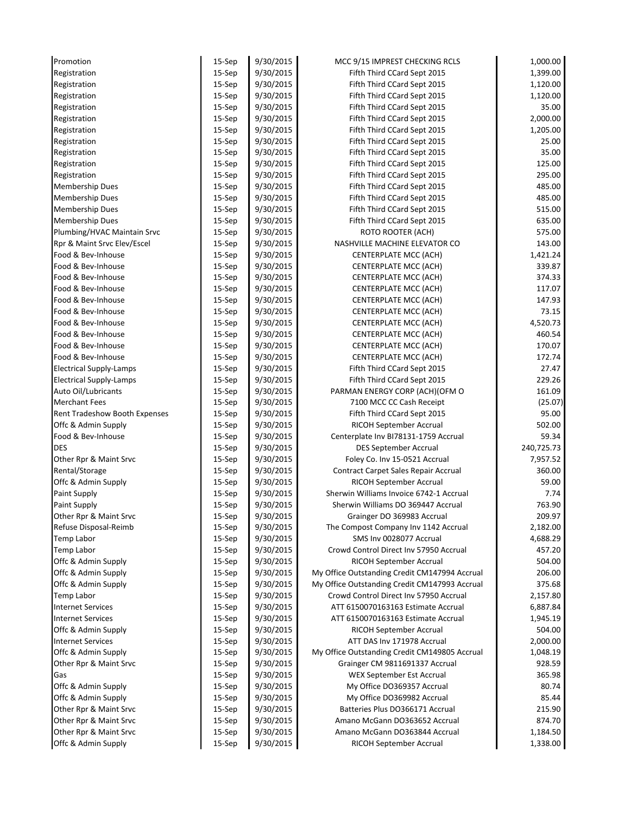| Promotion                      | 15-Sep    | 9/30/2015 | MCC 9/15 IMPREST CHECKING RCLS                | 1,000.00   |
|--------------------------------|-----------|-----------|-----------------------------------------------|------------|
| Registration                   | 15-Sep    | 9/30/2015 | Fifth Third CCard Sept 2015                   | 1,399.00   |
| Registration                   | $15-$ Sep | 9/30/2015 | Fifth Third CCard Sept 2015                   | 1,120.00   |
| Registration                   | 15-Sep    | 9/30/2015 | Fifth Third CCard Sept 2015                   | 1,120.00   |
| Registration                   | $15-$ Sep | 9/30/2015 | Fifth Third CCard Sept 2015                   | 35.00      |
| Registration                   | 15-Sep    | 9/30/2015 | Fifth Third CCard Sept 2015                   | 2,000.00   |
| Registration                   | $15-$ Sep | 9/30/2015 | Fifth Third CCard Sept 2015                   | 1,205.00   |
| Registration                   | $15-$ Sep | 9/30/2015 | Fifth Third CCard Sept 2015                   | 25.00      |
| Registration                   | 15-Sep    | 9/30/2015 | Fifth Third CCard Sept 2015                   | 35.00      |
| Registration                   | 15-Sep    | 9/30/2015 | Fifth Third CCard Sept 2015                   | 125.00     |
| Registration                   | 15-Sep    | 9/30/2015 | Fifth Third CCard Sept 2015                   | 295.00     |
| Membership Dues                | 15-Sep    | 9/30/2015 | Fifth Third CCard Sept 2015                   | 485.00     |
| <b>Membership Dues</b>         | 15-Sep    | 9/30/2015 | Fifth Third CCard Sept 2015                   | 485.00     |
| <b>Membership Dues</b>         | 15-Sep    | 9/30/2015 | Fifth Third CCard Sept 2015                   | 515.00     |
| Membership Dues                | 15-Sep    | 9/30/2015 | Fifth Third CCard Sept 2015                   | 635.00     |
| Plumbing/HVAC Maintain Srvc    | $15-$ Sep | 9/30/2015 | ROTO ROOTER (ACH)                             | 575.00     |
| Rpr & Maint Srvc Elev/Escel    | $15-$ Sep | 9/30/2015 | NASHVILLE MACHINE ELEVATOR CO                 | 143.00     |
| Food & Bev-Inhouse             | 15-Sep    | 9/30/2015 | CENTERPLATE MCC (ACH)                         | 1,421.24   |
| Food & Bev-Inhouse             | 15-Sep    | 9/30/2015 | CENTERPLATE MCC (ACH)                         | 339.87     |
| Food & Bev-Inhouse             | 15-Sep    | 9/30/2015 | CENTERPLATE MCC (ACH)                         | 374.33     |
| Food & Bev-Inhouse             | 15-Sep    | 9/30/2015 | <b>CENTERPLATE MCC (ACH)</b>                  | 117.07     |
| Food & Bev-Inhouse             | 15-Sep    | 9/30/2015 | CENTERPLATE MCC (ACH)                         | 147.93     |
| Food & Bev-Inhouse             | $15-$ Sep | 9/30/2015 | CENTERPLATE MCC (ACH)                         | 73.15      |
| Food & Bev-Inhouse             | 15-Sep    | 9/30/2015 | CENTERPLATE MCC (ACH)                         | 4,520.73   |
| Food & Bev-Inhouse             | 15-Sep    | 9/30/2015 | CENTERPLATE MCC (ACH)                         | 460.54     |
| Food & Bev-Inhouse             | 15-Sep    | 9/30/2015 | CENTERPLATE MCC (ACH)                         | 170.07     |
| Food & Bev-Inhouse             | 15-Sep    | 9/30/2015 | CENTERPLATE MCC (ACH)                         | 172.74     |
| <b>Electrical Supply-Lamps</b> | $15-$ Sep | 9/30/2015 | Fifth Third CCard Sept 2015                   | 27.47      |
| <b>Electrical Supply-Lamps</b> | 15-Sep    | 9/30/2015 | Fifth Third CCard Sept 2015                   | 229.26     |
| Auto Oil/Lubricants            | $15-$ Sep | 9/30/2015 | PARMAN ENERGY CORP (ACH)(OFM O                | 161.09     |
| <b>Merchant Fees</b>           | 15-Sep    | 9/30/2015 | 7100 MCC CC Cash Receipt                      | (25.07)    |
| Rent Tradeshow Booth Expenses  | 15-Sep    | 9/30/2015 | Fifth Third CCard Sept 2015                   | 95.00      |
| Offc & Admin Supply            | 15-Sep    | 9/30/2015 | RICOH September Accrual                       | 502.00     |
| Food & Bev-Inhouse             | $15-$ Sep | 9/30/2015 | Centerplate Inv BI78131-1759 Accrual          | 59.34      |
| <b>DES</b>                     | 15-Sep    | 9/30/2015 | <b>DES September Accrual</b>                  | 240,725.73 |
| Other Rpr & Maint Srvc         | 15-Sep    | 9/30/2015 | Foley Co. Inv 15-0521 Accrual                 | 7,957.52   |
| Rental/Storage                 | 15-Sep    | 9/30/2015 | Contract Carpet Sales Repair Accrual          | 360.00     |
| Offc & Admin Supply            | 15-Sep    | 9/30/2015 | RICOH September Accrual                       | 59.00      |
| Paint Supply                   | 15-Sep    | 9/30/2015 | Sherwin Williams Invoice 6742-1 Accrual       | 7.74       |
| Paint Supply                   | 15-Sep    | 9/30/2015 | Sherwin Williams DO 369447 Accrual            | 763.90     |
| Other Rpr & Maint Srvc         | 15-Sep    | 9/30/2015 | Grainger DO 369983 Accrual                    | 209.97     |
| Refuse Disposal-Reimb          | 15-Sep    | 9/30/2015 | The Compost Company Inv 1142 Accrual          | 2,182.00   |
| Temp Labor                     | 15-Sep    | 9/30/2015 | SMS Inv 0028077 Accrual                       | 4,688.29   |
| Temp Labor                     | 15-Sep    | 9/30/2015 | Crowd Control Direct Inv 57950 Accrual        | 457.20     |
| Offc & Admin Supply            | 15-Sep    | 9/30/2015 | RICOH September Accrual                       | 504.00     |
| Offc & Admin Supply            | 15-Sep    | 9/30/2015 | My Office Outstanding Credit CM147994 Accrual | 206.00     |
| Offc & Admin Supply            | 15-Sep    | 9/30/2015 | My Office Outstanding Credit CM147993 Accrual | 375.68     |
| Temp Labor                     | 15-Sep    | 9/30/2015 | Crowd Control Direct Inv 57950 Accrual        | 2,157.80   |
| <b>Internet Services</b>       | 15-Sep    | 9/30/2015 | ATT 6150070163163 Estimate Accrual            | 6,887.84   |
| <b>Internet Services</b>       | 15-Sep    | 9/30/2015 | ATT 6150070163163 Estimate Accrual            | 1,945.19   |
| Offc & Admin Supply            | 15-Sep    | 9/30/2015 | RICOH September Accrual                       | 504.00     |
| <b>Internet Services</b>       | 15-Sep    | 9/30/2015 | ATT DAS Inv 171978 Accrual                    | 2,000.00   |
| Offc & Admin Supply            | $15-$ Sep | 9/30/2015 | My Office Outstanding Credit CM149805 Accrual | 1,048.19   |
| Other Rpr & Maint Srvc         | 15-Sep    | 9/30/2015 | Grainger CM 9811691337 Accrual                | 928.59     |
| Gas                            | 15-Sep    | 9/30/2015 | WEX September Est Accrual                     | 365.98     |
| Offc & Admin Supply            | 15-Sep    | 9/30/2015 | My Office DO369357 Accrual                    | 80.74      |
| Offc & Admin Supply            | 15-Sep    | 9/30/2015 | My Office DO369982 Accrual                    | 85.44      |
| Other Rpr & Maint Srvc         | 15-Sep    | 9/30/2015 | Batteries Plus DO366171 Accrual               | 215.90     |
| Other Rpr & Maint Srvc         | 15-Sep    | 9/30/2015 | Amano McGann DO363652 Accrual                 | 874.70     |
| Other Rpr & Maint Srvc         | 15-Sep    | 9/30/2015 | Amano McGann DO363844 Accrual                 | 1,184.50   |
| Offc & Admin Supply            | 15-Sep    | 9/30/2015 | RICOH September Accrual                       | 1,338.00   |
|                                |           |           |                                               |            |